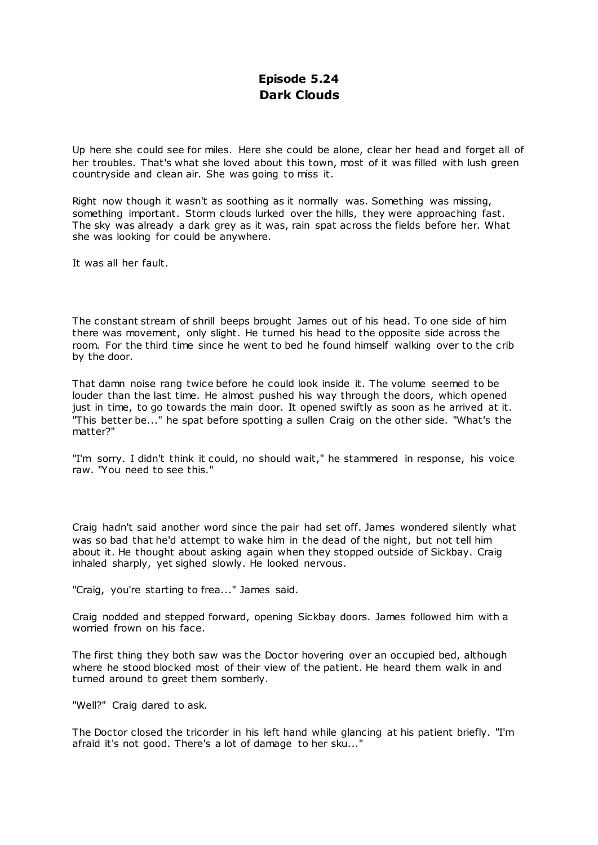# **Episode 5.24 Dark Clouds**

Up here she could see for miles. Here she could be alone, clear her head and forget all of her troubles. That's what she loved about this town, most of it was filled with lush green countryside and clean air. She was going to miss it.

Right now though it wasn't as soothing as it normally was. Something was missing, something important. Storm clouds lurked over the hills, they were approaching fast. The sky was already a dark grey as it was, rain spat across the fields before her. What she was looking for could be anywhere.

It was all her fault.

The constant stream of shrill beeps brought James out of his head. To one side of him there was movement, only slight. He turned his head to the opposite side across the room. For the third time since he went to bed he found himself walking over to the crib by the door.

That damn noise rang twice before he could look inside it. The volume seemed to be louder than the last time. He almost pushed his way through the doors, which opened just in time, to go towards the main door. It opened swiftly as soon as he arrived at it. "This better be..." he spat before spotting a sullen Craig on the other side. "What's the matter?"

"I'm sorry. I didn't think it could, no should wait," he stammered in response, his voice raw. "You need to see this."

Craig hadn't said another word since the pair had set off. James wondered silently what was so bad that he'd attempt to wake him in the dead of the night, but not tell him about it. He thought about asking again when they stopped outside of Sickbay. Craig inhaled sharply, yet sighed slowly. He looked nervous.

"Craig, you're starting to frea..." James said.

Craig nodded and stepped forward, opening Sickbay doors. James followed him with a worried frown on his face.

The first thing they both saw was the Doctor hovering over an occupied bed, although where he stood blocked most of their view of the patient. He heard them walk in and turned around to greet them somberly.

"Well?" Craig dared to ask.

The Doctor closed the tricorder in his left hand while glancing at his patient briefly. "I'm afraid it's not good. There's a lot of damage to her sku..."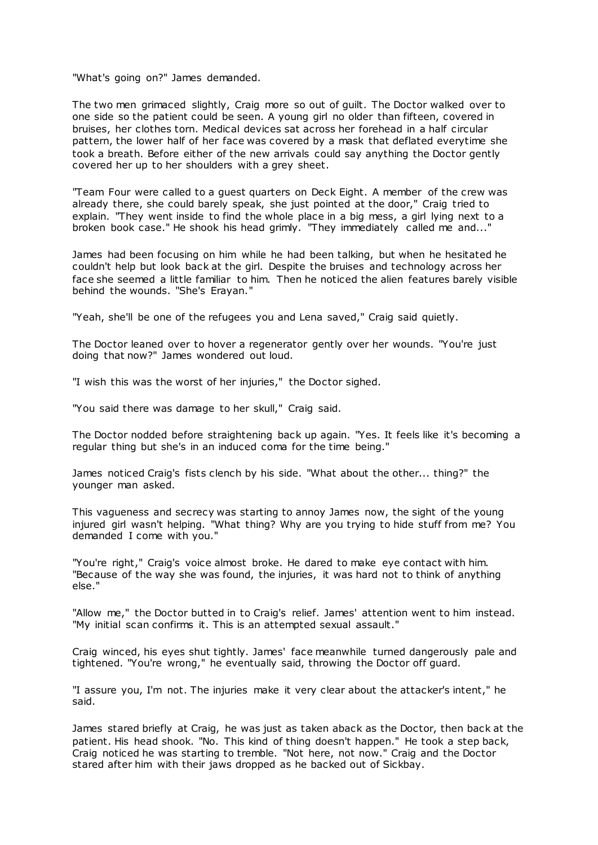"What's going on?" James demanded.

The two men grimaced slightly, Craig more so out of guilt. The Doctor walked over to one side so the patient could be seen. A young girl no older than fifteen, covered in bruises, her clothes torn. Medical devices sat across her forehead in a half circular pattern, the lower half of her face was covered by a mask that deflated everytime she took a breath. Before either of the new arrivals could say anything the Doctor gently covered her up to her shoulders with a grey sheet.

"Team Four were called to a guest quarters on Deck Eight. A member of the crew was already there, she could barely speak, she just pointed at the door," Craig tried to explain. "They went inside to find the whole place in a big mess, a girl lying next to a broken book case." He shook his head grimly. "They immediately called me and..."

James had been focusing on him while he had been talking, but when he hesitated he couldn't help but look back at the girl. Despite the bruises and technology across her face she seemed a little familiar to him. Then he noticed the alien features barely visible behind the wounds. "She's Erayan."

"Yeah, she'll be one of the refugees you and Lena saved," Craig said quietly.

The Doctor leaned over to hover a regenerator gently over her wounds. "You're just doing that now?" James wondered out loud.

"I wish this was the worst of her injuries," the Doctor sighed.

"You said there was damage to her skull," Craig said.

The Doctor nodded before straightening back up again. "Yes. It feels like it's becoming a regular thing but she's in an induced coma for the time being."

James noticed Craig's fists clench by his side. "What about the other... thing?" the younger man asked.

This vagueness and secrecy was starting to annoy James now, the sight of the young injured girl wasn't helping. "What thing? Why are you trying to hide stuff from me? You demanded I come with you."

"You're right," Craig's voice almost broke. He dared to make eye contact with him. "Because of the way she was found, the injuries, it was hard not to think of anything else."

"Allow me," the Doctor butted in to Craig's relief. James' attention went to him instead. "My initial scan confirms it. This is an attempted sexual assault."

Craig winced, his eyes shut tightly. James' face meanwhile turned dangerously pale and tightened. "You're wrong," he eventually said, throwing the Doctor off guard.

"I assure you, I'm not. The injuries make it very clear about the attacker's intent," he said.

James stared briefly at Craig, he was just as taken aback as the Doctor, then back at the patient. His head shook. "No. This kind of thing doesn't happen." He took a step back, Craig noticed he was starting to tremble. "Not here, not now." Craig and the Doctor stared after him with their jaws dropped as he backed out of Sickbay.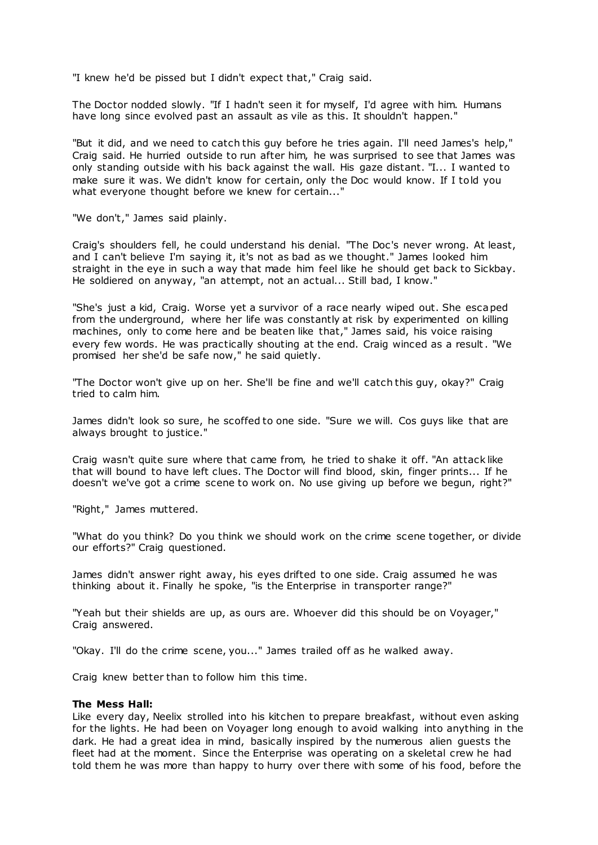"I knew he'd be pissed but I didn't expect that," Craig said.

The Doctor nodded slowly. "If I hadn't seen it for myself, I'd agree with him. Humans have long since evolved past an assault as vile as this. It shouldn't happen."

"But it did, and we need to catch this guy before he tries again. I'll need James's help," Craig said. He hurried outside to run after him, he was surprised to see that James was only standing outside with his back against the wall. His gaze distant. "I... I wanted to make sure it was. We didn't know for certain, only the Doc would know. If I told you what everyone thought before we knew for certain..."

"We don't," James said plainly.

Craig's shoulders fell, he could understand his denial. "The Doc's never wrong. At least, and I can't believe I'm saying it, it's not as bad as we thought." James looked him straight in the eye in such a way that made him feel like he should get back to Sickbay. He soldiered on anyway, "an attempt, not an actual... Still bad, I know."

"She's just a kid, Craig. Worse yet a survivor of a race nearly wiped out. She escaped from the underground, where her life was constantly at risk by experimented on killing machines, only to come here and be beaten like that," James said, his voice raising every few words. He was practically shouting at the end. Craig winced as a result. "We promised her she'd be safe now," he said quietly.

"The Doctor won't give up on her. She'll be fine and we'll catch this guy, okay?" Craig tried to calm him.

James didn't look so sure, he scoffed to one side. "Sure we will. Cos guys like that are always brought to justice."

Craig wasn't quite sure where that came from, he tried to shake it off. "An attack like that will bound to have left clues. The Doctor will find blood, skin, finger prints... If he doesn't we've got a crime scene to work on. No use giving up before we begun, right?"

"Right," James muttered.

"What do you think? Do you think we should work on the crime scene together, or divide our efforts?" Craig questioned.

James didn't answer right away, his eyes drifted to one side. Craig assumed he was thinking about it. Finally he spoke, "is the Enterprise in transporter range?"

"Yeah but their shields are up, as ours are. Whoever did this should be on Voyager," Craig answered.

"Okay. I'll do the crime scene, you..." James trailed off as he walked away.

Craig knew better than to follow him this time.

#### **The Mess Hall:**

Like every day, Neelix strolled into his kitchen to prepare breakfast, without even asking for the lights. He had been on Voyager long enough to avoid walking into anything in the dark. He had a great idea in mind, basically inspired by the numerous alien guests the fleet had at the moment. Since the Enterprise was operating on a skeletal crew he had told them he was more than happy to hurry over there with some of his food, before the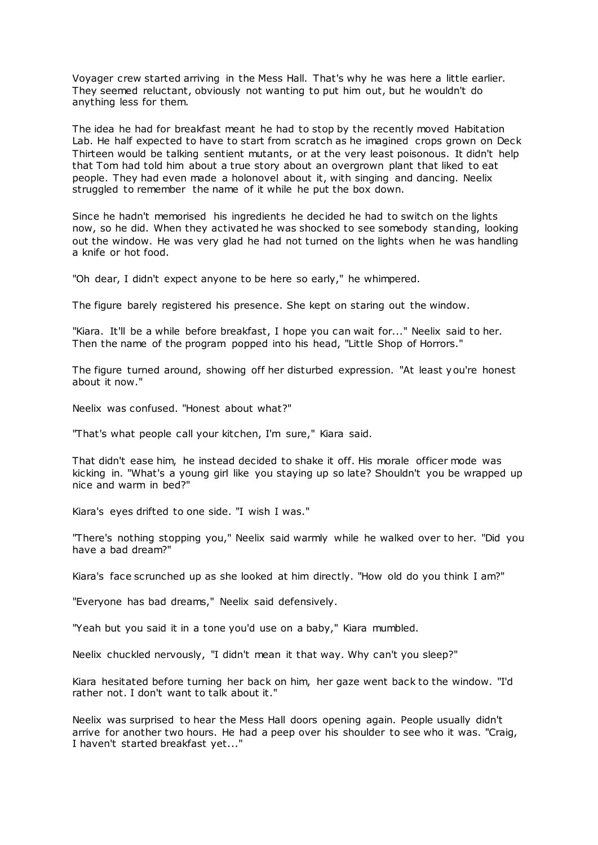Voyager crew started arriving in the Mess Hall. That's why he was here a little earlier. They seemed reluctant, obviously not wanting to put him out, but he wouldn't do anything less for them.

The idea he had for breakfast meant he had to stop by the recently moved Habitation Lab. He half expected to have to start from scratch as he imagined crops grown on Deck Thirteen would be talking sentient mutants, or at the very least poisonous. It didn't help that Tom had told him about a true story about an overgrown plant that liked to eat people. They had even made a holonovel about it, with singing and dancing. Neelix struggled to remember the name of it while he put the box down.

Since he hadn't memorised his ingredients he decided he had to switch on the lights now, so he did. When they activated he was shocked to see somebody standing, looking out the window. He was very glad he had not turned on the lights when he was handling a knife or hot food.

"Oh dear, I didn't expect anyone to be here so early," he whimpered.

The figure barely registered his presence. She kept on staring out the window.

"Kiara. It'll be a while before breakfast, I hope you can wait for..." Neelix said to her. Then the name of the program popped into his head, "Little Shop of Horrors."

The figure turned around, showing off her disturbed expression. "At least you're honest about it now."

Neelix was confused. "Honest about what?"

"That's what people call your kitchen, I'm sure," Kiara said.

That didn't ease him, he instead decided to shake it off. His morale officer mode was kicking in. "What's a young girl like you staying up so late? Shouldn't you be wrapped up nice and warm in bed?"

Kiara's eyes drifted to one side. "I wish I was."

"There's nothing stopping you," Neelix said warmly while he walked over to her. "Did you have a bad dream?"

Kiara's face scrunched up as she looked at him directly. "How old do you think I am?"

"Everyone has bad dreams," Neelix said defensively.

"Yeah but you said it in a tone you'd use on a baby," Kiara mumbled.

Neelix chuckled nervously, "I didn't mean it that way. Why can't you sleep?"

Kiara hesitated before turning her back on him, her gaze went back to the window. "I'd rather not. I don't want to talk about it."

Neelix was surprised to hear the Mess Hall doors opening again. People usually didn't arrive for another two hours. He had a peep over his shoulder to see who it was. "Craig, I haven't started breakfast yet..."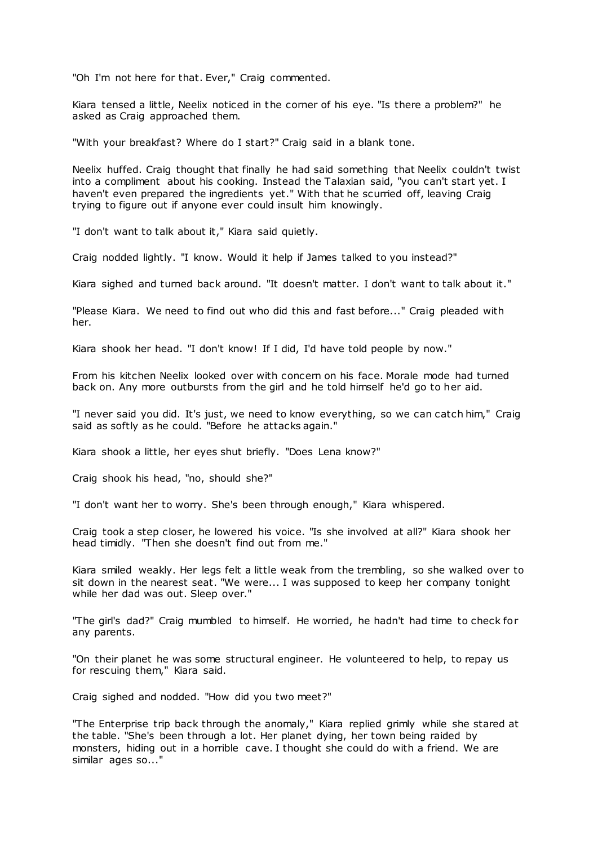"Oh I'm not here for that. Ever," Craig commented.

Kiara tensed a little, Neelix noticed in the corner of his eye. "Is there a problem?" he asked as Craig approached them.

"With your breakfast? Where do I start?" Craig said in a blank tone.

Neelix huffed. Craig thought that finally he had said something that Neelix couldn't twist into a compliment about his cooking. Instead the Talaxian said, "you can't start yet. I haven't even prepared the ingredients yet." With that he scurried off, leaving Craig trying to figure out if anyone ever could insult him knowingly.

"I don't want to talk about it," Kiara said quietly.

Craig nodded lightly. "I know. Would it help if James talked to you instead?"

Kiara sighed and turned back around. "It doesn't matter. I don't want to talk about it."

"Please Kiara. We need to find out who did this and fast before..." Craig pleaded with her.

Kiara shook her head. "I don't know! If I did, I'd have told people by now."

From his kitchen Neelix looked over with concern on his face. Morale mode had turned back on. Any more outbursts from the girl and he told himself he'd go to her aid.

"I never said you did. It's just, we need to know everything, so we can catch him," Craig said as softly as he could. "Before he attacks again."

Kiara shook a little, her eyes shut briefly. "Does Lena know?"

Craig shook his head, "no, should she?"

"I don't want her to worry. She's been through enough," Kiara whispered.

Craig took a step closer, he lowered his voice. "Is she involved at all?" Kiara shook her head timidly. "Then she doesn't find out from me."

Kiara smiled weakly. Her legs felt a little weak from the trembling, so she walked over to sit down in the nearest seat. "We were... I was supposed to keep her company tonight while her dad was out. Sleep over."

"The girl's dad?" Craig mumbled to himself. He worried, he hadn't had time to check for any parents.

"On their planet he was some structural engineer. He volunteered to help, to repay us for rescuing them," Kiara said.

Craig sighed and nodded. "How did you two meet?"

"The Enterprise trip back through the anomaly," Kiara replied grimly while she stared at the table. "She's been through a lot. Her planet dying, her town being raided by monsters, hiding out in a horrible cave. I thought she could do with a friend. We are similar ages so..."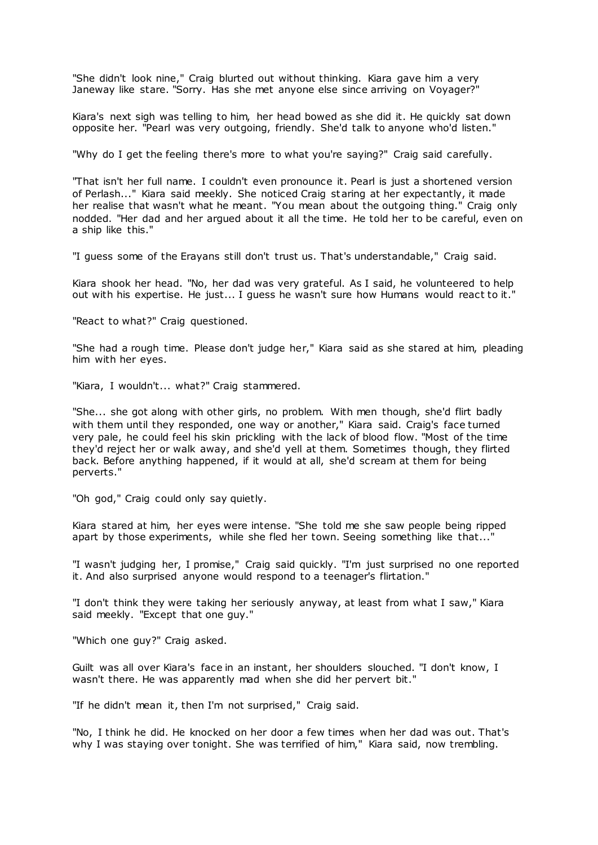"She didn't look nine," Craig blurted out without thinking. Kiara gave him a very Janeway like stare. "Sorry. Has she met anyone else since arriving on Voyager?"

Kiara's next sigh was telling to him, her head bowed as she did it. He quickly sat down opposite her. "Pearl was very outgoing, friendly. She'd talk to anyone who'd listen."

"Why do I get the feeling there's more to what you're saying?" Craig said carefully.

"That isn't her full name. I couldn't even pronounce it. Pearl is just a shortened version of Perlash..." Kiara said meekly. She noticed Craig staring at her expectantly, it made her realise that wasn't what he meant. "You mean about the outgoing thing." Craig only nodded. "Her dad and her argued about it all the time. He told her to be careful, even on a ship like this."

"I guess some of the Erayans still don't trust us. That's understandable," Craig said.

Kiara shook her head. "No, her dad was very grateful. As I said, he volunteered to help out with his expertise. He just... I guess he wasn't sure how Humans would react to it."

"React to what?" Craig questioned.

"She had a rough time. Please don't judge her," Kiara said as she stared at him, pleading him with her eyes.

"Kiara, I wouldn't... what?" Craig stammered.

"She... she got along with other girls, no problem. With men though, she'd flirt badly with them until they responded, one way or another," Kiara said. Craig's face turned very pale, he could feel his skin prickling with the lack of blood flow. "Most of the time they'd reject her or walk away, and she'd yell at them. Sometimes though, they flirted back. Before anything happened, if it would at all, she'd scream at them for being perverts."

"Oh god," Craig could only say quietly.

Kiara stared at him, her eyes were intense. "She told me she saw people being ripped apart by those experiments, while she fled her town. Seeing something like that..."

"I wasn't judging her, I promise," Craig said quickly. "I'm just surprised no one reported it. And also surprised anyone would respond to a teenager's flirtation."

"I don't think they were taking her seriously anyway, at least from what I saw," Kiara said meekly. "Except that one guy."

"Which one guy?" Craig asked.

Guilt was all over Kiara's face in an instant, her shoulders slouched. "I don't know, I wasn't there. He was apparently mad when she did her pervert bit."

"If he didn't mean it, then I'm not surprised," Craig said.

"No, I think he did. He knocked on her door a few times when her dad was out. That's why I was staying over tonight. She was terrified of him," Kiara said, now trembling.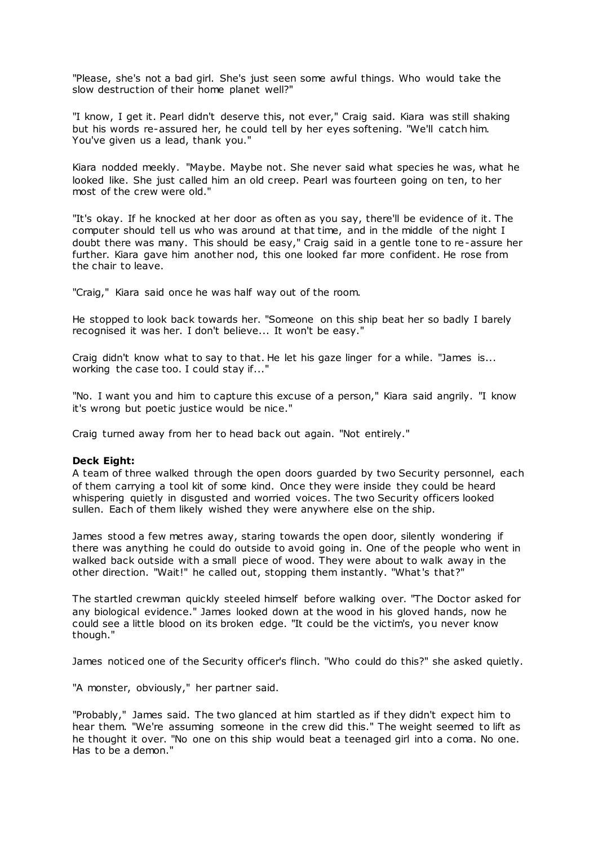"Please, she's not a bad girl. She's just seen some awful things. Who would take the slow destruction of their home planet well?"

"I know, I get it. Pearl didn't deserve this, not ever," Craig said. Kiara was still shaking but his words re-assured her, he could tell by her eyes softening. "We'll catch him. You've given us a lead, thank you."

Kiara nodded meekly. "Maybe. Maybe not. She never said what species he was, what he looked like. She just called him an old creep. Pearl was fourteen going on ten, to her most of the crew were old."

"It's okay. If he knocked at her door as often as you say, there'll be evidence of it. The computer should tell us who was around at that time, and in the middle of the night I doubt there was many. This should be easy," Craig said in a gentle tone to re-assure her further. Kiara gave him another nod, this one looked far more confident. He rose from the chair to leave.

"Craig," Kiara said once he was half way out of the room.

He stopped to look back towards her. "Someone on this ship beat her so badly I barely recognised it was her. I don't believe... It won't be easy."

Craig didn't know what to say to that. He let his gaze linger for a while. "James is... working the case too. I could stay if..."

"No. I want you and him to capture this excuse of a person," Kiara said angrily. "I know it's wrong but poetic justice would be nice."

Craig turned away from her to head back out again. "Not entirely."

# **Deck Eight:**

A team of three walked through the open doors guarded by two Security personnel, each of them carrying a tool kit of some kind. Once they were inside they could be heard whispering quietly in disgusted and worried voices. The two Security officers looked sullen. Each of them likely wished they were anywhere else on the ship.

James stood a few metres away, staring towards the open door, silently wondering if there was anything he could do outside to avoid going in. One of the people who went in walked back outside with a small piece of wood. They were about to walk away in the other direction. "Wait!" he called out, stopping them instantly. "What's that?"

The startled crewman quickly steeled himself before walking over. "The Doctor asked for any biological evidence." James looked down at the wood in his gloved hands, now he could see a little blood on its broken edge. "It could be the victim's, you never know though."

James noticed one of the Security officer's flinch. "Who could do this?" she asked quietly.

"A monster, obviously," her partner said.

"Probably," James said. The two glanced at him startled as if they didn't expect him to hear them. "We're assuming someone in the crew did this." The weight seemed to lift as he thought it over. "No one on this ship would beat a teenaged girl into a coma. No one. Has to be a demon."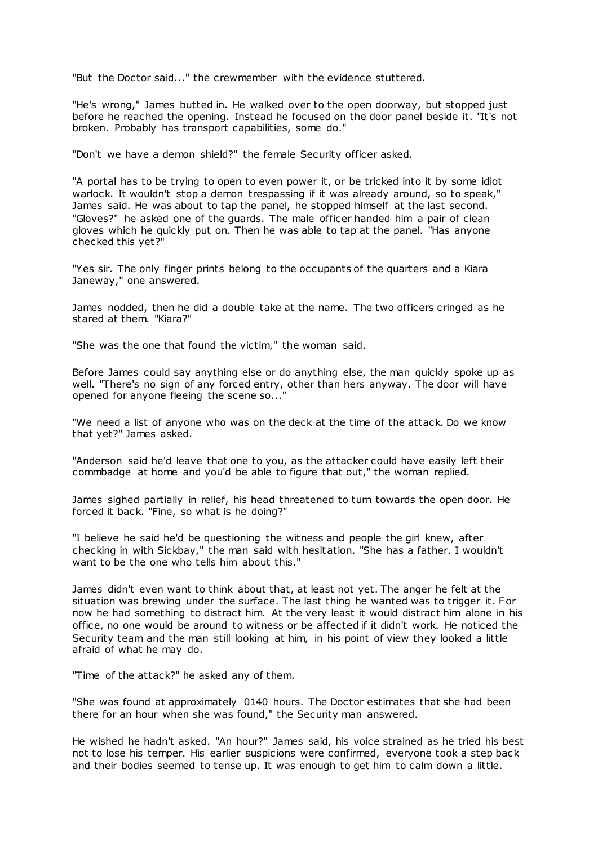"But the Doctor said..." the crewmember with the evidence stuttered.

"He's wrong," James butted in. He walked over to the open doorway, but stopped just before he reached the opening. Instead he focused on the door panel beside it. "It's not broken. Probably has transport capabilities, some do."

"Don't we have a demon shield?" the female Security officer asked.

"A portal has to be trying to open to even power it, or be tricked into it by some idiot warlock. It wouldn't stop a demon trespassing if it was already around, so to speak," James said. He was about to tap the panel, he stopped himself at the last second. "Gloves?" he asked one of the guards. The male officer handed him a pair of clean gloves which he quickly put on. Then he was able to tap at the panel. "Has anyone checked this yet?"

"Yes sir. The only finger prints belong to the occupants of the quarters and a Kiara Janeway," one answered.

James nodded, then he did a double take at the name. The two officers cringed as he stared at them. "Kiara?"

"She was the one that found the victim," the woman said.

Before James could say anything else or do anything else, the man quickly spoke up as well. "There's no sign of any forced entry, other than hers anyway. The door will have opened for anyone fleeing the scene so...

"We need a list of anyone who was on the deck at the time of the attack. Do we know that yet?" James asked.

"Anderson said he'd leave that one to you, as the attacker could have easily left their commbadge at home and you'd be able to figure that out," the woman replied.

James sighed partially in relief, his head threatened to turn towards the open door. He forced it back. "Fine, so what is he doing?"

"I believe he said he'd be questioning the witness and people the girl knew, after checking in with Sickbay," the man said with hesitation. "She has a father. I wouldn't want to be the one who tells him about this."

James didn't even want to think about that, at least not yet. The anger he felt at the situation was brewing under the surface. The last thing he wanted was to trigger it. For now he had something to distract him. At the very least it would distract him alone in his office, no one would be around to witness or be affected if it didn't work. He noticed the Security team and the man still looking at him, in his point of view they looked a little afraid of what he may do.

"Time of the attack?" he asked any of them.

"She was found at approximately 0140 hours. The Doctor estimates that she had been there for an hour when she was found," the Security man answered.

He wished he hadn't asked. "An hour?" James said, his voice strained as he tried his best not to lose his temper. His earlier suspicions were confirmed, everyone took a step back and their bodies seemed to tense up. It was enough to get him to calm down a little.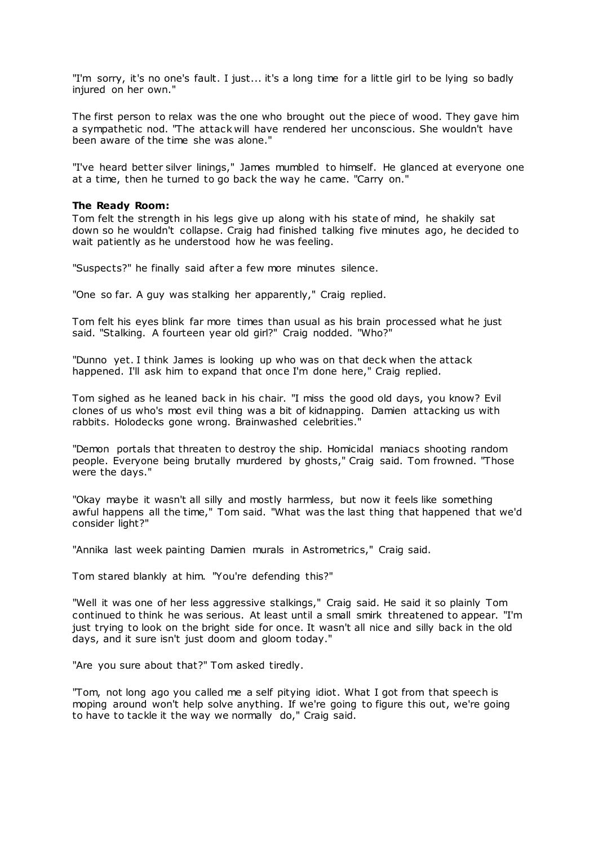"I'm sorry, it's no one's fault. I just... it's a long time for a little girl to be lying so badly injured on her own."

The first person to relax was the one who brought out the piece of wood. They gave him a sympathetic nod. "The attack will have rendered her unconscious. She wouldn't have been aware of the time she was alone."

"I've heard better silver linings," James mumbled to himself. He glanced at everyone one at a time, then he turned to go back the way he came. "Carry on."

## **The Ready Room:**

Tom felt the strength in his legs give up along with his state of mind, he shakily sat down so he wouldn't collapse. Craig had finished talking five minutes ago, he decided to wait patiently as he understood how he was feeling.

"Suspects?" he finally said after a few more minutes silence.

"One so far. A guy was stalking her apparently," Craig replied.

Tom felt his eyes blink far more times than usual as his brain processed what he just said. "Stalking. A fourteen year old girl?" Craig nodded. "Who?"

"Dunno yet. I think James is looking up who was on that deck when the attack happened. I'll ask him to expand that once I'm done here," Craig replied.

Tom sighed as he leaned back in his chair. "I miss the good old days, you know? Evil clones of us who's most evil thing was a bit of kidnapping. Damien attacking us with rabbits. Holodecks gone wrong. Brainwashed celebrities."

"Demon portals that threaten to destroy the ship. Homicidal maniacs shooting random people. Everyone being brutally murdered by ghosts," Craig said. Tom frowned. "Those were the days."

"Okay maybe it wasn't all silly and mostly harmless, but now it feels like something awful happens all the time," Tom said. "What was the last thing that happened that we'd consider light?"

"Annika last week painting Damien murals in Astrometrics," Craig said.

Tom stared blankly at him. "You're defending this?"

"Well it was one of her less aggressive stalkings," Craig said. He said it so plainly Tom continued to think he was serious. At least until a small smirk threatened to appear. "I'm just trying to look on the bright side for once. It wasn't all nice and silly back in the old days, and it sure isn't just doom and gloom today."

"Are you sure about that?" Tom asked tiredly.

"Tom, not long ago you called me a self pitying idiot. What I got from that speech is moping around won't help solve anything. If we're going to figure this out, we're going to have to tackle it the way we normally do," Craig said.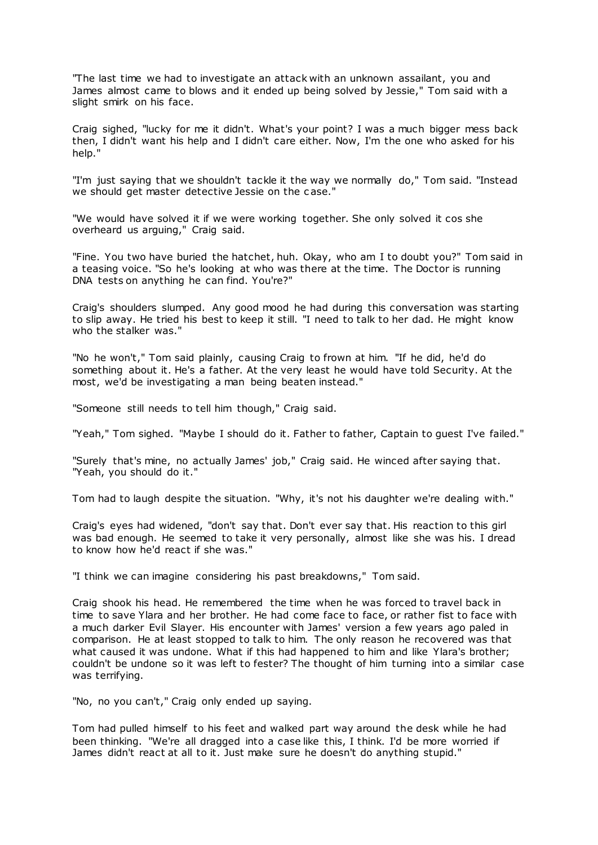"The last time we had to investigate an attack with an unknown assailant, you and James almost came to blows and it ended up being solved by Jessie," Tom said with a slight smirk on his face.

Craig sighed, "lucky for me it didn't. What's your point? I was a much bigger mess back then, I didn't want his help and I didn't care either. Now, I'm the one who asked for his help."

"I'm just saying that we shouldn't tackle it the way we normally do," Tom said. "Instead we should get master detective Jessie on the c ase."

"We would have solved it if we were working together. She only solved it cos she overheard us arguing," Craig said.

"Fine. You two have buried the hatchet, huh. Okay, who am I to doubt you?" Tom said in a teasing voice. "So he's looking at who was there at the time. The Doctor is running DNA tests on anything he can find. You're?"

Craig's shoulders slumped. Any good mood he had during this conversation was starting to slip away. He tried his best to keep it still. "I need to talk to her dad. He might know who the stalker was."

"No he won't," Tom said plainly, causing Craig to frown at him. "If he did, he'd do something about it. He's a father. At the very least he would have told Security. At the most, we'd be investigating a man being beaten instead."

"Someone still needs to tell him though," Craig said.

"Yeah," Tom sighed. "Maybe I should do it. Father to father, Captain to guest I've failed."

"Surely that's mine, no actually James' job," Craig said. He winced after saying that. "Yeah, you should do it."

Tom had to laugh despite the situation. "Why, it's not his daughter we're dealing with."

Craig's eyes had widened, "don't say that. Don't ever say that. His reaction to this girl was bad enough. He seemed to take it very personally, almost like she was his. I dread to know how he'd react if she was."

"I think we can imagine considering his past breakdowns," Tom said.

Craig shook his head. He remembered the time when he was forced to travel back in time to save Ylara and her brother. He had come face to face, or rather fist to face with a much darker Evil Slayer. His encounter with James' version a few years ago paled in comparison. He at least stopped to talk to him. The only reason he recovered was that what caused it was undone. What if this had happened to him and like Ylara's brother; couldn't be undone so it was left to fester? The thought of him turning into a similar case was terrifying.

"No, no you can't," Craig only ended up saying.

Tom had pulled himself to his feet and walked part way around the desk while he had been thinking. "We're all dragged into a case like this, I think. I'd be more worried if James didn't react at all to it. Just make sure he doesn't do anything stupid."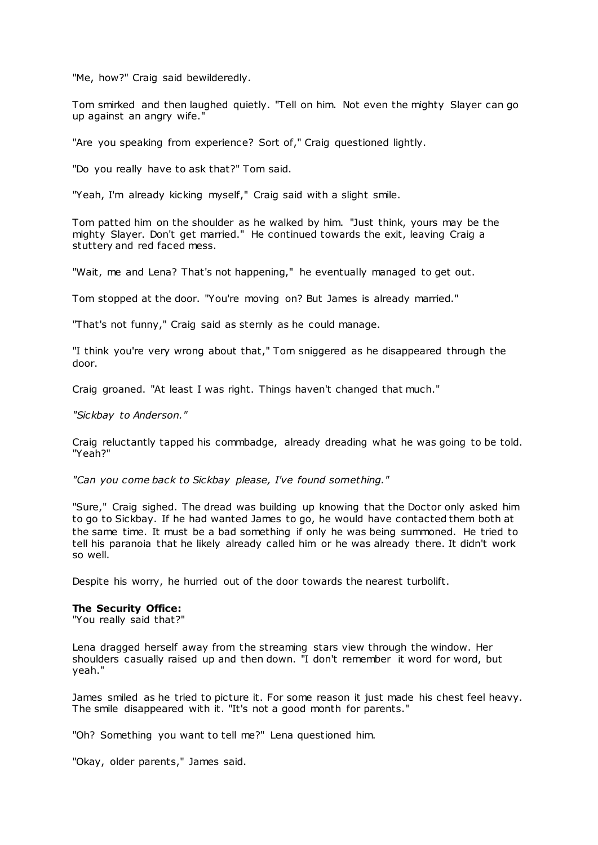"Me, how?" Craig said bewilderedly.

Tom smirked and then laughed quietly. "Tell on him. Not even the mighty Slayer can go up against an angry wife."

"Are you speaking from experience? Sort of," Craig questioned lightly.

"Do you really have to ask that?" Tom said.

"Yeah, I'm already kicking myself," Craig said with a slight smile.

Tom patted him on the shoulder as he walked by him. "Just think, yours may be the mighty Slayer. Don't get married." He continued towards the exit, leaving Craig a stuttery and red faced mess.

"Wait, me and Lena? That's not happening," he eventually managed to get out.

Tom stopped at the door. "You're moving on? But James is already married."

"That's not funny," Craig said as sternly as he could manage.

"I think you're very wrong about that," Tom sniggered as he disappeared through the door.

Craig groaned. "At least I was right. Things haven't changed that much."

*"Sickbay to Anderson."*

Craig reluctantly tapped his commbadge, already dreading what he was going to be told. "Yeah?"

*"Can you come back to Sickbay please, I've found something."*

"Sure," Craig sighed. The dread was building up knowing that the Doctor only asked him to go to Sickbay. If he had wanted James to go, he would have contacted them both at the same time. It must be a bad something if only he was being summoned. He tried to tell his paranoia that he likely already called him or he was already there. It didn't work so well.

Despite his worry, he hurried out of the door towards the nearest turbolift.

# **The Security Office:**

"You really said that?"

Lena dragged herself away from the streaming stars view through the window. Her shoulders casually raised up and then down. "I don't remember it word for word, but yeah."

James smiled as he tried to picture it. For some reason it just made his chest feel heavy. The smile disappeared with it. "It's not a good month for parents."

"Oh? Something you want to tell me?" Lena questioned him.

"Okay, older parents," James said.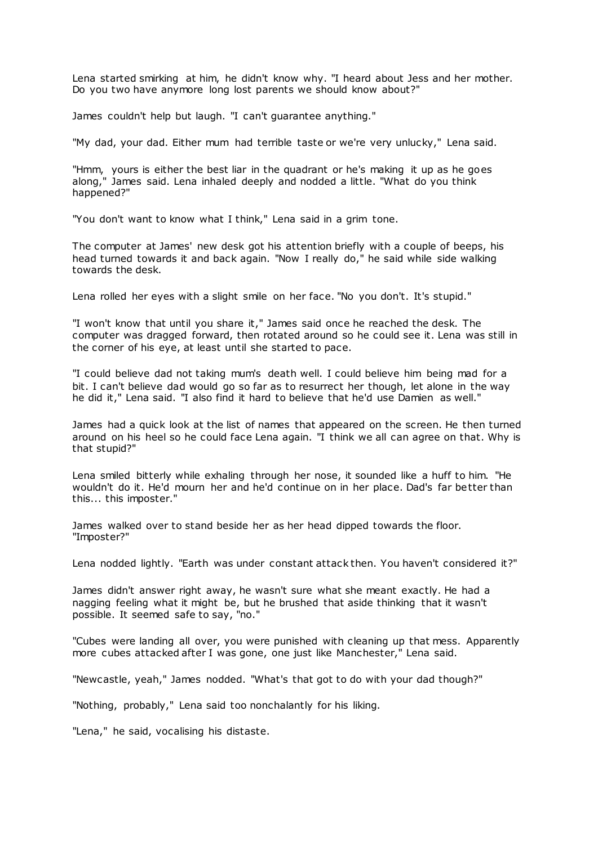Lena started smirking at him, he didn't know why. "I heard about Jess and her mother. Do you two have anymore long lost parents we should know about?"

James couldn't help but laugh. "I can't guarantee anything."

"My dad, your dad. Either mum had terrible taste or we're very unlucky," Lena said.

"Hmm, yours is either the best liar in the quadrant or he's making it up as he goes along," James said. Lena inhaled deeply and nodded a little. "What do you think happened?"

"You don't want to know what I think," Lena said in a grim tone.

The computer at James' new desk got his attention briefly with a couple of beeps, his head turned towards it and back again. "Now I really do," he said while side walking towards the desk.

Lena rolled her eyes with a slight smile on her face. "No you don't. It's stupid."

"I won't know that until you share it," James said once he reached the desk. The computer was dragged forward, then rotated around so he could see it. Lena was still in the corner of his eye, at least until she started to pace.

"I could believe dad not taking mum's death well. I could believe him being mad for a bit. I can't believe dad would go so far as to resurrect her though, let alone in the way he did it," Lena said. "I also find it hard to believe that he'd use Damien as well."

James had a quick look at the list of names that appeared on the screen. He then turned around on his heel so he could face Lena again. "I think we all can agree on that. Why is that stupid?"

Lena smiled bitterly while exhaling through her nose, it sounded like a huff to him. "He wouldn't do it. He'd mourn her and he'd continue on in her place. Dad's far better than this... this imposter."

James walked over to stand beside her as her head dipped towards the floor. "Imposter?"

Lena nodded lightly. "Earth was under constant attack then. You haven't considered it?"

James didn't answer right away, he wasn't sure what she meant exactly. He had a nagging feeling what it might be, but he brushed that aside thinking that it wasn't possible. It seemed safe to say, "no."

"Cubes were landing all over, you were punished with cleaning up that mess. Apparently more cubes attacked after I was gone, one just like Manchester," Lena said.

"Newcastle, yeah," James nodded. "What's that got to do with your dad though?"

"Nothing, probably," Lena said too nonchalantly for his liking.

"Lena," he said, vocalising his distaste.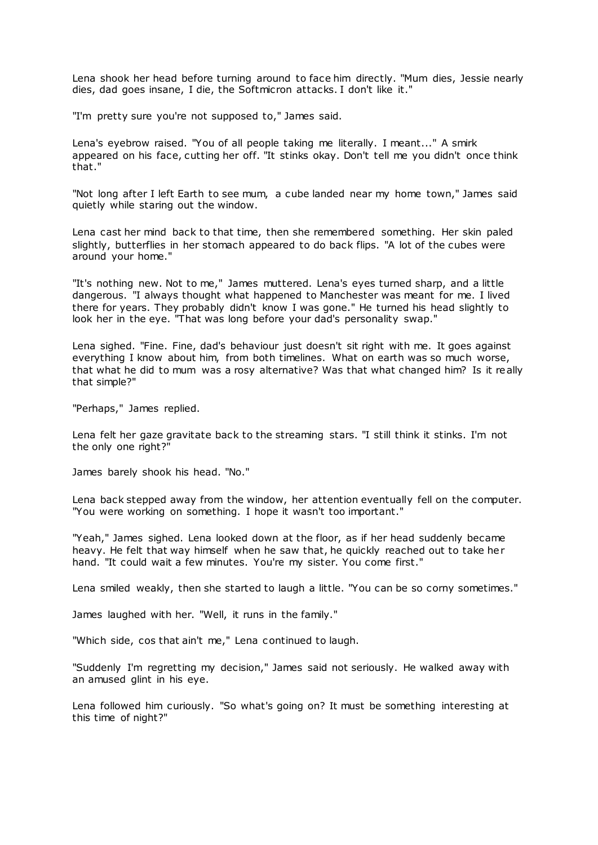Lena shook her head before turning around to face him directly. "Mum dies, Jessie nearly dies, dad goes insane, I die, the Softmicron attacks. I don't like it."

"I'm pretty sure you're not supposed to," James said.

Lena's eyebrow raised. "You of all people taking me literally. I meant..." A smirk appeared on his face, cutting her off. "It stinks okay. Don't tell me you didn't once think that."

"Not long after I left Earth to see mum, a cube landed near my home town," James said quietly while staring out the window.

Lena cast her mind back to that time, then she remembered something. Her skin paled slightly, butterflies in her stomach appeared to do back flips. "A lot of the cubes were around your home."

"It's nothing new. Not to me," James muttered. Lena's eyes turned sharp, and a little dangerous. "I always thought what happened to Manchester was meant for me. I lived there for years. They probably didn't know I was gone." He turned his head slightly to look her in the eye. "That was long before your dad's personality swap."

Lena sighed. "Fine. Fine, dad's behaviour just doesn't sit right with me. It goes against everything I know about him, from both timelines. What on earth was so much worse, that what he did to mum was a rosy alternative? Was that what changed him? Is it really that simple?"

"Perhaps," James replied.

Lena felt her gaze gravitate back to the streaming stars. "I still think it stinks. I'm not the only one right?"

James barely shook his head. "No."

Lena back stepped away from the window, her attention eventually fell on the computer. "You were working on something. I hope it wasn't too important."

"Yeah," James sighed. Lena looked down at the floor, as if her head suddenly became heavy. He felt that way himself when he saw that, he quickly reached out to take her hand. "It could wait a few minutes. You're my sister. You come first."

Lena smiled weakly, then she started to laugh a little. "You can be so corny sometimes."

James laughed with her. "Well, it runs in the family."

"Which side, cos that ain't me," Lena continued to laugh.

"Suddenly I'm regretting my decision," James said not seriously. He walked away with an amused glint in his eye.

Lena followed him curiously. "So what's going on? It must be something interesting at this time of night?"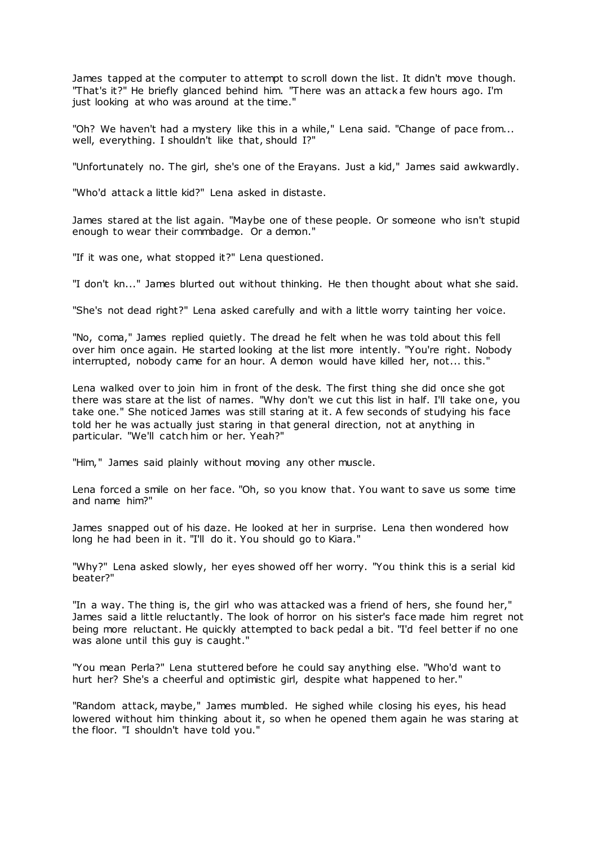James tapped at the computer to attempt to scroll down the list. It didn't move though. "That's it?" He briefly glanced behind him. "There was an attack a few hours ago. I'm just looking at who was around at the time."

"Oh? We haven't had a mystery like this in a while," Lena said. "Change of pace from... well, everything. I shouldn't like that, should I?"

"Unfortunately no. The girl, she's one of the Erayans. Just a kid," James said awkwardly.

"Who'd attack a little kid?" Lena asked in distaste.

James stared at the list again. "Maybe one of these people. Or someone who isn't stupid enough to wear their commbadge. Or a demon."

"If it was one, what stopped it?" Lena questioned.

"I don't kn..." James blurted out without thinking. He then thought about what she said.

"She's not dead right?" Lena asked carefully and with a little worry tainting her voice.

"No, coma," James replied quietly. The dread he felt when he was told about this fell over him once again. He started looking at the list more intently. "You're right. Nobody interrupted, nobody came for an hour. A demon would have killed her, not... this."

Lena walked over to join him in front of the desk. The first thing she did once she got there was stare at the list of names. "Why don't we cut this list in half. I'll take one, you take one." She noticed James was still staring at it. A few seconds of studying his face told her he was actually just staring in that general direction, not at anything in particular. "We'll catch him or her. Yeah?"

"Him," James said plainly without moving any other muscle.

Lena forced a smile on her face. "Oh, so you know that. You want to save us some time and name him?"

James snapped out of his daze. He looked at her in surprise. Lena then wondered how long he had been in it. "I'll do it. You should go to Kiara."

"Why?" Lena asked slowly, her eyes showed off her worry. "You think this is a serial kid beater?"

"In a way. The thing is, the girl who was attacked was a friend of hers, she found her," James said a little reluctantly. The look of horror on his sister's face made him regret not being more reluctant. He quickly attempted to back pedal a bit. "I'd feel better if no one was alone until this guy is caught."

"You mean Perla?" Lena stuttered before he could say anything else. "Who'd want to hurt her? She's a cheerful and optimistic girl, despite what happened to her."

"Random attack, maybe," James mumbled. He sighed while closing his eyes, his head lowered without him thinking about it, so when he opened them again he was staring at the floor. "I shouldn't have told you."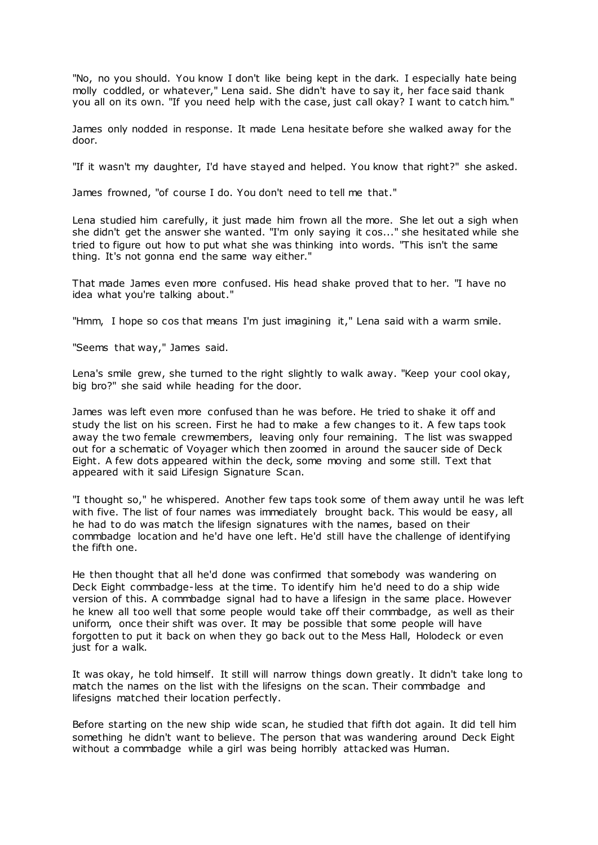"No, no you should. You know I don't like being kept in the dark. I especially hate being molly coddled, or whatever," Lena said. She didn't have to say it, her face said thank you all on its own. "If you need help with the case, just call okay? I want to catch him."

James only nodded in response. It made Lena hesitate before she walked away for the door.

"If it wasn't my daughter, I'd have stayed and helped. You know that right?" she asked.

James frowned, "of course I do. You don't need to tell me that."

Lena studied him carefully, it just made him frown all the more. She let out a sigh when she didn't get the answer she wanted. "I'm only saying it cos..." she hesitated while she tried to figure out how to put what she was thinking into words. "This isn't the same thing. It's not gonna end the same way either."

That made James even more confused. His head shake proved that to her. "I have no idea what you're talking about."

"Hmm, I hope so cos that means I'm just imagining it," Lena said with a warm smile.

"Seems that way," James said.

Lena's smile grew, she turned to the right slightly to walk away. "Keep your cool okay, big bro?" she said while heading for the door.

James was left even more confused than he was before. He tried to shake it off and study the list on his screen. First he had to make a few changes to it. A few taps took away the two female crewmembers, leaving only four remaining. T he list was swapped out for a schematic of Voyager which then zoomed in around the saucer side of Deck Eight. A few dots appeared within the deck, some moving and some still. Text that appeared with it said Lifesign Signature Scan.

"I thought so," he whispered. Another few taps took some of them away until he was left with five. The list of four names was immediately brought back. This would be easy, all he had to do was match the lifesign signatures with the names, based on their commbadge location and he'd have one left. He'd still have the challenge of identifying the fifth one.

He then thought that all he'd done was confirmed that somebody was wandering on Deck Eight commbadge-less at the time. To identify him he'd need to do a ship wide version of this. A commbadge signal had to have a lifesign in the same place. However he knew all too well that some people would take off their commbadge, as well as their uniform, once their shift was over. It may be possible that some people will have forgotten to put it back on when they go back out to the Mess Hall, Holodeck or even just for a walk.

It was okay, he told himself. It still will narrow things down greatly. It didn't take long to match the names on the list with the lifesigns on the scan. Their commbadge and lifesigns matched their location perfectly.

Before starting on the new ship wide scan, he studied that fifth dot again. It did tell him something he didn't want to believe. The person that was wandering around Deck Eight without a commbadge while a girl was being horribly attacked was Human.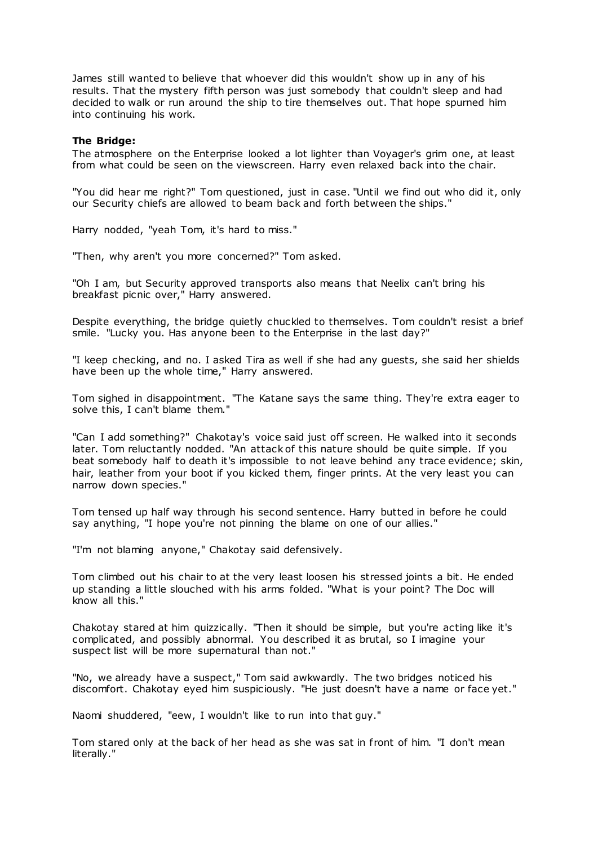James still wanted to believe that whoever did this wouldn't show up in any of his results. That the mystery fifth person was just somebody that couldn't sleep and had decided to walk or run around the ship to tire themselves out. That hope spurned him into continuing his work.

### **The Bridge:**

The atmosphere on the Enterprise looked a lot lighter than Voyager's grim one, at least from what could be seen on the viewscreen. Harry even relaxed back into the chair.

"You did hear me right?" Tom questioned, just in case. "Until we find out who did it, only our Security chiefs are allowed to beam back and forth between the ships."

Harry nodded, "yeah Tom, it's hard to miss."

"Then, why aren't you more concerned?" Tom asked.

"Oh I am, but Security approved transports also means that Neelix can't bring his breakfast picnic over," Harry answered.

Despite everything, the bridge quietly chuckled to themselves. Tom couldn't resist a brief smile. "Lucky you. Has anyone been to the Enterprise in the last day?"

"I keep checking, and no. I asked Tira as well if she had any guests, she said her shields have been up the whole time," Harry answered.

Tom sighed in disappointment. "The Katane says the same thing. They're extra eager to solve this, I can't blame them."

"Can I add something?" Chakotay's voice said just off screen. He walked into it seconds later. Tom reluctantly nodded. "An attack of this nature should be quite simple. If you beat somebody half to death it's impossible to not leave behind any trace evidence; skin, hair, leather from your boot if you kicked them, finger prints. At the very least you can narrow down species."

Tom tensed up half way through his second sentence. Harry butted in before he could say anything, "I hope you're not pinning the blame on one of our allies."

"I'm not blaming anyone," Chakotay said defensively.

Tom climbed out his chair to at the very least loosen his stressed joints a bit. He ended up standing a little slouched with his arms folded. "What is your point? The Doc will know all this."

Chakotay stared at him quizzically. "Then it should be simple, but you're acting like it's complicated, and possibly abnormal. You described it as brutal, so I imagine your suspect list will be more supernatural than not."

"No, we already have a suspect," Tom said awkwardly. The two bridges noticed his discomfort. Chakotay eyed him suspiciously. "He just doesn't have a name or face yet."

Naomi shuddered, "eew, I wouldn't like to run into that guy."

Tom stared only at the back of her head as she was sat in front of him. "I don't mean literally."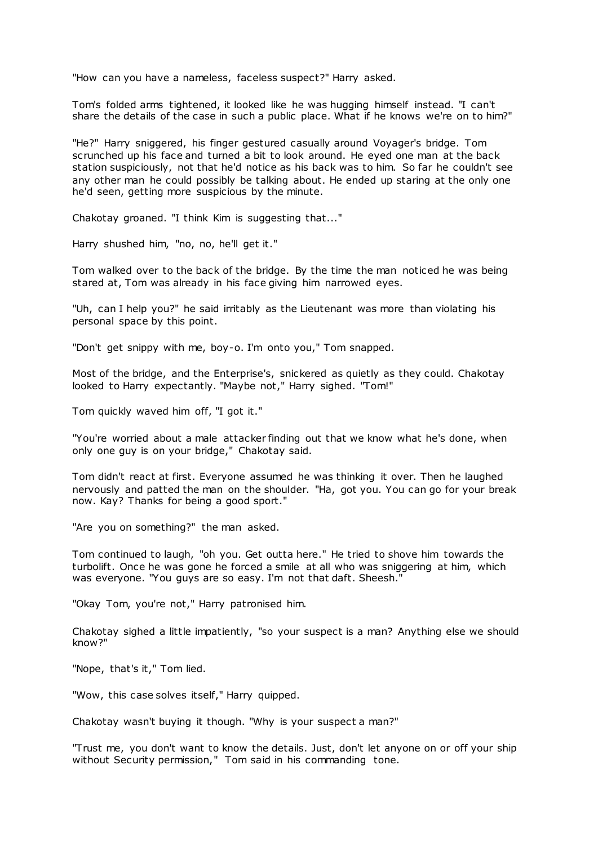"How can you have a nameless, faceless suspect?" Harry asked.

Tom's folded arms tightened, it looked like he was hugging himself instead. "I can't share the details of the case in such a public place. What if he knows we're on to him?"

"He?" Harry sniggered, his finger gestured casually around Voyager's bridge. Tom scrunched up his face and turned a bit to look around. He eyed one man at the back station suspiciously, not that he'd notice as his back was to him. So far he couldn't see any other man he could possibly be talking about. He ended up staring at the only one he'd seen, getting more suspicious by the minute.

Chakotay groaned. "I think Kim is suggesting that..."

Harry shushed him, "no, no, he'll get it."

Tom walked over to the back of the bridge. By the time the man noticed he was being stared at, Tom was already in his face giving him narrowed eyes.

"Uh, can I help you?" he said irritably as the Lieutenant was more than violating his personal space by this point.

"Don't get snippy with me, boy-o. I'm onto you," Tom snapped.

Most of the bridge, and the Enterprise's, snickered as quietly as they could. Chakotay looked to Harry expectantly. "Maybe not," Harry sighed. "Tom!"

Tom quickly waved him off, "I got it."

"You're worried about a male attacker finding out that we know what he's done, when only one guy is on your bridge," Chakotay said.

Tom didn't react at first. Everyone assumed he was thinking it over. Then he laughed nervously and patted the man on the shoulder. "Ha, got you. You can go for your break now. Kay? Thanks for being a good sport."

"Are you on something?" the man asked.

Tom continued to laugh, "oh you. Get outta here." He tried to shove him towards the turbolift. Once he was gone he forced a smile at all who was sniggering at him, which was everyone. "You guys are so easy. I'm not that daft. Sheesh."

"Okay Tom, you're not," Harry patronised him.

Chakotay sighed a little impatiently, "so your suspect is a man? Anything else we should know?"

"Nope, that's it," Tom lied.

"Wow, this case solves itself," Harry quipped.

Chakotay wasn't buying it though. "Why is your suspect a man?"

"Trust me, you don't want to know the details. Just, don't let anyone on or off your ship without Security permission," Tom said in his commanding tone.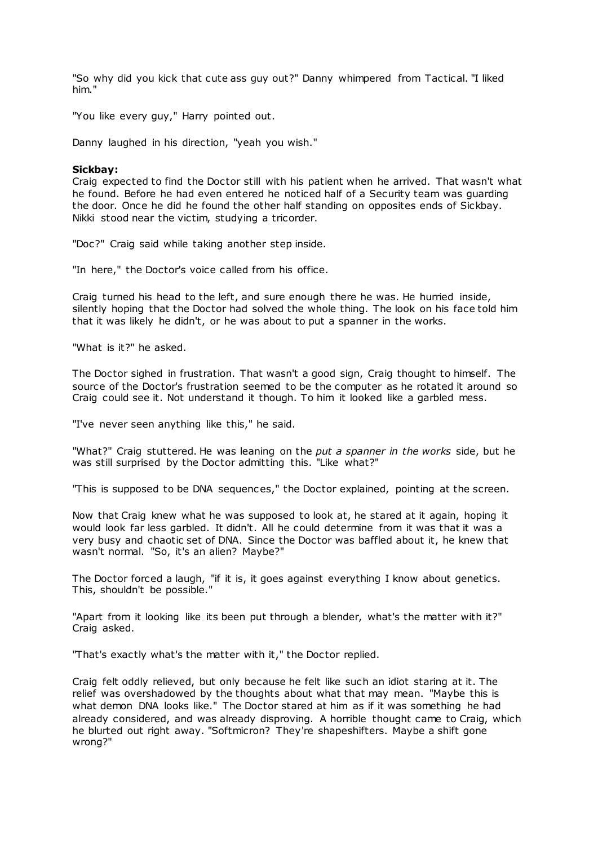"So why did you kick that cute ass guy out?" Danny whimpered from Tactical. "I liked him."

"You like every guy," Harry pointed out.

Danny laughed in his direction, "yeah you wish."

# **Sickbay:**

Craig expected to find the Doctor still with his patient when he arrived. That wasn't what he found. Before he had even entered he noticed half of a Security team was guarding the door. Once he did he found the other half standing on opposites ends of Sickbay. Nikki stood near the victim, studying a tricorder.

"Doc?" Craig said while taking another step inside.

"In here," the Doctor's voice called from his office.

Craig turned his head to the left, and sure enough there he was. He hurried inside, silently hoping that the Doctor had solved the whole thing. The look on his face told him that it was likely he didn't, or he was about to put a spanner in the works.

"What is it?" he asked.

The Doctor sighed in frustration. That wasn't a good sign, Craig thought to himself. The source of the Doctor's frustration seemed to be the computer as he rotated it around so Craig could see it. Not understand it though. To him it looked like a garbled mess.

"I've never seen anything like this," he said.

"What?" Craig stuttered. He was leaning on the *put a spanner in the works* side, but he was still surprised by the Doctor admitting this. "Like what?"

"This is supposed to be DNA sequences," the Doctor explained, pointing at the screen.

Now that Craig knew what he was supposed to look at, he stared at it again, hoping it would look far less garbled. It didn't. All he could determine from it was that it was a very busy and chaotic set of DNA. Since the Doctor was baffled about it, he knew that wasn't normal. "So, it's an alien? Maybe?"

The Doctor forced a laugh, "if it is, it goes against everything I know about genetics. This, shouldn't be possible."

"Apart from it looking like its been put through a blender, what's the matter with it?" Craig asked.

"That's exactly what's the matter with it," the Doctor replied.

Craig felt oddly relieved, but only because he felt like such an idiot staring at it. The relief was overshadowed by the thoughts about what that may mean. "Maybe this is what demon DNA looks like." The Doctor stared at him as if it was something he had already considered, and was already disproving. A horrible thought came to Craig, which he blurted out right away. "Softmicron? They're shapeshifters. Maybe a shift gone wrong?"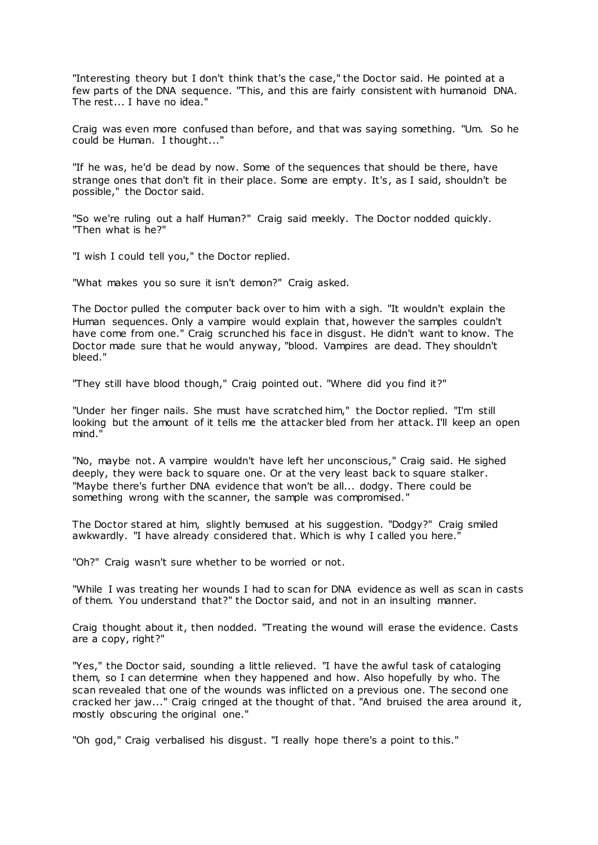"Interesting theory but I don't think that's the case," the Doctor said. He pointed at a few parts of the DNA sequence. "This, and this are fairly consistent with humanoid DNA. The rest... I have no idea."

Craig was even more confused than before, and that was saying something. "Um. So he could be Human. I thought..."

"If he was, he'd be dead by now. Some of the sequences that should be there, have strange ones that don't fit in their place. Some are empty. It's, as I said, shouldn't be possible," the Doctor said.

"So we're ruling out a half Human?" Craig said meekly. The Doctor nodded quickly. "Then what is he?"

"I wish I could tell you," the Doctor replied.

"What makes you so sure it isn't demon?" Craig asked.

The Doctor pulled the computer back over to him with a sigh. "It wouldn't explain the Human sequences. Only a vampire would explain that, however the samples couldn't have come from one." Craig scrunched his face in disgust. He didn't want to know. The Doctor made sure that he would anyway, "blood. Vampires are dead. They shouldn't bleed."

"They still have blood though," Craig pointed out. "Where did you find it?"

"Under her finger nails. She must have scratched him," the Doctor replied. "I'm still looking but the amount of it tells me the attacker bled from her attack. I'll keep an open mind."

"No, maybe not. A vampire wouldn't have left her unconscious," Craig said. He sighed deeply, they were back to square one. Or at the very least back to square stalker. "Maybe there's further DNA evidence that won't be all... dodgy. There could be something wrong with the scanner, the sample was compromised."

The Doctor stared at him, slightly bemused at his suggestion. "Dodgy?" Craig smiled awkwardly. "I have already considered that. Which is why I called you here."

"Oh?" Craig wasn't sure whether to be worried or not.

"While I was treating her wounds I had to scan for DNA evidence as well as scan in casts of them. You understand that?" the Doctor said, and not in an insulting manner.

Craig thought about it, then nodded. "Treating the wound will erase the evidence. Casts are a copy, right?"

"Yes," the Doctor said, sounding a little relieved. "I have the awful task of cataloging them, so I can determine when they happened and how. Also hopefully by who. The scan revealed that one of the wounds was inflicted on a previous one. The second one cracked her jaw..." Craig cringed at the thought of that. "And bruised the area around it, mostly obscuring the original one."

"Oh god," Craig verbalised his disgust. "I really hope there's a point to this."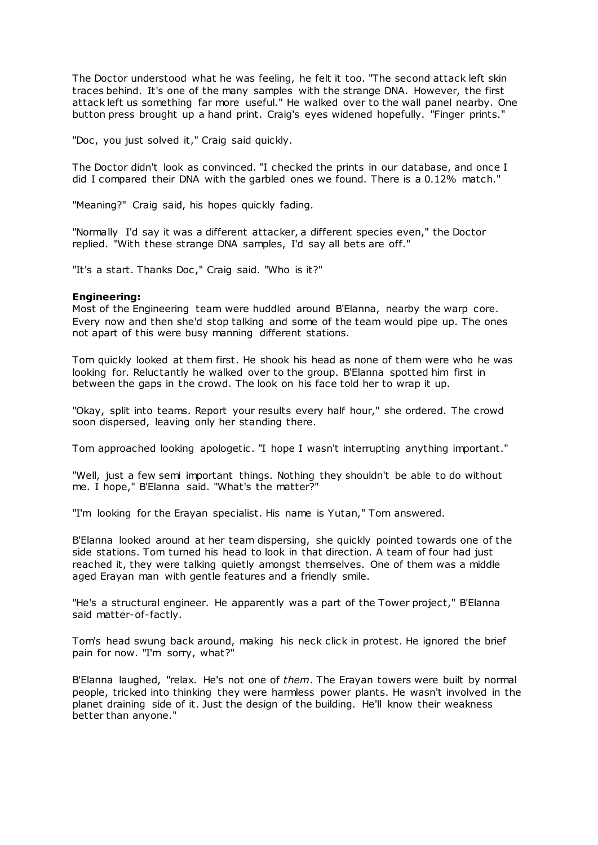The Doctor understood what he was feeling, he felt it too. "The second attack left skin traces behind. It's one of the many samples with the strange DNA. However, the first attack left us something far more useful." He walked over to the wall panel nearby. One button press brought up a hand print. Craig's eyes widened hopefully. "Finger prints."

"Doc, you just solved it," Craig said quickly.

The Doctor didn't look as convinced. "I checked the prints in our database, and once I did I compared their DNA with the garbled ones we found. There is a 0.12% match."

"Meaning?" Craig said, his hopes quickly fading.

"Normally I'd say it was a different attacker, a different species even," the Doctor replied. "With these strange DNA samples, I'd say all bets are off."

"It's a start. Thanks Doc ," Craig said. "Who is it?"

# **Engineering:**

Most of the Engineering team were huddled around B'Elanna, nearby the warp core. Every now and then she'd stop talking and some of the team would pipe up. The ones not apart of this were busy manning different stations.

Tom quickly looked at them first. He shook his head as none of them were who he was looking for. Reluctantly he walked over to the group. B'Elanna spotted him first in between the gaps in the crowd. The look on his face told her to wrap it up.

"Okay, split into teams. Report your results every half hour," she ordered. The crowd soon dispersed, leaving only her standing there.

Tom approached looking apologetic . "I hope I wasn't interrupting anything important."

"Well, just a few semi important things. Nothing they shouldn't be able to do without me. I hope," B'Elanna said. "What's the matter?"

"I'm looking for the Erayan specialist. His name is Yutan," Tom answered.

B'Elanna looked around at her team dispersing, she quickly pointed towards one of the side stations. Tom turned his head to look in that direction. A team of four had just reached it, they were talking quietly amongst themselves. One of them was a middle aged Erayan man with gentle features and a friendly smile.

"He's a structural engineer. He apparently was a part of the Tower project," B'Elanna said matter-of-factly.

Tom's head swung back around, making his neck click in protest. He ignored the brief pain for now. "I'm sorry, what?"

B'Elanna laughed, "relax. He's not one of *them*. The Erayan towers were built by normal people, tricked into thinking they were harmless power plants. He wasn't involved in the planet draining side of it. Just the design of the building. He'll know their weakness better than anyone."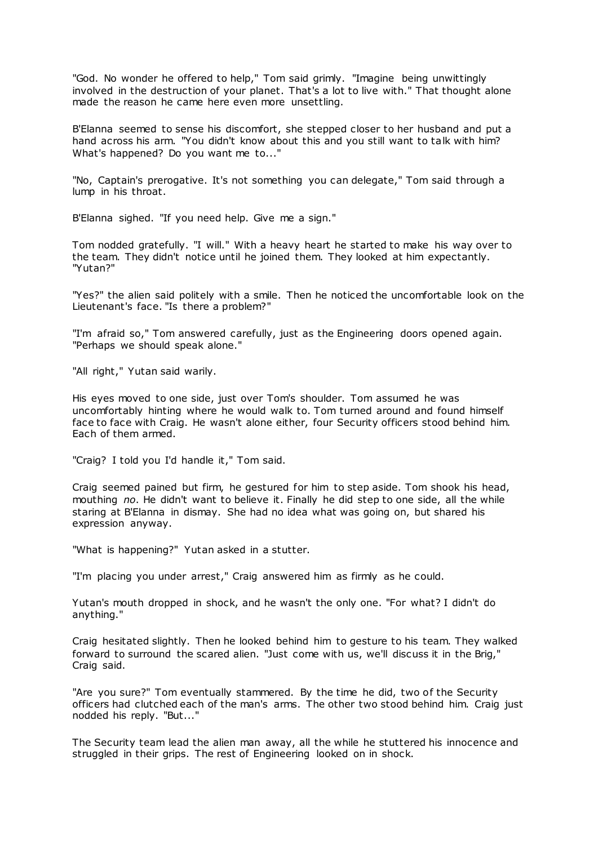"God. No wonder he offered to help," Tom said grimly. "Imagine being unwittingly involved in the destruction of your planet. That's a lot to live with." That thought alone made the reason he came here even more unsettling.

B'Elanna seemed to sense his discomfort, she stepped closer to her husband and put a hand across his arm. "You didn't know about this and you still want to talk with him? What's happened? Do you want me to..."

"No, Captain's prerogative. It's not something you can delegate," Tom said through a lump in his throat.

B'Elanna sighed. "If you need help. Give me a sign."

Tom nodded gratefully. "I will." With a heavy heart he started to make his way over to the team. They didn't notice until he joined them. They looked at him expectantly. "Yutan?"

"Yes?" the alien said politely with a smile. Then he noticed the uncomfortable look on the Lieutenant's face. "Is there a problem?"

"I'm afraid so," Tom answered carefully, just as the Engineering doors opened again. "Perhaps we should speak alone."

"All right," Yutan said warily.

His eyes moved to one side, just over Tom's shoulder. Tom assumed he was uncomfortably hinting where he would walk to. Tom turned around and found himself face to face with Craig. He wasn't alone either, four Security officers stood behind him. Each of them armed.

"Craig? I told you I'd handle it," Tom said.

Craig seemed pained but firm, he gestured for him to step aside. Tom shook his head, mouthing *no*. He didn't want to believe it. Finally he did step to one side, all the while staring at B'Elanna in dismay. She had no idea what was going on, but shared his expression anyway.

"What is happening?" Yutan asked in a stutter.

"I'm placing you under arrest," Craig answered him as firmly as he could.

Yutan's mouth dropped in shock, and he wasn't the only one. "For what? I didn't do anything."

Craig hesitated slightly. Then he looked behind him to gesture to his team. They walked forward to surround the scared alien. "Just come with us, we'll discuss it in the Brig," Craig said.

"Are you sure?" Tom eventually stammered. By the time he did, two of the Security officers had clutched each of the man's arms. The other two stood behind him. Craig just nodded his reply. "But..."

The Security team lead the alien man away, all the while he stuttered his innocence and struggled in their grips. The rest of Engineering looked on in shock.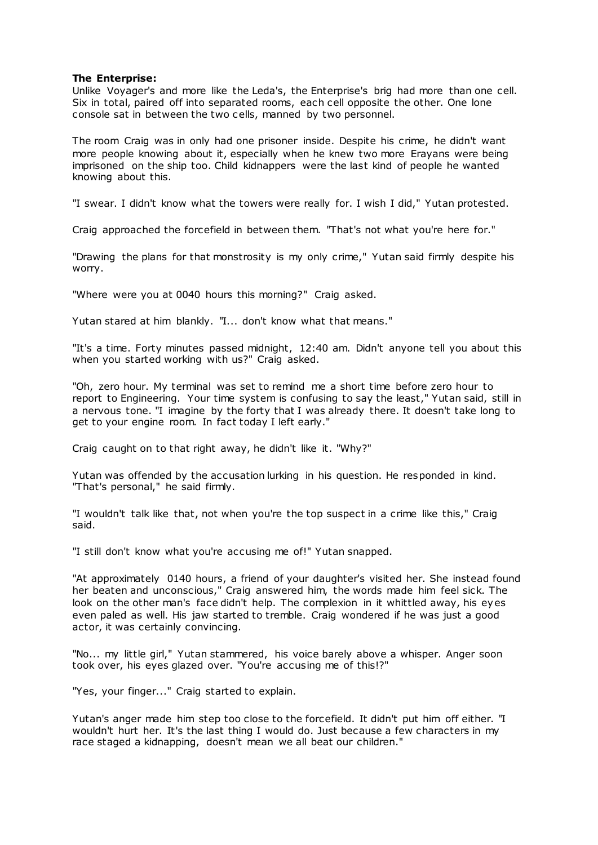# **The Enterprise:**

Unlike Voyager's and more like the Leda's, the Enterprise's brig had more than one cell. Six in total, paired off into separated rooms, each cell opposite the other. One lone console sat in between the two cells, manned by two personnel.

The room Craig was in only had one prisoner inside. Despite his crime, he didn't want more people knowing about it, especially when he knew two more Erayans were being imprisoned on the ship too. Child kidnappers were the last kind of people he wanted knowing about this.

"I swear. I didn't know what the towers were really for. I wish I did," Yutan protested.

Craig approached the forcefield in between them. "That's not what you're here for."

"Drawing the plans for that monstrosity is my only crime," Yutan said firmly despite his worry.

"Where were you at 0040 hours this morning?" Craig asked.

Yutan stared at him blankly. "I... don't know what that means."

"It's a time. Forty minutes passed midnight, 12:40 am. Didn't anyone tell you about this when you started working with us?" Craig asked.

"Oh, zero hour. My terminal was set to remind me a short time before zero hour to report to Engineering. Your time system is confusing to say the least," Yutan said, still in a nervous tone. "I imagine by the forty that I was already there. It doesn't take long to get to your engine room. In fact today I left early."

Craig caught on to that right away, he didn't like it. "Why?"

Yutan was offended by the accusation lurking in his question. He responded in kind. "That's personal," he said firmly.

"I wouldn't talk like that, not when you're the top suspect in a crime like this," Craig said.

"I still don't know what you're accusing me of!" Yutan snapped.

"At approximately 0140 hours, a friend of your daughter's visited her. She instead found her beaten and unconscious," Craig answered him, the words made him feel sick. The look on the other man's face didn't help. The complexion in it whittled away, his eyes even paled as well. His jaw started to tremble. Craig wondered if he was just a good actor, it was certainly convincing.

"No... my little girl," Yutan stammered, his voice barely above a whisper. Anger soon took over, his eyes glazed over. "You're accusing me of this!?"

"Yes, your finger..." Craig started to explain.

Yutan's anger made him step too close to the forcefield. It didn't put him off either. "I wouldn't hurt her. It's the last thing I would do. Just because a few characters in my race staged a kidnapping, doesn't mean we all beat our children."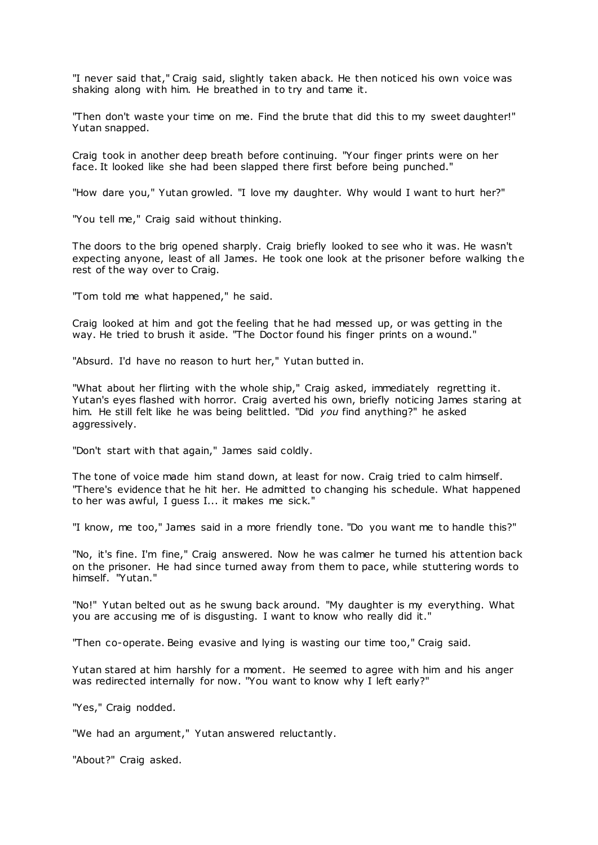"I never said that," Craig said, slightly taken aback. He then noticed his own voice was shaking along with him. He breathed in to try and tame it.

"Then don't waste your time on me. Find the brute that did this to my sweet daughter!" Yutan snapped.

Craig took in another deep breath before continuing. "Your finger prints were on her face. It looked like she had been slapped there first before being punched."

"How dare you," Yutan growled. "I love my daughter. Why would I want to hurt her?"

"You tell me," Craig said without thinking.

The doors to the brig opened sharply. Craig briefly looked to see who it was. He wasn't expecting anyone, least of all James. He took one look at the prisoner before walking the rest of the way over to Craig.

"Tom told me what happened," he said.

Craig looked at him and got the feeling that he had messed up, or was getting in the way. He tried to brush it aside. "The Doctor found his finger prints on a wound."

"Absurd. I'd have no reason to hurt her," Yutan butted in.

"What about her flirting with the whole ship," Craig asked, immediately regretting it. Yutan's eyes flashed with horror. Craig averted his own, briefly noticing James staring at him. He still felt like he was being belittled. "Did *you* find anything?" he asked aggressively.

"Don't start with that again," James said coldly.

The tone of voice made him stand down, at least for now. Craig tried to calm himself. "There's evidence that he hit her. He admitted to changing his schedule. What happened to her was awful, I guess I... it makes me sick."

"I know, me too," James said in a more friendly tone. "Do you want me to handle this?"

"No, it's fine. I'm fine," Craig answered. Now he was calmer he turned his attention back on the prisoner. He had since turned away from them to pace, while stuttering words to himself. "Yutan."

"No!" Yutan belted out as he swung back around. "My daughter is my everything. What you are accusing me of is disgusting. I want to know who really did it."

"Then co-operate. Being evasive and lying is wasting our time too," Craig said.

Yutan stared at him harshly for a moment. He seemed to agree with him and his anger was redirected internally for now. "You want to know why I left early?"

"Yes," Craig nodded.

"We had an argument," Yutan answered reluctantly.

"About?" Craig asked.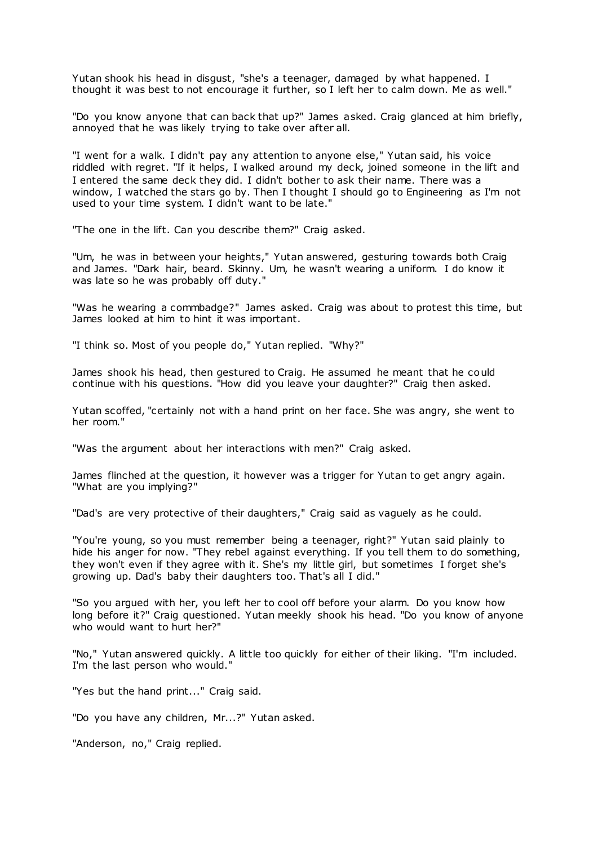Yutan shook his head in disgust, "she's a teenager, damaged by what happened. I thought it was best to not encourage it further, so I left her to calm down. Me as well."

"Do you know anyone that can back that up?" James asked. Craig glanced at him briefly, annoyed that he was likely trying to take over after all.

"I went for a walk. I didn't pay any attention to anyone else," Yutan said, his voice riddled with regret. "If it helps, I walked around my deck, joined someone in the lift and I entered the same deck they did. I didn't bother to ask their name. There was a window, I watched the stars go by. Then I thought I should go to Engineering as I'm not used to your time system. I didn't want to be late."

"The one in the lift. Can you describe them?" Craig asked.

"Um, he was in between your heights," Yutan answered, gesturing towards both Craig and James. "Dark hair, beard. Skinny. Um, he wasn't wearing a uniform. I do know it was late so he was probably off duty."

"Was he wearing a commbadge?" James asked. Craig was about to protest this time, but James looked at him to hint it was important.

"I think so. Most of you people do," Yutan replied. "Why?"

James shook his head, then gestured to Craig. He assumed he meant that he could continue with his questions. "How did you leave your daughter?" Craig then asked.

Yutan scoffed, "certainly not with a hand print on her face. She was angry, she went to her room."

"Was the argument about her interactions with men?" Craig asked.

James flinched at the question, it however was a trigger for Yutan to get angry again. "What are you implying?"

"Dad's are very protective of their daughters," Craig said as vaguely as he could.

"You're young, so you must remember being a teenager, right?" Yutan said plainly to hide his anger for now. "They rebel against everything. If you tell them to do something, they won't even if they agree with it. She's my little girl, but sometimes I forget she's growing up. Dad's baby their daughters too. That's all I did."

"So you argued with her, you left her to cool off before your alarm. Do you know how long before it?" Craig questioned. Yutan meekly shook his head. "Do you know of anyone who would want to hurt her?"

"No," Yutan answered quickly. A little too quickly for either of their liking. "I'm included. I'm the last person who would."

"Yes but the hand print..." Craig said.

"Do you have any children, Mr...?" Yutan asked.

"Anderson, no," Craig replied.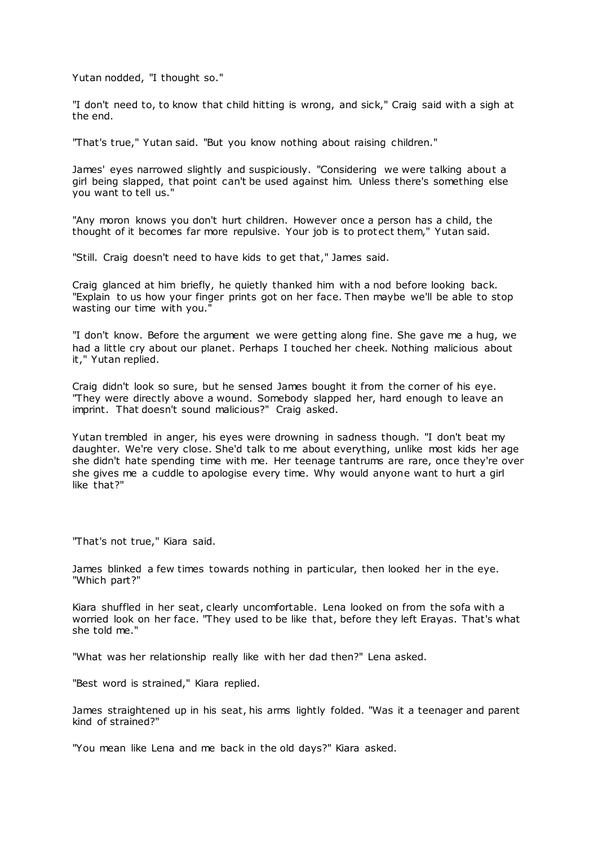Yutan nodded, "I thought so."

"I don't need to, to know that child hitting is wrong, and sick," Craig said with a sigh at the end.

"That's true," Yutan said. "But you know nothing about raising children."

James' eyes narrowed slightly and suspiciously. "Considering we were talking about a girl being slapped, that point can't be used against him. Unless there's something else you want to tell us."

"Any moron knows you don't hurt children. However once a person has a child, the thought of it becomes far more repulsive. Your job is to protect them," Yutan said.

"Still. Craig doesn't need to have kids to get that," James said.

Craig glanced at him briefly, he quietly thanked him with a nod before looking back. "Explain to us how your finger prints got on her face. Then maybe we'll be able to stop wasting our time with you."

"I don't know. Before the argument we were getting along fine. She gave me a hug, we had a little cry about our planet. Perhaps I touched her cheek. Nothing malicious about it," Yutan replied.

Craig didn't look so sure, but he sensed James bought it from the corner of his eye. "They were directly above a wound. Somebody slapped her, hard enough to leave an imprint. That doesn't sound malicious?" Craig asked.

Yutan trembled in anger, his eyes were drowning in sadness though. "I don't beat my daughter. We're very close. She'd talk to me about everything, unlike most kids her age she didn't hate spending time with me. Her teenage tantrums are rare, once they're over she gives me a cuddle to apologise every time. Why would anyone want to hurt a girl like that?"

"That's not true," Kiara said.

James blinked a few times towards nothing in particular, then looked her in the eye. "Which part?"

Kiara shuffled in her seat, clearly uncomfortable. Lena looked on from the sofa with a worried look on her face. "They used to be like that, before they left Erayas. That's what she told me."

"What was her relationship really like with her dad then?" Lena asked.

"Best word is strained," Kiara replied.

James straightened up in his seat, his arms lightly folded. "Was it a teenager and parent kind of strained?"

"You mean like Lena and me back in the old days?" Kiara asked.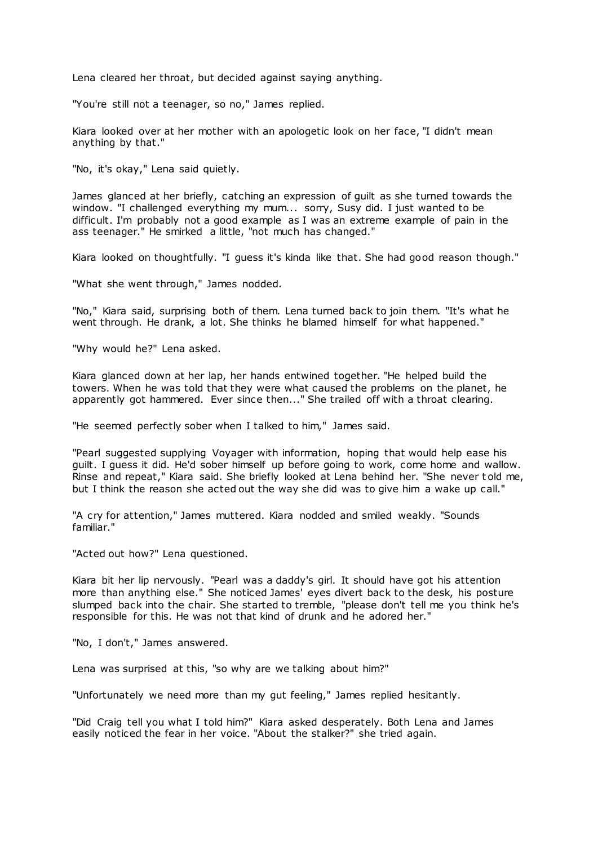Lena cleared her throat, but decided against saying anything.

"You're still not a teenager, so no," James replied.

Kiara looked over at her mother with an apologetic look on her face, "I didn't mean anything by that."

"No, it's okay," Lena said quietly.

James glanced at her briefly, catching an expression of guilt as she turned towards the window. "I challenged everything my mum... sorry, Susy did. I just wanted to be difficult. I'm probably not a good example as I was an extreme example of pain in the ass teenager." He smirked a little, "not much has changed."

Kiara looked on thoughtfully. "I guess it's kinda like that. She had good reason though."

"What she went through," James nodded.

"No," Kiara said, surprising both of them. Lena turned back to join them. "It's what he went through. He drank, a lot. She thinks he blamed himself for what happened."

"Why would he?" Lena asked.

Kiara glanced down at her lap, her hands entwined together. "He helped build the towers. When he was told that they were what caused the problems on the planet, he apparently got hammered. Ever since then..." She trailed off with a throat clearing.

"He seemed perfectly sober when I talked to him," James said.

"Pearl suggested supplying Voyager with information, hoping that would help ease his guilt. I guess it did. He'd sober himself up before going to work, come home and wallow. Rinse and repeat," Kiara said. She briefly looked at Lena behind her. "She never t old me, but I think the reason she acted out the way she did was to give him a wake up call."

"A cry for attention," James muttered. Kiara nodded and smiled weakly. "Sounds familiar."

"Acted out how?" Lena questioned.

Kiara bit her lip nervously. "Pearl was a daddy's girl. It should have got his attention more than anything else." She noticed James' eyes divert back to the desk, his posture slumped back into the chair. She started to tremble, "please don't tell me you think he's responsible for this. He was not that kind of drunk and he adored her."

"No, I don't," James answered.

Lena was surprised at this, "so why are we talking about him?"

"Unfortunately we need more than my gut feeling," James replied hesitantly.

"Did Craig tell you what I told him?" Kiara asked desperately. Both Lena and James easily noticed the fear in her voice. "About the stalker?" she tried again.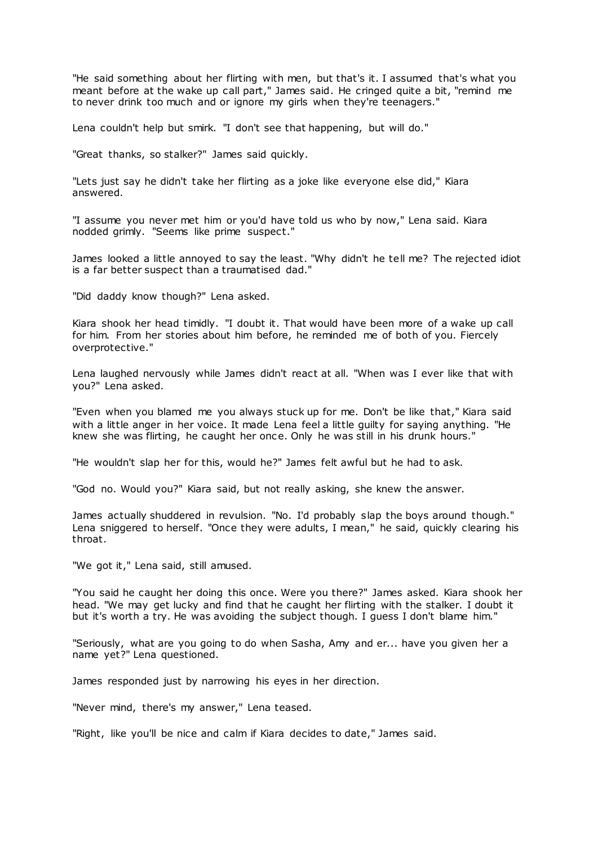"He said something about her flirting with men, but that's it. I assumed that's what you meant before at the wake up call part," James said. He cringed quite a bit, "remind me to never drink too much and or ignore my girls when they're teenagers."

Lena couldn't help but smirk. "I don't see that happening, but will do."

"Great thanks, so stalker?" James said quickly.

"Lets just say he didn't take her flirting as a joke like everyone else did," Kiara answered.

"I assume you never met him or you'd have told us who by now," Lena said. Kiara nodded grimly. "Seems like prime suspect."

James looked a little annoyed to say the least. "Why didn't he tell me? The rejected idiot is a far better suspect than a traumatised dad."

"Did daddy know though?" Lena asked.

Kiara shook her head timidly. "I doubt it. That would have been more of a wake up call for him. From her stories about him before, he reminded me of both of you. Fiercely overprotective."

Lena laughed nervously while James didn't react at all. "When was I ever like that with you?" Lena asked.

"Even when you blamed me you always stuck up for me. Don't be like that," Kiara said with a little anger in her voice. It made Lena feel a little guilty for saying anything. "He knew she was flirting, he caught her once. Only he was still in his drunk hours."

"He wouldn't slap her for this, would he?" James felt awful but he had to ask.

"God no. Would you?" Kiara said, but not really asking, she knew the answer.

James actually shuddered in revulsion. "No. I'd probably slap the boys around though." Lena sniggered to herself. "Once they were adults, I mean," he said, quickly clearing his throat.

"We got it," Lena said, still amused.

"You said he caught her doing this once. Were you there?" James asked. Kiara shook her head. "We may get lucky and find that he caught her flirting with the stalker. I doubt it but it's worth a try. He was avoiding the subject though. I guess I don't blame him."

"Seriously, what are you going to do when Sasha, Amy and er... have you given her a name yet?" Lena questioned.

James responded just by narrowing his eyes in her direction.

"Never mind, there's my answer," Lena teased.

"Right, like you'll be nice and calm if Kiara decides to date," James said.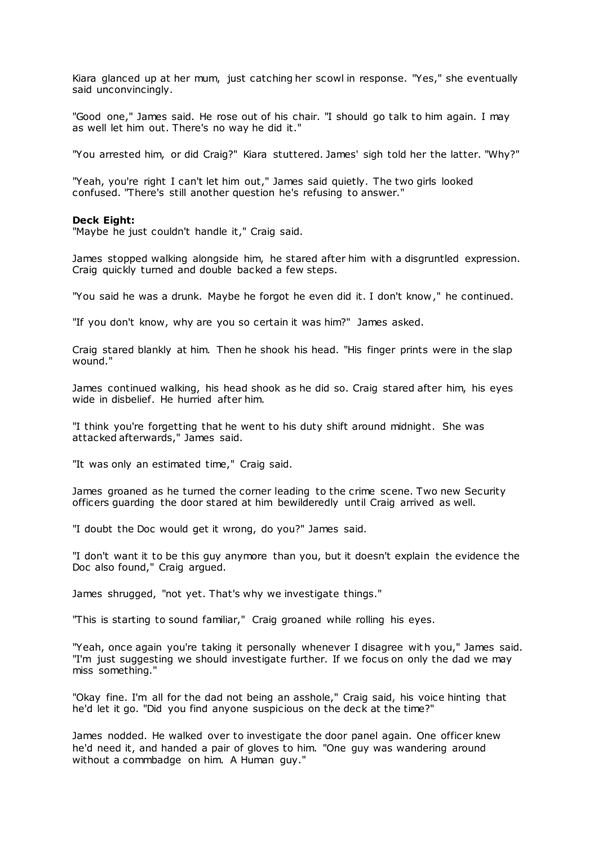Kiara glanced up at her mum, just catching her scowl in response. "Yes," she eventually said unconvincingly.

"Good one," James said. He rose out of his chair. "I should go talk to him again. I may as well let him out. There's no way he did it."

"You arrested him, or did Craig?" Kiara stuttered. James' sigh told her the latter. "Why?"

"Yeah, you're right I can't let him out," James said quietly. The two girls looked confused. "There's still another question he's refusing to answer."

### **Deck Eight:**

"Maybe he just couldn't handle it," Craig said.

James stopped walking alongside him, he stared after him with a disgruntled expression. Craig quickly turned and double backed a few steps.

"You said he was a drunk. Maybe he forgot he even did it. I don't know," he continued.

"If you don't know, why are you so certain it was him?" James asked.

Craig stared blankly at him. Then he shook his head. "His finger prints were in the slap wound."

James continued walking, his head shook as he did so. Craig stared after him, his eyes wide in disbelief. He hurried after him.

"I think you're forgetting that he went to his duty shift around midnight. She was attacked afterwards," James said.

"It was only an estimated time," Craig said.

James groaned as he turned the corner leading to the crime scene. Two new Security officers guarding the door stared at him bewilderedly until Craig arrived as well.

"I doubt the Doc would get it wrong, do you?" James said.

"I don't want it to be this guy anymore than you, but it doesn't explain the evidence the Doc also found," Craig argued.

James shrugged, "not yet. That's why we investigate things."

"This is starting to sound familiar," Craig groaned while rolling his eyes.

"Yeah, once again you're taking it personally whenever I disagree with you," James said. "I'm just suggesting we should investigate further. If we focus on only the dad we may miss something."

"Okay fine. I'm all for the dad not being an asshole," Craig said, his voice hinting that he'd let it go. "Did you find anyone suspicious on the deck at the time?"

James nodded. He walked over to investigate the door panel again. One officer knew he'd need it, and handed a pair of gloves to him. "One guy was wandering around without a commbadge on him. A Human guy."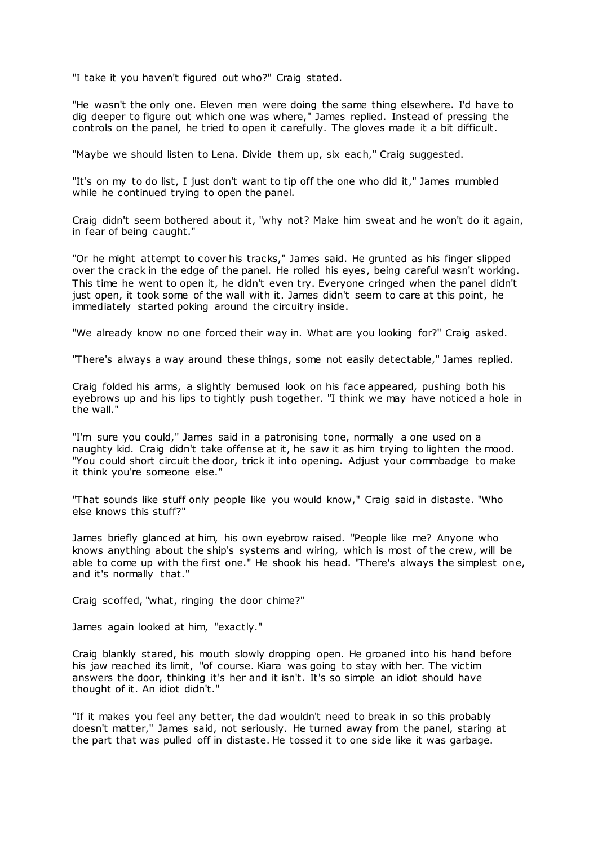"I take it you haven't figured out who?" Craig stated.

"He wasn't the only one. Eleven men were doing the same thing elsewhere. I'd have to dig deeper to figure out which one was where," James replied. Instead of pressing the controls on the panel, he tried to open it carefully. The gloves made it a bit difficult.

"Maybe we should listen to Lena. Divide them up, six each," Craig suggested.

"It's on my to do list, I just don't want to tip off the one who did it," James mumbled while he continued trying to open the panel.

Craig didn't seem bothered about it, "why not? Make him sweat and he won't do it again, in fear of being caught."

"Or he might attempt to cover his tracks," James said. He grunted as his finger slipped over the crack in the edge of the panel. He rolled his eyes, being careful wasn't working. This time he went to open it, he didn't even try. Everyone cringed when the panel didn't just open, it took some of the wall with it. James didn't seem to care at this point, he immediately started poking around the circuitry inside.

"We already know no one forced their way in. What are you looking for?" Craig asked.

"There's always a way around these things, some not easily detectable," James replied.

Craig folded his arms, a slightly bemused look on his face appeared, pushing both his eyebrows up and his lips to tightly push together. "I think we may have noticed a hole in the wall."

"I'm sure you could," James said in a patronising tone, normally a one used on a naughty kid. Craig didn't take offense at it, he saw it as him trying to lighten the mood. "You could short circuit the door, trick it into opening. Adjust your commbadge to make it think you're someone else."

"That sounds like stuff only people like you would know," Craig said in distaste. "Who else knows this stuff?"

James briefly glanced at him, his own eyebrow raised. "People like me? Anyone who knows anything about the ship's systems and wiring, which is most of the crew, will be able to come up with the first one." He shook his head. "There's always the simplest one, and it's normally that."

Craig scoffed, "what, ringing the door chime?"

James again looked at him, "exactly."

Craig blankly stared, his mouth slowly dropping open. He groaned into his hand before his jaw reached its limit, "of course. Kiara was going to stay with her. The victim answers the door, thinking it's her and it isn't. It's so simple an idiot should have thought of it. An idiot didn't."

"If it makes you feel any better, the dad wouldn't need to break in so this probably doesn't matter," James said, not seriously. He turned away from the panel, staring at the part that was pulled off in distaste. He tossed it to one side like it was garbage.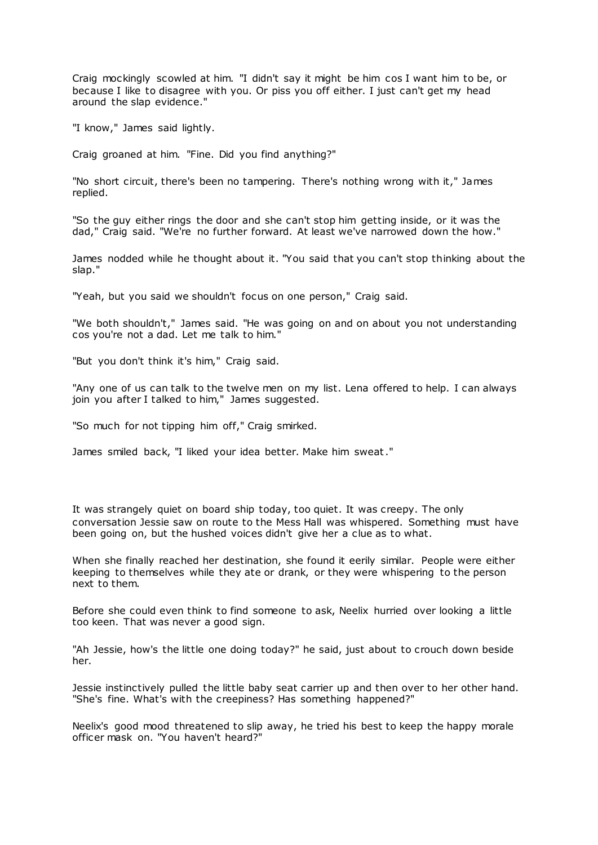Craig mockingly scowled at him. "I didn't say it might be him cos I want him to be, or because I like to disagree with you. Or piss you off either. I just can't get my head around the slap evidence."

"I know," James said lightly.

Craig groaned at him. "Fine. Did you find anything?"

"No short circuit, there's been no tampering. There's nothing wrong with it," James replied.

"So the guy either rings the door and she can't stop him getting inside, or it was the dad," Craig said. "We're no further forward. At least we've narrowed down the how."

James nodded while he thought about it. "You said that you can't stop thinking about the slap."

"Yeah, but you said we shouldn't focus on one person," Craig said.

"We both shouldn't," James said. "He was going on and on about you not understanding cos you're not a dad. Let me talk to him."

"But you don't think it's him," Craig said.

"Any one of us can talk to the twelve men on my list. Lena offered to help. I can always join you after I talked to him," James suggested.

"So much for not tipping him off," Craig smirked.

James smiled back, "I liked your idea better. Make him sweat."

It was strangely quiet on board ship today, too quiet. It was creepy. The only conversation Jessie saw on route to the Mess Hall was whispered. Something must have been going on, but the hushed voices didn't give her a clue as to what.

When she finally reached her destination, she found it eerily similar. People were either keeping to themselves while they ate or drank, or they were whispering to the person next to them.

Before she could even think to find someone to ask, Neelix hurried over looking a little too keen. That was never a good sign.

"Ah Jessie, how's the little one doing today?" he said, just about to crouch down beside her.

Jessie instinctively pulled the little baby seat carrier up and then over to her other hand. "She's fine. What's with the creepiness? Has something happened?"

Neelix's good mood threatened to slip away, he tried his best to keep the happy morale officer mask on. "You haven't heard?"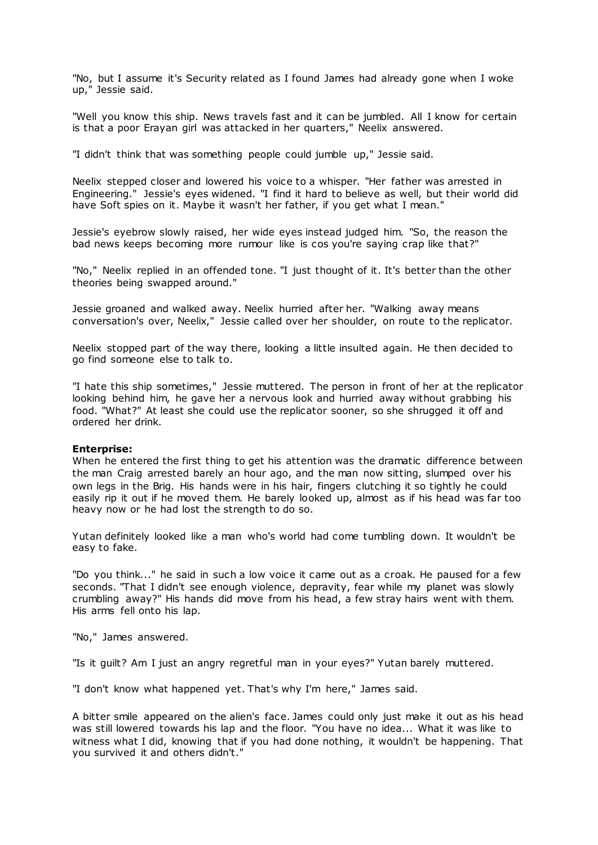"No, but I assume it's Security related as I found James had already gone when I woke up," Jessie said.

"Well you know this ship. News travels fast and it can be jumbled. All I know for certain is that a poor Erayan girl was attacked in her quarters," Neelix answered.

"I didn't think that was something people could jumble up," Jessie said.

Neelix stepped closer and lowered his voice to a whisper. "Her father was arrested in Engineering." Jessie's eyes widened. "I find it hard to believe as well, but their world did have Soft spies on it. Maybe it wasn't her father, if you get what I mean."

Jessie's eyebrow slowly raised, her wide eyes instead judged him. "So, the reason the bad news keeps becoming more rumour like is cos you're saying crap like that?"

"No," Neelix replied in an offended tone. "I just thought of it. It's better than the other theories being swapped around."

Jessie groaned and walked away. Neelix hurried after her. "Walking away means conversation's over, Neelix," Jessie called over her shoulder, on route to the replicator.

Neelix stopped part of the way there, looking a little insulted again. He then decided to go find someone else to talk to.

"I hate this ship sometimes," Jessie muttered. The person in front of her at the replicator looking behind him, he gave her a nervous look and hurried away without grabbing his food. "What?" At least she could use the replicator sooner, so she shrugged it off and ordered her drink.

#### **Enterprise:**

When he entered the first thing to get his attention was the dramatic difference between the man Craig arrested barely an hour ago, and the man now sitting, slumped over his own legs in the Brig. His hands were in his hair, fingers clutching it so tightly he could easily rip it out if he moved them. He barely looked up, almost as if his head was far too heavy now or he had lost the strength to do so.

Yutan definitely looked like a man who's world had come tumbling down. It wouldn't be easy to fake.

"Do you think..." he said in such a low voice it came out as a croak. He paused for a few seconds. "That I didn't see enough violence, depravity, fear while my planet was slowly crumbling away?" His hands did move from his head, a few stray hairs went with them. His arms fell onto his lap.

"No," James answered.

"Is it guilt? Am I just an angry regretful man in your eyes?" Yutan barely muttered.

"I don't know what happened yet. That's why I'm here," James said.

A bitter smile appeared on the alien's face. James could only just make it out as his head was still lowered towards his lap and the floor. "You have no idea... What it was like to witness what I did, knowing that if you had done nothing, it wouldn't be happening. That you survived it and others didn't."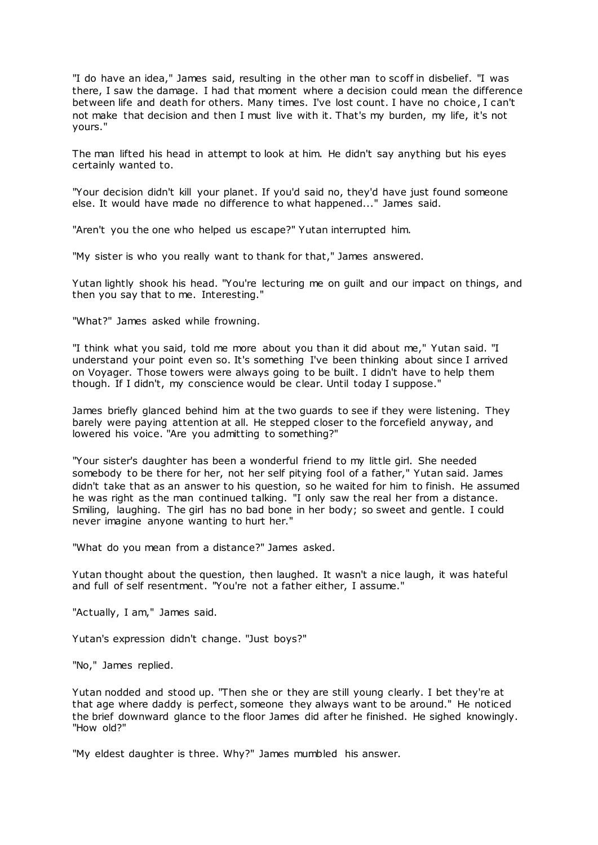"I do have an idea," James said, resulting in the other man to scoff in disbelief. "I was there, I saw the damage. I had that moment where a decision could mean the difference between life and death for others. Many times. I've lost count. I have no choice, I can't not make that decision and then I must live with it. That's my burden, my life, it's not yours."

The man lifted his head in attempt to look at him. He didn't say anything but his eyes certainly wanted to.

"Your decision didn't kill your planet. If you'd said no, they'd have just found someone else. It would have made no difference to what happened..." James said.

"Aren't you the one who helped us escape?" Yutan interrupted him.

"My sister is who you really want to thank for that," James answered.

Yutan lightly shook his head. "You're lecturing me on guilt and our impact on things, and then you say that to me. Interesting."

"What?" James asked while frowning.

"I think what you said, told me more about you than it did about me," Yutan said. "I understand your point even so. It's something I've been thinking about since I arrived on Voyager. Those towers were always going to be built. I didn't have to help them though. If I didn't, my conscience would be clear. Until today I suppose."

James briefly glanced behind him at the two guards to see if they were listening. They barely were paying attention at all. He stepped closer to the forcefield anyway, and lowered his voice. "Are you admitting to something?"

"Your sister's daughter has been a wonderful friend to my little girl. She needed somebody to be there for her, not her self pitying fool of a father," Yutan said. James didn't take that as an answer to his question, so he waited for him to finish. He assumed he was right as the man continued talking. "I only saw the real her from a distance. Smiling, laughing. The girl has no bad bone in her body; so sweet and gentle. I could never imagine anyone wanting to hurt her."

"What do you mean from a distance?" James asked.

Yutan thought about the question, then laughed. It wasn't a nice laugh, it was hateful and full of self resentment. "You're not a father either, I assume."

"Actually, I am," James said.

Yutan's expression didn't change. "Just boys?"

"No," James replied.

Yutan nodded and stood up. "Then she or they are still young clearly. I bet they're at that age where daddy is perfect, someone they always want to be around." He noticed the brief downward glance to the floor James did after he finished. He sighed knowingly. "How old?"

"My eldest daughter is three. Why?" James mumbled his answer.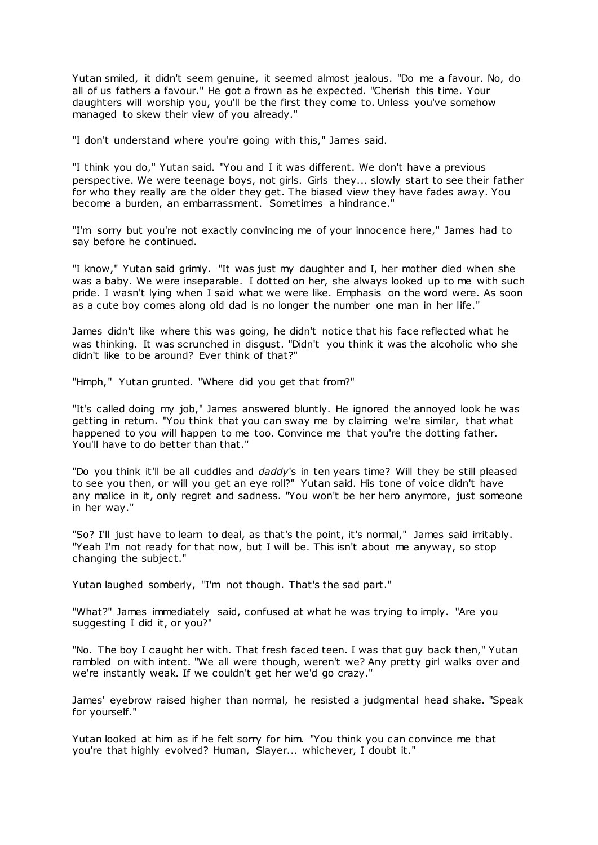Yutan smiled, it didn't seem genuine, it seemed almost jealous. "Do me a favour. No, do all of us fathers a favour." He got a frown as he expected. "Cherish this time. Your daughters will worship you, you'll be the first they come to. Unless you've somehow managed to skew their view of you already."

"I don't understand where you're going with this," James said.

"I think you do," Yutan said. "You and I it was different. We don't have a previous perspective. We were teenage boys, not girls. Girls they... slowly start to see their father for who they really are the older they get. The biased view they have fades away. You become a burden, an embarrassment. Sometimes a hindrance."

"I'm sorry but you're not exactly convincing me of your innocence here," James had to say before he continued.

"I know," Yutan said grimly. "It was just my daughter and I, her mother died when she was a baby. We were inseparable. I dotted on her, she always looked up to me with such pride. I wasn't lying when I said what we were like. Emphasis on the word were. As soon as a cute boy comes along old dad is no longer the number one man in her life."

James didn't like where this was going, he didn't notice that his face reflected what he was thinking. It was scrunched in disgust. "Didn't you think it was the alcoholic who she didn't like to be around? Ever think of that?"

"Hmph," Yutan grunted. "Where did you get that from?"

"It's called doing my job," James answered bluntly. He ignored the annoyed look he was getting in return. "You think that you can sway me by claiming we're similar, that what happened to you will happen to me too. Convince me that you're the dotting father. You'll have to do better than that."

"Do you think it'll be all cuddles and *daddy*'s in ten years time? Will they be still pleased to see you then, or will you get an eye roll?" Yutan said. His tone of voice didn't have any malice in it, only regret and sadness. "You won't be her hero anymore, just someone in her way."

"So? I'll just have to learn to deal, as that's the point, it's normal," James said irritably. "Yeah I'm not ready for that now, but I will be. This isn't about me anyway, so stop changing the subject."

Yutan laughed somberly, "I'm not though. That's the sad part."

"What?" James immediately said, confused at what he was trying to imply. "Are you suggesting I did it, or you?"

"No. The boy I caught her with. That fresh faced teen. I was that guy back then," Yutan rambled on with intent. "We all were though, weren't we? Any pretty girl walks over and we're instantly weak. If we couldn't get her we'd go crazy."

James' eyebrow raised higher than normal, he resisted a judgmental head shake. "Speak for yourself."

Yutan looked at him as if he felt sorry for him. "You think you can convince me that you're that highly evolved? Human, Slayer... whichever, I doubt it."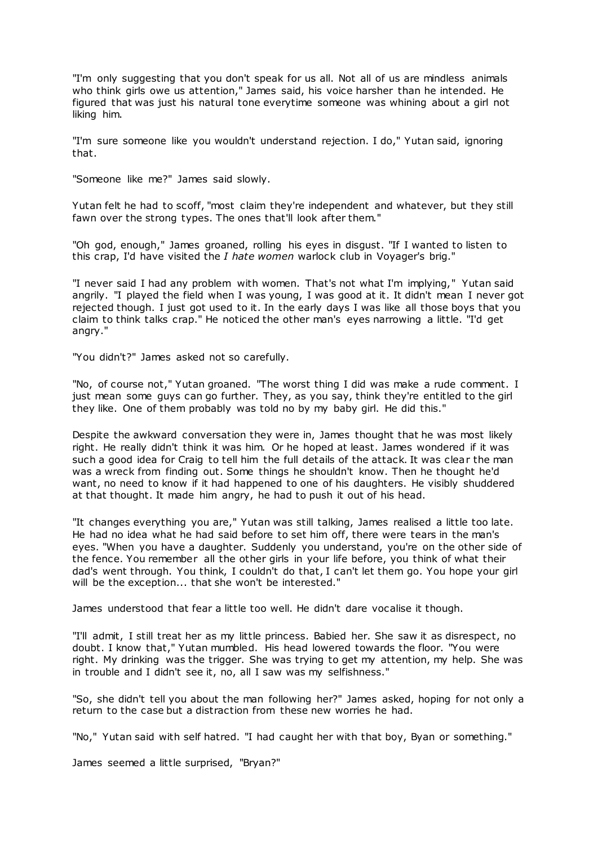"I'm only suggesting that you don't speak for us all. Not all of us are mindless animals who think girls owe us attention," James said, his voice harsher than he intended. He figured that was just his natural tone everytime someone was whining about a girl not liking him.

"I'm sure someone like you wouldn't understand rejection. I do," Yutan said, ignoring that.

"Someone like me?" James said slowly.

Yutan felt he had to scoff, "most claim they're independent and whatever, but they still fawn over the strong types. The ones that'll look after them."

"Oh god, enough," James groaned, rolling his eyes in disgust. "If I wanted to listen to this crap, I'd have visited the *I hate women* warlock club in Voyager's brig."

"I never said I had any problem with women. That's not what I'm implying," Yutan said angrily. "I played the field when I was young, I was good at it. It didn't mean I never got rejected though. I just got used to it. In the early days I was like all those boys that you claim to think talks crap." He noticed the other man's eyes narrowing a little. "I'd get angry."

"You didn't?" James asked not so carefully.

"No, of course not," Yutan groaned. "The worst thing I did was make a rude comment. I just mean some guys can go further. They, as you say, think they're entitled to the girl they like. One of them probably was told no by my baby girl. He did this."

Despite the awkward conversation they were in, James thought that he was most likely right. He really didn't think it was him. Or he hoped at least. James wondered if it was such a good idea for Craig to tell him the full details of the attack. It was clear the man was a wreck from finding out. Some things he shouldn't know. Then he thought he'd want, no need to know if it had happened to one of his daughters. He visibly shuddered at that thought. It made him angry, he had to push it out of his head.

"It changes everything you are," Yutan was still talking, James realised a little too late. He had no idea what he had said before to set him off, there were tears in the man's eyes. "When you have a daughter. Suddenly you understand, you're on the other side of the fence. You remember all the other girls in your life before, you think of what their dad's went through. You think, I couldn't do that, I can't let them go. You hope your girl will be the exception... that she won't be interested."

James understood that fear a little too well. He didn't dare vocalise it though.

"I'll admit, I still treat her as my little princess. Babied her. She saw it as disrespect, no doubt. I know that," Yutan mumbled. His head lowered towards the floor. "You were right. My drinking was the trigger. She was trying to get my attention, my help. She was in trouble and I didn't see it, no, all I saw was my selfishness."

"So, she didn't tell you about the man following her?" James asked, hoping for not only a return to the case but a distraction from these new worries he had.

"No," Yutan said with self hatred. "I had caught her with that boy, Byan or something."

James seemed a little surprised, "Bryan?"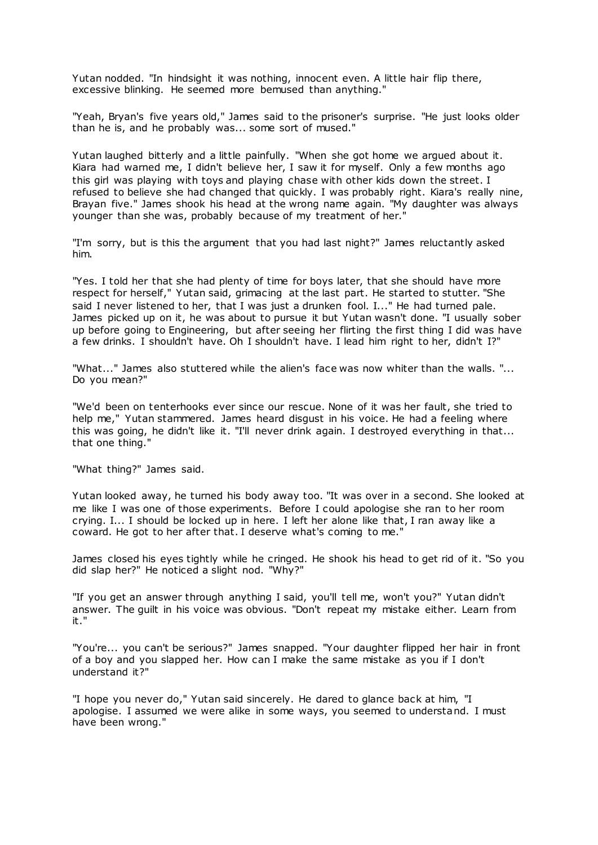Yutan nodded. "In hindsight it was nothing, innocent even. A little hair flip there, excessive blinking. He seemed more bemused than anything."

"Yeah, Bryan's five years old," James said to the prisoner's surprise. "He just looks older than he is, and he probably was... some sort of mused."

Yutan laughed bitterly and a little painfully. "When she got home we argued about it. Kiara had warned me, I didn't believe her, I saw it for myself. Only a few months ago this girl was playing with toys and playing chase with other kids down the street. I refused to believe she had changed that quickly. I was probably right. Kiara's really nine, Brayan five." James shook his head at the wrong name again. "My daughter was always younger than she was, probably because of my treatment of her."

"I'm sorry, but is this the argument that you had last night?" James reluctantly asked him.

"Yes. I told her that she had plenty of time for boys later, that she should have more respect for herself," Yutan said, grimacing at the last part. He started to stutter. "She said I never listened to her, that I was just a drunken fool. I..." He had turned pale. James picked up on it, he was about to pursue it but Yutan wasn't done. "I usually sober up before going to Engineering, but after seeing her flirting the first thing I did was have a few drinks. I shouldn't have. Oh I shouldn't have. I lead him right to her, didn't I?"

"What..." James also stuttered while the alien's face was now whiter than the walls. "... Do you mean?"

"We'd been on tenterhooks ever since our rescue. None of it was her fault, she tried to help me," Yutan stammered. James heard disgust in his voice. He had a feeling where this was going, he didn't like it. "I'll never drink again. I destroyed everything in that... that one thing."

"What thing?" James said.

Yutan looked away, he turned his body away too. "It was over in a second. She looked at me like I was one of those experiments. Before I could apologise she ran to her room crying. I... I should be locked up in here. I left her alone like that, I ran away like a coward. He got to her after that. I deserve what's coming to me."

James closed his eyes tightly while he cringed. He shook his head to get rid of it. "So you did slap her?" He noticed a slight nod. "Why?"

"If you get an answer through anything I said, you'll tell me, won't you?" Yutan didn't answer. The guilt in his voice was obvious. "Don't repeat my mistake either. Learn from it."

"You're... you can't be serious?" James snapped. "Your daughter flipped her hair in front of a boy and you slapped her. How can I make the same mistake as you if I don't understand it?"

"I hope you never do," Yutan said sincerely. He dared to glance back at him, "I apologise. I assumed we were alike in some ways, you seemed to understand. I must have been wrong."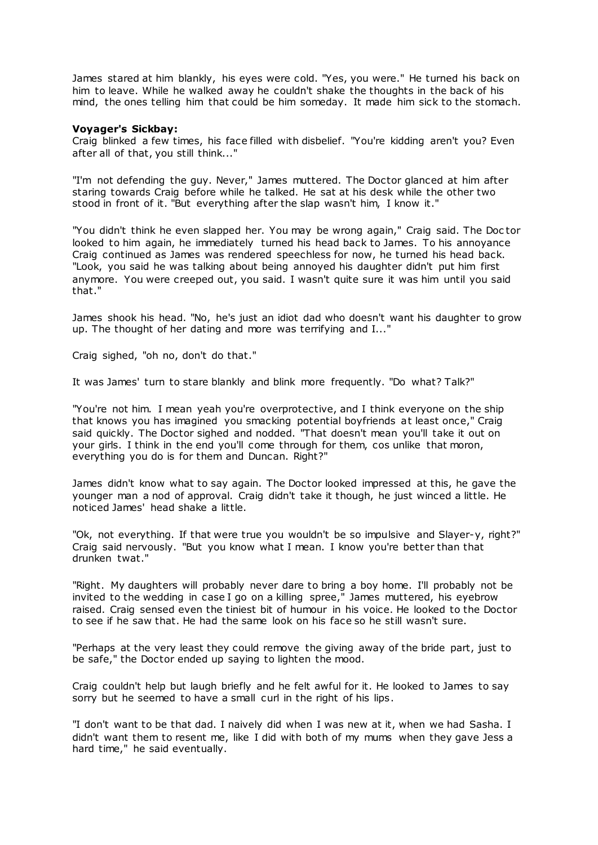James stared at him blankly, his eyes were cold. "Yes, you were." He turned his back on him to leave. While he walked away he couldn't shake the thoughts in the back of his mind, the ones telling him that could be him someday. It made him sick to the stomach.

#### **Voyager's Sickbay:**

Craig blinked a few times, his face filled with disbelief. "You're kidding aren't you? Even after all of that, you still think..."

"I'm not defending the guy. Never," James muttered. The Doctor glanced at him after staring towards Craig before while he talked. He sat at his desk while the other two stood in front of it. "But everything after the slap wasn't him, I know it."

"You didn't think he even slapped her. You may be wrong again," Craig said. The Doc tor looked to him again, he immediately turned his head back to James. To his annoyance Craig continued as James was rendered speechless for now, he turned his head back. "Look, you said he was talking about being annoyed his daughter didn't put him first anymore. You were creeped out, you said. I wasn't quite sure it was him until you said that."

James shook his head. "No, he's just an idiot dad who doesn't want his daughter to grow up. The thought of her dating and more was terrifying and I..."

Craig sighed, "oh no, don't do that."

It was James' turn to stare blankly and blink more frequently. "Do what? Talk?"

"You're not him. I mean yeah you're overprotective, and I think everyone on the ship that knows you has imagined you smacking potential boyfriends at least once," Craig said quickly. The Doctor sighed and nodded. "That doesn't mean you'll take it out on your girls. I think in the end you'll come through for them, cos unlike that moron, everything you do is for them and Duncan. Right?"

James didn't know what to say again. The Doctor looked impressed at this, he gave the younger man a nod of approval. Craig didn't take it though, he just winced a little. He noticed James' head shake a little.

"Ok, not everything. If that were true you wouldn't be so impulsive and Slayer-y, right?" Craig said nervously. "But you know what I mean. I know you're better than that drunken twat."

"Right. My daughters will probably never dare to bring a boy home. I'll probably not be invited to the wedding in case I go on a killing spree," James muttered, his eyebrow raised. Craig sensed even the tiniest bit of humour in his voice. He looked to the Doctor to see if he saw that. He had the same look on his face so he still wasn't sure.

"Perhaps at the very least they could remove the giving away of the bride part, just to be safe," the Doctor ended up saying to lighten the mood.

Craig couldn't help but laugh briefly and he felt awful for it. He looked to James to say sorry but he seemed to have a small curl in the right of his lips.

"I don't want to be that dad. I naively did when I was new at it, when we had Sasha. I didn't want them to resent me, like I did with both of my mums when they gave Jess a hard time," he said eventually.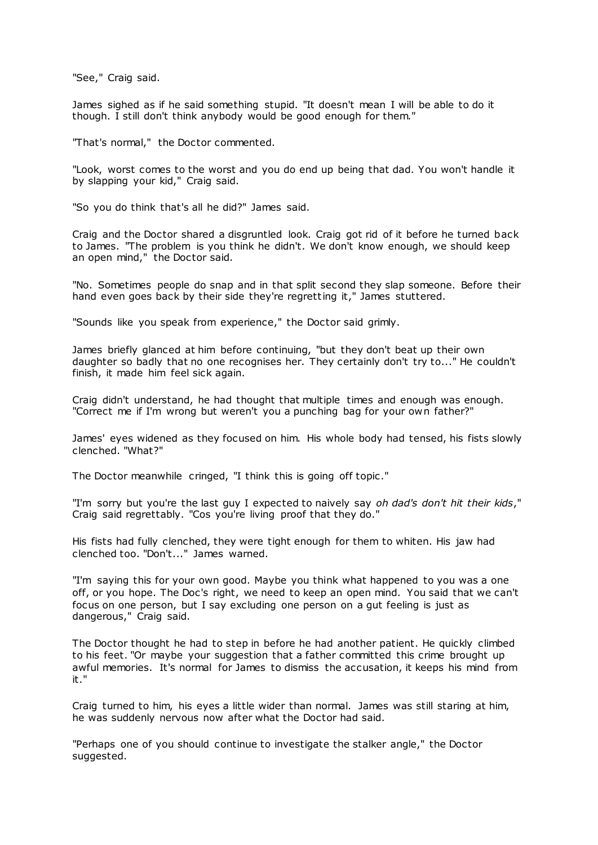"See," Craig said.

James sighed as if he said something stupid. "It doesn't mean I will be able to do it though. I still don't think anybody would be good enough for them."

"That's normal," the Doctor commented.

"Look, worst comes to the worst and you do end up being that dad. You won't handle it by slapping your kid," Craig said.

"So you do think that's all he did?" James said.

Craig and the Doctor shared a disgruntled look. Craig got rid of it before he turned back to James. "The problem is you think he didn't. We don't know enough, we should keep an open mind," the Doctor said.

"No. Sometimes people do snap and in that split second they slap someone. Before their hand even goes back by their side they're regretting it," James stuttered.

"Sounds like you speak from experience," the Doctor said grimly.

James briefly glanced at him before continuing, "but they don't beat up their own daughter so badly that no one recognises her. They certainly don't try to..." He couldn't finish, it made him feel sick again.

Craig didn't understand, he had thought that multiple times and enough was enough. "Correct me if I'm wrong but weren't you a punching bag for your own father?"

James' eyes widened as they focused on him. His whole body had tensed, his fists slowly clenched. "What?"

The Doctor meanwhile cringed, "I think this is going off topic ."

"I'm sorry but you're the last guy I expected to naively say *oh dad's don't hit their kids*," Craig said regrettably. "Cos you're living proof that they do."

His fists had fully clenched, they were tight enough for them to whiten. His jaw had clenched too. "Don't..." James warned.

"I'm saying this for your own good. Maybe you think what happened to you was a one off, or you hope. The Doc's right, we need to keep an open mind. You said that we can't focus on one person, but I say excluding one person on a gut feeling is just as dangerous," Craig said.

The Doctor thought he had to step in before he had another patient. He quickly climbed to his feet. "Or maybe your suggestion that a father committed this crime brought up awful memories. It's normal for James to dismiss the accusation, it keeps his mind from it."

Craig turned to him, his eyes a little wider than normal. James was still staring at him, he was suddenly nervous now after what the Doctor had said.

"Perhaps one of you should continue to investigate the stalker angle," the Doctor suggested.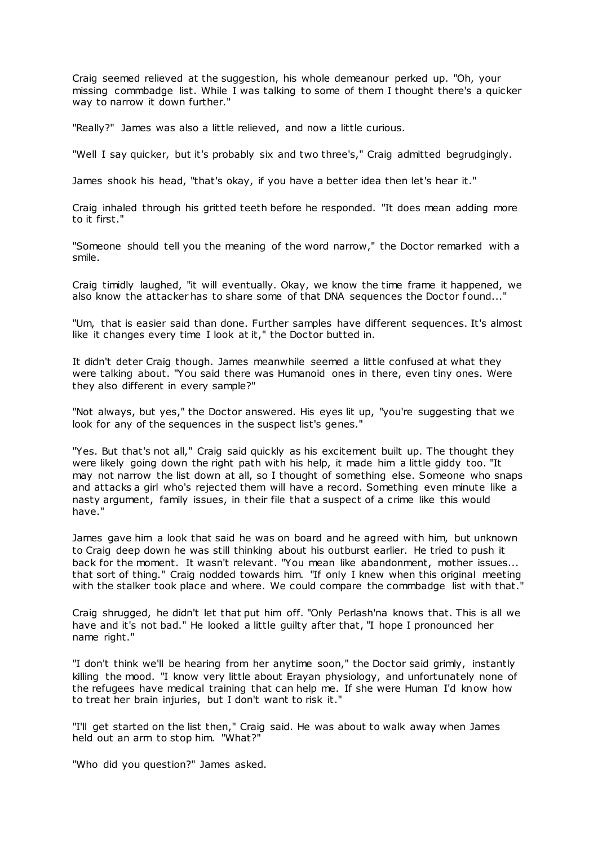Craig seemed relieved at the suggestion, his whole demeanour perked up. "Oh, your missing commbadge list. While I was talking to some of them I thought there's a quicker way to narrow it down further."

"Really?" James was also a little relieved, and now a little curious.

"Well I say quicker, but it's probably six and two three's," Craig admitted begrudgingly.

James shook his head, "that's okay, if you have a better idea then let's hear it."

Craig inhaled through his gritted teeth before he responded. "It does mean adding more to it first."

"Someone should tell you the meaning of the word narrow," the Doctor remarked with a smile.

Craig timidly laughed, "it will eventually. Okay, we know the time frame it happened, we also know the attacker has to share some of that DNA sequences the Doctor found..."

"Um, that is easier said than done. Further samples have different sequences. It's almost like it changes every time I look at it," the Doctor butted in.

It didn't deter Craig though. James meanwhile seemed a little confused at what they were talking about. "You said there was Humanoid ones in there, even tiny ones. Were they also different in every sample?"

"Not always, but yes," the Doctor answered. His eyes lit up, "you're suggesting that we look for any of the sequences in the suspect list's genes."

"Yes. But that's not all," Craig said quickly as his excitement built up. The thought they were likely going down the right path with his help, it made him a little giddy too. "It may not narrow the list down at all, so I thought of something else. Someone who snaps and attacks a girl who's rejected them will have a record. Something even minute like a nasty argument, family issues, in their file that a suspect of a crime like this would have."

James gave him a look that said he was on board and he agreed with him, but unknown to Craig deep down he was still thinking about his outburst earlier. He tried to push it back for the moment. It wasn't relevant. "You mean like abandonment, mother issues... that sort of thing." Craig nodded towards him. "If only I knew when this original meeting with the stalker took place and where. We could compare the commbadge list with that."

Craig shrugged, he didn't let that put him off. "Only Perlash'na knows that. This is all we have and it's not bad." He looked a little guilty after that, "I hope I pronounced her name right."

"I don't think we'll be hearing from her anytime soon," the Doctor said grimly, instantly killing the mood. "I know very little about Erayan physiology, and unfortunately none of the refugees have medical training that can help me. If she were Human I'd know how to treat her brain injuries, but I don't want to risk it."

"I'll get started on the list then," Craig said. He was about to walk away when James held out an arm to stop him. "What?"

"Who did you question?" James asked.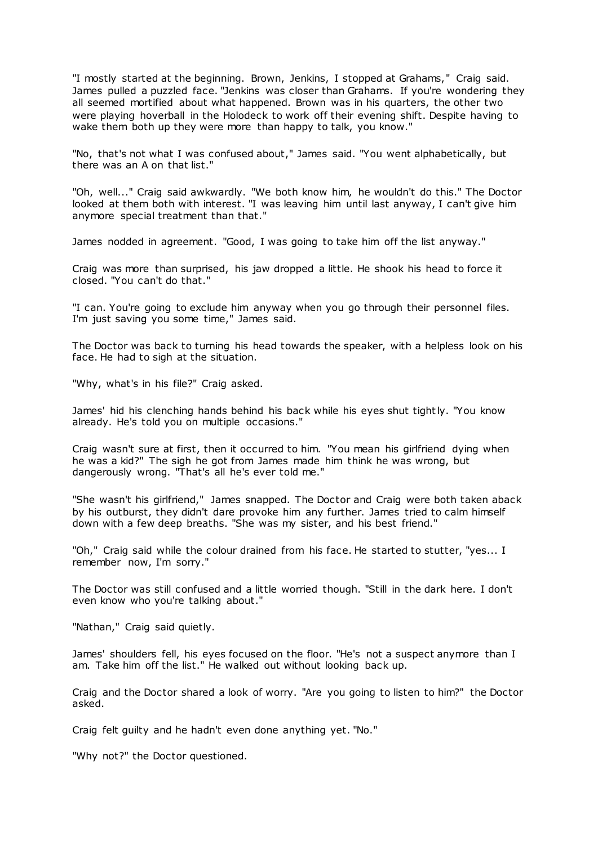"I mostly started at the beginning. Brown, Jenkins, I stopped at Grahams," Craig said. James pulled a puzzled face. "Jenkins was closer than Grahams. If you're wondering they all seemed mortified about what happened. Brown was in his quarters, the other two were playing hoverball in the Holodeck to work off their evening shift. Despite having to wake them both up they were more than happy to talk, you know."

"No, that's not what I was confused about," James said. "You went alphabetically, but there was an A on that list."

"Oh, well..." Craig said awkwardly. "We both know him, he wouldn't do this." The Doctor looked at them both with interest. "I was leaving him until last anyway, I can't give him anymore special treatment than that."

James nodded in agreement. "Good, I was going to take him off the list anyway."

Craig was more than surprised, his jaw dropped a little. He shook his head to force it closed. "You can't do that."

"I can. You're going to exclude him anyway when you go through their personnel files. I'm just saving you some time," James said.

The Doctor was back to turning his head towards the speaker, with a helpless look on his face. He had to sigh at the situation.

"Why, what's in his file?" Craig asked.

James' hid his clenching hands behind his back while his eyes shut tightly. "You know already. He's told you on multiple occasions."

Craig wasn't sure at first, then it occurred to him. "You mean his girlfriend dying when he was a kid?" The sigh he got from James made him think he was wrong, but dangerously wrong. "That's all he's ever told me."

"She wasn't his girlfriend," James snapped. The Doctor and Craig were both taken aback by his outburst, they didn't dare provoke him any further. James tried to calm himself down with a few deep breaths. "She was my sister, and his best friend."

"Oh," Craig said while the colour drained from his face. He started to stutter, "yes... I remember now, I'm sorry."

The Doctor was still confused and a little worried though. "Still in the dark here. I don't even know who you're talking about."

"Nathan," Craig said quietly.

James' shoulders fell, his eyes focused on the floor. "He's not a suspect anymore than I am. Take him off the list." He walked out without looking back up.

Craig and the Doctor shared a look of worry. "Are you going to listen to him?" the Doctor asked.

Craig felt guilty and he hadn't even done anything yet. "No."

"Why not?" the Doctor questioned.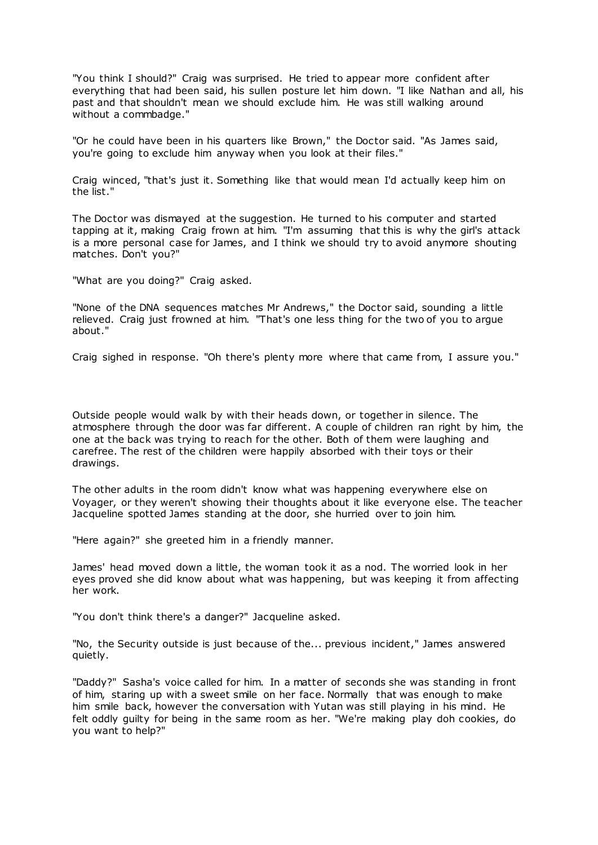"You think I should?" Craig was surprised. He tried to appear more confident after everything that had been said, his sullen posture let him down. "I like Nathan and all, his past and that shouldn't mean we should exclude him. He was still walking around without a commbadge."

"Or he could have been in his quarters like Brown," the Doctor said. "As James said, you're going to exclude him anyway when you look at their files."

Craig winced, "that's just it. Something like that would mean I'd actually keep him on the list."

The Doctor was dismayed at the suggestion. He turned to his computer and started tapping at it, making Craig frown at him. "I'm assuming that this is why the girl's attack is a more personal case for James, and I think we should try to avoid anymore shouting matches. Don't you?"

"What are you doing?" Craig asked.

"None of the DNA sequences matches Mr Andrews," the Doctor said, sounding a little relieved. Craig just frowned at him. "That's one less thing for the two of you to argue about."

Craig sighed in response. "Oh there's plenty more where that came from, I assure you."

Outside people would walk by with their heads down, or together in silence. The atmosphere through the door was far different. A couple of children ran right by him, the one at the back was trying to reach for the other. Both of them were laughing and carefree. The rest of the children were happily absorbed with their toys or their drawings.

The other adults in the room didn't know what was happening everywhere else on Voyager, or they weren't showing their thoughts about it like everyone else. The teacher Jacqueline spotted James standing at the door, she hurried over to join him.

"Here again?" she greeted him in a friendly manner.

James' head moved down a little, the woman took it as a nod. The worried look in her eyes proved she did know about what was happening, but was keeping it from affecting her work.

"You don't think there's a danger?" Jacqueline asked.

"No, the Security outside is just because of the... previous incident," James answered quietly.

"Daddy?" Sasha's voice called for him. In a matter of seconds she was standing in front of him, staring up with a sweet smile on her face. Normally that was enough to make him smile back, however the conversation with Yutan was still playing in his mind. He felt oddly guilty for being in the same room as her. "We're making play doh cookies, do you want to help?"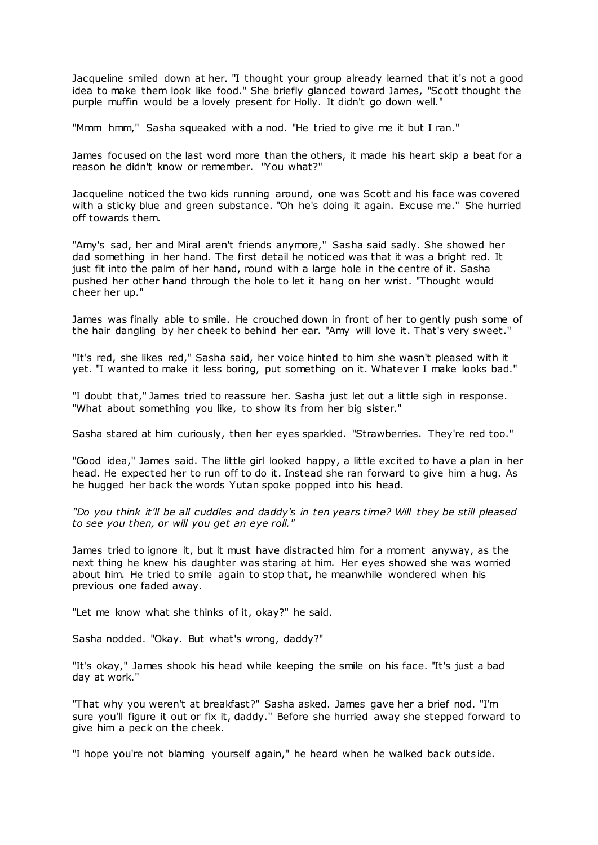Jacqueline smiled down at her. "I thought your group already learned that it's not a good idea to make them look like food." She briefly glanced toward James, "Scott thought the purple muffin would be a lovely present for Holly. It didn't go down well."

"Mmm hmm," Sasha squeaked with a nod. "He tried to give me it but I ran."

James focused on the last word more than the others, it made his heart skip a beat for a reason he didn't know or remember. "You what?"

Jacqueline noticed the two kids running around, one was Scott and his face was covered with a sticky blue and green substance. "Oh he's doing it again. Excuse me." She hurried off towards them.

"Amy's sad, her and Miral aren't friends anymore," Sasha said sadly. She showed her dad something in her hand. The first detail he noticed was that it was a bright red. It just fit into the palm of her hand, round with a large hole in the centre of it. Sasha pushed her other hand through the hole to let it hang on her wrist. "Thought would cheer her up."

James was finally able to smile. He crouched down in front of her to gently push some of the hair dangling by her cheek to behind her ear. "Amy will love it. That's very sweet."

"It's red, she likes red," Sasha said, her voice hinted to him she wasn't pleased with it yet. "I wanted to make it less boring, put something on it. Whatever I make looks bad."

"I doubt that," James tried to reassure her. Sasha just let out a little sigh in response. "What about something you like, to show its from her big sister."

Sasha stared at him curiously, then her eyes sparkled. "Strawberries. They're red too."

"Good idea," James said. The little girl looked happy, a little excited to have a plan in her head. He expected her to run off to do it. Instead she ran forward to give him a hug. As he hugged her back the words Yutan spoke popped into his head.

*"Do you think it'll be all cuddles and daddy's in ten years time? Will they be still pleased to see you then, or will you get an eye roll."*

James tried to ignore it, but it must have distracted him for a moment anyway, as the next thing he knew his daughter was staring at him. Her eyes showed she was worried about him. He tried to smile again to stop that, he meanwhile wondered when his previous one faded away.

"Let me know what she thinks of it, okay?" he said.

Sasha nodded. "Okay. But what's wrong, daddy?"

"It's okay," James shook his head while keeping the smile on his face. "It's just a bad day at work."

"That why you weren't at breakfast?" Sasha asked. James gave her a brief nod. "I'm sure you'll figure it out or fix it, daddy." Before she hurried away she stepped forward to give him a peck on the cheek.

"I hope you're not blaming yourself again," he heard when he walked back outside.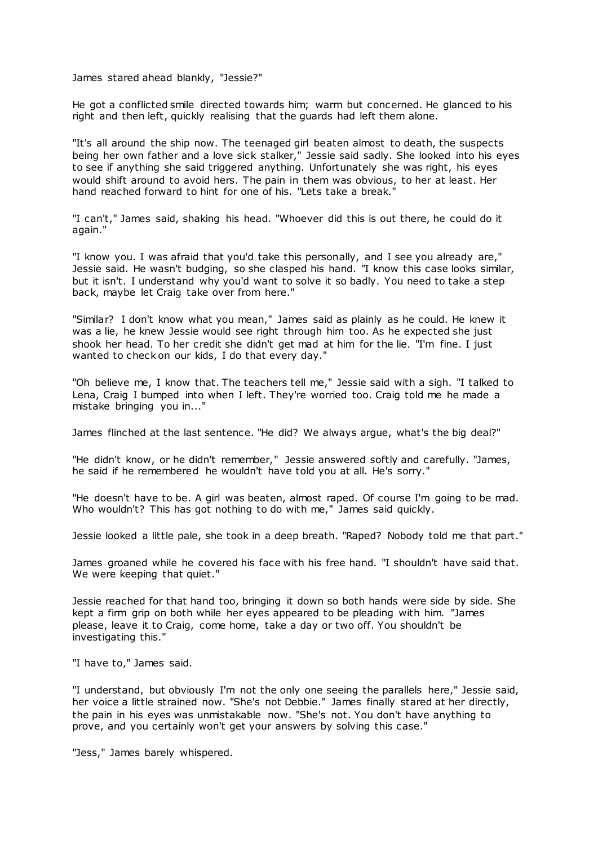James stared ahead blankly, "Jessie?"

He got a conflicted smile directed towards him; warm but concerned. He glanced to his right and then left, quickly realising that the guards had left them alone.

"It's all around the ship now. The teenaged girl beaten almost to death, the suspects being her own father and a love sick stalker," Jessie said sadly. She looked into his eyes to see if anything she said triggered anything. Unfortunately she was right, his eyes would shift around to avoid hers. The pain in them was obvious, to her at least. Her hand reached forward to hint for one of his. "Lets take a break."

"I can't," James said, shaking his head. "Whoever did this is out there, he could do it again."

"I know you. I was afraid that you'd take this personally, and I see you already are," Jessie said. He wasn't budging, so she clasped his hand. "I know this case looks similar, but it isn't. I understand why you'd want to solve it so badly. You need to take a step back, maybe let Craig take over from here."

"Similar? I don't know what you mean," James said as plainly as he could. He knew it was a lie, he knew Jessie would see right through him too. As he expected she just shook her head. To her credit she didn't get mad at him for the lie. "I'm fine. I just wanted to check on our kids, I do that every day."

"Oh believe me, I know that. The teachers tell me," Jessie said with a sigh. "I talked to Lena, Craig I bumped into when I left. They're worried too. Craig told me he made a mistake bringing you in..."

James flinched at the last sentence. "He did? We always argue, what's the big deal?"

"He didn't know, or he didn't remember," Jessie answered softly and carefully. "James, he said if he remembered he wouldn't have told you at all. He's sorry."

"He doesn't have to be. A girl was beaten, almost raped. Of course I'm going to be mad. Who wouldn't? This has got nothing to do with me," James said quickly.

Jessie looked a little pale, she took in a deep breath. "Raped? Nobody told me that part."

James groaned while he covered his face with his free hand. "I shouldn't have said that. We were keeping that quiet."

Jessie reached for that hand too, bringing it down so both hands were side by side. She kept a firm grip on both while her eyes appeared to be pleading with him. "James please, leave it to Craig, come home, take a day or two off. You shouldn't be investigating this."

"I have to," James said.

"I understand, but obviously I'm not the only one seeing the parallels here," Jessie said, her voice a little strained now. "She's not Debbie." James finally stared at her directly, the pain in his eyes was unmistakable now. "She's not. You don't have anything to prove, and you certainly won't get your answers by solving this case."

"Jess," James barely whispered.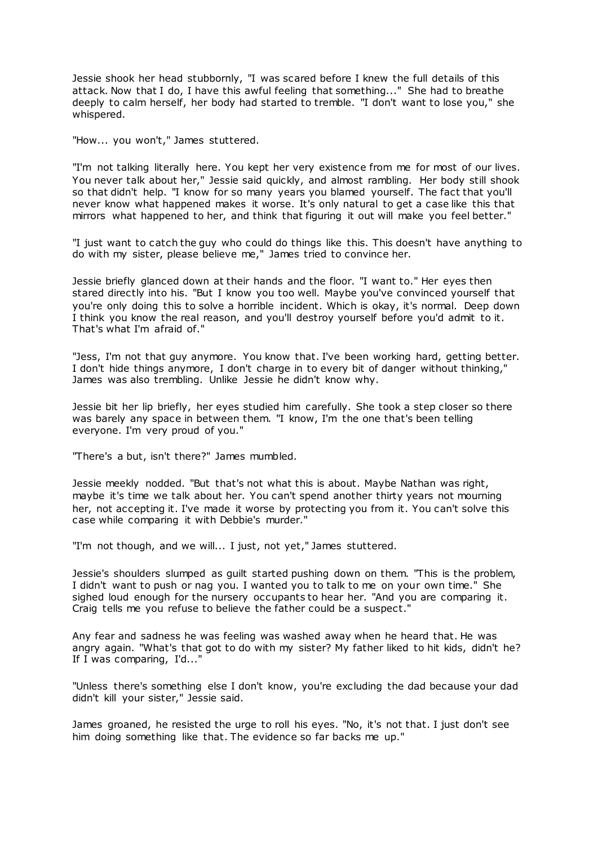Jessie shook her head stubbornly, "I was scared before I knew the full details of this attack. Now that I do, I have this awful feeling that something..." She had to breathe deeply to calm herself, her body had started to tremble. "I don't want to lose you," she whispered.

"How... you won't," James stuttered.

"I'm not talking literally here. You kept her very existence from me for most of our lives. You never talk about her," Jessie said quickly, and almost rambling. Her body still shook so that didn't help. "I know for so many years you blamed yourself. The fact that you'll never know what happened makes it worse. It's only natural to get a case like this that mirrors what happened to her, and think that figuring it out will make you feel better."

"I just want to catch the guy who could do things like this. This doesn't have anything to do with my sister, please believe me," James tried to convince her.

Jessie briefly glanced down at their hands and the floor. "I want to." Her eyes then stared directly into his. "But I know you too well. Maybe you've convinced yourself that you're only doing this to solve a horrible incident. Which is okay, it's normal. Deep down I think you know the real reason, and you'll destroy yourself before you'd admit to it. That's what I'm afraid of."

"Jess, I'm not that guy anymore. You know that. I've been working hard, getting better. I don't hide things anymore, I don't charge in to every bit of danger without thinking," James was also trembling. Unlike Jessie he didn't know why.

Jessie bit her lip briefly, her eyes studied him carefully. She took a step closer so there was barely any space in between them. "I know, I'm the one that's been telling everyone. I'm very proud of you."

"There's a but, isn't there?" James mumbled.

Jessie meekly nodded. "But that's not what this is about. Maybe Nathan was right, maybe it's time we talk about her. You can't spend another thirty years not mourning her, not accepting it. I've made it worse by protecting you from it. You can't solve this case while comparing it with Debbie's murder."

"I'm not though, and we will... I just, not yet," James stuttered.

Jessie's shoulders slumped as guilt started pushing down on them. "This is the problem, I didn't want to push or nag you. I wanted you to talk to me on your own time." She sighed loud enough for the nursery occupants to hear her. "And you are comparing it. Craig tells me you refuse to believe the father could be a suspect."

Any fear and sadness he was feeling was washed away when he heard that. He was angry again. "What's that got to do with my sister? My father liked to hit kids, didn't he? If I was comparing, I'd..."

"Unless there's something else I don't know, you're excluding the dad because your dad didn't kill your sister," Jessie said.

James groaned, he resisted the urge to roll his eyes. "No, it's not that. I just don't see him doing something like that. The evidence so far backs me up."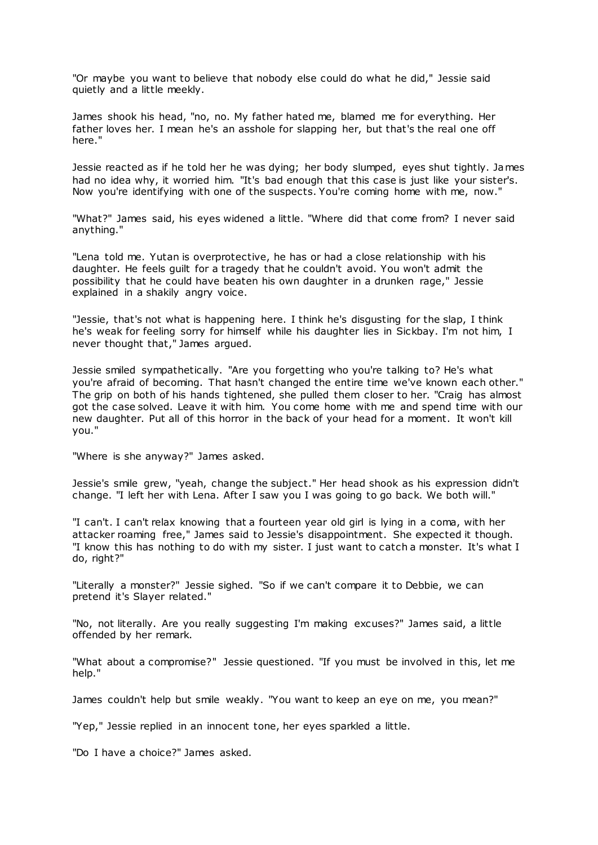"Or maybe you want to believe that nobody else could do what he did," Jessie said quietly and a little meekly.

James shook his head, "no, no. My father hated me, blamed me for everything. Her father loves her. I mean he's an asshole for slapping her, but that's the real one off here."

Jessie reacted as if he told her he was dying; her body slumped, eyes shut tightly. James had no idea why, it worried him. "It's bad enough that this case is just like your sister's. Now you're identifying with one of the suspects. You're coming home with me, now."

"What?" James said, his eyes widened a little. "Where did that come from? I never said anything."

"Lena told me. Yutan is overprotective, he has or had a close relationship with his daughter. He feels guilt for a tragedy that he couldn't avoid. You won't admit the possibility that he could have beaten his own daughter in a drunken rage," Jessie explained in a shakily angry voice.

"Jessie, that's not what is happening here. I think he's disgusting for the slap, I think he's weak for feeling sorry for himself while his daughter lies in Sickbay. I'm not him, I never thought that," James argued.

Jessie smiled sympathetically. "Are you forgetting who you're talking to? He's what you're afraid of becoming. That hasn't changed the entire time we've known each other." The grip on both of his hands tightened, she pulled them closer to her. "Craig has almost got the case solved. Leave it with him. You come home with me and spend time with our new daughter. Put all of this horror in the back of your head for a moment. It won't kill you."

"Where is she anyway?" James asked.

Jessie's smile grew, "yeah, change the subject." Her head shook as his expression didn't change. "I left her with Lena. After I saw you I was going to go back. We both will."

"I can't. I can't relax knowing that a fourteen year old girl is lying in a coma, with her attacker roaming free," James said to Jessie's disappointment. She expected it though. "I know this has nothing to do with my sister. I just want to catch a monster. It's what I do, right?"

"Literally a monster?" Jessie sighed. "So if we can't compare it to Debbie, we can pretend it's Slayer related."

"No, not literally. Are you really suggesting I'm making excuses?" James said, a little offended by her remark.

"What about a compromise?" Jessie questioned. "If you must be involved in this, let me help."

James couldn't help but smile weakly. "You want to keep an eye on me, you mean?"

"Yep," Jessie replied in an innocent tone, her eyes sparkled a little.

"Do I have a choice?" James asked.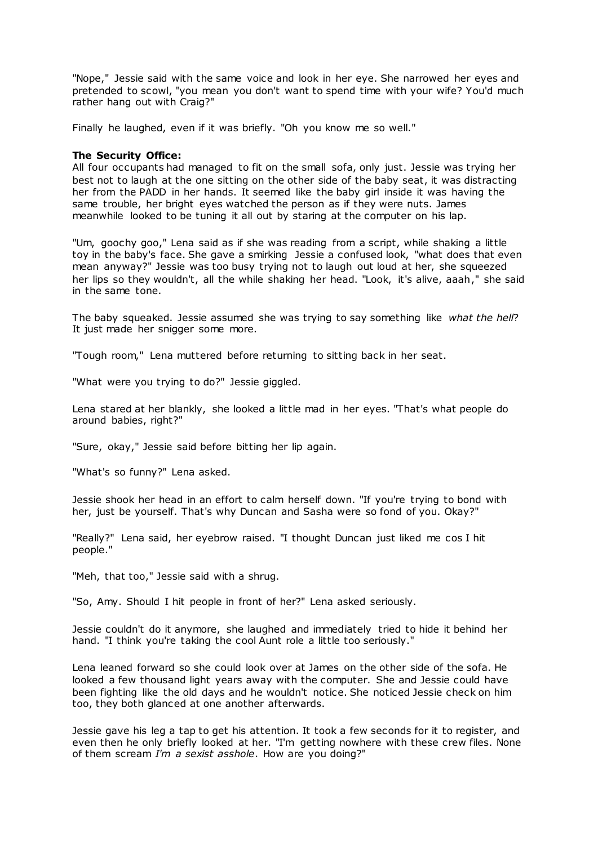"Nope," Jessie said with the same voice and look in her eye. She narrowed her eyes and pretended to scowl, "you mean you don't want to spend time with your wife? You'd much rather hang out with Craig?"

Finally he laughed, even if it was briefly. "Oh you know me so well."

## **The Security Office:**

All four occupants had managed to fit on the small sofa, only just. Jessie was trying her best not to laugh at the one sitting on the other side of the baby seat, it was distracting her from the PADD in her hands. It seemed like the baby girl inside it was having the same trouble, her bright eyes watched the person as if they were nuts. James meanwhile looked to be tuning it all out by staring at the computer on his lap.

"Um, goochy goo," Lena said as if she was reading from a script, while shaking a little toy in the baby's face. She gave a smirking Jessie a confused look, "what does that even mean anyway?" Jessie was too busy trying not to laugh out loud at her, she squeezed her lips so they wouldn't, all the while shaking her head. "Look, it's alive, aaah," she said in the same tone.

The baby squeaked. Jessie assumed she was trying to say something like *what the hell*? It just made her snigger some more.

"Tough room," Lena muttered before returning to sitting back in her seat.

"What were you trying to do?" Jessie giggled.

Lena stared at her blankly, she looked a little mad in her eyes. "That's what people do around babies, right?"

"Sure, okay," Jessie said before bitting her lip again.

"What's so funny?" Lena asked.

Jessie shook her head in an effort to calm herself down. "If you're trying to bond with her, just be yourself. That's why Duncan and Sasha were so fond of you. Okay?"

"Really?" Lena said, her eyebrow raised. "I thought Duncan just liked me cos I hit people."

"Meh, that too," Jessie said with a shrug.

"So, Amy. Should I hit people in front of her?" Lena asked seriously.

Jessie couldn't do it anymore, she laughed and immediately tried to hide it behind her hand. "I think you're taking the cool Aunt role a little too seriously."

Lena leaned forward so she could look over at James on the other side of the sofa. He looked a few thousand light years away with the computer. She and Jessie could have been fighting like the old days and he wouldn't notice. She noticed Jessie check on him too, they both glanced at one another afterwards.

Jessie gave his leg a tap to get his attention. It took a few seconds for it to register, and even then he only briefly looked at her. "I'm getting nowhere with these crew files. None of them scream *I'm a sexist asshole*. How are you doing?"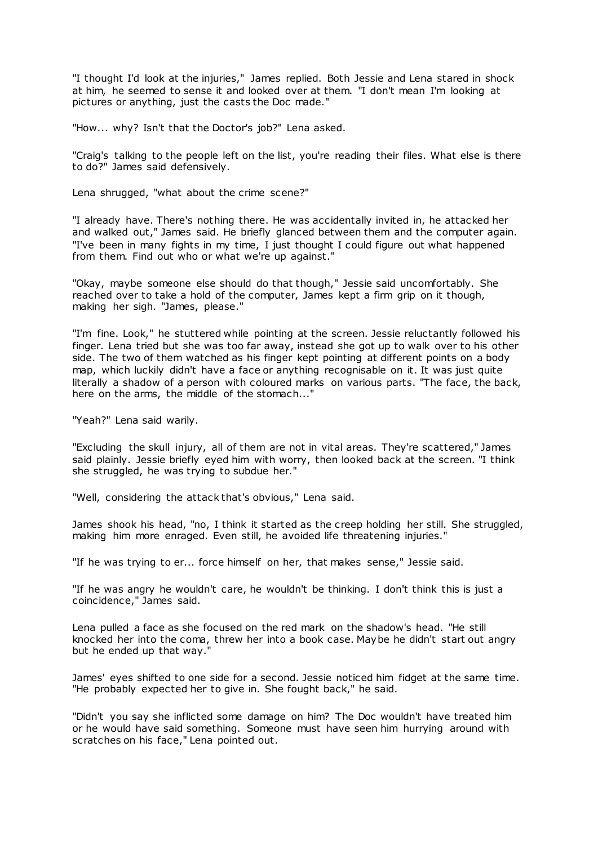"I thought I'd look at the injuries," James replied. Both Jessie and Lena stared in shock at him, he seemed to sense it and looked over at them. "I don't mean I'm looking at pictures or anything, just the casts the Doc made."

"How... why? Isn't that the Doctor's job?" Lena asked.

"Craig's talking to the people left on the list, you're reading their files. What else is there to do?" James said defensively.

Lena shrugged, "what about the crime scene?"

"I already have. There's nothing there. He was accidentally invited in, he attacked her and walked out," James said. He briefly glanced between them and the computer again. "I've been in many fights in my time, I just thought I could figure out what happened from them. Find out who or what we're up against."

"Okay, maybe someone else should do that though," Jessie said uncomfortably. She reached over to take a hold of the computer, James kept a firm grip on it though, making her sigh. "James, please."

"I'm fine. Look," he stuttered while pointing at the screen. Jessie reluctantly followed his finger. Lena tried but she was too far away, instead she got up to walk over to his other side. The two of them watched as his finger kept pointing at different points on a body map, which luckily didn't have a face or anything recognisable on it. It was just quite literally a shadow of a person with coloured marks on various parts. "The face, the back, here on the arms, the middle of the stomach..."

"Yeah?" Lena said warily.

"Excluding the skull injury, all of them are not in vital areas. They're scattered," James said plainly. Jessie briefly eyed him with worry, then looked back at the screen. "I think she struggled, he was trying to subdue her."

"Well, considering the attack that's obvious," Lena said.

James shook his head, "no, I think it started as the creep holding her still. She struggled, making him more enraged. Even still, he avoided life threatening injuries."

"If he was trying to er... force himself on her, that makes sense," Jessie said.

"If he was angry he wouldn't care, he wouldn't be thinking. I don't think this is just a coincidence," James said.

Lena pulled a face as she focused on the red mark on the shadow's head. "He still knocked her into the coma, threw her into a book case. Maybe he didn't start out angry but he ended up that way."

James' eyes shifted to one side for a second. Jessie noticed him fidget at the same time. "He probably expected her to give in. She fought back," he said.

"Didn't you say she inflicted some damage on him? The Doc wouldn't have treated him or he would have said something. Someone must have seen him hurrying around with scratches on his face," Lena pointed out.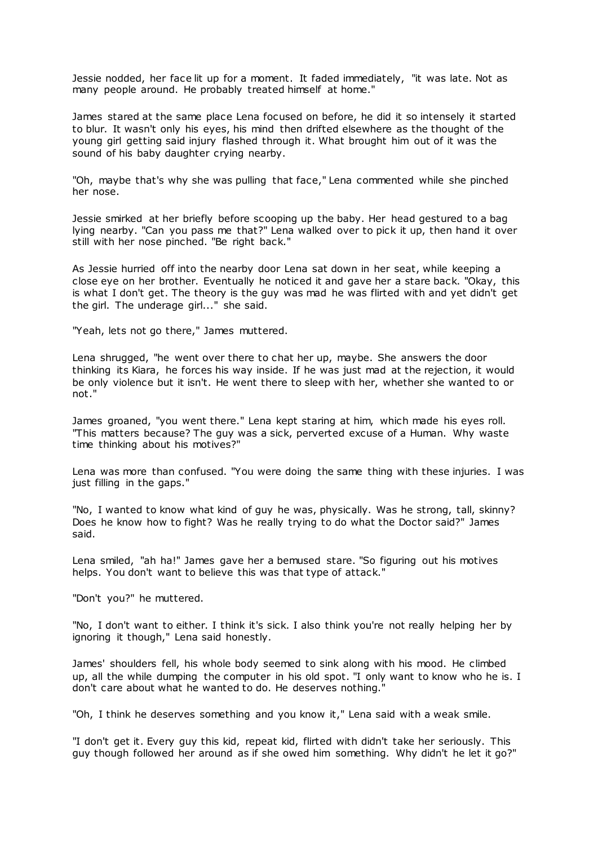Jessie nodded, her face lit up for a moment. It faded immediately, "it was late. Not as many people around. He probably treated himself at home."

James stared at the same place Lena focused on before, he did it so intensely it started to blur. It wasn't only his eyes, his mind then drifted elsewhere as the thought of the young girl getting said injury flashed through it. What brought him out of it was the sound of his baby daughter crying nearby.

"Oh, maybe that's why she was pulling that face," Lena commented while she pinched her nose.

Jessie smirked at her briefly before scooping up the baby. Her head gestured to a bag lying nearby. "Can you pass me that?" Lena walked over to pick it up, then hand it over still with her nose pinched. "Be right back."

As Jessie hurried off into the nearby door Lena sat down in her seat, while keeping a close eye on her brother. Eventually he noticed it and gave her a stare back. "Okay, this is what I don't get. The theory is the guy was mad he was flirted with and yet didn't get the girl. The underage girl..." she said.

"Yeah, lets not go there," James muttered.

Lena shrugged, "he went over there to chat her up, maybe. She answers the door thinking its Kiara, he forces his way inside. If he was just mad at the rejection, it would be only violence but it isn't. He went there to sleep with her, whether she wanted to or not."

James groaned, "you went there." Lena kept staring at him, which made his eyes roll. "This matters because? The guy was a sick, perverted excuse of a Human. Why waste time thinking about his motives?"

Lena was more than confused. "You were doing the same thing with these injuries. I was just filling in the gaps."

"No, I wanted to know what kind of guy he was, physically. Was he strong, tall, skinny? Does he know how to fight? Was he really trying to do what the Doctor said?" James said.

Lena smiled, "ah ha!" James gave her a bemused stare. "So figuring out his motives helps. You don't want to believe this was that type of attack."

"Don't you?" he muttered.

"No, I don't want to either. I think it's sick. I also think you're not really helping her by ignoring it though," Lena said honestly.

James' shoulders fell, his whole body seemed to sink along with his mood. He climbed up, all the while dumping the computer in his old spot. "I only want to know who he is. I don't care about what he wanted to do. He deserves nothing."

"Oh, I think he deserves something and you know it," Lena said with a weak smile.

"I don't get it. Every guy this kid, repeat kid, flirted with didn't take her seriously. This guy though followed her around as if she owed him something. Why didn't he let it go?"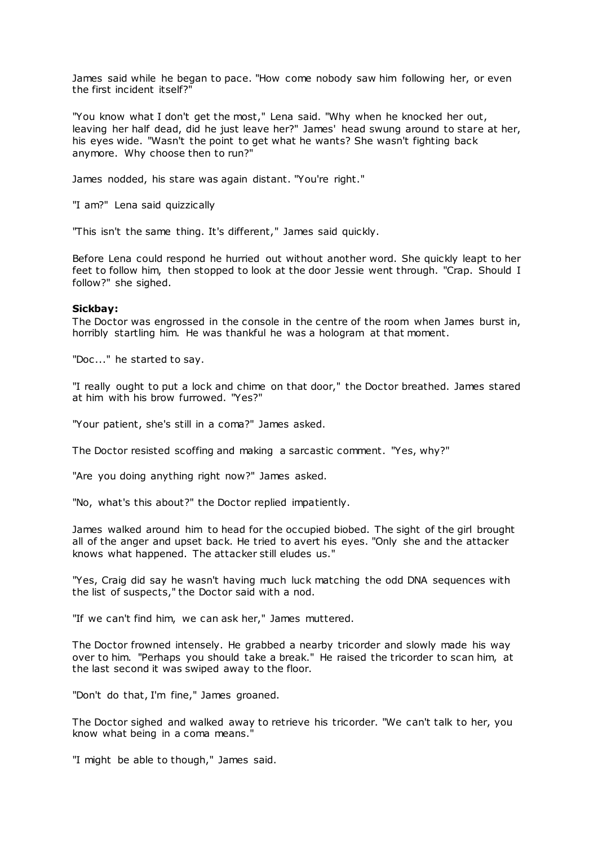James said while he began to pace. "How come nobody saw him following her, or even the first incident itself?"

"You know what I don't get the most," Lena said. "Why when he knocked her out, leaving her half dead, did he just leave her?" James' head swung around to stare at her, his eyes wide. "Wasn't the point to get what he wants? She wasn't fighting back anymore. Why choose then to run?"

James nodded, his stare was again distant. "You're right."

"I am?" Lena said quizzically

"This isn't the same thing. It's different," James said quickly.

Before Lena could respond he hurried out without another word. She quickly leapt to her feet to follow him, then stopped to look at the door Jessie went through. "Crap. Should I follow?" she sighed.

#### **Sickbay:**

The Doctor was engrossed in the console in the centre of the room when James burst in, horribly startling him. He was thankful he was a hologram at that moment.

"Doc..." he started to say.

"I really ought to put a lock and chime on that door," the Doctor breathed. James stared at him with his brow furrowed. "Yes?"

"Your patient, she's still in a coma?" James asked.

The Doctor resisted scoffing and making a sarcastic comment. "Yes, why?"

"Are you doing anything right now?" James asked.

"No, what's this about?" the Doctor replied impatiently.

James walked around him to head for the occupied biobed. The sight of the girl brought all of the anger and upset back. He tried to avert his eyes. "Only she and the attacker knows what happened. The attacker still eludes us."

"Yes, Craig did say he wasn't having much luck matching the odd DNA sequences with the list of suspects," the Doctor said with a nod.

"If we can't find him, we can ask her," James muttered.

The Doctor frowned intensely. He grabbed a nearby tricorder and slowly made his way over to him. "Perhaps you should take a break." He raised the tricorder to scan him, at the last second it was swiped away to the floor.

"Don't do that, I'm fine," James groaned.

The Doctor sighed and walked away to retrieve his tricorder. "We can't talk to her, you know what being in a coma means."

"I might be able to though," James said.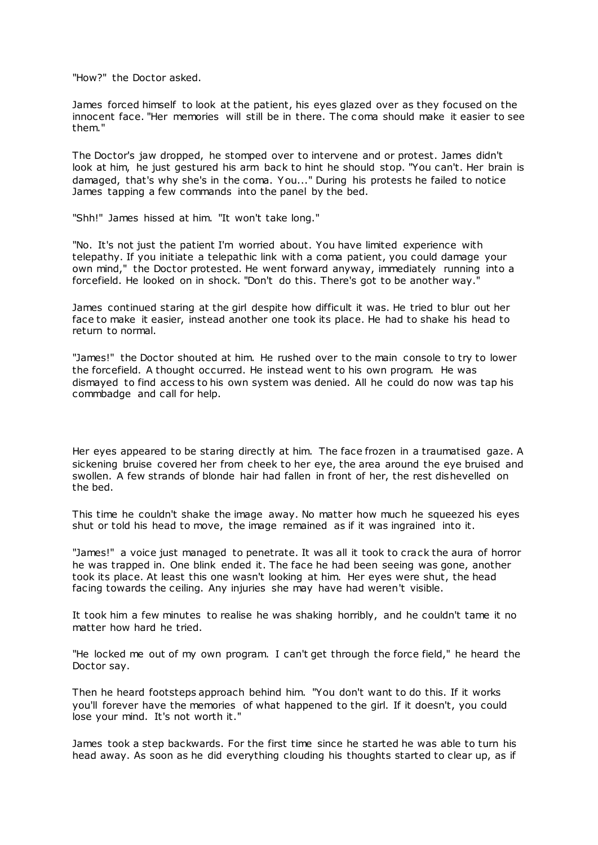"How?" the Doctor asked.

James forced himself to look at the patient, his eyes glazed over as they focused on the innocent face. "Her memories will still be in there. The c oma should make it easier to see them."

The Doctor's jaw dropped, he stomped over to intervene and or protest. James didn't look at him, he just gestured his arm back to hint he should stop. "You can't. Her brain is damaged, that's why she's in the coma. You..." During his protests he failed to notice James tapping a few commands into the panel by the bed.

"Shh!" James hissed at him. "It won't take long."

"No. It's not just the patient I'm worried about. You have limited experience with telepathy. If you initiate a telepathic link with a coma patient, you could damage your own mind," the Doctor protested. He went forward anyway, immediately running into a forcefield. He looked on in shock. "Don't do this. There's got to be another way."

James continued staring at the girl despite how difficult it was. He tried to blur out her face to make it easier, instead another one took its place. He had to shake his head to return to normal.

"James!" the Doctor shouted at him. He rushed over to the main console to try to lower the forcefield. A thought occurred. He instead went to his own program. He was dismayed to find access to his own system was denied. All he could do now was tap his commbadge and call for help.

Her eyes appeared to be staring directly at him. The face frozen in a traumatised gaze. A sickening bruise covered her from cheek to her eye, the area around the eye bruised and swollen. A few strands of blonde hair had fallen in front of her, the rest dishevelled on the bed.

This time he couldn't shake the image away. No matter how much he squeezed his eyes shut or told his head to move, the image remained as if it was ingrained into it.

"James!" a voice just managed to penetrate. It was all it took to crack the aura of horror he was trapped in. One blink ended it. The face he had been seeing was gone, another took its place. At least this one wasn't looking at him. Her eyes were shut, the head facing towards the ceiling. Any injuries she may have had weren't visible.

It took him a few minutes to realise he was shaking horribly, and he couldn't tame it no matter how hard he tried.

"He locked me out of my own program. I can't get through the force field," he heard the Doctor say.

Then he heard footsteps approach behind him. "You don't want to do this. If it works you'll forever have the memories of what happened to the girl. If it doesn't, you could lose your mind. It's not worth it."

James took a step backwards. For the first time since he started he was able to turn his head away. As soon as he did everything clouding his thoughts started to clear up, as if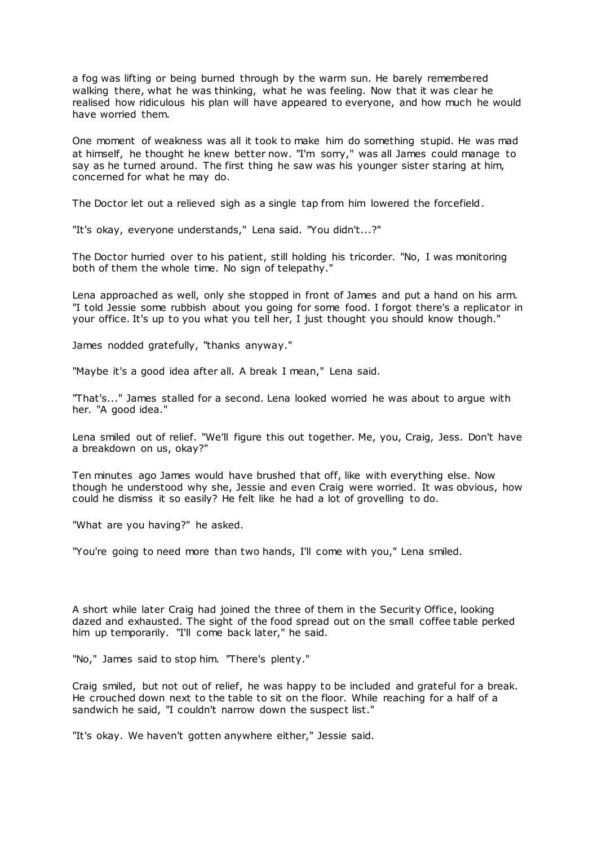a fog was lifting or being burned through by the warm sun. He barely remembered walking there, what he was thinking, what he was feeling. Now that it was clear he realised how ridiculous his plan will have appeared to everyone, and how much he would have worried them.

One moment of weakness was all it took to make him do something stupid. He was mad at himself, he thought he knew better now. "I'm sorry," was all James could manage to say as he turned around. The first thing he saw was his younger sister staring at him, concerned for what he may do.

The Doctor let out a relieved sigh as a single tap from him lowered the forcefield.

"It's okay, everyone understands," Lena said. "You didn't...?"

The Doctor hurried over to his patient, still holding his tricorder. "No, I was monitoring both of them the whole time. No sign of telepathy."

Lena approached as well, only she stopped in front of James and put a hand on his arm. "I told Jessie some rubbish about you going for some food. I forgot there's a replicator in your office. It's up to you what you tell her, I just thought you should know though."

James nodded gratefully, "thanks anyway."

"Maybe it's a good idea after all. A break I mean," Lena said.

"That's..." James stalled for a second. Lena looked worried he was about to argue with her. "A good idea."

Lena smiled out of relief. "We'll figure this out together. Me, you, Craig, Jess. Don't have a breakdown on us, okay?"

Ten minutes ago James would have brushed that off, like with everything else. Now though he understood why she, Jessie and even Craig were worried. It was obvious, how could he dismiss it so easily? He felt like he had a lot of grovelling to do.

"What are you having?" he asked.

"You're going to need more than two hands, I'll come with you," Lena smiled.

A short while later Craig had joined the three of them in the Security Office, looking dazed and exhausted. The sight of the food spread out on the small coffee table perked him up temporarily. "I'll come back later," he said.

"No," James said to stop him. "There's plenty."

Craig smiled, but not out of relief, he was happy to be included and grateful for a break. He crouched down next to the table to sit on the floor. While reaching for a half of a sandwich he said, "I couldn't narrow down the suspect list."

"It's okay. We haven't gotten anywhere either," Jessie said.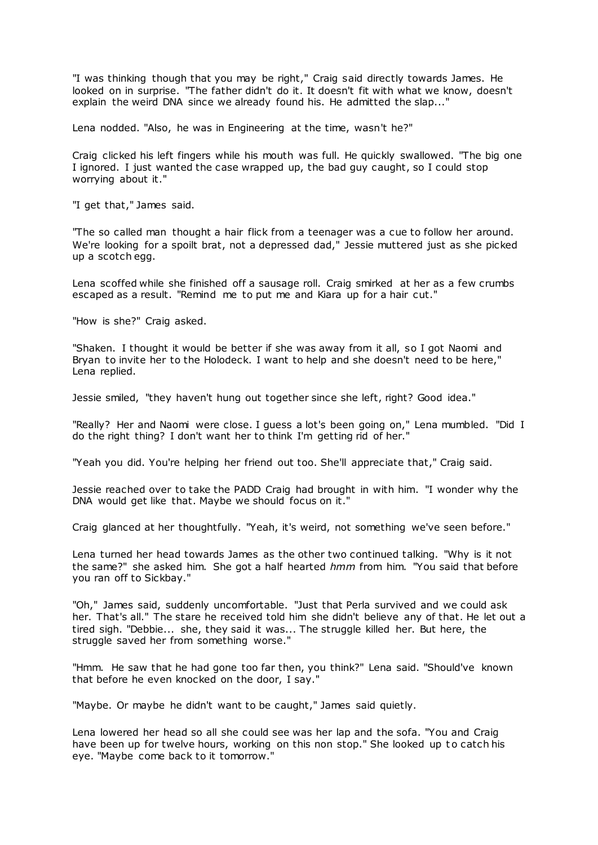"I was thinking though that you may be right," Craig said directly towards James. He looked on in surprise. "The father didn't do it. It doesn't fit with what we know, doesn't explain the weird DNA since we already found his. He admitted the slap..."

Lena nodded. "Also, he was in Engineering at the time, wasn't he?"

Craig clicked his left fingers while his mouth was full. He quickly swallowed. "The big one I ignored. I just wanted the case wrapped up, the bad guy caught, so I could stop worrying about it."

"I get that," James said.

"The so called man thought a hair flick from a teenager was a cue to follow her around. We're looking for a spoilt brat, not a depressed dad," Jessie muttered just as she picked up a scotch egg.

Lena scoffed while she finished off a sausage roll. Craig smirked at her as a few crumbs escaped as a result. "Remind me to put me and Kiara up for a hair cut."

"How is she?" Craig asked.

"Shaken. I thought it would be better if she was away from it all, so I got Naomi and Bryan to invite her to the Holodeck. I want to help and she doesn't need to be here," Lena replied.

Jessie smiled, "they haven't hung out together since she left, right? Good idea."

"Really? Her and Naomi were close. I guess a lot's been going on," Lena mumbled. "Did I do the right thing? I don't want her to think I'm getting rid of her."

"Yeah you did. You're helping her friend out too. She'll appreciate that," Craig said.

Jessie reached over to take the PADD Craig had brought in with him. "I wonder why the DNA would get like that. Maybe we should focus on it."

Craig glanced at her thoughtfully. "Yeah, it's weird, not something we've seen before."

Lena turned her head towards James as the other two continued talking. "Why is it not the same?" she asked him. She got a half hearted *hmm* from him. "You said that before you ran off to Sickbay."

"Oh," James said, suddenly uncomfortable. "Just that Perla survived and we could ask her. That's all." The stare he received told him she didn't believe any of that. He let out a tired sigh. "Debbie... she, they said it was... The struggle killed her. But here, the struggle saved her from something worse."

"Hmm. He saw that he had gone too far then, you think?" Lena said. "Should've known that before he even knocked on the door, I say."

"Maybe. Or maybe he didn't want to be caught," James said quietly.

Lena lowered her head so all she could see was her lap and the sofa. "You and Craig have been up for twelve hours, working on this non stop." She looked up to catch his eye. "Maybe come back to it tomorrow."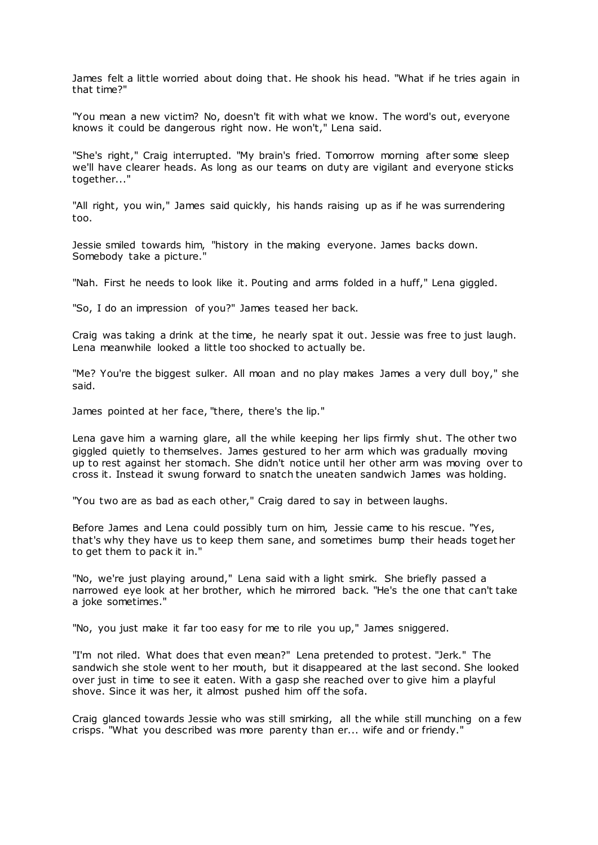James felt a little worried about doing that. He shook his head. "What if he tries again in that time?"

"You mean a new victim? No, doesn't fit with what we know. The word's out, everyone knows it could be dangerous right now. He won't," Lena said.

"She's right," Craig interrupted. "My brain's fried. Tomorrow morning after some sleep we'll have clearer heads. As long as our teams on duty are vigilant and everyone sticks together..."

"All right, you win," James said quickly, his hands raising up as if he was surrendering too.

Jessie smiled towards him, "history in the making everyone. James backs down. Somebody take a picture."

"Nah. First he needs to look like it. Pouting and arms folded in a huff," Lena giggled.

"So, I do an impression of you?" James teased her back.

Craig was taking a drink at the time, he nearly spat it out. Jessie was free to just laugh. Lena meanwhile looked a little too shocked to actually be.

"Me? You're the biggest sulker. All moan and no play makes James a very dull boy," she said.

James pointed at her face, "there, there's the lip."

Lena gave him a warning glare, all the while keeping her lips firmly shut. The other two giggled quietly to themselves. James gestured to her arm which was gradually moving up to rest against her stomach. She didn't notice until her other arm was moving over to cross it. Instead it swung forward to snatch the uneaten sandwich James was holding.

"You two are as bad as each other," Craig dared to say in between laughs.

Before James and Lena could possibly turn on him, Jessie came to his rescue. "Yes, that's why they have us to keep them sane, and sometimes bump their heads toget her to get them to pack it in."

"No, we're just playing around," Lena said with a light smirk. She briefly passed a narrowed eye look at her brother, which he mirrored back. "He's the one that can't take a joke sometimes."

"No, you just make it far too easy for me to rile you up," James sniggered.

"I'm not riled. What does that even mean?" Lena pretended to protest. "Jerk." The sandwich she stole went to her mouth, but it disappeared at the last second. She looked over just in time to see it eaten. With a gasp she reached over to give him a playful shove. Since it was her, it almost pushed him off the sofa.

Craig glanced towards Jessie who was still smirking, all the while still munching on a few crisps. "What you described was more parenty than er... wife and or friendy."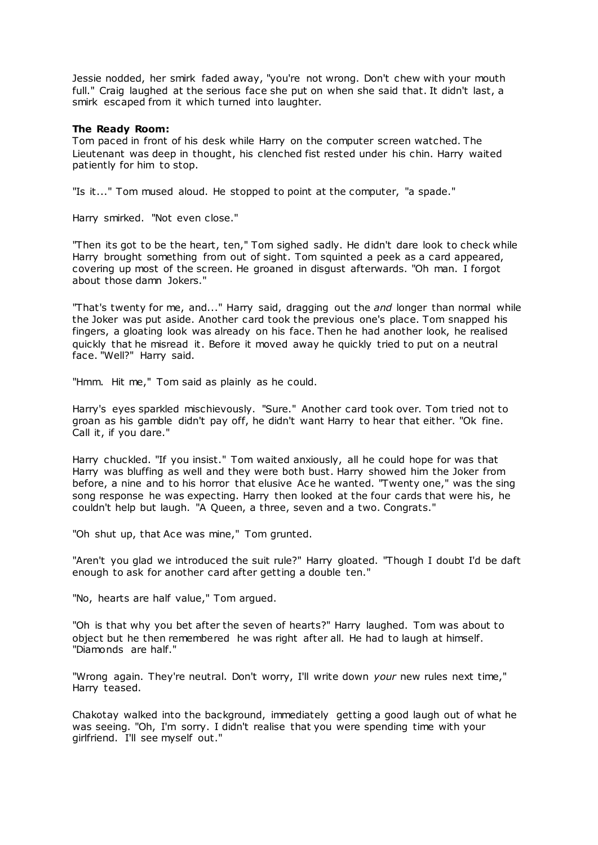Jessie nodded, her smirk faded away, "you're not wrong. Don't chew with your mouth full." Craig laughed at the serious face she put on when she said that. It didn't last, a smirk escaped from it which turned into laughter.

# **The Ready Room:**

Tom paced in front of his desk while Harry on the computer screen watched. The Lieutenant was deep in thought, his clenched fist rested under his chin. Harry waited patiently for him to stop.

"Is it..." Tom mused aloud. He stopped to point at the computer, "a spade."

Harry smirked. "Not even close."

"Then its got to be the heart, ten," Tom sighed sadly. He didn't dare look to check while Harry brought something from out of sight. Tom squinted a peek as a card appeared, covering up most of the screen. He groaned in disgust afterwards. "Oh man. I forgot about those damn Jokers."

"That's twenty for me, and..." Harry said, dragging out the *and* longer than normal while the Joker was put aside. Another card took the previous one's place. Tom snapped his fingers, a gloating look was already on his face. Then he had another look, he realised quickly that he misread it. Before it moved away he quickly tried to put on a neutral face. "Well?" Harry said.

"Hmm. Hit me," Tom said as plainly as he could.

Harry's eyes sparkled mischievously. "Sure." Another card took over. Tom tried not to groan as his gamble didn't pay off, he didn't want Harry to hear that either. "Ok fine. Call it, if you dare."

Harry chuckled. "If you insist." Tom waited anxiously, all he could hope for was that Harry was bluffing as well and they were both bust. Harry showed him the Joker from before, a nine and to his horror that elusive Ace he wanted. "Twenty one," was the sing song response he was expecting. Harry then looked at the four cards that were his, he couldn't help but laugh. "A Queen, a three, seven and a two. Congrats."

"Oh shut up, that Ace was mine," Tom grunted.

"Aren't you glad we introduced the suit rule?" Harry gloated. "Though I doubt I'd be daft enough to ask for another card after getting a double ten."

"No, hearts are half value," Tom argued.

"Oh is that why you bet after the seven of hearts?" Harry laughed. Tom was about to object but he then remembered he was right after all. He had to laugh at himself. "Diamonds are half."

"Wrong again. They're neutral. Don't worry, I'll write down *your* new rules next time," Harry teased.

Chakotay walked into the background, immediately getting a good laugh out of what he was seeing. "Oh, I'm sorry. I didn't realise that you were spending time with your girlfriend. I'll see myself out."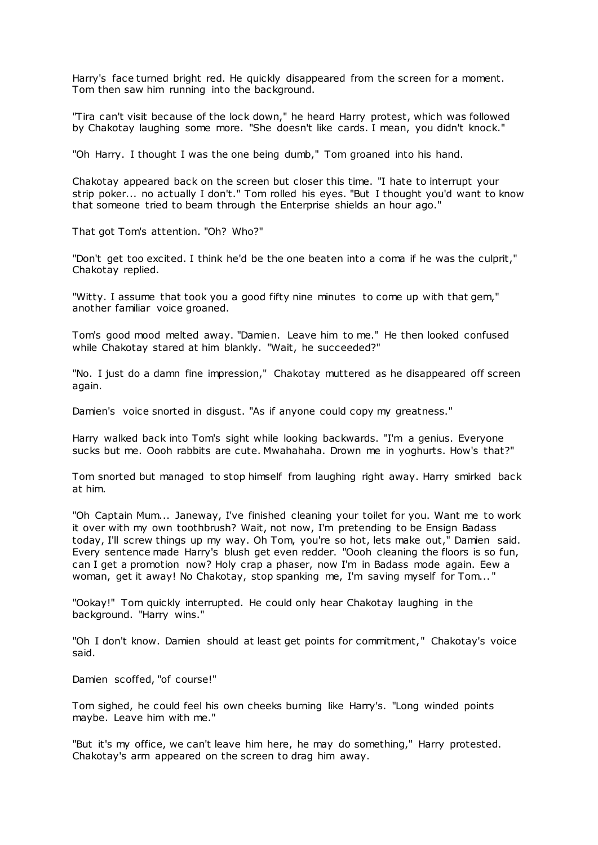Harry's face turned bright red. He quickly disappeared from the screen for a moment. Tom then saw him running into the background.

"Tira can't visit because of the lock down," he heard Harry protest, which was followed by Chakotay laughing some more. "She doesn't like cards. I mean, you didn't knock."

"Oh Harry. I thought I was the one being dumb," Tom groaned into his hand.

Chakotay appeared back on the screen but closer this time. "I hate to interrupt your strip poker... no actually I don't." Tom rolled his eyes. "But I thought you'd want to know that someone tried to beam through the Enterprise shields an hour ago."

That got Tom's attention. "Oh? Who?"

"Don't get too excited. I think he'd be the one beaten into a coma if he was the culprit," Chakotay replied.

"Witty. I assume that took you a good fifty nine minutes to come up with that gem," another familiar voice groaned.

Tom's good mood melted away. "Damien. Leave him to me." He then looked confused while Chakotay stared at him blankly. "Wait, he succeeded?"

"No. I just do a damn fine impression," Chakotay muttered as he disappeared off screen again.

Damien's voice snorted in disgust. "As if anyone could copy my greatness."

Harry walked back into Tom's sight while looking backwards. "I'm a genius. Everyone sucks but me. Oooh rabbits are cute. Mwahahaha. Drown me in yoghurts. How's that?"

Tom snorted but managed to stop himself from laughing right away. Harry smirked back at him.

"Oh Captain Mum... Janeway, I've finished cleaning your toilet for you. Want me to work it over with my own toothbrush? Wait, not now, I'm pretending to be Ensign Badass today, I'll screw things up my way. Oh Tom, you're so hot, lets make out," Damien said. Every sentence made Harry's blush get even redder. "Oooh cleaning the floors is so fun, can I get a promotion now? Holy crap a phaser, now I'm in Badass mode again. Eew a woman, get it away! No Chakotay, stop spanking me, I'm saving myself for Tom... "

"Ookay!" Tom quickly interrupted. He could only hear Chakotay laughing in the background. "Harry wins."

"Oh I don't know. Damien should at least get points for commitment," Chakotay's voice said.

Damien scoffed, "of course!"

Tom sighed, he could feel his own cheeks burning like Harry's. "Long winded points maybe. Leave him with me."

"But it's my office, we can't leave him here, he may do something," Harry protested. Chakotay's arm appeared on the screen to drag him away.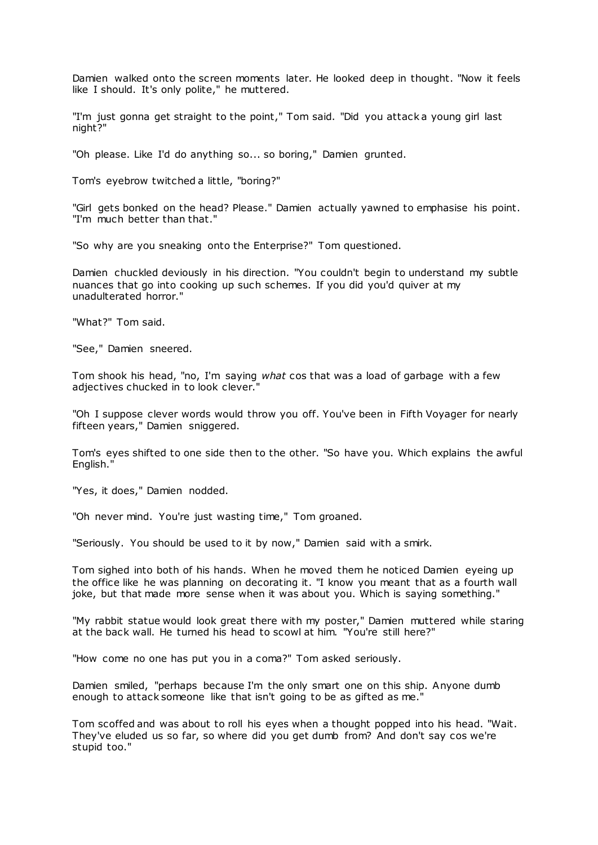Damien walked onto the screen moments later. He looked deep in thought. "Now it feels like I should. It's only polite," he muttered.

"I'm just gonna get straight to the point," Tom said. "Did you attack a young girl last night?"

"Oh please. Like I'd do anything so... so boring," Damien grunted.

Tom's eyebrow twitched a little, "boring?"

"Girl gets bonked on the head? Please." Damien actually yawned to emphasise his point. "I'm much better than that."

"So why are you sneaking onto the Enterprise?" Tom questioned.

Damien chuckled deviously in his direction. "You couldn't begin to understand my subtle nuances that go into cooking up such schemes. If you did you'd quiver at my unadulterated horror."

"What?" Tom said.

"See," Damien sneered.

Tom shook his head, "no, I'm saying *what* cos that was a load of garbage with a few adjectives chucked in to look clever."

"Oh I suppose clever words would throw you off. You've been in Fifth Voyager for nearly fifteen years," Damien sniggered.

Tom's eyes shifted to one side then to the other. "So have you. Which explains the awful English."

"Yes, it does," Damien nodded.

"Oh never mind. You're just wasting time," Tom groaned.

"Seriously. You should be used to it by now," Damien said with a smirk.

Tom sighed into both of his hands. When he moved them he noticed Damien eyeing up the office like he was planning on decorating it. "I know you meant that as a fourth wall joke, but that made more sense when it was about you. Which is saying something."

"My rabbit statue would look great there with my poster," Damien muttered while staring at the back wall. He turned his head to scowl at him. "You're still here?"

"How come no one has put you in a coma?" Tom asked seriously.

Damien smiled, "perhaps because I'm the only smart one on this ship. Anyone dumb enough to attack someone like that isn't going to be as gifted as me."

Tom scoffed and was about to roll his eyes when a thought popped into his head. "Wait. They've eluded us so far, so where did you get dumb from? And don't say cos we're stupid too."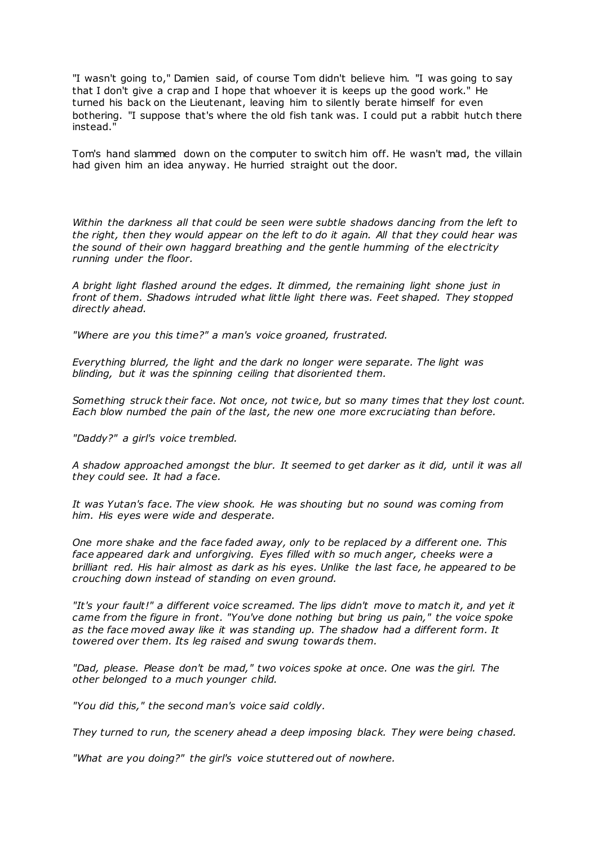"I wasn't going to," Damien said, of course Tom didn't believe him. "I was going to say that I don't give a crap and I hope that whoever it is keeps up the good work." He turned his back on the Lieutenant, leaving him to silently berate himself for even bothering. "I suppose that's where the old fish tank was. I could put a rabbit hutch there instead."

Tom's hand slammed down on the computer to switch him off. He wasn't mad, the villain had given him an idea anyway. He hurried straight out the door.

*Within the darkness all that could be seen were subtle shadows dancing from the left to the right, then they would appear on the left to do it again. All that they could hear was the sound of their own haggard breathing and the gentle humming of the electricity running under the floor.*

*A bright light flashed around the edges. It dimmed, the remaining light shone just in front of them. Shadows intruded what little light there was. Feet shaped. They stopped directly ahead.*

*"Where are you this time?" a man's voice groaned, frustrated.*

*Everything blurred, the light and the dark no longer were separate. The light was blinding, but it was the spinning ceiling that disoriented them.*

*Something struck their face. Not once, not twic e, but so many times that they lost count. Each blow numbed the pain of the last, the new one more excruciating than before.*

*"Daddy?" a girl's voice trembled.*

*A shadow approached amongst the blur. It seemed to get darker as it did, until it was all they could see. It had a face.*

*It was Yutan's face. The view shook. He was shouting but no sound was coming from him. His eyes were wide and desperate.*

*One more shake and the face faded away, only to be replaced by a different one. This face appeared dark and unforgiving. Eyes filled with so much anger, cheeks were a brilliant red. His hair almost as dark as his eyes. Unlike the last face, he appeared to be crouching down instead of standing on even ground.*

*"It's your fault!" a different voice screamed. The lips didn't move to match it, and yet it came from the figure in front. "You've done nothing but bring us pain," the voice spoke as the face moved away like it was standing up. The shadow had a different form. It towered over them. Its leg raised and swung towards them.*

*"Dad, please. Please don't be mad," two voices spoke at once. One was the girl. The other belonged to a much younger child.*

*"You did this," the second man's voice said coldly.*

*They turned to run, the scenery ahead a deep imposing black. They were being chased.*

*"What are you doing?" the girl's voice stuttered out of nowhere.*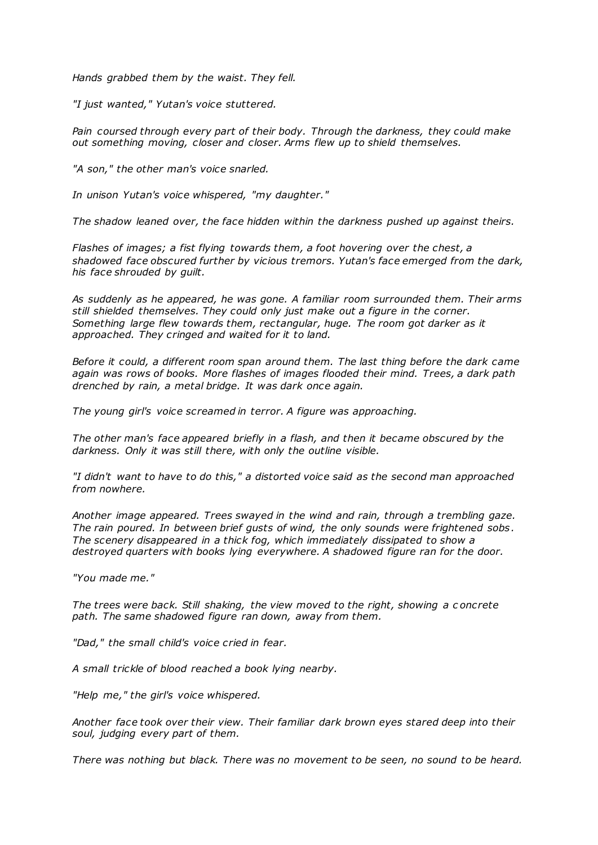*Hands grabbed them by the waist. They fell.*

*"I just wanted," Yutan's voice stuttered.*

*Pain coursed through every part of their body. Through the darkness, they could make out something moving, closer and closer. Arms flew up to shield themselves.*

*"A son," the other man's voice snarled.*

*In unison Yutan's voice whispered, "my daughter."*

*The shadow leaned over, the face hidden within the darkness pushed up against theirs.*

*Flashes of images; a fist flying towards them, a foot hovering over the chest, a shadowed face obscured further by vicious tremors. Yutan's face emerged from the dark, his face shrouded by guilt.*

*As suddenly as he appeared, he was gone. A familiar room surrounded them. Their arms still shielded themselves. They could only just make out a figure in the corner. Something large flew towards them, rectangular, huge. The room got darker as it approached. They cringed and waited for it to land.*

*Before it could, a different room span around them. The last thing before the dark came again was rows of books. More flashes of images flooded their mind. Trees, a dark path drenched by rain, a metal bridge. It was dark once again.*

*The young girl's voice screamed in terror. A figure was approaching.*

*The other man's face appeared briefly in a flash, and then it became obscured by the darkness. Only it was still there, with only the outline visible.*

*"I didn't want to have to do this," a distorted voice said as the second man approached from nowhere.*

*Another image appeared. Trees swayed in the wind and rain, through a trembling gaze. The rain poured. In between brief gusts of wind, the only sounds were frightened sobs . The scenery disappeared in a thick fog, which immediately dissipated to show a destroyed quarters with books lying everywhere. A shadowed figure ran for the door.*

*"You made me."*

*The trees were back. Still shaking, the view moved to the right, showing a c oncrete path. The same shadowed figure ran down, away from them.*

*"Dad," the small child's voice cried in fear.*

*A small trickle of blood reached a book lying nearby.*

*"Help me," the girl's voice whispered.*

*Another face took over their view. Their familiar dark brown eyes stared deep into their soul, judging every part of them.*

*There was nothing but black. There was no movement to be seen, no sound to be heard.*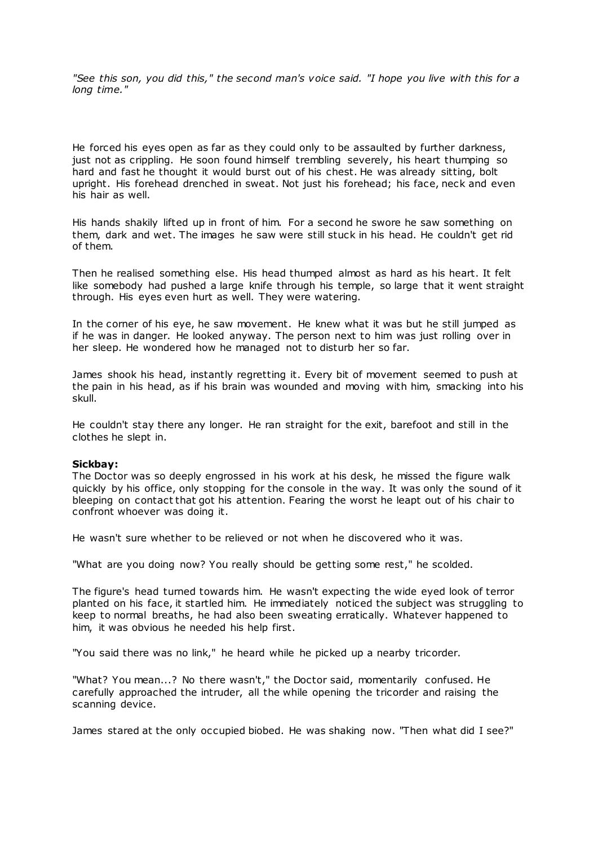*"See this son, you did this," the second man's voice said. "I hope you live with this for a long time."*

He forced his eyes open as far as they could only to be assaulted by further darkness, just not as crippling. He soon found himself trembling severely, his heart thumping so hard and fast he thought it would burst out of his chest. He was already sitting, bolt upright. His forehead drenched in sweat. Not just his forehead; his face, neck and even his hair as well.

His hands shakily lifted up in front of him. For a second he swore he saw something on them, dark and wet. The images he saw were still stuck in his head. He couldn't get rid of them.

Then he realised something else. His head thumped almost as hard as his heart. It felt like somebody had pushed a large knife through his temple, so large that it went straight through. His eyes even hurt as well. They were watering.

In the corner of his eye, he saw movement. He knew what it was but he still jumped as if he was in danger. He looked anyway. The person next to him was just rolling over in her sleep. He wondered how he managed not to disturb her so far.

James shook his head, instantly regretting it. Every bit of movement seemed to push at the pain in his head, as if his brain was wounded and moving with him, smacking into his skull.

He couldn't stay there any longer. He ran straight for the exit, barefoot and still in the clothes he slept in.

## **Sickbay:**

The Doctor was so deeply engrossed in his work at his desk, he missed the figure walk quickly by his office, only stopping for the console in the way. It was only the sound of it bleeping on contact that got his attention. Fearing the worst he leapt out of his chair to confront whoever was doing it.

He wasn't sure whether to be relieved or not when he discovered who it was.

"What are you doing now? You really should be getting some rest," he scolded.

The figure's head turned towards him. He wasn't expecting the wide eyed look of terror planted on his face, it startled him. He immediately noticed the subject was struggling to keep to normal breaths, he had also been sweating erratically. Whatever happened to him, it was obvious he needed his help first.

"You said there was no link," he heard while he picked up a nearby tricorder.

"What? You mean...? No there wasn't," the Doctor said, momentarily confused. He carefully approached the intruder, all the while opening the tricorder and raising the scanning device.

James stared at the only occupied biobed. He was shaking now. "Then what did I see?"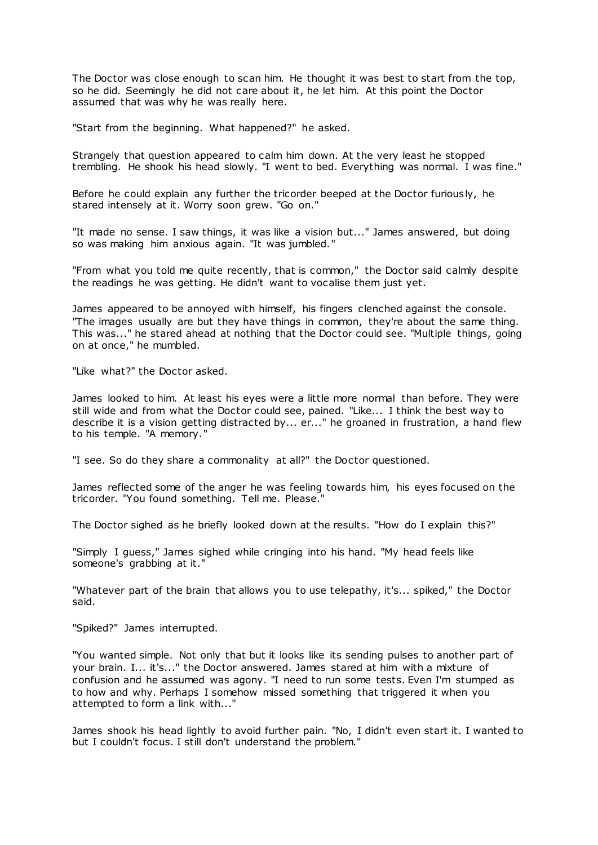The Doctor was close enough to scan him. He thought it was best to start from the top, so he did. Seemingly he did not care about it, he let him. At this point the Doctor assumed that was why he was really here.

"Start from the beginning. What happened?" he asked.

Strangely that question appeared to calm him down. At the very least he stopped trembling. He shook his head slowly. "I went to bed. Everything was normal. I was fine."

Before he could explain any further the tricorder beeped at the Doctor furiously, he stared intensely at it. Worry soon grew. "Go on."

"It made no sense. I saw things, it was like a vision but..." James answered, but doing so was making him anxious again. "It was jumbled."

"From what you told me quite recently, that is common," the Doctor said calmly despite the readings he was getting. He didn't want to vocalise them just yet.

James appeared to be annoyed with himself, his fingers clenched against the console. "The images usually are but they have things in common, they're about the same thing. This was..." he stared ahead at nothing that the Doctor could see. "Multiple things, going on at once," he mumbled.

"Like what?" the Doctor asked.

James looked to him. At least his eyes were a little more normal than before. They were still wide and from what the Doctor could see, pained. "Like... I think the best way to describe it is a vision getting distracted by... er..." he groaned in frustration, a hand flew to his temple. "A memory."

"I see. So do they share a commonality at all?" the Doctor questioned.

James reflected some of the anger he was feeling towards him, his eyes focused on the tricorder. "You found something. Tell me. Please."

The Doctor sighed as he briefly looked down at the results. "How do I explain this?"

"Simply I guess," James sighed while cringing into his hand. "My head feels like someone's grabbing at it."

"Whatever part of the brain that allows you to use telepathy, it's... spiked," the Doctor said.

"Spiked?" James interrupted.

"You wanted simple. Not only that but it looks like its sending pulses to another part of your brain. I... it's..." the Doctor answered. James stared at him with a mixture of confusion and he assumed was agony. "I need to run some tests. Even I'm stumped as to how and why. Perhaps I somehow missed something that triggered it when you attempted to form a link with..."

James shook his head lightly to avoid further pain. "No, I didn't even start it. I wanted to but I couldn't focus. I still don't understand the problem."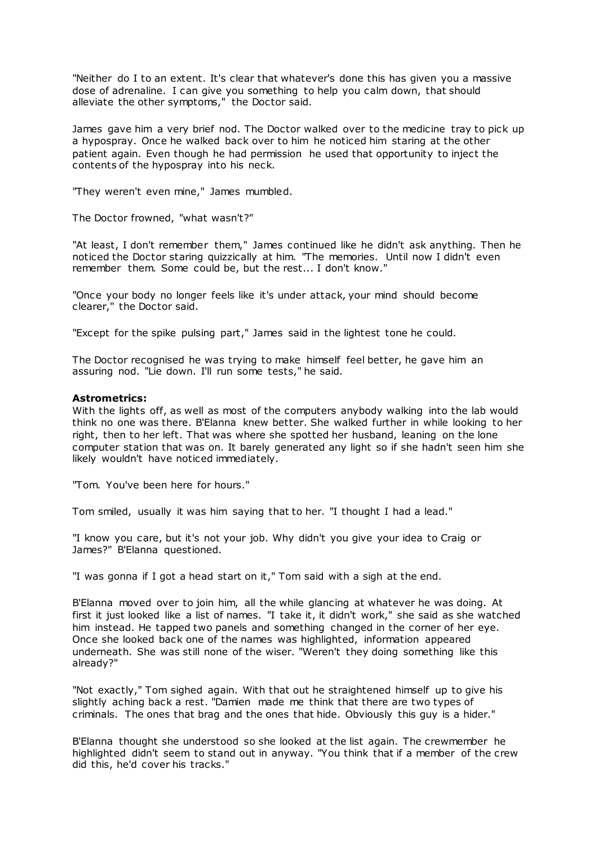"Neither do I to an extent. It's clear that whatever's done this has given you a massive dose of adrenaline. I can give you something to help you calm down, that should alleviate the other symptoms," the Doctor said.

James gave him a very brief nod. The Doctor walked over to the medicine tray to pick up a hypospray. Once he walked back over to him he noticed him staring at the other patient again. Even though he had permission he used that opportunity to inject the contents of the hypospray into his neck.

"They weren't even mine," James mumbled.

The Doctor frowned, "what wasn't?"

"At least, I don't remember them," James continued like he didn't ask anything. Then he noticed the Doctor staring quizzically at him. "The memories. Until now I didn't even remember them. Some could be, but the rest... I don't know."

"Once your body no longer feels like it's under attack, your mind should become clearer," the Doctor said.

"Except for the spike pulsing part," James said in the lightest tone he could.

The Doctor recognised he was trying to make himself feel better, he gave him an assuring nod. "Lie down. I'll run some tests," he said.

### **Astrometrics:**

With the lights off, as well as most of the computers anybody walking into the lab would think no one was there. B'Elanna knew better. She walked further in while looking to her right, then to her left. That was where she spotted her husband, leaning on the lone computer station that was on. It barely generated any light so if she hadn't seen him she likely wouldn't have noticed immediately.

"Tom. You've been here for hours."

Tom smiled, usually it was him saying that to her. "I thought I had a lead."

"I know you care, but it's not your job. Why didn't you give your idea to Craig or James?" B'Elanna questioned.

"I was gonna if I got a head start on it," Tom said with a sigh at the end.

B'Elanna moved over to join him, all the while glancing at whatever he was doing. At first it just looked like a list of names. "I take it, it didn't work," she said as she watched him instead. He tapped two panels and something changed in the corner of her eye. Once she looked back one of the names was highlighted, information appeared underneath. She was still none of the wiser. "Weren't they doing something like this already?"

"Not exactly," Tom sighed again. With that out he straightened himself up to give his slightly aching back a rest. "Damien made me think that there are two types of criminals. The ones that brag and the ones that hide. Obviously this guy is a hider."

B'Elanna thought she understood so she looked at the list again. The crewmember he highlighted didn't seem to stand out in anyway. "You think that if a member of the crew did this, he'd cover his tracks."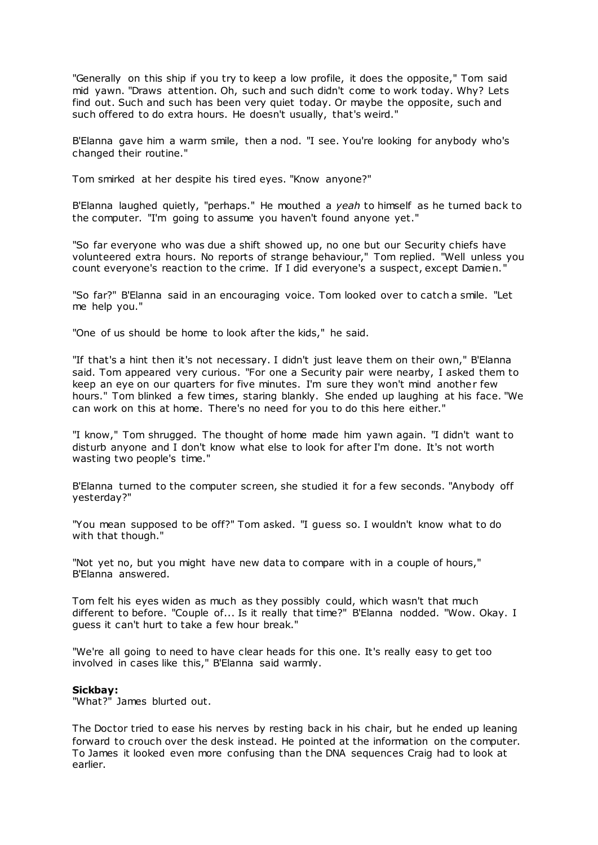"Generally on this ship if you try to keep a low profile, it does the opposite," Tom said mid yawn. "Draws attention. Oh, such and such didn't come to work today. Why? Lets find out. Such and such has been very quiet today. Or maybe the opposite, such and such offered to do extra hours. He doesn't usually, that's weird."

B'Elanna gave him a warm smile, then a nod. "I see. You're looking for anybody who's changed their routine."

Tom smirked at her despite his tired eyes. "Know anyone?"

B'Elanna laughed quietly, "perhaps." He mouthed a *yeah* to himself as he turned back to the computer. "I'm going to assume you haven't found anyone yet."

"So far everyone who was due a shift showed up, no one but our Security chiefs have volunteered extra hours. No reports of strange behaviour," Tom replied. "Well unless you count everyone's reaction to the crime. If I did everyone's a suspect, except Damien."

"So far?" B'Elanna said in an encouraging voice. Tom looked over to catch a smile. "Let me help you."

"One of us should be home to look after the kids," he said.

"If that's a hint then it's not necessary. I didn't just leave them on their own," B'Elanna said. Tom appeared very curious. "For one a Security pair were nearby, I asked them to keep an eye on our quarters for five minutes. I'm sure they won't mind another few hours." Tom blinked a few times, staring blankly. She ended up laughing at his face. "We can work on this at home. There's no need for you to do this here either."

"I know," Tom shrugged. The thought of home made him yawn again. "I didn't want to disturb anyone and I don't know what else to look for after I'm done. It's not worth wasting two people's time."

B'Elanna turned to the computer screen, she studied it for a few seconds. "Anybody off yesterday?"

"You mean supposed to be off?" Tom asked. "I guess so. I wouldn't know what to do with that though."

"Not yet no, but you might have new data to compare with in a couple of hours," B'Elanna answered.

Tom felt his eyes widen as much as they possibly could, which wasn't that much different to before. "Couple of... Is it really that time?" B'Elanna nodded. "Wow. Okay. I guess it can't hurt to take a few hour break."

"We're all going to need to have clear heads for this one. It's really easy to get too involved in cases like this," B'Elanna said warmly.

# **Sickbay:**

"What?" James blurted out.

The Doctor tried to ease his nerves by resting back in his chair, but he ended up leaning forward to crouch over the desk instead. He pointed at the information on the computer. To James it looked even more confusing than the DNA sequences Craig had to look at earlier.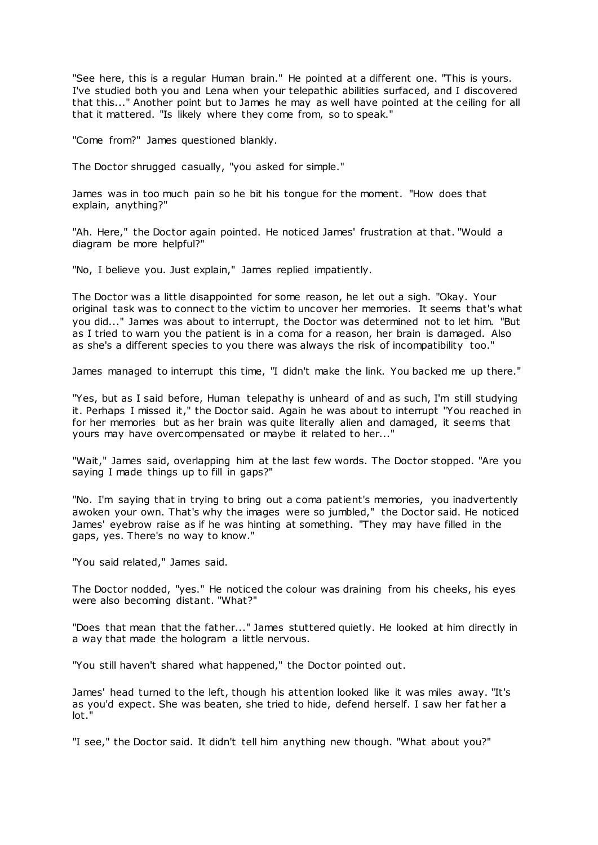"See here, this is a regular Human brain." He pointed at a different one. "This is yours. I've studied both you and Lena when your telepathic abilities surfaced, and I discovered that this..." Another point but to James he may as well have pointed at the ceiling for all that it mattered. "Is likely where they come from, so to speak."

"Come from?" James questioned blankly.

The Doctor shrugged casually, "you asked for simple."

James was in too much pain so he bit his tongue for the moment. "How does that explain, anything?"

"Ah. Here," the Doctor again pointed. He noticed James' frustration at that. "Would a diagram be more helpful?"

"No, I believe you. Just explain," James replied impatiently.

The Doctor was a little disappointed for some reason, he let out a sigh. "Okay. Your original task was to connect to the victim to uncover her memories. It seems that's what you did..." James was about to interrupt, the Doctor was determined not to let him. "But as I tried to warn you the patient is in a coma for a reason, her brain is damaged. Also as she's a different species to you there was always the risk of incompatibility too."

James managed to interrupt this time, "I didn't make the link. You backed me up there."

"Yes, but as I said before, Human telepathy is unheard of and as such, I'm still studying it. Perhaps I missed it," the Doctor said. Again he was about to interrupt "You reached in for her memories but as her brain was quite literally alien and damaged, it seems that yours may have overcompensated or maybe it related to her..."

"Wait," James said, overlapping him at the last few words. The Doctor stopped. "Are you saying I made things up to fill in gaps?"

"No. I'm saying that in trying to bring out a coma patient's memories, you inadvertently awoken your own. That's why the images were so jumbled," the Doctor said. He noticed James' eyebrow raise as if he was hinting at something. "They may have filled in the gaps, yes. There's no way to know."

"You said related," James said.

The Doctor nodded, "yes." He noticed the colour was draining from his cheeks, his eyes were also becoming distant. "What?"

"Does that mean that the father..." James stuttered quietly. He looked at him directly in a way that made the hologram a little nervous.

"You still haven't shared what happened," the Doctor pointed out.

James' head turned to the left, though his attention looked like it was miles away. "It's as you'd expect. She was beaten, she tried to hide, defend herself. I saw her fat her a lot.

"I see," the Doctor said. It didn't tell him anything new though. "What about you?"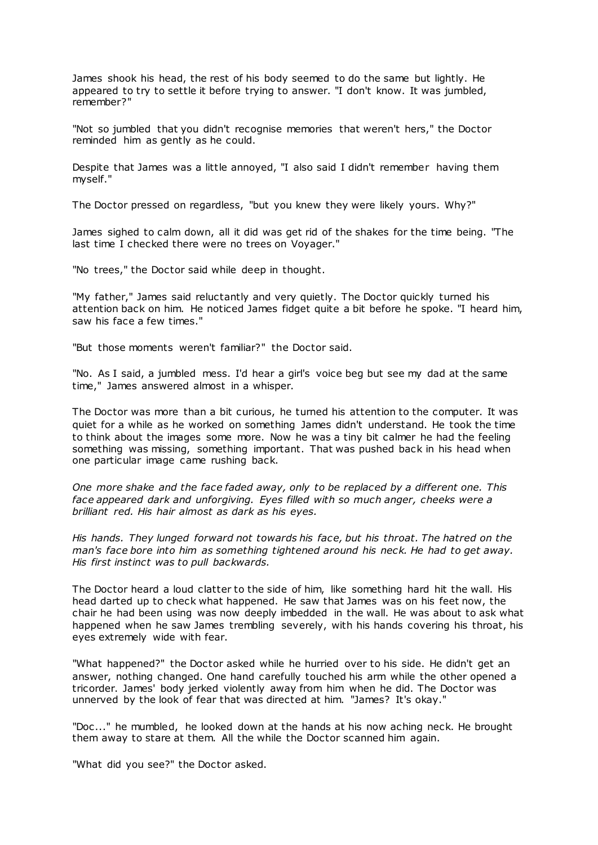James shook his head, the rest of his body seemed to do the same but lightly. He appeared to try to settle it before trying to answer. "I don't know. It was jumbled, remember?"

"Not so jumbled that you didn't recognise memories that weren't hers," the Doctor reminded him as gently as he could.

Despite that James was a little annoyed, "I also said I didn't remember having them myself."

The Doctor pressed on regardless, "but you knew they were likely yours. Why?"

James sighed to calm down, all it did was get rid of the shakes for the time being. "The last time I checked there were no trees on Voyager."

"No trees," the Doctor said while deep in thought.

"My father," James said reluctantly and very quietly. The Doctor quickly turned his attention back on him. He noticed James fidget quite a bit before he spoke. "I heard him, saw his face a few times."

"But those moments weren't familiar?" the Doctor said.

"No. As I said, a jumbled mess. I'd hear a girl's voice beg but see my dad at the same time," James answered almost in a whisper.

The Doctor was more than a bit curious, he turned his attention to the computer. It was quiet for a while as he worked on something James didn't understand. He took the time to think about the images some more. Now he was a tiny bit calmer he had the feeling something was missing, something important. That was pushed back in his head when one particular image came rushing back.

*One more shake and the face faded away, only to be replaced by a different one. This face appeared dark and unforgiving. Eyes filled with so much anger, cheeks were a brilliant red. His hair almost as dark as his eyes.*

*His hands. They lunged forward not towards his face, but his throat. The hatred on the man's face bore into him as something tightened around his neck. He had to get away. His first instinct was to pull backwards.*

The Doctor heard a loud clatter to the side of him, like something hard hit the wall. His head darted up to check what happened. He saw that James was on his feet now, the chair he had been using was now deeply imbedded in the wall. He was about to ask what happened when he saw James trembling severely, with his hands covering his throat, his eyes extremely wide with fear.

"What happened?" the Doctor asked while he hurried over to his side. He didn't get an answer, nothing changed. One hand carefully touched his arm while the other opened a tricorder. James' body jerked violently away from him when he did. The Doctor was unnerved by the look of fear that was directed at him. "James? It's okay."

"Doc..." he mumbled, he looked down at the hands at his now aching neck. He brought them away to stare at them. All the while the Doctor scanned him again.

"What did you see?" the Doctor asked.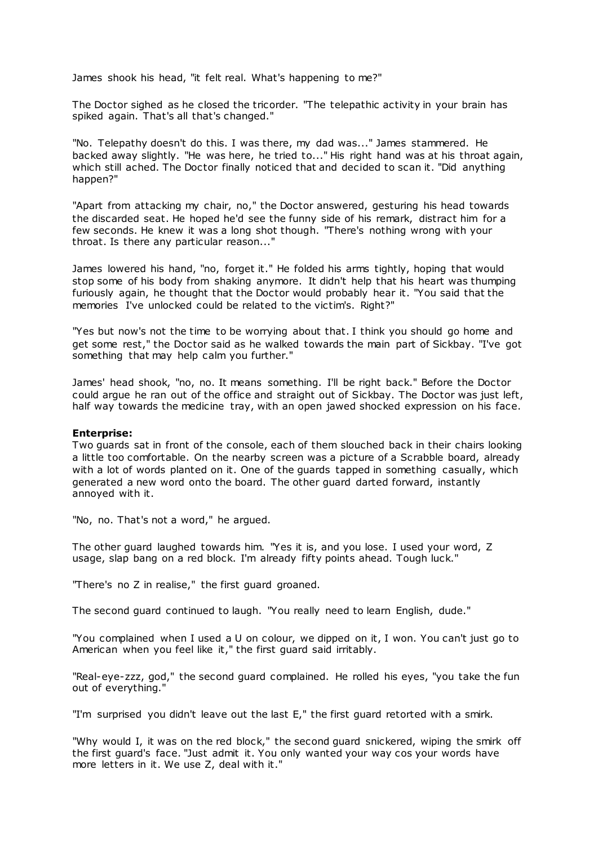James shook his head, "it felt real. What's happening to me?"

The Doctor sighed as he closed the tricorder. "The telepathic activity in your brain has spiked again. That's all that's changed."

"No. Telepathy doesn't do this. I was there, my dad was..." James stammered. He backed away slightly. "He was here, he tried to..." His right hand was at his throat again, which still ached. The Doctor finally noticed that and decided to scan it. "Did anything happen?"

"Apart from attacking my chair, no," the Doctor answered, gesturing his head towards the discarded seat. He hoped he'd see the funny side of his remark, distract him for a few seconds. He knew it was a long shot though. "There's nothing wrong with your throat. Is there any particular reason..."

James lowered his hand, "no, forget it." He folded his arms tightly, hoping that would stop some of his body from shaking anymore. It didn't help that his heart was thumping furiously again, he thought that the Doctor would probably hear it. "You said that the memories I've unlocked could be related to the victim's. Right?"

"Yes but now's not the time to be worrying about that. I think you should go home and get some rest," the Doctor said as he walked towards the main part of Sickbay. "I've got something that may help calm you further."

James' head shook, "no, no. It means something. I'll be right back." Before the Doctor could argue he ran out of the office and straight out of Sickbay. The Doctor was just left, half way towards the medicine tray, with an open jawed shocked expression on his face.

### **Enterprise:**

Two guards sat in front of the console, each of them slouched back in their chairs looking a little too comfortable. On the nearby screen was a picture of a Scrabble board, already with a lot of words planted on it. One of the quards tapped in something casually, which generated a new word onto the board. The other guard darted forward, instantly annoyed with it.

"No, no. That's not a word," he argued.

The other guard laughed towards him. "Yes it is, and you lose. I used your word, Z usage, slap bang on a red block. I'm already fifty points ahead. Tough luck."

"There's no Z in realise," the first guard groaned.

The second guard continued to laugh. "You really need to learn English, dude."

"You complained when I used a U on colour, we dipped on it, I won. You can't just go to American when you feel like it," the first guard said irritably.

"Real-eye-zzz, god," the second guard complained. He rolled his eyes, "you take the fun out of everything."

"I'm surprised you didn't leave out the last E," the first guard retorted with a smirk.

"Why would I, it was on the red block," the second guard snickered, wiping the smirk off the first guard's face. "Just admit it. You only wanted your way cos your words have more letters in it. We use Z, deal with it."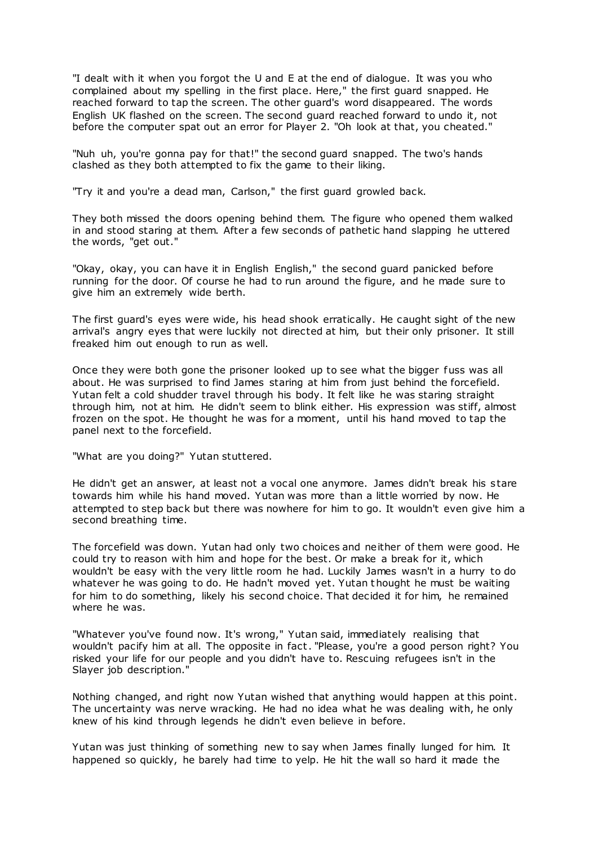"I dealt with it when you forgot the U and E at the end of dialogue. It was you who complained about my spelling in the first place. Here," the first guard snapped. He reached forward to tap the screen. The other guard's word disappeared. The words English UK flashed on the screen. The second guard reached forward to undo it, not before the computer spat out an error for Player 2. "Oh look at that, you cheated."

"Nuh uh, you're gonna pay for that!" the second guard snapped. The two's hands clashed as they both attempted to fix the game to their liking.

"Try it and you're a dead man, Carlson," the first guard growled back.

They both missed the doors opening behind them. The figure who opened them walked in and stood staring at them. After a few seconds of pathetic hand slapping he uttered the words, "get out."

"Okay, okay, you can have it in English English," the second guard panicked before running for the door. Of course he had to run around the figure, and he made sure to give him an extremely wide berth.

The first guard's eyes were wide, his head shook erratically. He caught sight of the new arrival's angry eyes that were luckily not directed at him, but their only prisoner. It still freaked him out enough to run as well.

Once they were both gone the prisoner looked up to see what the bigger fuss was all about. He was surprised to find James staring at him from just behind the forcefield. Yutan felt a cold shudder travel through his body. It felt like he was staring straight through him, not at him. He didn't seem to blink either. His expression was stiff, almost frozen on the spot. He thought he was for a moment, until his hand moved to tap the panel next to the forcefield.

"What are you doing?" Yutan stuttered.

He didn't get an answer, at least not a vocal one anymore. James didn't break his stare towards him while his hand moved. Yutan was more than a little worried by now. He attempted to step back but there was nowhere for him to go. It wouldn't even give him a second breathing time.

The forcefield was down. Yutan had only two choices and neither of them were good. He could try to reason with him and hope for the best. Or make a break for it, which wouldn't be easy with the very little room he had. Luckily James wasn't in a hurry to do whatever he was going to do. He hadn't moved yet. Yutan thought he must be waiting for him to do something, likely his second choice. That decided it for him, he remained where he was.

"Whatever you've found now. It's wrong," Yutan said, immediately realising that wouldn't pacify him at all. The opposite in fact. "Please, you're a good person right? You risked your life for our people and you didn't have to. Rescuing refugees isn't in the Slayer job description."

Nothing changed, and right now Yutan wished that anything would happen at this point. The uncertainty was nerve wracking. He had no idea what he was dealing with, he only knew of his kind through legends he didn't even believe in before.

Yutan was just thinking of something new to say when James finally lunged for him. It happened so quickly, he barely had time to yelp. He hit the wall so hard it made the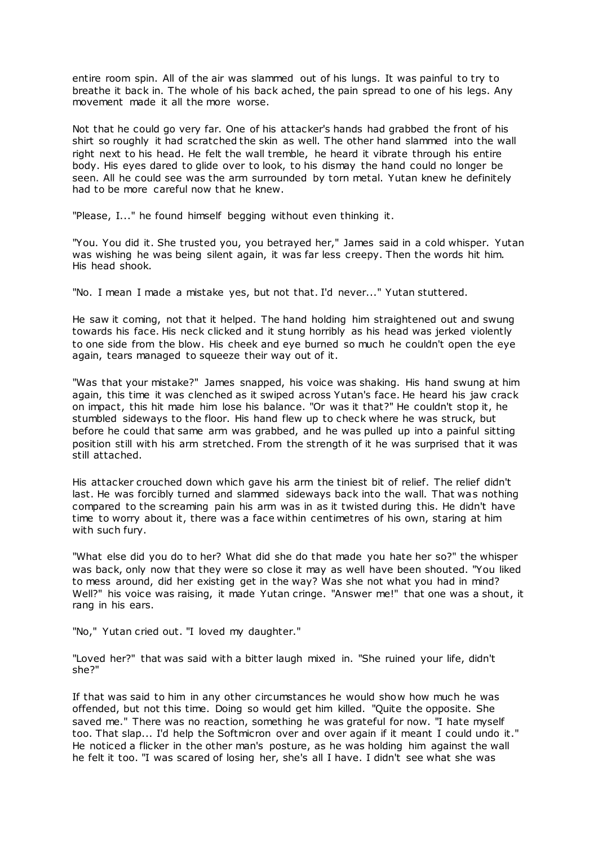entire room spin. All of the air was slammed out of his lungs. It was painful to try to breathe it back in. The whole of his back ached, the pain spread to one of his legs. Any movement made it all the more worse.

Not that he could go very far. One of his attacker's hands had grabbed the front of his shirt so roughly it had scratched the skin as well. The other hand slammed into the wall right next to his head. He felt the wall tremble, he heard it vibrate through his entire body. His eyes dared to glide over to look, to his dismay the hand could no longer be seen. All he could see was the arm surrounded by torn metal. Yutan knew he definitely had to be more careful now that he knew.

"Please, I..." he found himself begging without even thinking it.

"You. You did it. She trusted you, you betrayed her," James said in a cold whisper. Yutan was wishing he was being silent again, it was far less creepy. Then the words hit him. His head shook.

"No. I mean I made a mistake yes, but not that. I'd never..." Yutan stuttered.

He saw it coming, not that it helped. The hand holding him straightened out and swung towards his face. His neck clicked and it stung horribly as his head was jerked violently to one side from the blow. His cheek and eye burned so much he couldn't open the eye again, tears managed to squeeze their way out of it.

"Was that your mistake?" James snapped, his voice was shaking. His hand swung at him again, this time it was clenched as it swiped across Yutan's face. He heard his jaw crack on impact, this hit made him lose his balance. "Or was it that?" He couldn't stop it, he stumbled sideways to the floor. His hand flew up to check where he was struck, but before he could that same arm was grabbed, and he was pulled up into a painful sitting position still with his arm stretched. From the strength of it he was surprised that it was still attached.

His attacker crouched down which gave his arm the tiniest bit of relief. The relief didn't last. He was forcibly turned and slammed sideways back into the wall. That was nothing compared to the screaming pain his arm was in as it twisted during this. He didn't have time to worry about it, there was a face within centimetres of his own, staring at him with such fury.

"What else did you do to her? What did she do that made you hate her so?" the whisper was back, only now that they were so close it may as well have been shouted. "You liked to mess around, did her existing get in the way? Was she not what you had in mind? Well?" his voice was raising, it made Yutan cringe. "Answer me!" that one was a shout, it rang in his ears.

"No," Yutan cried out. "I loved my daughter."

"Loved her?" that was said with a bitter laugh mixed in. "She ruined your life, didn't she?"

If that was said to him in any other circumstances he would show how much he was offended, but not this time. Doing so would get him killed. "Quite the opposite. She saved me." There was no reaction, something he was grateful for now. "I hate myself too. That slap... I'd help the Softmicron over and over again if it meant I could undo it." He noticed a flicker in the other man's posture, as he was holding him against the wall he felt it too. "I was scared of losing her, she's all I have. I didn't see what she was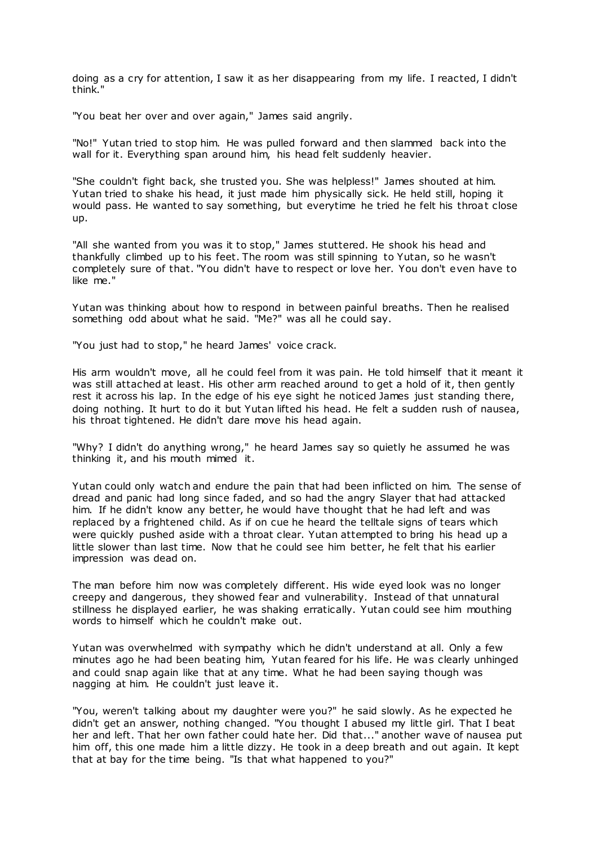doing as a cry for attention, I saw it as her disappearing from my life. I reacted, I didn't think."

"You beat her over and over again," James said angrily.

"No!" Yutan tried to stop him. He was pulled forward and then slammed back into the wall for it. Everything span around him, his head felt suddenly heavier.

"She couldn't fight back, she trusted you. She was helpless!" James shouted at him. Yutan tried to shake his head, it just made him physically sick. He held still, hoping it would pass. He wanted to say something, but everytime he tried he felt his throat close up.

"All she wanted from you was it to stop," James stuttered. He shook his head and thankfully climbed up to his feet. The room was still spinning to Yutan, so he wasn't completely sure of that. "You didn't have to respect or love her. You don't even have to like me."

Yutan was thinking about how to respond in between painful breaths. Then he realised something odd about what he said. "Me?" was all he could say.

"You just had to stop," he heard James' voice crack.

His arm wouldn't move, all he could feel from it was pain. He told himself that it meant it was still attached at least. His other arm reached around to get a hold of it, then gently rest it across his lap. In the edge of his eye sight he noticed James just standing there, doing nothing. It hurt to do it but Yutan lifted his head. He felt a sudden rush of nausea, his throat tightened. He didn't dare move his head again.

"Why? I didn't do anything wrong," he heard James say so quietly he assumed he was thinking it, and his mouth mimed it.

Yutan could only watch and endure the pain that had been inflicted on him. The sense of dread and panic had long since faded, and so had the angry Slayer that had attacked him. If he didn't know any better, he would have thought that he had left and was replaced by a frightened child. As if on cue he heard the telltale signs of tears which were quickly pushed aside with a throat clear. Yutan attempted to bring his head up a little slower than last time. Now that he could see him better, he felt that his earlier impression was dead on.

The man before him now was completely different. His wide eyed look was no longer creepy and dangerous, they showed fear and vulnerability. Instead of that unnatural stillness he displayed earlier, he was shaking erratically. Yutan could see him mouthing words to himself which he couldn't make out.

Yutan was overwhelmed with sympathy which he didn't understand at all. Only a few minutes ago he had been beating him, Yutan feared for his life. He was clearly unhinged and could snap again like that at any time. What he had been saying though was nagging at him. He couldn't just leave it.

"You, weren't talking about my daughter were you?" he said slowly. As he expected he didn't get an answer, nothing changed. "You thought I abused my little girl. That I beat her and left. That her own father could hate her. Did that..." another wave of nausea put him off, this one made him a little dizzy. He took in a deep breath and out again. It kept that at bay for the time being. "Is that what happened to you?"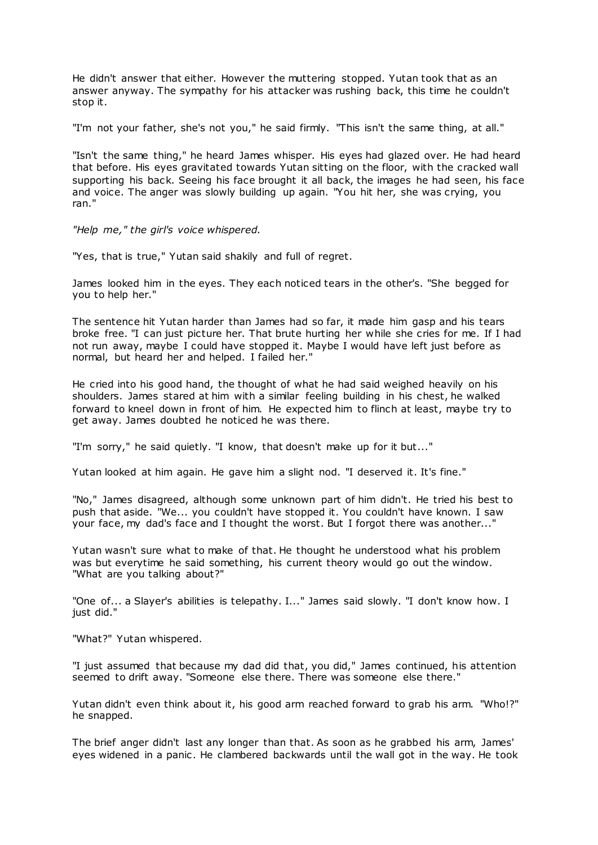He didn't answer that either. However the muttering stopped. Yutan took that as an answer anyway. The sympathy for his attacker was rushing back, this time he couldn't stop it.

"I'm not your father, she's not you," he said firmly. "This isn't the same thing, at all."

"Isn't the same thing," he heard James whisper. His eyes had glazed over. He had heard that before. His eyes gravitated towards Yutan sitting on the floor, with the cracked wall supporting his back. Seeing his face brought it all back, the images he had seen, his face and voice. The anger was slowly building up again. "You hit her, she was crying, you ran."

*"Help me," the girl's voice whispered.*

"Yes, that is true," Yutan said shakily and full of regret.

James looked him in the eyes. They each noticed tears in the other's. "She begged for you to help her."

The sentence hit Yutan harder than James had so far, it made him gasp and his tears broke free. "I can just picture her. That brute hurting her while she cries for me. If I had not run away, maybe I could have stopped it. Maybe I would have left just before as normal, but heard her and helped. I failed her."

He cried into his good hand, the thought of what he had said weighed heavily on his shoulders. James stared at him with a similar feeling building in his chest, he walked forward to kneel down in front of him. He expected him to flinch at least, maybe try to get away. James doubted he noticed he was there.

"I'm sorry," he said quietly. "I know, that doesn't make up for it but..."

Yutan looked at him again. He gave him a slight nod. "I deserved it. It's fine."

"No," James disagreed, although some unknown part of him didn't. He tried his best to push that aside. "We... you couldn't have stopped it. You couldn't have known. I saw your face, my dad's face and I thought the worst. But I forgot there was another..."

Yutan wasn't sure what to make of that. He thought he understood what his problem was but everytime he said something, his current theory would go out the window. "What are you talking about?"

"One of... a Slayer's abilities is telepathy. I..." James said slowly. "I don't know how. I just did."

"What?" Yutan whispered.

"I just assumed that because my dad did that, you did," James continued, his attention seemed to drift away. "Someone else there. There was someone else there."

Yutan didn't even think about it, his good arm reached forward to grab his arm. "Who!?" he snapped.

The brief anger didn't last any longer than that. As soon as he grabbed his arm, James' eyes widened in a panic . He clambered backwards until the wall got in the way. He took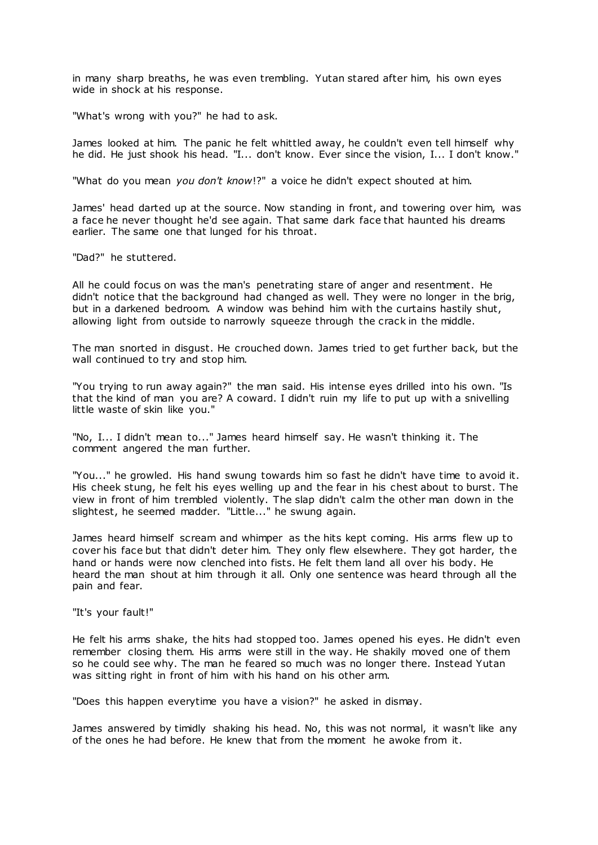in many sharp breaths, he was even trembling. Yutan stared after him, his own eyes wide in shock at his response.

"What's wrong with you?" he had to ask.

James looked at him. The panic he felt whittled away, he couldn't even tell himself why he did. He just shook his head. "I... don't know. Ever since the vision, I... I don't know."

"What do you mean *you don't know*!?" a voice he didn't expect shouted at him.

James' head darted up at the source. Now standing in front, and towering over him, was a face he never thought he'd see again. That same dark face that haunted his dreams earlier. The same one that lunged for his throat.

"Dad?" he stuttered.

All he could focus on was the man's penetrating stare of anger and resentment. He didn't notice that the background had changed as well. They were no longer in the brig, but in a darkened bedroom. A window was behind him with the curtains hastily shut, allowing light from outside to narrowly squeeze through the crack in the middle.

The man snorted in disgust. He crouched down. James tried to get further back, but the wall continued to try and stop him.

"You trying to run away again?" the man said. His intense eyes drilled into his own. "Is that the kind of man you are? A coward. I didn't ruin my life to put up with a snivelling little waste of skin like you."

"No, I... I didn't mean to..." James heard himself say. He wasn't thinking it. The comment angered the man further.

"You..." he growled. His hand swung towards him so fast he didn't have time to avoid it. His cheek stung, he felt his eyes welling up and the fear in his chest about to burst. The view in front of him trembled violently. The slap didn't calm the other man down in the slightest, he seemed madder. "Little..." he swung again.

James heard himself scream and whimper as the hits kept coming. His arms flew up to cover his face but that didn't deter him. They only flew elsewhere. They got harder, the hand or hands were now clenched into fists. He felt them land all over his body. He heard the man shout at him through it all. Only one sentence was heard through all the pain and fear.

"It's your fault!"

He felt his arms shake, the hits had stopped too. James opened his eyes. He didn't even remember closing them. His arms were still in the way. He shakily moved one of them so he could see why. The man he feared so much was no longer there. Instead Yutan was sitting right in front of him with his hand on his other arm.

"Does this happen everytime you have a vision?" he asked in dismay.

James answered by timidly shaking his head. No, this was not normal, it wasn't like any of the ones he had before. He knew that from the moment he awoke from it.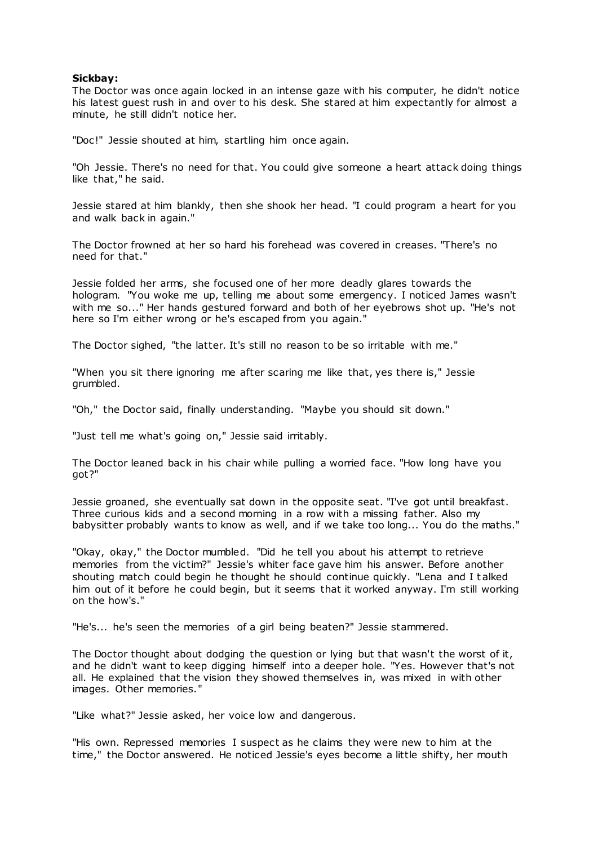# **Sickbay:**

The Doctor was once again locked in an intense gaze with his computer, he didn't notice his latest guest rush in and over to his desk. She stared at him expectantly for almost a minute, he still didn't notice her.

"Doc!" Jessie shouted at him, startling him once again.

"Oh Jessie. There's no need for that. You could give someone a heart attack doing things like that," he said.

Jessie stared at him blankly, then she shook her head. "I could program a heart for you and walk back in again."

The Doctor frowned at her so hard his forehead was covered in creases. "There's no need for that."

Jessie folded her arms, she focused one of her more deadly glares towards the hologram. "You woke me up, telling me about some emergency. I noticed James wasn't with me so..." Her hands gestured forward and both of her eyebrows shot up. "He's not here so I'm either wrong or he's escaped from you again."

The Doctor sighed, "the latter. It's still no reason to be so irritable with me."

"When you sit there ignoring me after scaring me like that, yes there is," Jessie grumbled.

"Oh," the Doctor said, finally understanding. "Maybe you should sit down."

"Just tell me what's going on," Jessie said irritably.

The Doctor leaned back in his chair while pulling a worried face. "How long have you got?"

Jessie groaned, she eventually sat down in the opposite seat. "I've got until breakfast. Three curious kids and a second morning in a row with a missing father. Also my babysitter probably wants to know as well, and if we take too long... You do the maths."

"Okay, okay," the Doctor mumbled. "Did he tell you about his attempt to retrieve memories from the victim?" Jessie's whiter face gave him his answer. Before another shouting match could begin he thought he should continue quickly. "Lena and I t alked him out of it before he could begin, but it seems that it worked anyway. I'm still working on the how's."

"He's... he's seen the memories of a girl being beaten?" Jessie stammered.

The Doctor thought about dodging the question or lying but that wasn't the worst of it, and he didn't want to keep digging himself into a deeper hole. "Yes. However that's not all. He explained that the vision they showed themselves in, was mixed in with other images. Other memories."

"Like what?" Jessie asked, her voice low and dangerous.

"His own. Repressed memories I suspect as he claims they were new to him at the time," the Doctor answered. He noticed Jessie's eyes become a little shifty, her mouth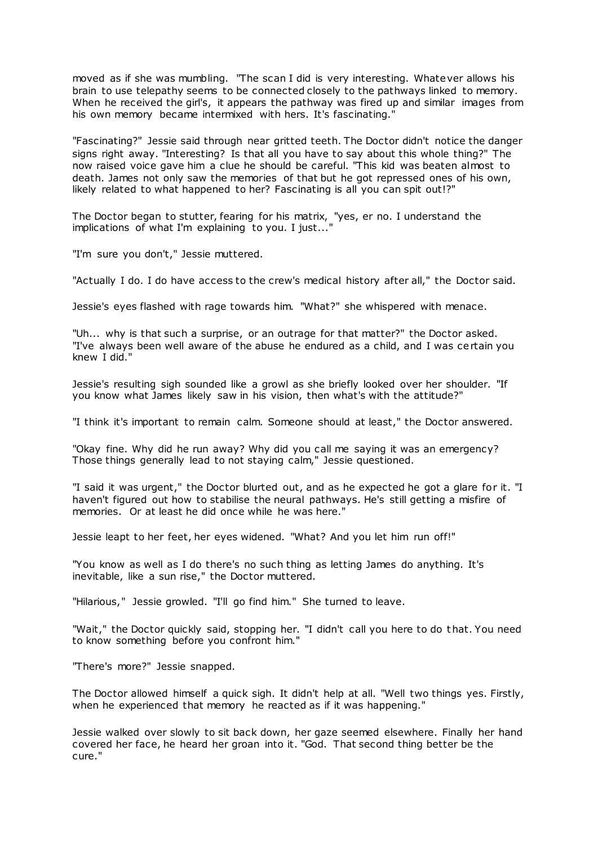moved as if she was mumbling. "The scan I did is very interesting. Whatever allows his brain to use telepathy seems to be connected closely to the pathways linked to memory. When he received the girl's, it appears the pathway was fired up and similar images from his own memory became intermixed with hers. It's fascinating."

"Fascinating?" Jessie said through near gritted teeth. The Doctor didn't notice the danger signs right away. "Interesting? Is that all you have to say about this whole thing?" The now raised voice gave him a clue he should be careful. "This kid was beaten almost to death. James not only saw the memories of that but he got repressed ones of his own, likely related to what happened to her? Fascinating is all you can spit out!?"

The Doctor began to stutter, fearing for his matrix, "yes, er no. I understand the implications of what I'm explaining to you. I just...'

"I'm sure you don't," Jessie muttered.

"Actually I do. I do have access to the crew's medical history after all," the Doctor said.

Jessie's eyes flashed with rage towards him. "What?" she whispered with menace.

"Uh... why is that such a surprise, or an outrage for that matter?" the Doctor asked. "I've always been well aware of the abuse he endured as a child, and I was certain you knew I did."

Jessie's resulting sigh sounded like a growl as she briefly looked over her shoulder. "If you know what James likely saw in his vision, then what's with the attitude?"

"I think it's important to remain calm. Someone should at least," the Doctor answered.

"Okay fine. Why did he run away? Why did you call me saying it was an emergency? Those things generally lead to not staying calm," Jessie questioned.

"I said it was urgent," the Doctor blurted out, and as he expected he got a glare for it. "I haven't figured out how to stabilise the neural pathways. He's still getting a misfire of memories. Or at least he did once while he was here."

Jessie leapt to her feet, her eyes widened. "What? And you let him run off!"

"You know as well as I do there's no such thing as letting James do anything. It's inevitable, like a sun rise," the Doctor muttered.

"Hilarious," Jessie growled. "I'll go find him." She turned to leave.

"Wait," the Doctor quickly said, stopping her. "I didn't call you here to do t hat. You need to know something before you confront him."

"There's more?" Jessie snapped.

The Doctor allowed himself a quick sigh. It didn't help at all. "Well two things yes. Firstly, when he experienced that memory he reacted as if it was happening."

Jessie walked over slowly to sit back down, her gaze seemed elsewhere. Finally her hand covered her face, he heard her groan into it. "God. That second thing better be the cure."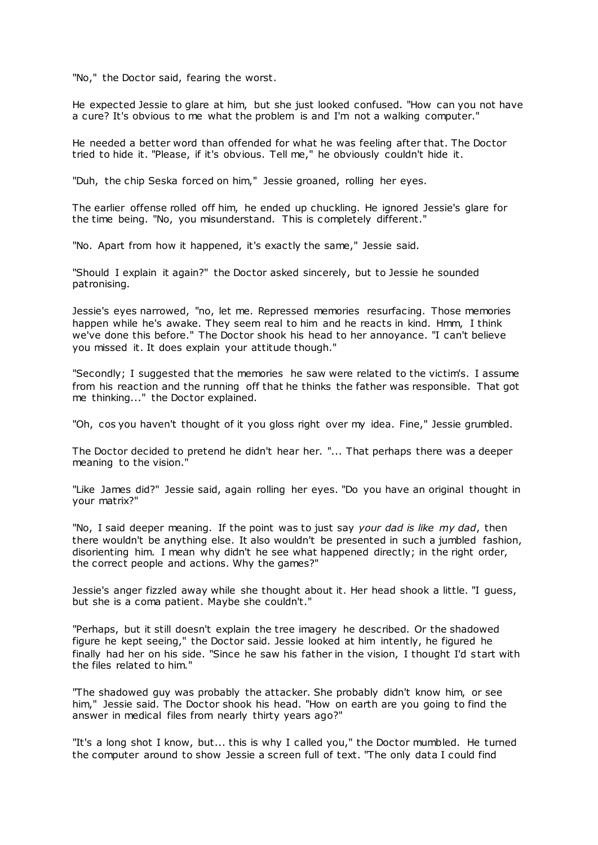"No," the Doctor said, fearing the worst.

He expected Jessie to glare at him, but she just looked confused. "How can you not have a cure? It's obvious to me what the problem is and I'm not a walking computer."

He needed a better word than offended for what he was feeling after that. The Doctor tried to hide it. "Please, if it's obvious. Tell me," he obviously couldn't hide it.

"Duh, the chip Seska forced on him," Jessie groaned, rolling her eyes.

The earlier offense rolled off him, he ended up chuckling. He ignored Jessie's glare for the time being. "No, you misunderstand. This is c ompletely different."

"No. Apart from how it happened, it's exactly the same," Jessie said.

"Should I explain it again?" the Doctor asked sincerely, but to Jessie he sounded patronising.

Jessie's eyes narrowed, "no, let me. Repressed memories resurfacing. Those memories happen while he's awake. They seem real to him and he reacts in kind. Hmm, I think we've done this before." The Doctor shook his head to her annoyance. "I can't believe you missed it. It does explain your attitude though."

"Secondly; I suggested that the memories he saw were related to the victim's. I assume from his reaction and the running off that he thinks the father was responsible. That got me thinking..." the Doctor explained.

"Oh, cos you haven't thought of it you gloss right over my idea. Fine," Jessie grumbled.

The Doctor decided to pretend he didn't hear her. "... That perhaps there was a deeper meaning to the vision."

"Like James did?" Jessie said, again rolling her eyes. "Do you have an original thought in your matrix?"

"No, I said deeper meaning. If the point was to just say *your dad is like my dad*, then there wouldn't be anything else. It also wouldn't be presented in such a jumbled fashion, disorienting him. I mean why didn't he see what happened directly; in the right order, the correct people and actions. Why the games?"

Jessie's anger fizzled away while she thought about it. Her head shook a little. "I guess, but she is a coma patient. Maybe she couldn't."

"Perhaps, but it still doesn't explain the tree imagery he described. Or the shadowed figure he kept seeing," the Doctor said. Jessie looked at him intently, he figured he finally had her on his side. "Since he saw his father in the vision, I thought I'd start with the files related to him."

"The shadowed guy was probably the attacker. She probably didn't know him, or see him," Jessie said. The Doctor shook his head. "How on earth are you going to find the answer in medical files from nearly thirty years ago?"

"It's a long shot I know, but... this is why I called you," the Doctor mumbled. He turned the computer around to show Jessie a screen full of text. "The only data I could find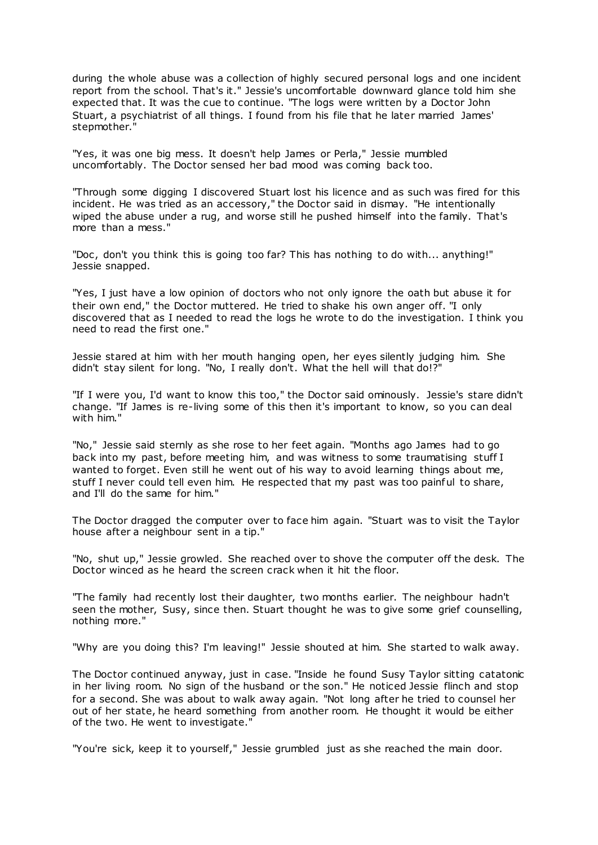during the whole abuse was a collection of highly secured personal logs and one incident report from the school. That's it." Jessie's uncomfortable downward glance told him she expected that. It was the cue to continue. "The logs were written by a Doctor John Stuart, a psychiatrist of all things. I found from his file that he later married James' stepmother."

"Yes, it was one big mess. It doesn't help James or Perla," Jessie mumbled uncomfortably. The Doctor sensed her bad mood was coming back too.

"Through some digging I discovered Stuart lost his licence and as such was fired for this incident. He was tried as an accessory," the Doctor said in dismay. "He intentionally wiped the abuse under a rug, and worse still he pushed himself into the family. That's more than a mess."

"Doc, don't you think this is going too far? This has nothing to do with... anything!" Jessie snapped.

"Yes, I just have a low opinion of doctors who not only ignore the oath but abuse it for their own end," the Doctor muttered. He tried to shake his own anger off. "I only discovered that as I needed to read the logs he wrote to do the investigation. I think you need to read the first one."

Jessie stared at him with her mouth hanging open, her eyes silently judging him. She didn't stay silent for long. "No, I really don't. What the hell will that do!?"

"If I were you, I'd want to know this too," the Doctor said ominously. Jessie's stare didn't change. "If James is re-living some of this then it's important to know, so you can deal with him."

"No," Jessie said sternly as she rose to her feet again. "Months ago James had to go back into my past, before meeting him, and was witness to some traumatising stuff I wanted to forget. Even still he went out of his way to avoid learning things about me, stuff I never could tell even him. He respected that my past was too painful to share, and I'll do the same for him."

The Doctor dragged the computer over to face him again. "Stuart was to visit the Taylor house after a neighbour sent in a tip."

"No, shut up," Jessie growled. She reached over to shove the computer off the desk. The Doctor winced as he heard the screen crack when it hit the floor.

"The family had recently lost their daughter, two months earlier. The neighbour hadn't seen the mother, Susy, since then. Stuart thought he was to give some grief counselling, nothing more."

"Why are you doing this? I'm leaving!" Jessie shouted at him. She started to walk away.

The Doctor continued anyway, just in case. "Inside he found Susy Taylor sitting catatonic in her living room. No sign of the husband or the son." He noticed Jessie flinch and stop for a second. She was about to walk away again. "Not long after he tried to counsel her out of her state, he heard something from another room. He thought it would be either of the two. He went to investigate."

"You're sick, keep it to yourself," Jessie grumbled just as she reached the main door.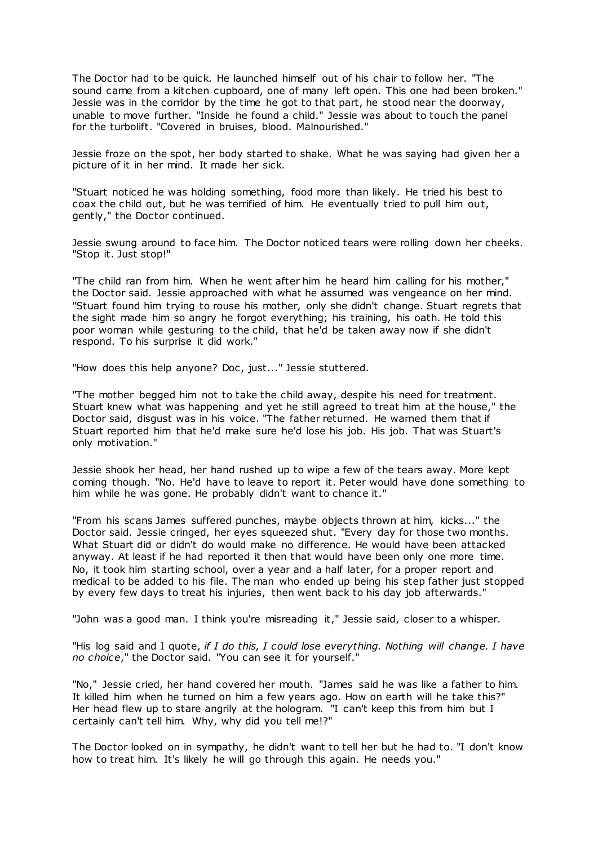The Doctor had to be quick. He launched himself out of his chair to follow her. "The sound came from a kitchen cupboard, one of many left open. This one had been broken." Jessie was in the corridor by the time he got to that part, he stood near the doorway, unable to move further. "Inside he found a child." Jessie was about to touch the panel for the turbolift. "Covered in bruises, blood. Malnourished."

Jessie froze on the spot, her body started to shake. What he was saying had given her a picture of it in her mind. It made her sick.

"Stuart noticed he was holding something, food more than likely. He tried his best to coax the child out, but he was terrified of him. He eventually tried to pull him out, gently," the Doctor continued.

Jessie swung around to face him. The Doctor noticed tears were rolling down her cheeks. "Stop it. Just stop!"

"The child ran from him. When he went after him he heard him calling for his mother," the Doctor said. Jessie approached with what he assumed was vengeance on her mind. "Stuart found him trying to rouse his mother, only she didn't change. Stuart regrets that the sight made him so angry he forgot everything; his training, his oath. He told this poor woman while gesturing to the child, that he'd be taken away now if she didn't respond. To his surprise it did work."

"How does this help anyone? Doc, just..." Jessie stuttered.

"The mother begged him not to take the child away, despite his need for treatment. Stuart knew what was happening and yet he still agreed to treat him at the house," the Doctor said, disgust was in his voice. "The father returned. He warned them that if Stuart reported him that he'd make sure he'd lose his job. His job. That was Stuart's only motivation."

Jessie shook her head, her hand rushed up to wipe a few of the tears away. More kept coming though. "No. He'd have to leave to report it. Peter would have done something to him while he was gone. He probably didn't want to chance it."

"From his scans James suffered punches, maybe objects thrown at him, kicks..." the Doctor said. Jessie cringed, her eyes squeezed shut. "Every day for those two months. What Stuart did or didn't do would make no difference. He would have been attacked anyway. At least if he had reported it then that would have been only one more time. No, it took him starting school, over a year and a half later, for a proper report and medical to be added to his file. The man who ended up being his step father just stopped by every few days to treat his injuries, then went back to his day job afterwards."

"John was a good man. I think you're misreading it," Jessie said, closer to a whisper.

"His log said and I quote, *if I do this, I could lose everything. Nothing will change. I have no choice*," the Doctor said. "You can see it for yourself."

"No," Jessie cried, her hand covered her mouth. "James said he was like a father to him. It killed him when he turned on him a few years ago. How on earth will he take this?" Her head flew up to stare angrily at the hologram. "I can't keep this from him but I certainly can't tell him. Why, why did you tell me!?"

The Doctor looked on in sympathy, he didn't want to tell her but he had to. "I don't know how to treat him. It's likely he will go through this again. He needs you."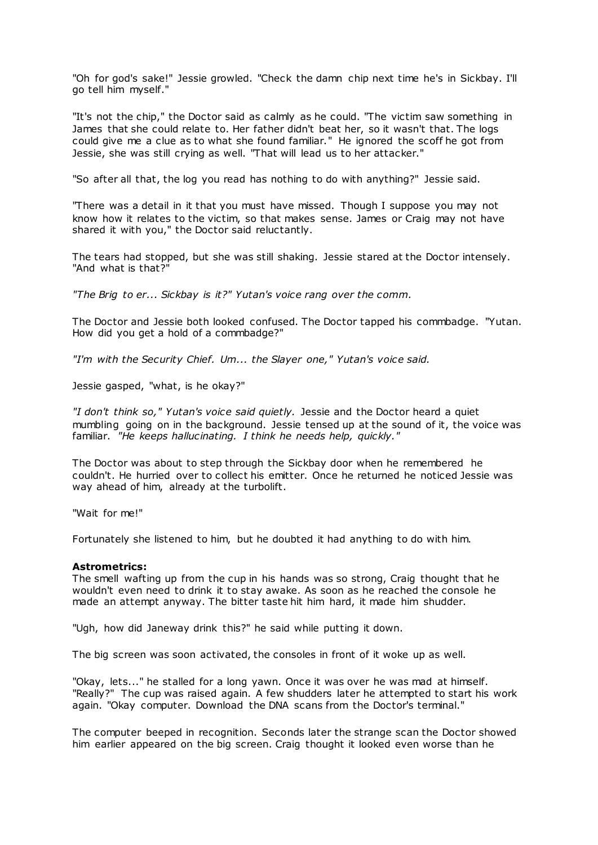"Oh for god's sake!" Jessie growled. "Check the damn chip next time he's in Sickbay. I'll go tell him myself."

"It's not the chip," the Doctor said as calmly as he could. "The victim saw something in James that she could relate to. Her father didn't beat her, so it wasn't that. The logs could give me a clue as to what she found familiar." He ignored the scoff he got from Jessie, she was still crying as well. "That will lead us to her attacker."

"So after all that, the log you read has nothing to do with anything?" Jessie said.

"There was a detail in it that you must have missed. Though I suppose you may not know how it relates to the victim, so that makes sense. James or Craig may not have shared it with you," the Doctor said reluctantly.

The tears had stopped, but she was still shaking. Jessie stared at the Doctor intensely. "And what is that?"

*"The Brig to er... Sickbay is it?" Yutan's voice rang over the comm.*

The Doctor and Jessie both looked confused. The Doctor tapped his commbadge. "Yutan. How did you get a hold of a commbadge?"

*"I'm with the Security Chief. Um... the Slayer one," Yutan's voice said.*

Jessie gasped, "what, is he okay?"

*"I don't think so," Yutan's voice said quietly.* Jessie and the Doctor heard a quiet mumbling going on in the background. Jessie tensed up at the sound of it, the voice was familiar. *"He keeps hallucinating. I think he needs help, quickly."*

The Doctor was about to step through the Sickbay door when he remembered he couldn't. He hurried over to collect his emitter. Once he returned he noticed Jessie was way ahead of him, already at the turbolift.

"Wait for me!"

Fortunately she listened to him, but he doubted it had anything to do with him.

## **Astrometrics:**

The smell wafting up from the cup in his hands was so strong, Craig thought that he wouldn't even need to drink it to stay awake. As soon as he reached the console he made an attempt anyway. The bitter taste hit him hard, it made him shudder.

"Ugh, how did Janeway drink this?" he said while putting it down.

The big screen was soon activated, the consoles in front of it woke up as well.

"Okay, lets..." he stalled for a long yawn. Once it was over he was mad at himself. "Really?" The cup was raised again. A few shudders later he attempted to start his work again. "Okay computer. Download the DNA scans from the Doctor's terminal."

The computer beeped in recognition. Seconds later the strange scan the Doctor showed him earlier appeared on the big screen. Craig thought it looked even worse than he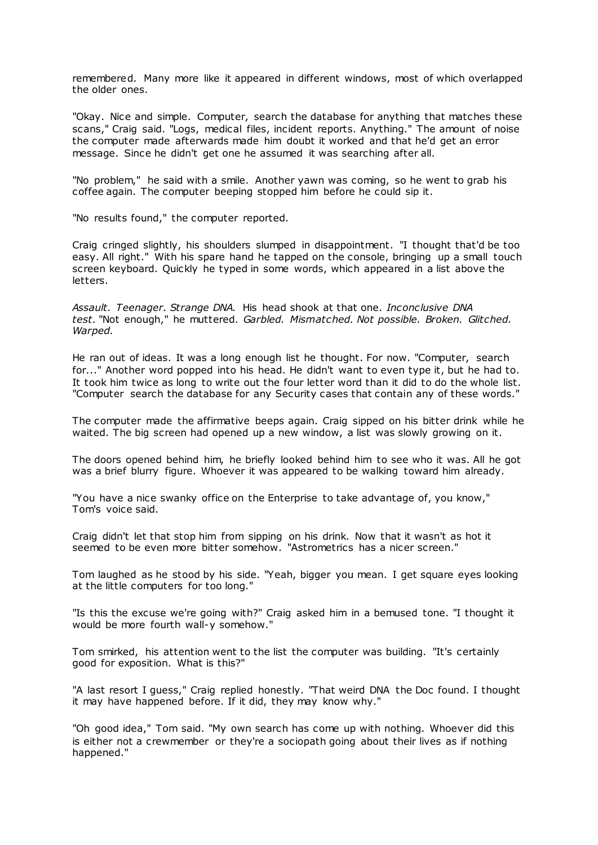remembered. Many more like it appeared in different windows, most of which overlapped the older ones.

"Okay. Nice and simple. Computer, search the database for anything that matches these scans," Craig said. "Logs, medical files, incident reports. Anything." The amount of noise the computer made afterwards made him doubt it worked and that he'd get an error message. Since he didn't get one he assumed it was searching after all.

"No problem," he said with a smile. Another yawn was coming, so he went to grab his coffee again. The computer beeping stopped him before he could sip it.

"No results found," the computer reported.

Craig cringed slightly, his shoulders slumped in disappointment. "I thought that'd be too easy. All right." With his spare hand he tapped on the console, bringing up a small touch screen keyboard. Quickly he typed in some words, which appeared in a list above the letters.

*Assault. Teenager. Strange DNA.* His head shook at that one. *Inconclusive DNA test.* "Not enough," he muttered. *Garbled. Mismatched. Not possible. Broken. Glitched. Warped.*

He ran out of ideas. It was a long enough list he thought. For now. "Computer, search for..." Another word popped into his head. He didn't want to even type it, but he had to. It took him twice as long to write out the four letter word than it did to do the whole list. "Computer search the database for any Security cases that contain any of these words."

The computer made the affirmative beeps again. Craig sipped on his bitter drink while he waited. The big screen had opened up a new window, a list was slowly growing on it.

The doors opened behind him, he briefly looked behind him to see who it was. All he got was a brief blurry figure. Whoever it was appeared to be walking toward him already.

"You have a nice swanky office on the Enterprise to take advantage of, you know," Tom's voice said.

Craig didn't let that stop him from sipping on his drink. Now that it wasn't as hot it seemed to be even more bitter somehow. "Astrometrics has a nicer screen."

Tom laughed as he stood by his side. "Yeah, bigger you mean. I get square eyes looking at the little computers for too long."

"Is this the excuse we're going with?" Craig asked him in a bemused tone. "I thought it would be more fourth wall-y somehow."

Tom smirked, his attention went to the list the computer was building. "It's certainly good for exposition. What is this?"

"A last resort I guess," Craig replied honestly. "That weird DNA the Doc found. I thought it may have happened before. If it did, they may know why."

"Oh good idea," Tom said. "My own search has come up with nothing. Whoever did this is either not a crewmember or they're a sociopath going about their lives as if nothing happened."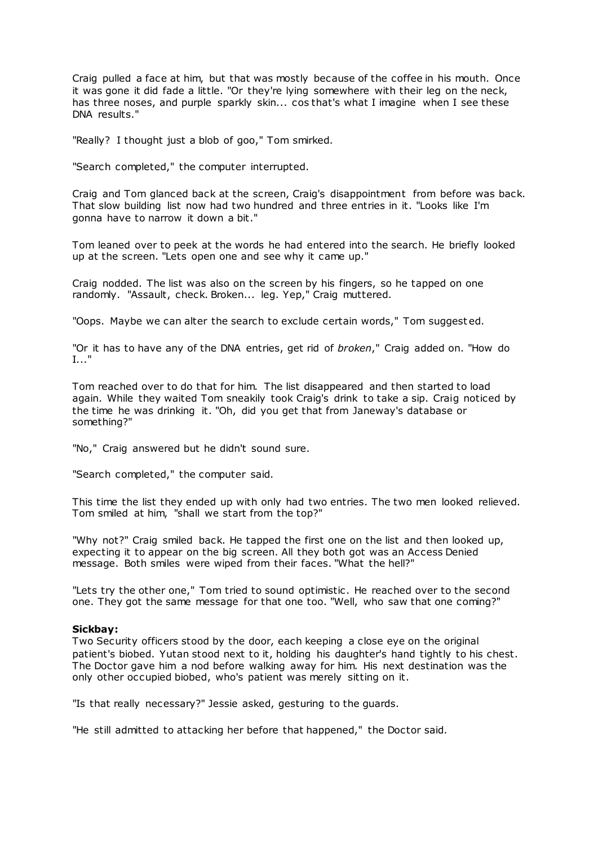Craig pulled a face at him, but that was mostly because of the coffee in his mouth. Once it was gone it did fade a little. "Or they're lying somewhere with their leg on the neck, has three noses, and purple sparkly skin... cos that's what I imagine when I see these DNA results."

"Really? I thought just a blob of goo," Tom smirked.

"Search completed," the computer interrupted.

Craig and Tom glanced back at the screen, Craig's disappointment from before was back. That slow building list now had two hundred and three entries in it. "Looks like I'm gonna have to narrow it down a bit."

Tom leaned over to peek at the words he had entered into the search. He briefly looked up at the screen. "Lets open one and see why it came up."

Craig nodded. The list was also on the screen by his fingers, so he tapped on one randomly. "Assault, check. Broken... leg. Yep," Craig muttered.

"Oops. Maybe we can alter the search to exclude certain words," Tom suggest ed.

"Or it has to have any of the DNA entries, get rid of *broken*," Craig added on. "How do I..."

Tom reached over to do that for him. The list disappeared and then started to load again. While they waited Tom sneakily took Craig's drink to take a sip. Craig noticed by the time he was drinking it. "Oh, did you get that from Janeway's database or something?"

"No," Craig answered but he didn't sound sure.

"Search completed," the computer said.

This time the list they ended up with only had two entries. The two men looked relieved. Tom smiled at him, "shall we start from the top?"

"Why not?" Craig smiled back. He tapped the first one on the list and then looked up, expecting it to appear on the big screen. All they both got was an Access Denied message. Both smiles were wiped from their faces. "What the hell?"

"Lets try the other one," Tom tried to sound optimistic. He reached over to the second one. They got the same message for that one too. "Well, who saw that one coming?"

#### **Sickbay:**

Two Security officers stood by the door, each keeping a close eye on the original patient's biobed. Yutan stood next to it, holding his daughter's hand tightly to his chest. The Doctor gave him a nod before walking away for him. His next destination was the only other occupied biobed, who's patient was merely sitting on it.

"Is that really necessary?" Jessie asked, gesturing to the guards.

"He still admitted to attacking her before that happened," the Doctor said.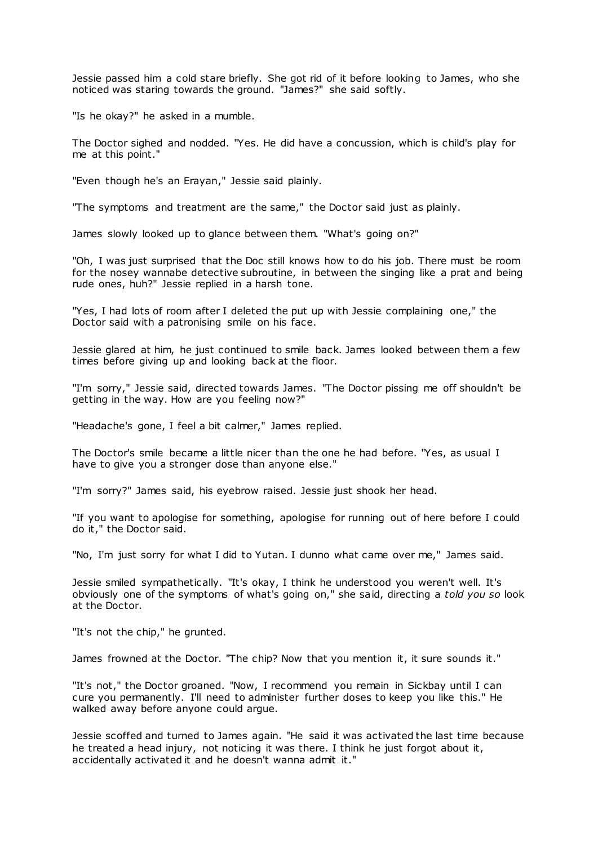Jessie passed him a cold stare briefly. She got rid of it before looking to James, who she noticed was staring towards the ground. "James?" she said softly.

"Is he okay?" he asked in a mumble.

The Doctor sighed and nodded. "Yes. He did have a concussion, which is child's play for me at this point."

"Even though he's an Erayan," Jessie said plainly.

"The symptoms and treatment are the same," the Doctor said just as plainly.

James slowly looked up to glance between them. "What's going on?"

"Oh, I was just surprised that the Doc still knows how to do his job. There must be room for the nosey wannabe detective subroutine, in between the singing like a prat and being rude ones, huh?" Jessie replied in a harsh tone.

"Yes, I had lots of room after I deleted the put up with Jessie complaining one," the Doctor said with a patronising smile on his face.

Jessie glared at him, he just continued to smile back. James looked between them a few times before giving up and looking back at the floor.

"I'm sorry," Jessie said, directed towards James. "The Doctor pissing me off shouldn't be getting in the way. How are you feeling now?"

"Headache's gone, I feel a bit calmer," James replied.

The Doctor's smile became a little nicer than the one he had before. "Yes, as usual I have to give you a stronger dose than anyone else."

"I'm sorry?" James said, his eyebrow raised. Jessie just shook her head.

"If you want to apologise for something, apologise for running out of here before I could do it," the Doctor said.

"No, I'm just sorry for what I did to Yutan. I dunno what came over me," James said.

Jessie smiled sympathetically. "It's okay, I think he understood you weren't well. It's obviously one of the symptoms of what's going on," she said, directing a *told you so* look at the Doctor.

"It's not the chip," he grunted.

James frowned at the Doctor. "The chip? Now that you mention it, it sure sounds it."

"It's not," the Doctor groaned. "Now, I recommend you remain in Sickbay until I can cure you permanently. I'll need to administer further doses to keep you like this." He walked away before anyone could argue.

Jessie scoffed and turned to James again. "He said it was activated the last time because he treated a head injury, not noticing it was there. I think he just forgot about it, accidentally activated it and he doesn't wanna admit it."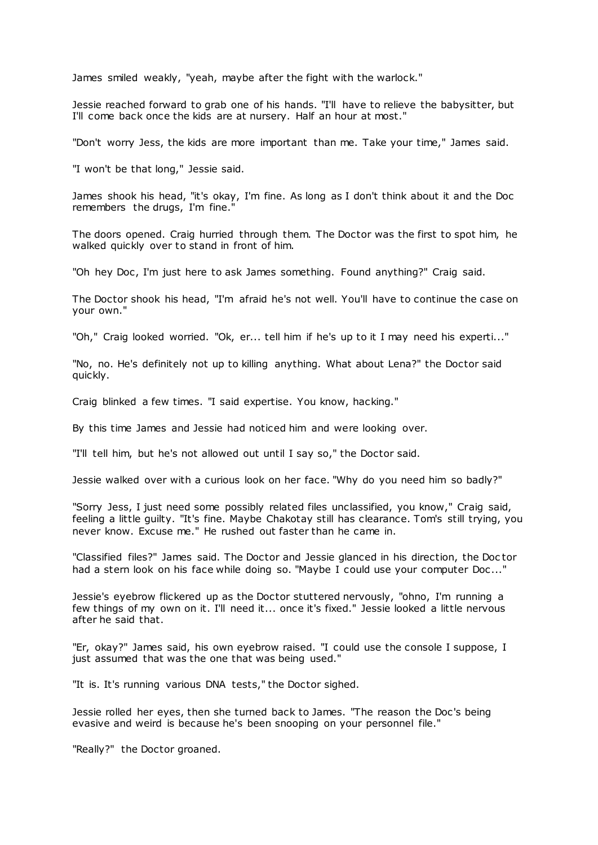James smiled weakly, "yeah, maybe after the fight with the warlock."

Jessie reached forward to grab one of his hands. "I'll have to relieve the babysitter, but I'll come back once the kids are at nursery. Half an hour at most."

"Don't worry Jess, the kids are more important than me. Take your time," James said.

"I won't be that long," Jessie said.

James shook his head, "it's okay, I'm fine. As long as I don't think about it and the Doc remembers the drugs, I'm fine."

The doors opened. Craig hurried through them. The Doctor was the first to spot him, he walked quickly over to stand in front of him.

"Oh hey Doc , I'm just here to ask James something. Found anything?" Craig said.

The Doctor shook his head, "I'm afraid he's not well. You'll have to continue the case on your own."

"Oh," Craig looked worried. "Ok, er... tell him if he's up to it I may need his experti..."

"No, no. He's definitely not up to killing anything. What about Lena?" the Doctor said quickly.

Craig blinked a few times. "I said expertise. You know, hacking."

By this time James and Jessie had noticed him and were looking over.

"I'll tell him, but he's not allowed out until I say so," the Doctor said.

Jessie walked over with a curious look on her face. "Why do you need him so badly?"

"Sorry Jess, I just need some possibly related files unclassified, you know," Craig said, feeling a little guilty. "It's fine. Maybe Chakotay still has clearance. Tom's still trying, you never know. Excuse me." He rushed out faster than he came in.

"Classified files?" James said. The Doctor and Jessie glanced in his direction, the Doc tor had a stern look on his face while doing so. "Maybe I could use your computer Doc..."

Jessie's eyebrow flickered up as the Doctor stuttered nervously, "ohno, I'm running a few things of my own on it. I'll need it... once it's fixed." Jessie looked a little nervous after he said that.

"Er, okay?" James said, his own eyebrow raised. "I could use the console I suppose, I just assumed that was the one that was being used."

"It is. It's running various DNA tests," the Doctor sighed.

Jessie rolled her eyes, then she turned back to James. "The reason the Doc's being evasive and weird is because he's been snooping on your personnel file."

"Really?" the Doctor groaned.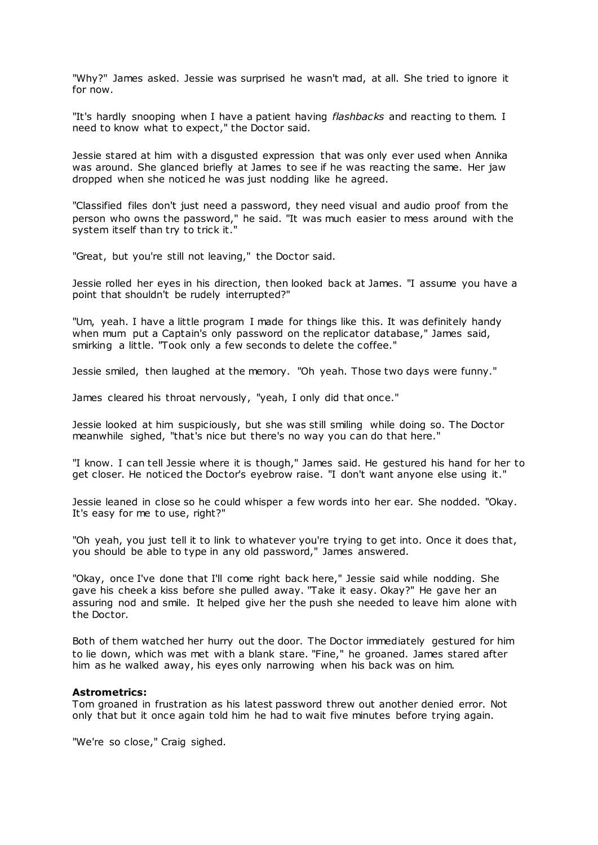"Why?" James asked. Jessie was surprised he wasn't mad, at all. She tried to ignore it for now.

"It's hardly snooping when I have a patient having *flashbacks* and reacting to them. I need to know what to expect," the Doctor said.

Jessie stared at him with a disgusted expression that was only ever used when Annika was around. She glanced briefly at James to see if he was reacting the same. Her jaw dropped when she noticed he was just nodding like he agreed.

"Classified files don't just need a password, they need visual and audio proof from the person who owns the password," he said. "It was much easier to mess around with the system itself than try to trick it."

"Great, but you're still not leaving," the Doctor said.

Jessie rolled her eyes in his direction, then looked back at James. "I assume you have a point that shouldn't be rudely interrupted?"

"Um, yeah. I have a little program I made for things like this. It was definitely handy when mum put a Captain's only password on the replicator database," James said, smirking a little. "Took only a few seconds to delete the coffee."

Jessie smiled, then laughed at the memory. "Oh yeah. Those two days were funny."

James cleared his throat nervously, "yeah, I only did that once."

Jessie looked at him suspiciously, but she was still smiling while doing so. The Doctor meanwhile sighed, "that's nice but there's no way you can do that here."

"I know. I can tell Jessie where it is though," James said. He gestured his hand for her to get closer. He noticed the Doctor's eyebrow raise. "I don't want anyone else using it."

Jessie leaned in close so he could whisper a few words into her ear. She nodded. "Okay. It's easy for me to use, right?"

"Oh yeah, you just tell it to link to whatever you're trying to get into. Once it does that, you should be able to type in any old password," James answered.

"Okay, once I've done that I'll come right back here," Jessie said while nodding. She gave his cheek a kiss before she pulled away. "Take it easy. Okay?" He gave her an assuring nod and smile. It helped give her the push she needed to leave him alone with the Doctor.

Both of them watched her hurry out the door. The Doctor immediately gestured for him to lie down, which was met with a blank stare. "Fine," he groaned. James stared after him as he walked away, his eyes only narrowing when his back was on him.

#### **Astrometrics:**

Tom groaned in frustration as his latest password threw out another denied error. Not only that but it once again told him he had to wait five minutes before trying again.

"We're so close," Craig sighed.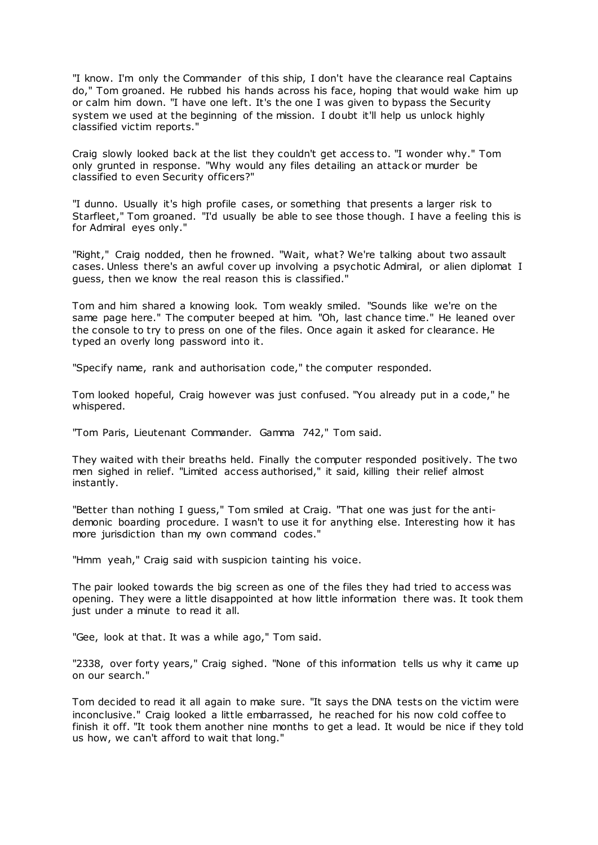"I know. I'm only the Commander of this ship, I don't have the clearance real Captains do," Tom groaned. He rubbed his hands across his face, hoping that would wake him up or calm him down. "I have one left. It's the one I was given to bypass the Security system we used at the beginning of the mission. I doubt it'll help us unlock highly classified victim reports."

Craig slowly looked back at the list they couldn't get access to. "I wonder why." Tom only grunted in response. "Why would any files detailing an attack or murder be classified to even Security officers?"

"I dunno. Usually it's high profile cases, or something that presents a larger risk to Starfleet," Tom groaned. "I'd usually be able to see those though. I have a feeling this is for Admiral eyes only."

"Right," Craig nodded, then he frowned. "Wait, what? We're talking about two assault cases. Unless there's an awful cover up involving a psychotic Admiral, or alien diplomat I guess, then we know the real reason this is classified."

Tom and him shared a knowing look. Tom weakly smiled. "Sounds like we're on the same page here." The computer beeped at him. "Oh, last chance time." He leaned over the console to try to press on one of the files. Once again it asked for clearance. He typed an overly long password into it.

"Specify name, rank and authorisation code," the computer responded.

Tom looked hopeful, Craig however was just confused. "You already put in a code," he whispered.

"Tom Paris, Lieutenant Commander. Gamma 742," Tom said.

They waited with their breaths held. Finally the computer responded positively. The two men sighed in relief. "Limited access authorised," it said, killing their relief almost instantly.

"Better than nothing I guess," Tom smiled at Craig. "That one was just for the antidemonic boarding procedure. I wasn't to use it for anything else. Interesting how it has more jurisdiction than my own command codes."

"Hmm yeah," Craig said with suspicion tainting his voice.

The pair looked towards the big screen as one of the files they had tried to access was opening. They were a little disappointed at how little information there was. It took them just under a minute to read it all.

"Gee, look at that. It was a while ago," Tom said.

"2338, over forty years," Craig sighed. "None of this information tells us why it came up on our search."

Tom decided to read it all again to make sure. "It says the DNA tests on the victim were inconclusive." Craig looked a little embarrassed, he reached for his now cold coffee to finish it off. "It took them another nine months to get a lead. It would be nice if they told us how, we can't afford to wait that long."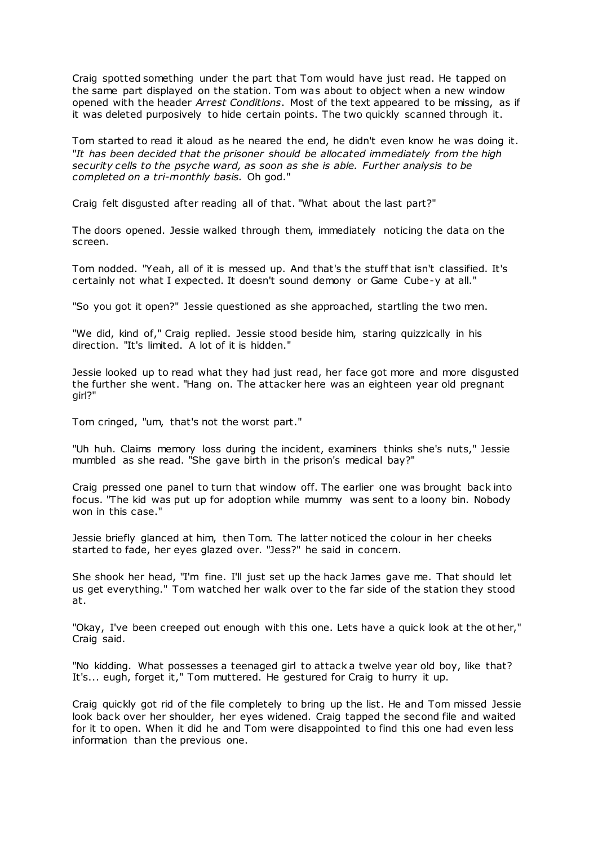Craig spotted something under the part that Tom would have just read. He tapped on the same part displayed on the station. Tom was about to object when a new window opened with the header *Arrest Conditions*. Most of the text appeared to be missing, as if it was deleted purposively to hide certain points. The two quickly scanned through it.

Tom started to read it aloud as he neared the end, he didn't even know he was doing it. "*It has been decided that the prisoner should be allocated immediately from the high security cells to the psyche ward, as soon as she is able. Further analysis to be completed on a tri-monthly basis.* Oh god."

Craig felt disgusted after reading all of that. "What about the last part?"

The doors opened. Jessie walked through them, immediately noticing the data on the screen.

Tom nodded. "Yeah, all of it is messed up. And that's the stuff that isn't classified. It's certainly not what I expected. It doesn't sound demony or Game Cube-y at all."

"So you got it open?" Jessie questioned as she approached, startling the two men.

"We did, kind of," Craig replied. Jessie stood beside him, staring quizzically in his direction. "It's limited. A lot of it is hidden."

Jessie looked up to read what they had just read, her face got more and more disgusted the further she went. "Hang on. The attacker here was an eighteen year old pregnant girl?"

Tom cringed, "um, that's not the worst part."

"Uh huh. Claims memory loss during the incident, examiners thinks she's nuts," Jessie mumbled as she read. "She gave birth in the prison's medical bay?"

Craig pressed one panel to turn that window off. The earlier one was brought back into focus. "The kid was put up for adoption while mummy was sent to a loony bin. Nobody won in this case."

Jessie briefly glanced at him, then Tom. The latter noticed the colour in her cheeks started to fade, her eyes glazed over. "Jess?" he said in concern.

She shook her head, "I'm fine. I'll just set up the hack James gave me. That should let us get everything." Tom watched her walk over to the far side of the station they stood at.

"Okay, I've been creeped out enough with this one. Lets have a quick look at the ot her," Craig said.

"No kidding. What possesses a teenaged girl to attack a twelve year old boy, like that? It's... eugh, forget it," Tom muttered. He gestured for Craig to hurry it up.

Craig quickly got rid of the file completely to bring up the list. He and Tom missed Jessie look back over her shoulder, her eyes widened. Craig tapped the second file and waited for it to open. When it did he and Tom were disappointed to find this one had even less information than the previous one.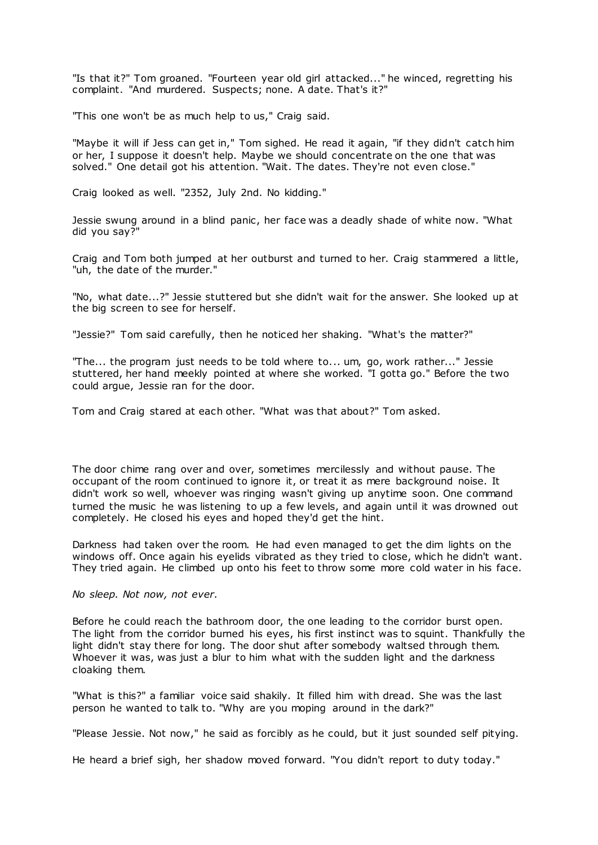"Is that it?" Tom groaned. "Fourteen year old girl attacked..." he winced, regretting his complaint. "And murdered. Suspects; none. A date. That's it?"

"This one won't be as much help to us," Craig said.

"Maybe it will if Jess can get in," Tom sighed. He read it again, "if they didn't catch him or her, I suppose it doesn't help. Maybe we should concentrate on the one that was solved." One detail got his attention. "Wait. The dates. They're not even close."

Craig looked as well. "2352, July 2nd. No kidding."

Jessie swung around in a blind panic, her face was a deadly shade of white now. "What did you say?"

Craig and Tom both jumped at her outburst and turned to her. Craig stammered a little, "uh, the date of the murder."

"No, what date...?" Jessie stuttered but she didn't wait for the answer. She looked up at the big screen to see for herself.

"Jessie?" Tom said carefully, then he noticed her shaking. "What's the matter?"

"The... the program just needs to be told where to... um, go, work rather..." Jessie stuttered, her hand meekly pointed at where she worked. "I gotta go." Before the two could argue, Jessie ran for the door.

Tom and Craig stared at each other. "What was that about?" Tom asked.

The door chime rang over and over, sometimes mercilessly and without pause. The occupant of the room continued to ignore it, or treat it as mere background noise. It didn't work so well, whoever was ringing wasn't giving up anytime soon. One command turned the music he was listening to up a few levels, and again until it was drowned out completely. He closed his eyes and hoped they'd get the hint.

Darkness had taken over the room. He had even managed to get the dim lights on the windows off. Once again his eyelids vibrated as they tried to close, which he didn't want. They tried again. He climbed up onto his feet to throw some more cold water in his face.

*No sleep. Not now, not ever.*

Before he could reach the bathroom door, the one leading to the corridor burst open. The light from the corridor burned his eyes, his first instinct was to squint. Thankfully the light didn't stay there for long. The door shut after somebody waltsed through them. Whoever it was, was just a blur to him what with the sudden light and the darkness cloaking them.

"What is this?" a familiar voice said shakily. It filled him with dread. She was the last person he wanted to talk to. "Why are you moping around in the dark?"

"Please Jessie. Not now," he said as forcibly as he could, but it just sounded self pitying.

He heard a brief sigh, her shadow moved forward. "You didn't report to duty today."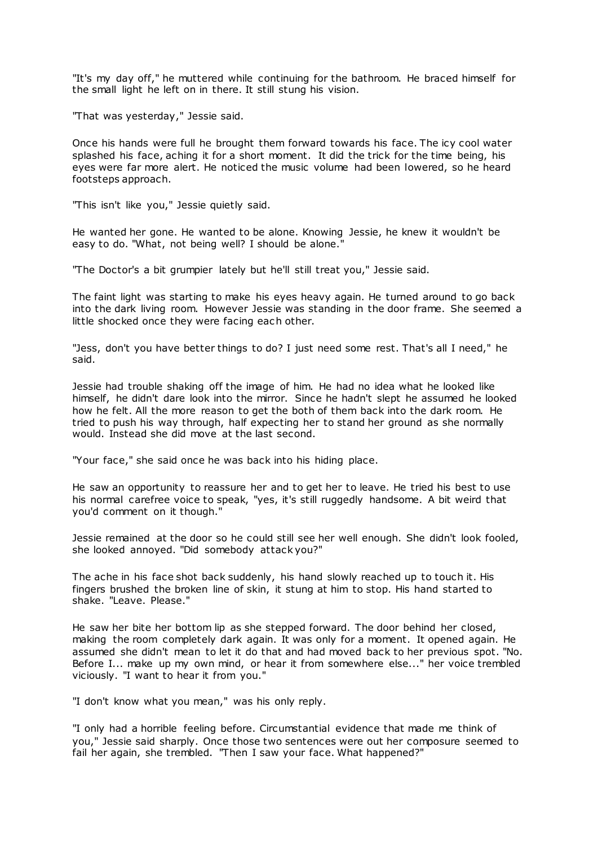"It's my day off," he muttered while continuing for the bathroom. He braced himself for the small light he left on in there. It still stung his vision.

"That was yesterday," Jessie said.

Once his hands were full he brought them forward towards his face. The icy cool water splashed his face, aching it for a short moment. It did the trick for the time being, his eyes were far more alert. He noticed the music volume had been lowered, so he heard footsteps approach.

"This isn't like you," Jessie quietly said.

He wanted her gone. He wanted to be alone. Knowing Jessie, he knew it wouldn't be easy to do. "What, not being well? I should be alone."

"The Doctor's a bit grumpier lately but he'll still treat you," Jessie said.

The faint light was starting to make his eyes heavy again. He turned around to go back into the dark living room. However Jessie was standing in the door frame. She seemed a little shocked once they were facing each other.

"Jess, don't you have better things to do? I just need some rest. That's all I need," he said.

Jessie had trouble shaking off the image of him. He had no idea what he looked like himself, he didn't dare look into the mirror. Since he hadn't slept he assumed he looked how he felt. All the more reason to get the both of them back into the dark room. He tried to push his way through, half expecting her to stand her ground as she normally would. Instead she did move at the last second.

"Your face," she said once he was back into his hiding place.

He saw an opportunity to reassure her and to get her to leave. He tried his best to use his normal carefree voice to speak, "yes, it's still ruggedly handsome. A bit weird that you'd comment on it though."

Jessie remained at the door so he could still see her well enough. She didn't look fooled, she looked annoyed. "Did somebody attack you?"

The ache in his face shot back suddenly, his hand slowly reached up to touch it. His fingers brushed the broken line of skin, it stung at him to stop. His hand started to shake. "Leave. Please."

He saw her bite her bottom lip as she stepped forward. The door behind her closed, making the room completely dark again. It was only for a moment. It opened again. He assumed she didn't mean to let it do that and had moved back to her previous spot. "No. Before I... make up my own mind, or hear it from somewhere else..." her voice trembled viciously. "I want to hear it from you."

"I don't know what you mean," was his only reply.

"I only had a horrible feeling before. Circumstantial evidence that made me think of you," Jessie said sharply. Once those two sentences were out her composure seemed to fail her again, she trembled. "Then I saw your face. What happened?"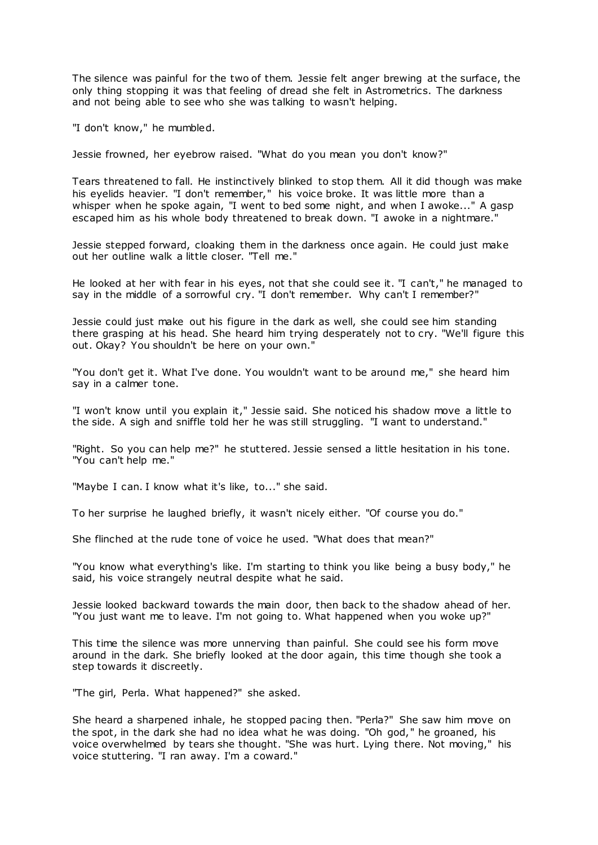The silence was painful for the two of them. Jessie felt anger brewing at the surface, the only thing stopping it was that feeling of dread she felt in Astrometrics. The darkness and not being able to see who she was talking to wasn't helping.

"I don't know," he mumbled.

Jessie frowned, her eyebrow raised. "What do you mean you don't know?"

Tears threatened to fall. He instinctively blinked to stop them. All it did though was make his eyelids heavier. "I don't remember," his voice broke. It was little more than a whisper when he spoke again, "I went to bed some night, and when I awoke..." A gasp escaped him as his whole body threatened to break down. "I awoke in a nightmare."

Jessie stepped forward, cloaking them in the darkness once again. He could just make out her outline walk a little closer. "Tell me."

He looked at her with fear in his eyes, not that she could see it. "I can't," he managed to say in the middle of a sorrowful cry. "I don't remember. Why can't I remember?"

Jessie could just make out his figure in the dark as well, she could see him standing there grasping at his head. She heard him trying desperately not to cry. "We'll figure this out. Okay? You shouldn't be here on your own."

"You don't get it. What I've done. You wouldn't want to be around me," she heard him say in a calmer tone.

"I won't know until you explain it," Jessie said. She noticed his shadow move a little to the side. A sigh and sniffle told her he was still struggling. "I want to understand."

"Right. So you can help me?" he stuttered. Jessie sensed a little hesitation in his tone. "You can't help me."

"Maybe I can. I know what it's like, to..." she said.

To her surprise he laughed briefly, it wasn't nicely either. "Of course you do."

She flinched at the rude tone of voice he used. "What does that mean?"

"You know what everything's like. I'm starting to think you like being a busy body," he said, his voice strangely neutral despite what he said.

Jessie looked backward towards the main door, then back to the shadow ahead of her. "You just want me to leave. I'm not going to. What happened when you woke up?"

This time the silence was more unnerving than painful. She could see his form move around in the dark. She briefly looked at the door again, this time though she took a step towards it discreetly.

"The girl, Perla. What happened?" she asked.

She heard a sharpened inhale, he stopped pacing then. "Perla?" She saw him move on the spot, in the dark she had no idea what he was doing. "Oh god," he groaned, his voice overwhelmed by tears she thought. "She was hurt. Lying there. Not moving," his voice stuttering. "I ran away. I'm a coward."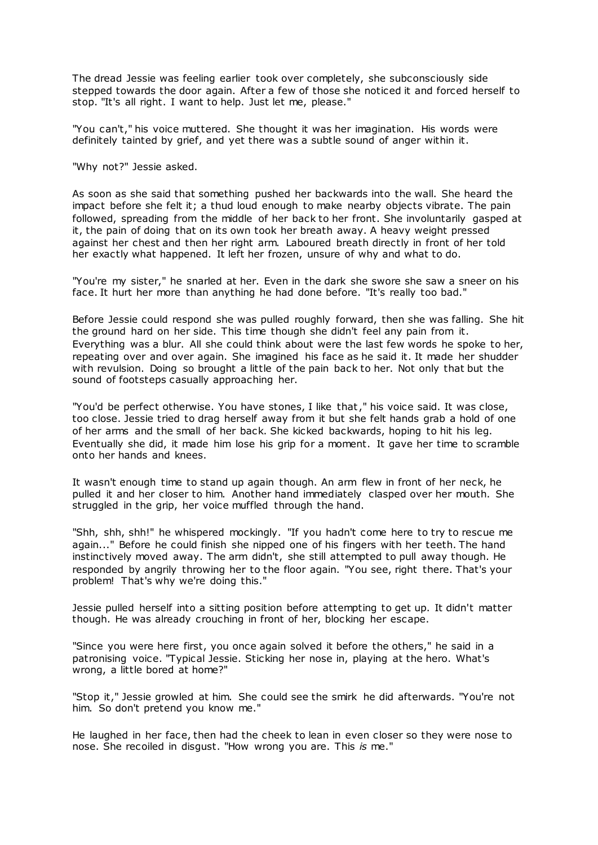The dread Jessie was feeling earlier took over completely, she subconsciously side stepped towards the door again. After a few of those she noticed it and forced herself to stop. "It's all right. I want to help. Just let me, please."

"You can't," his voice muttered. She thought it was her imagination. His words were definitely tainted by grief, and yet there was a subtle sound of anger within it.

"Why not?" Jessie asked.

As soon as she said that something pushed her backwards into the wall. She heard the impact before she felt it; a thud loud enough to make nearby objects vibrate. The pain followed, spreading from the middle of her back to her front. She involuntarily gasped at it, the pain of doing that on its own took her breath away. A heavy weight pressed against her chest and then her right arm. Laboured breath directly in front of her told her exactly what happened. It left her frozen, unsure of why and what to do.

"You're my sister," he snarled at her. Even in the dark she swore she saw a sneer on his face. It hurt her more than anything he had done before. "It's really too bad."

Before Jessie could respond she was pulled roughly forward, then she was falling. She hit the ground hard on her side. This time though she didn't feel any pain from it. Everything was a blur. All she could think about were the last few words he spoke to her, repeating over and over again. She imagined his face as he said it. It made her shudder with revulsion. Doing so brought a little of the pain back to her. Not only that but the sound of footsteps casually approaching her.

"You'd be perfect otherwise. You have stones, I like that," his voice said. It was close, too close. Jessie tried to drag herself away from it but she felt hands grab a hold of one of her arms and the small of her back. She kicked backwards, hoping to hit his leg. Eventually she did, it made him lose his grip for a moment. It gave her time to scramble onto her hands and knees.

It wasn't enough time to stand up again though. An arm flew in front of her neck, he pulled it and her closer to him. Another hand immediately clasped over her mouth. She struggled in the grip, her voice muffled through the hand.

"Shh, shh, shh!" he whispered mockingly. "If you hadn't come here to try to rescue me again..." Before he could finish she nipped one of his fingers with her teeth. The hand instinctively moved away. The arm didn't, she still attempted to pull away though. He responded by angrily throwing her to the floor again. "You see, right there. That's your problem! That's why we're doing this."

Jessie pulled herself into a sitting position before attempting to get up. It didn't matter though. He was already crouching in front of her, blocking her escape.

"Since you were here first, you once again solved it before the others," he said in a patronising voice. "Typical Jessie. Sticking her nose in, playing at the hero. What's wrong, a little bored at home?"

"Stop it," Jessie growled at him. She could see the smirk he did afterwards. "You're not him. So don't pretend you know me."

He laughed in her face, then had the cheek to lean in even closer so they were nose to nose. She recoiled in disgust. "How wrong you are. This *is* me."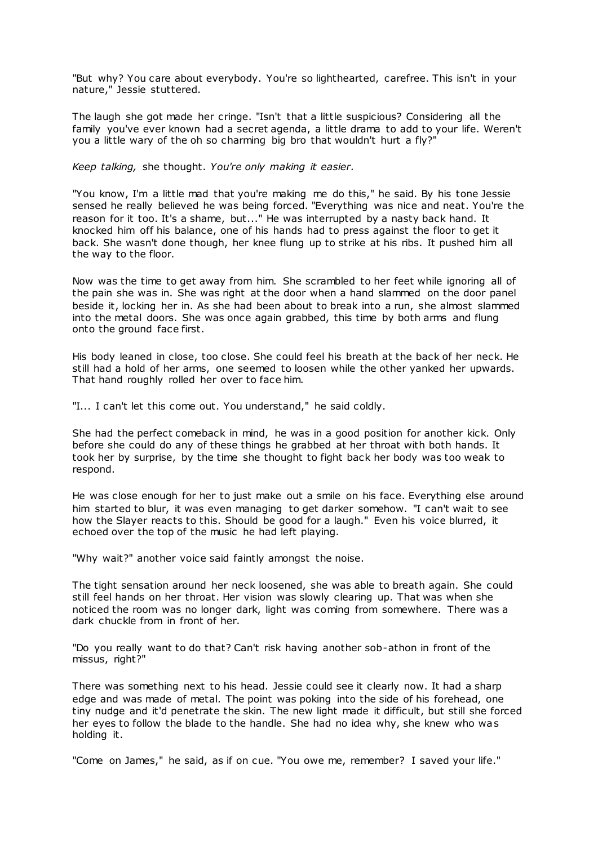"But why? You care about everybody. You're so lighthearted, carefree. This isn't in your nature," Jessie stuttered.

The laugh she got made her cringe. "Isn't that a little suspicious? Considering all the family you've ever known had a secret agenda, a little drama to add to your life. Weren't you a little wary of the oh so charming big bro that wouldn't hurt a fly?"

*Keep talking,* she thought. *You're only making it easier.*

"You know, I'm a little mad that you're making me do this," he said. By his tone Jessie sensed he really believed he was being forced. "Everything was nice and neat. You're the reason for it too. It's a shame, but..." He was interrupted by a nasty back hand. It knocked him off his balance, one of his hands had to press against the floor to get it back. She wasn't done though, her knee flung up to strike at his ribs. It pushed him all the way to the floor.

Now was the time to get away from him. She scrambled to her feet while ignoring all of the pain she was in. She was right at the door when a hand slammed on the door panel beside it, locking her in. As she had been about to break into a run, she almost slammed into the metal doors. She was once again grabbed, this time by both arms and flung onto the ground face first.

His body leaned in close, too close. She could feel his breath at the back of her neck. He still had a hold of her arms, one seemed to loosen while the other yanked her upwards. That hand roughly rolled her over to face him.

"I... I can't let this come out. You understand," he said coldly.

She had the perfect comeback in mind, he was in a good position for another kick. Only before she could do any of these things he grabbed at her throat with both hands. It took her by surprise, by the time she thought to fight back her body was too weak to respond.

He was close enough for her to just make out a smile on his face. Everything else around him started to blur, it was even managing to get darker somehow. "I can't wait to see how the Slayer reacts to this. Should be good for a laugh." Even his voice blurred, it echoed over the top of the music he had left playing.

"Why wait?" another voice said faintly amongst the noise.

The tight sensation around her neck loosened, she was able to breath again. She could still feel hands on her throat. Her vision was slowly clearing up. That was when she noticed the room was no longer dark, light was coming from somewhere. There was a dark chuckle from in front of her.

"Do you really want to do that? Can't risk having another sob-athon in front of the missus, right?"

There was something next to his head. Jessie could see it clearly now. It had a sharp edge and was made of metal. The point was poking into the side of his forehead, one tiny nudge and it'd penetrate the skin. The new light made it difficult, but still she forced her eyes to follow the blade to the handle. She had no idea why, she knew who was holding it.

"Come on James," he said, as if on cue. "You owe me, remember? I saved your life."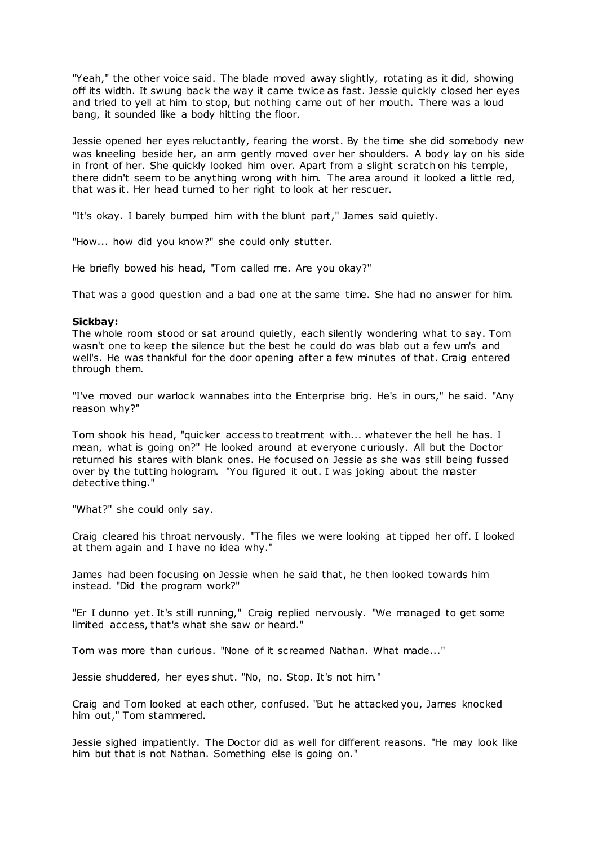"Yeah," the other voice said. The blade moved away slightly, rotating as it did, showing off its width. It swung back the way it came twice as fast. Jessie quickly closed her eyes and tried to yell at him to stop, but nothing came out of her mouth. There was a loud bang, it sounded like a body hitting the floor.

Jessie opened her eyes reluctantly, fearing the worst. By the time she did somebody new was kneeling beside her, an arm gently moved over her shoulders. A body lay on his side in front of her. She quickly looked him over. Apart from a slight scratch on his temple, there didn't seem to be anything wrong with him. The area around it looked a little red, that was it. Her head turned to her right to look at her rescuer.

"It's okay. I barely bumped him with the blunt part," James said quietly.

"How... how did you know?" she could only stutter.

He briefly bowed his head, "Tom called me. Are you okay?"

That was a good question and a bad one at the same time. She had no answer for him.

#### **Sickbay:**

The whole room stood or sat around quietly, each silently wondering what to say. Tom wasn't one to keep the silence but the best he could do was blab out a few um's and well's. He was thankful for the door opening after a few minutes of that. Craig entered through them.

"I've moved our warlock wannabes into the Enterprise brig. He's in ours," he said. "Any reason why?"

Tom shook his head, "quicker access to treatment with... whatever the hell he has. I mean, what is going on?" He looked around at everyone c uriously. All but the Doctor returned his stares with blank ones. He focused on Jessie as she was still being fussed over by the tutting hologram. "You figured it out. I was joking about the master detective thing."

"What?" she could only say.

Craig cleared his throat nervously. "The files we were looking at tipped her off. I looked at them again and I have no idea why."

James had been focusing on Jessie when he said that, he then looked towards him instead. "Did the program work?"

"Er I dunno yet. It's still running," Craig replied nervously. "We managed to get some limited access, that's what she saw or heard."

Tom was more than curious. "None of it screamed Nathan. What made..."

Jessie shuddered, her eyes shut. "No, no. Stop. It's not him."

Craig and Tom looked at each other, confused. "But he attacked you, James knocked him out," Tom stammered.

Jessie sighed impatiently. The Doctor did as well for different reasons. "He may look like him but that is not Nathan. Something else is going on."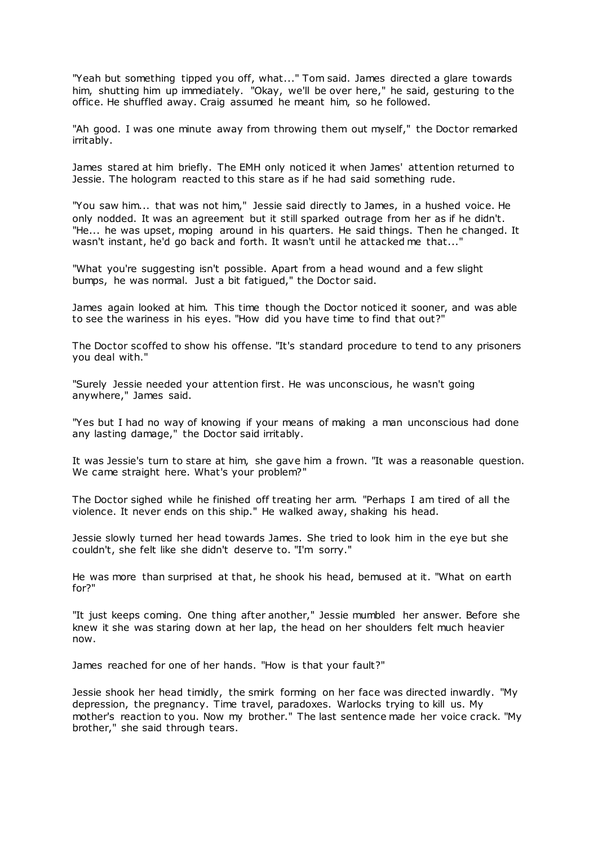"Yeah but something tipped you off, what..." Tom said. James directed a glare towards him, shutting him up immediately. "Okay, we'll be over here," he said, gesturing to the office. He shuffled away. Craig assumed he meant him, so he followed.

"Ah good. I was one minute away from throwing them out myself," the Doctor remarked irritably.

James stared at him briefly. The EMH only noticed it when James' attention returned to Jessie. The hologram reacted to this stare as if he had said something rude.

"You saw him... that was not him," Jessie said directly to James, in a hushed voice. He only nodded. It was an agreement but it still sparked outrage from her as if he didn't. "He... he was upset, moping around in his quarters. He said things. Then he changed. It wasn't instant, he'd go back and forth. It wasn't until he attacked me that..."

"What you're suggesting isn't possible. Apart from a head wound and a few slight bumps, he was normal. Just a bit fatigued," the Doctor said.

James again looked at him. This time though the Doctor noticed it sooner, and was able to see the wariness in his eyes. "How did you have time to find that out?"

The Doctor scoffed to show his offense. "It's standard procedure to tend to any prisoners you deal with."

"Surely Jessie needed your attention first. He was unconscious, he wasn't going anywhere," James said.

"Yes but I had no way of knowing if your means of making a man unconscious had done any lasting damage," the Doctor said irritably.

It was Jessie's turn to stare at him, she gave him a frown. "It was a reasonable question. We came straight here. What's your problem?"

The Doctor sighed while he finished off treating her arm. "Perhaps I am tired of all the violence. It never ends on this ship." He walked away, shaking his head.

Jessie slowly turned her head towards James. She tried to look him in the eye but she couldn't, she felt like she didn't deserve to. "I'm sorry."

He was more than surprised at that, he shook his head, bemused at it. "What on earth for?"

"It just keeps coming. One thing after another," Jessie mumbled her answer. Before she knew it she was staring down at her lap, the head on her shoulders felt much heavier now.

James reached for one of her hands. "How is that your fault?"

Jessie shook her head timidly, the smirk forming on her face was directed inwardly. "My depression, the pregnancy. Time travel, paradoxes. Warlocks trying to kill us. My mother's reaction to you. Now my brother." The last sentence made her voice crack. "My brother," she said through tears.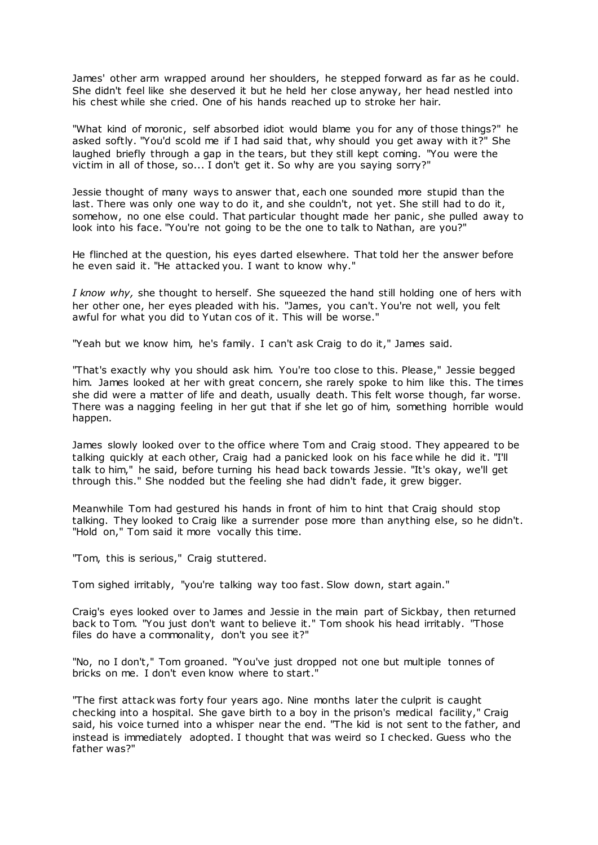James' other arm wrapped around her shoulders, he stepped forward as far as he could. She didn't feel like she deserved it but he held her close anyway, her head nestled into his chest while she cried. One of his hands reached up to stroke her hair.

"What kind of moronic, self absorbed idiot would blame you for any of those things?" he asked softly. "You'd scold me if I had said that, why should you get away with it?" She laughed briefly through a gap in the tears, but they still kept coming. "You were the victim in all of those, so... I don't get it. So why are you saying sorry?"

Jessie thought of many ways to answer that, each one sounded more stupid than the last. There was only one way to do it, and she couldn't, not yet. She still had to do it, somehow, no one else could. That particular thought made her panic , she pulled away to look into his face. "You're not going to be the one to talk to Nathan, are you?"

He flinched at the question, his eyes darted elsewhere. That told her the answer before he even said it. "He attacked you. I want to know why."

*I know why,* she thought to herself. She squeezed the hand still holding one of hers with her other one, her eyes pleaded with his. "James, you can't. You're not well, you felt awful for what you did to Yutan cos of it. This will be worse."

"Yeah but we know him, he's family. I can't ask Craig to do it," James said.

"That's exactly why you should ask him. You're too close to this. Please," Jessie begged him. James looked at her with great concern, she rarely spoke to him like this. The times she did were a matter of life and death, usually death. This felt worse though, far worse. There was a nagging feeling in her gut that if she let go of him, something horrible would happen.

James slowly looked over to the office where Tom and Craig stood. They appeared to be talking quickly at each other, Craig had a panicked look on his face while he did it. "I'll talk to him," he said, before turning his head back towards Jessie. "It's okay, we'll get through this." She nodded but the feeling she had didn't fade, it grew bigger.

Meanwhile Tom had gestured his hands in front of him to hint that Craig should stop talking. They looked to Craig like a surrender pose more than anything else, so he didn't. "Hold on," Tom said it more vocally this time.

"Tom, this is serious," Craig stuttered.

Tom sighed irritably, "you're talking way too fast. Slow down, start again."

Craig's eyes looked over to James and Jessie in the main part of Sickbay, then returned back to Tom. "You just don't want to believe it." Tom shook his head irritably. "Those files do have a commonality, don't you see it?"

"No, no I don't," Tom groaned. "You've just dropped not one but multiple tonnes of bricks on me. I don't even know where to start."

"The first attack was forty four years ago. Nine months later the culprit is caught checking into a hospital. She gave birth to a boy in the prison's medical facility," Craig said, his voice turned into a whisper near the end. "The kid is not sent to the father, and instead is immediately adopted. I thought that was weird so I checked. Guess who the father was?"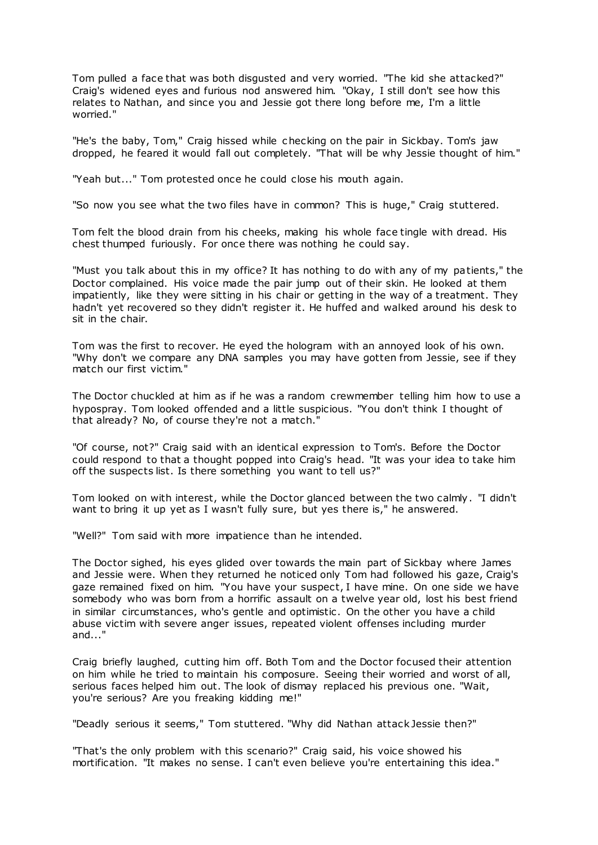Tom pulled a face that was both disgusted and very worried. "The kid she attacked?" Craig's widened eyes and furious nod answered him. "Okay, I still don't see how this relates to Nathan, and since you and Jessie got there long before me, I'm a little worried."

"He's the baby, Tom," Craig hissed while checking on the pair in Sickbay. Tom's jaw dropped, he feared it would fall out completely. "That will be why Jessie thought of him."

"Yeah but..." Tom protested once he could close his mouth again.

"So now you see what the two files have in common? This is huge," Craig stuttered.

Tom felt the blood drain from his cheeks, making his whole face tingle with dread. His chest thumped furiously. For once there was nothing he could say.

"Must you talk about this in my office? It has nothing to do with any of my patients," the Doctor complained. His voice made the pair jump out of their skin. He looked at them impatiently, like they were sitting in his chair or getting in the way of a treatment. They hadn't yet recovered so they didn't register it. He huffed and walked around his desk to sit in the chair.

Tom was the first to recover. He eyed the hologram with an annoyed look of his own. "Why don't we compare any DNA samples you may have gotten from Jessie, see if they match our first victim."

The Doctor chuckled at him as if he was a random crewmember telling him how to use a hypospray. Tom looked offended and a little suspicious. "You don't think I thought of that already? No, of course they're not a match."

"Of course, not?" Craig said with an identical expression to Tom's. Before the Doctor could respond to that a thought popped into Craig's head. "It was your idea to take him off the suspects list. Is there something you want to tell us?"

Tom looked on with interest, while the Doctor glanced between the two calmly. "I didn't want to bring it up yet as I wasn't fully sure, but yes there is," he answered.

"Well?" Tom said with more impatience than he intended.

The Doctor sighed, his eyes glided over towards the main part of Sickbay where James and Jessie were. When they returned he noticed only Tom had followed his gaze, Craig's gaze remained fixed on him. "You have your suspect, I have mine. On one side we have somebody who was born from a horrific assault on a twelve year old, lost his best friend in similar circumstances, who's gentle and optimistic . On the other you have a child abuse victim with severe anger issues, repeated violent offenses including murder and..."

Craig briefly laughed, cutting him off. Both Tom and the Doctor focused their attention on him while he tried to maintain his composure. Seeing their worried and worst of all, serious faces helped him out. The look of dismay replaced his previous one. "Wait, you're serious? Are you freaking kidding me!"

"Deadly serious it seems," Tom stuttered. "Why did Nathan attack Jessie then?"

"That's the only problem with this scenario?" Craig said, his voice showed his mortification. "It makes no sense. I can't even believe you're entertaining this idea."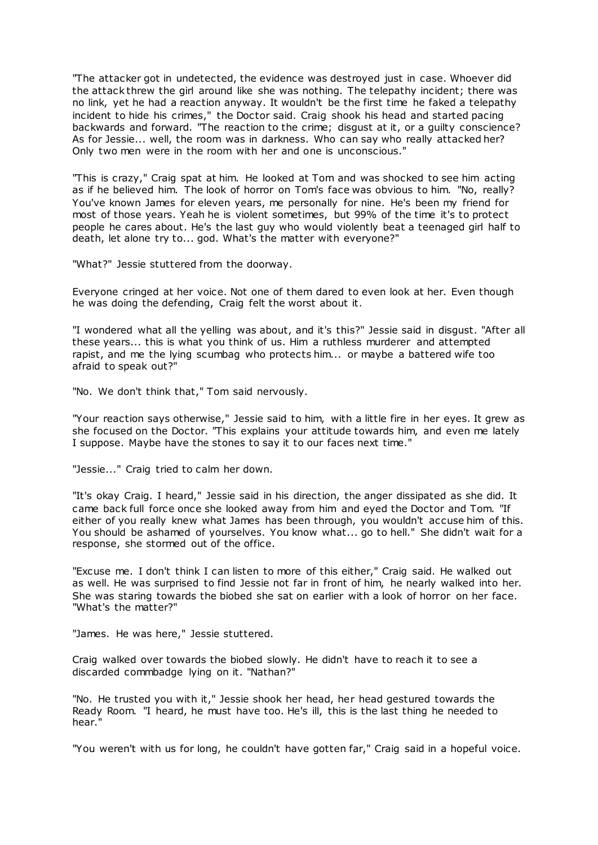"The attacker got in undetected, the evidence was destroyed just in case. Whoever did the attack threw the girl around like she was nothing. The telepathy incident; there was no link, yet he had a reaction anyway. It wouldn't be the first time he faked a telepathy incident to hide his crimes," the Doctor said. Craig shook his head and started pacing backwards and forward. "The reaction to the crime; disgust at it, or a guilty conscience? As for Jessie... well, the room was in darkness. Who can say who really attacked her? Only two men were in the room with her and one is unconscious."

"This is crazy," Craig spat at him. He looked at Tom and was shocked to see him acting as if he believed him. The look of horror on Tom's face was obvious to him. "No, really? You've known James for eleven years, me personally for nine. He's been my friend for most of those years. Yeah he is violent sometimes, but 99% of the time it's to protect people he cares about. He's the last guy who would violently beat a teenaged girl half to death, let alone try to... god. What's the matter with everyone?"

"What?" Jessie stuttered from the doorway.

Everyone cringed at her voice. Not one of them dared to even look at her. Even though he was doing the defending, Craig felt the worst about it.

"I wondered what all the yelling was about, and it's this?" Jessie said in disgust. "After all these years... this is what you think of us. Him a ruthless murderer and attempted rapist, and me the lying scumbag who protects him... or maybe a battered wife too afraid to speak out?"

"No. We don't think that," Tom said nervously.

"Your reaction says otherwise," Jessie said to him, with a little fire in her eyes. It grew as she focused on the Doctor. "This explains your attitude towards him, and even me lately I suppose. Maybe have the stones to say it to our faces next time."

"Jessie..." Craig tried to calm her down.

"It's okay Craig. I heard," Jessie said in his direction, the anger dissipated as she did. It came back full force once she looked away from him and eyed the Doctor and Tom. "If either of you really knew what James has been through, you wouldn't accuse him of this. You should be ashamed of yourselves. You know what... go to hell." She didn't wait for a response, she stormed out of the office.

"Excuse me. I don't think I can listen to more of this either," Craig said. He walked out as well. He was surprised to find Jessie not far in front of him, he nearly walked into her. She was staring towards the biobed she sat on earlier with a look of horror on her face. "What's the matter?"

"James. He was here," Jessie stuttered.

Craig walked over towards the biobed slowly. He didn't have to reach it to see a discarded commbadge lying on it. "Nathan?"

"No. He trusted you with it," Jessie shook her head, her head gestured towards the Ready Room. "I heard, he must have too. He's ill, this is the last thing he needed to hear."

"You weren't with us for long, he couldn't have gotten far," Craig said in a hopeful voice.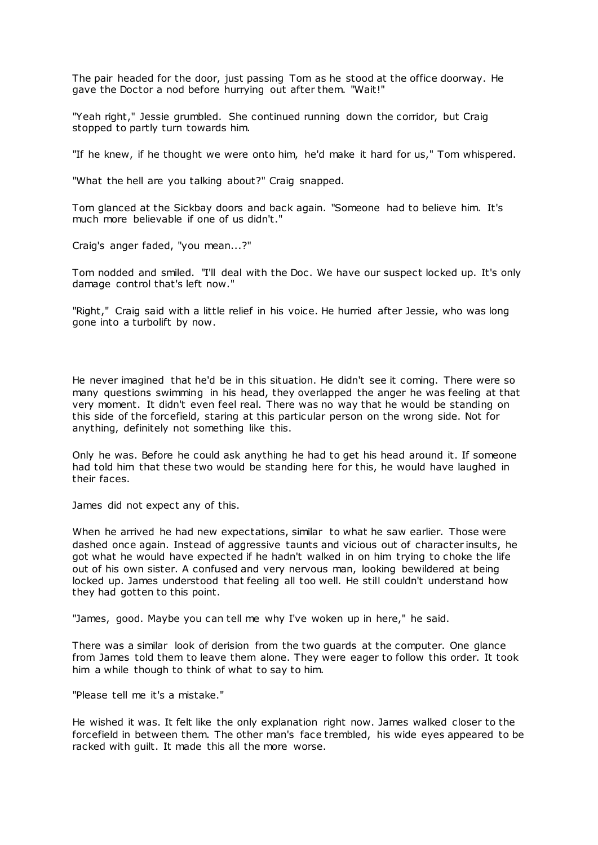The pair headed for the door, just passing Tom as he stood at the office doorway. He gave the Doctor a nod before hurrying out after them. "Wait!"

"Yeah right," Jessie grumbled. She continued running down the corridor, but Craig stopped to partly turn towards him.

"If he knew, if he thought we were onto him, he'd make it hard for us," Tom whispered.

"What the hell are you talking about?" Craig snapped.

Tom glanced at the Sickbay doors and back again. "Someone had to believe him. It's much more believable if one of us didn't."

Craig's anger faded, "you mean...?"

Tom nodded and smiled. "I'll deal with the Doc . We have our suspect locked up. It's only damage control that's left now."

"Right," Craig said with a little relief in his voice. He hurried after Jessie, who was long gone into a turbolift by now.

He never imagined that he'd be in this situation. He didn't see it coming. There were so many questions swimming in his head, they overlapped the anger he was feeling at that very moment. It didn't even feel real. There was no way that he would be standing on this side of the forcefield, staring at this particular person on the wrong side. Not for anything, definitely not something like this.

Only he was. Before he could ask anything he had to get his head around it. If someone had told him that these two would be standing here for this, he would have laughed in their faces.

James did not expect any of this.

When he arrived he had new expectations, similar to what he saw earlier. Those were dashed once again. Instead of aggressive taunts and vicious out of character insults, he got what he would have expected if he hadn't walked in on him trying to choke the life out of his own sister. A confused and very nervous man, looking bewildered at being locked up. James understood that feeling all too well. He still couldn't understand how they had gotten to this point.

"James, good. Maybe you can tell me why I've woken up in here," he said.

There was a similar look of derision from the two guards at the computer. One glance from James told them to leave them alone. They were eager to follow this order. It took him a while though to think of what to say to him.

"Please tell me it's a mistake."

He wished it was. It felt like the only explanation right now. James walked closer to the forcefield in between them. The other man's face trembled, his wide eyes appeared to be racked with guilt. It made this all the more worse.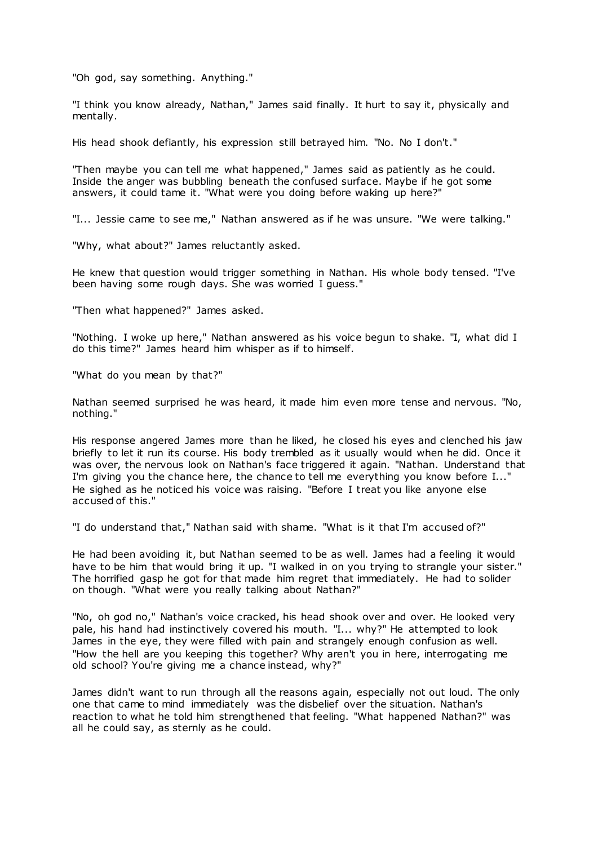"Oh god, say something. Anything."

"I think you know already, Nathan," James said finally. It hurt to say it, physically and mentally.

His head shook defiantly, his expression still betrayed him. "No. No I don't."

"Then maybe you can tell me what happened," James said as patiently as he could. Inside the anger was bubbling beneath the confused surface. Maybe if he got some answers, it could tame it. "What were you doing before waking up here?"

"I... Jessie came to see me," Nathan answered as if he was unsure. "We were talking."

"Why, what about?" James reluctantly asked.

He knew that question would trigger something in Nathan. His whole body tensed. "I've been having some rough days. She was worried I guess."

"Then what happened?" James asked.

"Nothing. I woke up here," Nathan answered as his voice begun to shake. "I, what did I do this time?" James heard him whisper as if to himself.

"What do you mean by that?"

Nathan seemed surprised he was heard, it made him even more tense and nervous. "No, nothing."

His response angered James more than he liked, he closed his eyes and clenched his jaw briefly to let it run its course. His body trembled as it usually would when he did. Once it was over, the nervous look on Nathan's face triggered it again. "Nathan. Understand that I'm giving you the chance here, the chance to tell me everything you know before I..." He sighed as he noticed his voice was raising. "Before I treat you like anyone else accused of this."

"I do understand that," Nathan said with shame. "What is it that I'm accused of?"

He had been avoiding it, but Nathan seemed to be as well. James had a feeling it would have to be him that would bring it up. "I walked in on you trying to strangle your sister." The horrified gasp he got for that made him regret that immediately. He had to solider on though. "What were you really talking about Nathan?"

"No, oh god no," Nathan's voice cracked, his head shook over and over. He looked very pale, his hand had instinctively covered his mouth. "I... why?" He attempted to look James in the eye, they were filled with pain and strangely enough confusion as well. "How the hell are you keeping this together? Why aren't you in here, interrogating me old school? You're giving me a chance instead, why?"

James didn't want to run through all the reasons again, especially not out loud. The only one that came to mind immediately was the disbelief over the situation. Nathan's reaction to what he told him strengthened that feeling. "What happened Nathan?" was all he could say, as sternly as he could.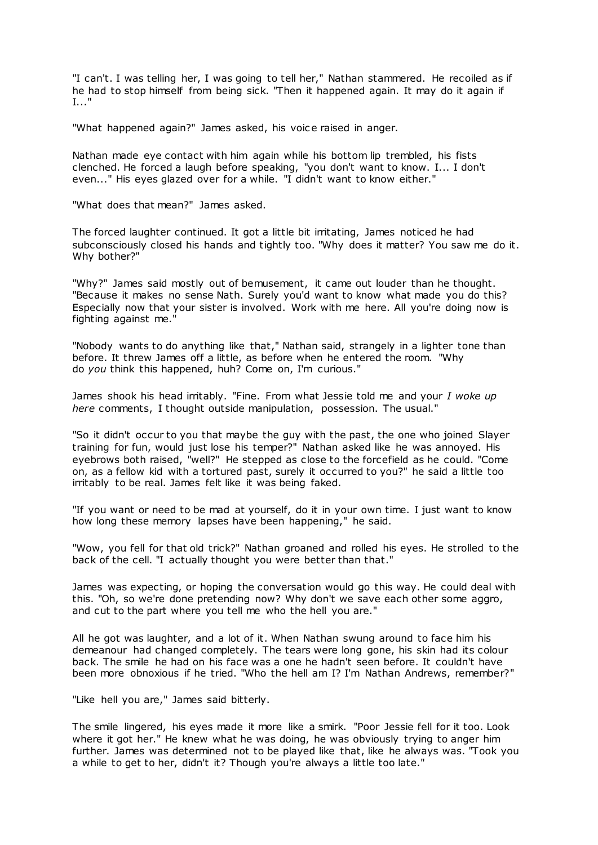"I can't. I was telling her, I was going to tell her," Nathan stammered. He recoiled as if he had to stop himself from being sick. "Then it happened again. It may do it again if I..."

"What happened again?" James asked, his voice raised in anger.

Nathan made eye contact with him again while his bottom lip trembled, his fists clenched. He forced a laugh before speaking, "you don't want to know. I... I don't even..." His eyes glazed over for a while. "I didn't want to know either."

"What does that mean?" James asked.

The forced laughter continued. It got a little bit irritating, James noticed he had subconsciously closed his hands and tightly too. "Why does it matter? You saw me do it. Why bother?"

"Why?" James said mostly out of bemusement, it came out louder than he thought. "Because it makes no sense Nath. Surely you'd want to know what made you do this? Especially now that your sister is involved. Work with me here. All you're doing now is fighting against me."

"Nobody wants to do anything like that," Nathan said, strangely in a lighter tone than before. It threw James off a little, as before when he entered the room. "Why do *you* think this happened, huh? Come on, I'm curious."

James shook his head irritably. "Fine. From what Jessie told me and your *I woke up here* comments, I thought outside manipulation, possession. The usual."

"So it didn't occur to you that maybe the guy with the past, the one who joined Slayer training for fun, would just lose his temper?" Nathan asked like he was annoyed. His eyebrows both raised, "well?" He stepped as close to the forcefield as he could. "Come on, as a fellow kid with a tortured past, surely it occurred to you?" he said a little too irritably to be real. James felt like it was being faked.

"If you want or need to be mad at yourself, do it in your own time. I just want to know how long these memory lapses have been happening," he said.

"Wow, you fell for that old trick?" Nathan groaned and rolled his eyes. He strolled to the back of the cell. "I actually thought you were better than that."

James was expecting, or hoping the conversation would go this way. He could deal with this. "Oh, so we're done pretending now? Why don't we save each other some aggro, and cut to the part where you tell me who the hell you are."

All he got was laughter, and a lot of it. When Nathan swung around to face him his demeanour had changed completely. The tears were long gone, his skin had its colour back. The smile he had on his face was a one he hadn't seen before. It couldn't have been more obnoxious if he tried. "Who the hell am I? I'm Nathan Andrews, remember?"

"Like hell you are," James said bitterly.

The smile lingered, his eyes made it more like a smirk. "Poor Jessie fell for it too. Look where it got her." He knew what he was doing, he was obviously trying to anger him further. James was determined not to be played like that, like he always was. "Took you a while to get to her, didn't it? Though you're always a little too late."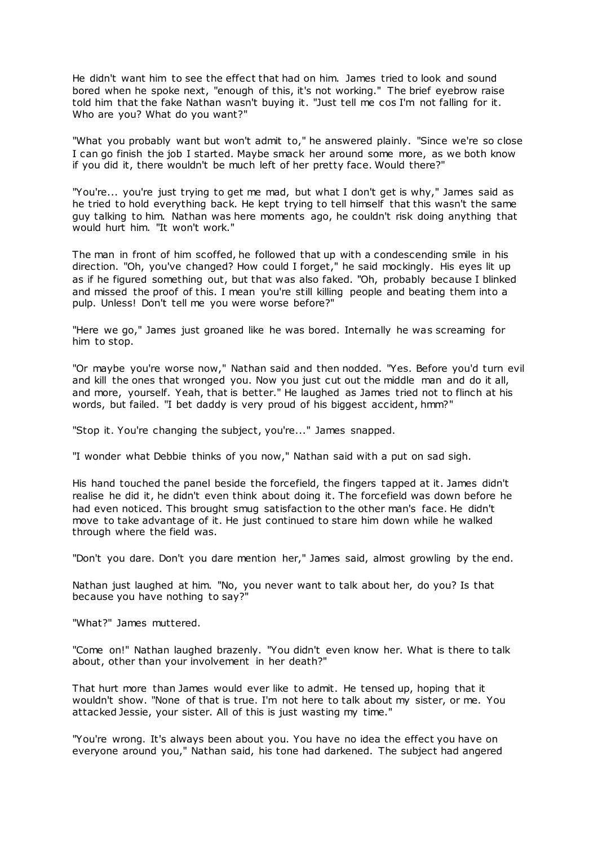He didn't want him to see the effect that had on him. James tried to look and sound bored when he spoke next, "enough of this, it's not working." The brief eyebrow raise told him that the fake Nathan wasn't buying it. "Just tell me cos I'm not falling for it. Who are you? What do you want?"

"What you probably want but won't admit to," he answered plainly. "Since we're so close I can go finish the job I started. Maybe smack her around some more, as we both know if you did it, there wouldn't be much left of her pretty face. Would there?"

"You're... you're just trying to get me mad, but what I don't get is why," James said as he tried to hold everything back. He kept trying to tell himself that this wasn't the same guy talking to him. Nathan was here moments ago, he couldn't risk doing anything that would hurt him. "It won't work."

The man in front of him scoffed, he followed that up with a condescending smile in his direction. "Oh, you've changed? How could I forget," he said mockingly. His eyes lit up as if he figured something out, but that was also faked. "Oh, probably because I blinked and missed the proof of this. I mean you're still killing people and beating them into a pulp. Unless! Don't tell me you were worse before?"

"Here we go," James just groaned like he was bored. Internally he was screaming for him to stop.

"Or maybe you're worse now," Nathan said and then nodded. "Yes. Before you'd turn evil and kill the ones that wronged you. Now you just cut out the middle man and do it all, and more, yourself. Yeah, that is better." He laughed as James tried not to flinch at his words, but failed. "I bet daddy is very proud of his biggest accident, hmm?"

"Stop it. You're changing the subject, you're..." James snapped.

"I wonder what Debbie thinks of you now," Nathan said with a put on sad sigh.

His hand touched the panel beside the forcefield, the fingers tapped at it. James didn't realise he did it, he didn't even think about doing it. The forcefield was down before he had even noticed. This brought smug satisfaction to the other man's face. He didn't move to take advantage of it. He just continued to stare him down while he walked through where the field was.

"Don't you dare. Don't you dare mention her," James said, almost growling by the end.

Nathan just laughed at him. "No, you never want to talk about her, do you? Is that because you have nothing to say?"

"What?" James muttered.

"Come on!" Nathan laughed brazenly. "You didn't even know her. What is there to talk about, other than your involvement in her death?"

That hurt more than James would ever like to admit. He tensed up, hoping that it wouldn't show. "None of that is true. I'm not here to talk about my sister, or me. You attacked Jessie, your sister. All of this is just wasting my time."

"You're wrong. It's always been about you. You have no idea the effect you have on everyone around you," Nathan said, his tone had darkened. The subject had angered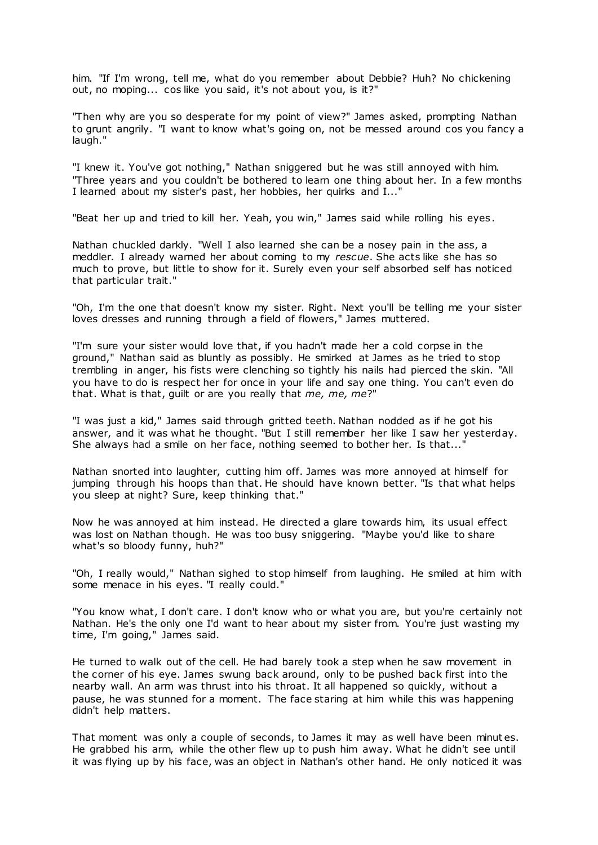him. "If I'm wrong, tell me, what do you remember about Debbie? Huh? No chickening out, no moping... cos like you said, it's not about you, is it?"

"Then why are you so desperate for my point of view?" James asked, prompting Nathan to grunt angrily. "I want to know what's going on, not be messed around cos you fancy a laugh."

"I knew it. You've got nothing," Nathan sniggered but he was still annoyed with him. "Three years and you couldn't be bothered to learn one thing about her. In a few months I learned about my sister's past, her hobbies, her quirks and I..."

"Beat her up and tried to kill her. Yeah, you win," James said while rolling his eyes.

Nathan chuckled darkly. "Well I also learned she can be a nosey pain in the ass, a meddler. I already warned her about coming to my *rescue*. She acts like she has so much to prove, but little to show for it. Surely even your self absorbed self has noticed that particular trait."

"Oh, I'm the one that doesn't know my sister. Right. Next you'll be telling me your sister loves dresses and running through a field of flowers," James muttered.

"I'm sure your sister would love that, if you hadn't made her a cold corpse in the ground," Nathan said as bluntly as possibly. He smirked at James as he tried to stop trembling in anger, his fists were clenching so tightly his nails had pierced the skin. "All you have to do is respect her for once in your life and say one thing. You can't even do that. What is that, guilt or are you really that *me, me, me*?"

"I was just a kid," James said through gritted teeth. Nathan nodded as if he got his answer, and it was what he thought. "But I still remember her like I saw her yesterday. She always had a smile on her face, nothing seemed to bother her. Is that..."

Nathan snorted into laughter, cutting him off. James was more annoyed at himself for jumping through his hoops than that. He should have known better. "Is that what helps you sleep at night? Sure, keep thinking that."

Now he was annoyed at him instead. He directed a glare towards him, its usual effect was lost on Nathan though. He was too busy sniggering. "Maybe you'd like to share what's so bloody funny, huh?"

"Oh, I really would," Nathan sighed to stop himself from laughing. He smiled at him with some menace in his eyes. "I really could."

"You know what, I don't care. I don't know who or what you are, but you're certainly not Nathan. He's the only one I'd want to hear about my sister from. You're just wasting my time, I'm going," James said.

He turned to walk out of the cell. He had barely took a step when he saw movement in the corner of his eye. James swung back around, only to be pushed back first into the nearby wall. An arm was thrust into his throat. It all happened so quickly, without a pause, he was stunned for a moment. The face staring at him while this was happening didn't help matters.

That moment was only a couple of seconds, to James it may as well have been minut es. He grabbed his arm, while the other flew up to push him away. What he didn't see until it was flying up by his face, was an object in Nathan's other hand. He only noticed it was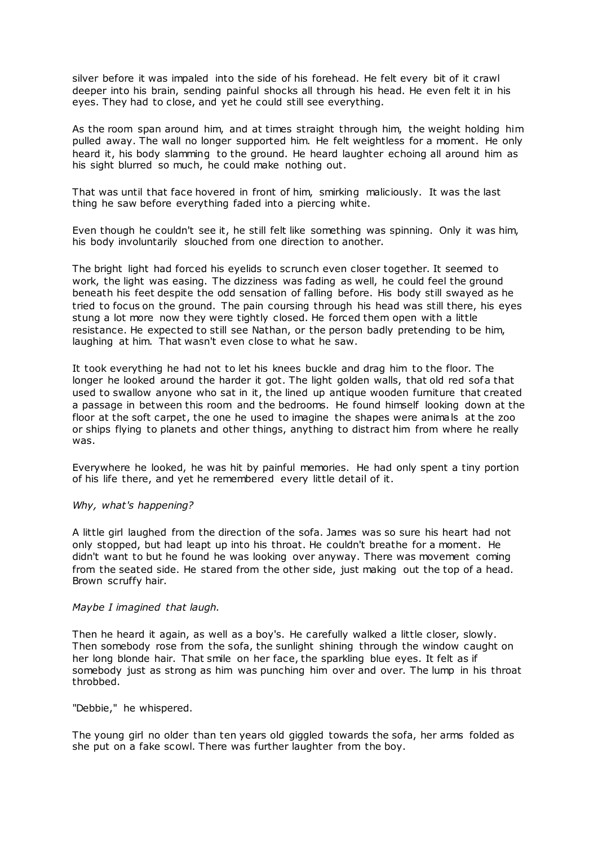silver before it was impaled into the side of his forehead. He felt every bit of it crawl deeper into his brain, sending painful shocks all through his head. He even felt it in his eyes. They had to close, and yet he could still see everything.

As the room span around him, and at times straight through him, the weight holding him pulled away. The wall no longer supported him. He felt weightless for a moment. He only heard it, his body slamming to the ground. He heard laughter echoing all around him as his sight blurred so much, he could make nothing out.

That was until that face hovered in front of him, smirking maliciously. It was the last thing he saw before everything faded into a piercing white.

Even though he couldn't see it, he still felt like something was spinning. Only it was him, his body involuntarily slouched from one direction to another.

The bright light had forced his eyelids to scrunch even closer together. It seemed to work, the light was easing. The dizziness was fading as well, he could feel the ground beneath his feet despite the odd sensation of falling before. His body still swayed as he tried to focus on the ground. The pain coursing through his head was still there, his eyes stung a lot more now they were tightly closed. He forced them open with a little resistance. He expected to still see Nathan, or the person badly pretending to be him, laughing at him. That wasn't even close to what he saw.

It took everything he had not to let his knees buckle and drag him to the floor. The longer he looked around the harder it got. The light golden walls, that old red sofa that used to swallow anyone who sat in it, the lined up antique wooden furniture that created a passage in between this room and the bedrooms. He found himself looking down at the floor at the soft carpet, the one he used to imagine the shapes were animals at the zoo or ships flying to planets and other things, anything to distract him from where he really was.

Everywhere he looked, he was hit by painful memories. He had only spent a tiny portion of his life there, and yet he remembered every little detail of it.

# *Why, what's happening?*

A little girl laughed from the direction of the sofa. James was so sure his heart had not only stopped, but had leapt up into his throat. He couldn't breathe for a moment. He didn't want to but he found he was looking over anyway. There was movement coming from the seated side. He stared from the other side, just making out the top of a head. Brown scruffy hair.

## *Maybe I imagined that laugh.*

Then he heard it again, as well as a boy's. He carefully walked a little closer, slowly. Then somebody rose from the sofa, the sunlight shining through the window caught on her long blonde hair. That smile on her face, the sparkling blue eyes. It felt as if somebody just as strong as him was punching him over and over. The lump in his throat throbbed.

# "Debbie," he whispered.

The young girl no older than ten years old giggled towards the sofa, her arms folded as she put on a fake scowl. There was further laughter from the boy.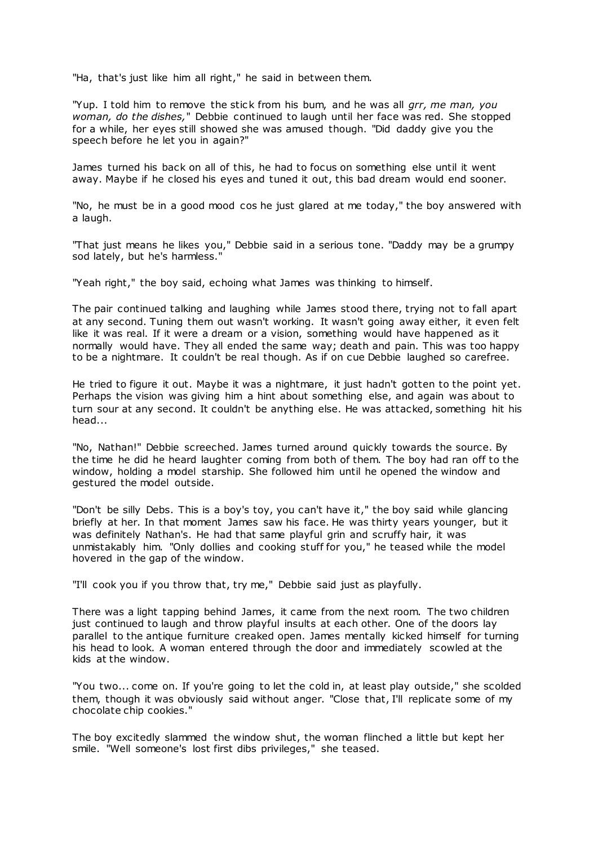"Ha, that's just like him all right," he said in between them.

"Yup. I told him to remove the stick from his bum, and he was all *grr, me man, you woman, do the dishes,*" Debbie continued to laugh until her face was red. She stopped for a while, her eyes still showed she was amused though. "Did daddy give you the speech before he let you in again?"

James turned his back on all of this, he had to focus on something else until it went away. Maybe if he closed his eyes and tuned it out, this bad dream would end sooner.

"No, he must be in a good mood cos he just glared at me today," the boy answered with a laugh.

"That just means he likes you," Debbie said in a serious tone. "Daddy may be a grumpy sod lately, but he's harmless."

"Yeah right," the boy said, echoing what James was thinking to himself.

The pair continued talking and laughing while James stood there, trying not to fall apart at any second. Tuning them out wasn't working. It wasn't going away either, it even felt like it was real. If it were a dream or a vision, something would have happened as it normally would have. They all ended the same way; death and pain. This was too happy to be a nightmare. It couldn't be real though. As if on cue Debbie laughed so carefree.

He tried to figure it out. Maybe it was a nightmare, it just hadn't gotten to the point yet. Perhaps the vision was giving him a hint about something else, and again was about to turn sour at any second. It couldn't be anything else. He was attacked, something hit his head...

"No, Nathan!" Debbie screeched. James turned around quickly towards the source. By the time he did he heard laughter coming from both of them. The boy had ran off to the window, holding a model starship. She followed him until he opened the window and gestured the model outside.

"Don't be silly Debs. This is a boy's toy, you can't have it," the boy said while glancing briefly at her. In that moment James saw his face. He was thirty years younger, but it was definitely Nathan's. He had that same playful grin and scruffy hair, it was unmistakably him. "Only dollies and cooking stuff for you," he teased while the model hovered in the gap of the window.

"I'll cook you if you throw that, try me," Debbie said just as playfully.

There was a light tapping behind James, it came from the next room. The two children just continued to laugh and throw playful insults at each other. One of the doors lay parallel to the antique furniture creaked open. James mentally kicked himself for turning his head to look. A woman entered through the door and immediately scowled at the kids at the window.

"You two... come on. If you're going to let the cold in, at least play outside," she scolded them, though it was obviously said without anger. "Close that, I'll replicate some of my chocolate chip cookies."

The boy excitedly slammed the window shut, the woman flinched a little but kept her smile. "Well someone's lost first dibs privileges," she teased.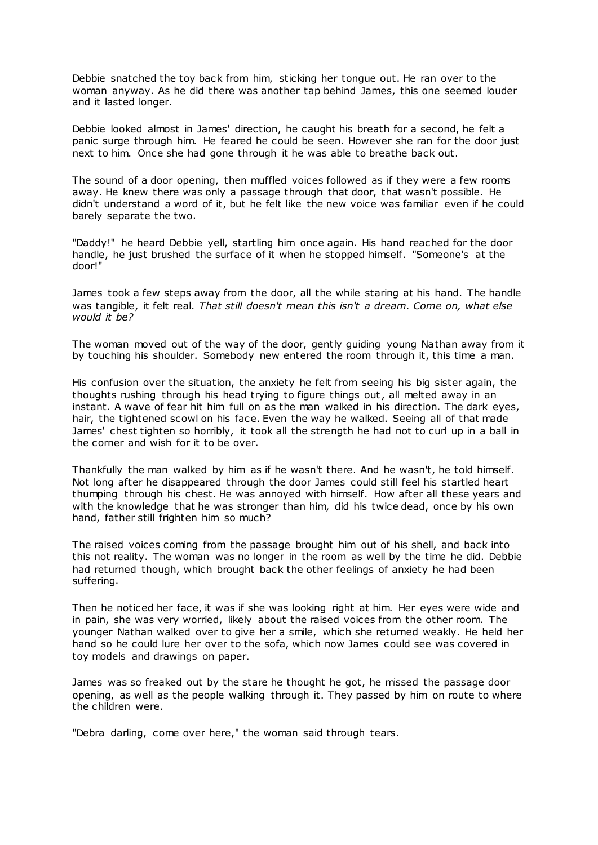Debbie snatched the toy back from him, sticking her tongue out. He ran over to the woman anyway. As he did there was another tap behind James, this one seemed louder and it lasted longer.

Debbie looked almost in James' direction, he caught his breath for a second, he felt a panic surge through him. He feared he could be seen. However she ran for the door just next to him. Once she had gone through it he was able to breathe back out.

The sound of a door opening, then muffled voices followed as if they were a few rooms away. He knew there was only a passage through that door, that wasn't possible. He didn't understand a word of it, but he felt like the new voice was familiar even if he could barely separate the two.

"Daddy!" he heard Debbie yell, startling him once again. His hand reached for the door handle, he just brushed the surface of it when he stopped himself. "Someone's at the door!"

James took a few steps away from the door, all the while staring at his hand. The handle was tangible, it felt real. *That still doesn't mean this isn't a dream. Come on, what else would it be?*

The woman moved out of the way of the door, gently guiding young Nathan away from it by touching his shoulder. Somebody new entered the room through it, this time a man.

His confusion over the situation, the anxiety he felt from seeing his big sister again, the thoughts rushing through his head trying to figure things out, all melted away in an instant. A wave of fear hit him full on as the man walked in his direction. The dark eyes, hair, the tightened scowl on his face. Even the way he walked. Seeing all of that made James' chest tighten so horribly, it took all the strength he had not to curl up in a ball in the corner and wish for it to be over.

Thankfully the man walked by him as if he wasn't there. And he wasn't, he told himself. Not long after he disappeared through the door James could still feel his startled heart thumping through his chest. He was annoyed with himself. How after all these years and with the knowledge that he was stronger than him, did his twice dead, once by his own hand, father still frighten him so much?

The raised voices coming from the passage brought him out of his shell, and back into this not reality. The woman was no longer in the room as well by the time he did. Debbie had returned though, which brought back the other feelings of anxiety he had been suffering.

Then he noticed her face, it was if she was looking right at him. Her eyes were wide and in pain, she was very worried, likely about the raised voices from the other room. The younger Nathan walked over to give her a smile, which she returned weakly. He held her hand so he could lure her over to the sofa, which now James could see was covered in toy models and drawings on paper.

James was so freaked out by the stare he thought he got, he missed the passage door opening, as well as the people walking through it. They passed by him on route to where the children were.

"Debra darling, come over here," the woman said through tears.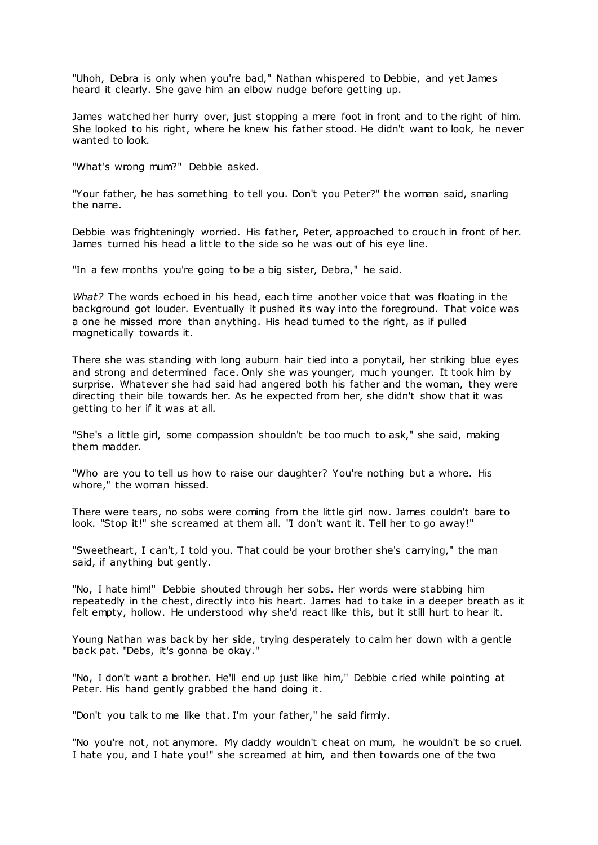"Uhoh, Debra is only when you're bad," Nathan whispered to Debbie, and yet James heard it clearly. She gave him an elbow nudge before getting up.

James watched her hurry over, just stopping a mere foot in front and to the right of him. She looked to his right, where he knew his father stood. He didn't want to look, he never wanted to look.

"What's wrong mum?" Debbie asked.

"Your father, he has something to tell you. Don't you Peter?" the woman said, snarling the name.

Debbie was frighteningly worried. His father, Peter, approached to crouch in front of her. James turned his head a little to the side so he was out of his eye line.

"In a few months you're going to be a big sister, Debra," he said.

*What?* The words echoed in his head, each time another voice that was floating in the background got louder. Eventually it pushed its way into the foreground. That voice was a one he missed more than anything. His head turned to the right, as if pulled magnetically towards it.

There she was standing with long auburn hair tied into a ponytail, her striking blue eyes and strong and determined face. Only she was younger, much younger. It took him by surprise. Whatever she had said had angered both his father and the woman, they were directing their bile towards her. As he expected from her, she didn't show that it was getting to her if it was at all.

"She's a little girl, some compassion shouldn't be too much to ask," she said, making them madder.

"Who are you to tell us how to raise our daughter? You're nothing but a whore. His whore," the woman hissed.

There were tears, no sobs were coming from the little girl now. James couldn't bare to look. "Stop it!" she screamed at them all. "I don't want it. Tell her to go away!"

"Sweetheart, I can't, I told you. That could be your brother she's carrying," the man said, if anything but gently.

"No, I hate him!" Debbie shouted through her sobs. Her words were stabbing him repeatedly in the chest, directly into his heart. James had to take in a deeper breath as it felt empty, hollow. He understood why she'd react like this, but it still hurt to hear it.

Young Nathan was back by her side, trying desperately to calm her down with a gentle back pat. "Debs, it's gonna be okay."

"No, I don't want a brother. He'll end up just like him," Debbie c ried while pointing at Peter. His hand gently grabbed the hand doing it.

"Don't you talk to me like that. I'm your father," he said firmly.

"No you're not, not anymore. My daddy wouldn't cheat on mum, he wouldn't be so cruel. I hate you, and I hate you!" she screamed at him, and then towards one of the two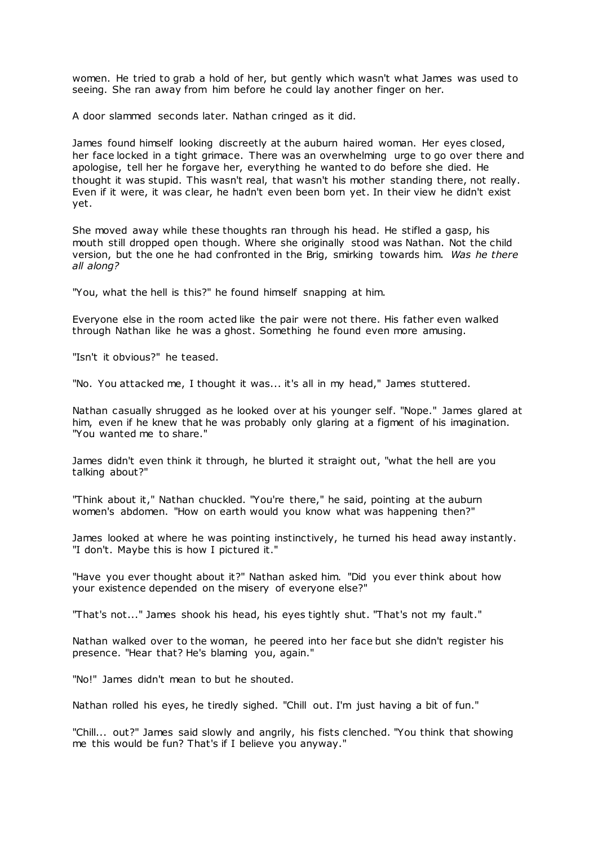women. He tried to grab a hold of her, but gently which wasn't what James was used to seeing. She ran away from him before he could lay another finger on her.

A door slammed seconds later. Nathan cringed as it did.

James found himself looking discreetly at the auburn haired woman. Her eyes closed, her face locked in a tight grimace. There was an overwhelming urge to go over there and apologise, tell her he forgave her, everything he wanted to do before she died. He thought it was stupid. This wasn't real, that wasn't his mother standing there, not really. Even if it were, it was clear, he hadn't even been born yet. In their view he didn't exist yet.

She moved away while these thoughts ran through his head. He stifled a gasp, his mouth still dropped open though. Where she originally stood was Nathan. Not the child version, but the one he had confronted in the Brig, smirking towards him. *Was he there all along?*

"You, what the hell is this?" he found himself snapping at him.

Everyone else in the room acted like the pair were not there. His father even walked through Nathan like he was a ghost. Something he found even more amusing.

"Isn't it obvious?" he teased.

"No. You attacked me, I thought it was... it's all in my head," James stuttered.

Nathan casually shrugged as he looked over at his younger self. "Nope." James glared at him, even if he knew that he was probably only glaring at a figment of his imagination. "You wanted me to share."

James didn't even think it through, he blurted it straight out, "what the hell are you talking about?"

"Think about it," Nathan chuckled. "You're there," he said, pointing at the auburn women's abdomen. "How on earth would you know what was happening then?"

James looked at where he was pointing instinctively, he turned his head away instantly. "I don't. Maybe this is how I pictured it."

"Have you ever thought about it?" Nathan asked him. "Did you ever think about how your existence depended on the misery of everyone else?"

"That's not..." James shook his head, his eyes tightly shut. "That's not my fault."

Nathan walked over to the woman, he peered into her face but she didn't register his presence. "Hear that? He's blaming you, again."

"No!" James didn't mean to but he shouted.

Nathan rolled his eyes, he tiredly sighed. "Chill out. I'm just having a bit of fun."

"Chill... out?" James said slowly and angrily, his fists clenched. "You think that showing me this would be fun? That's if I believe you anyway."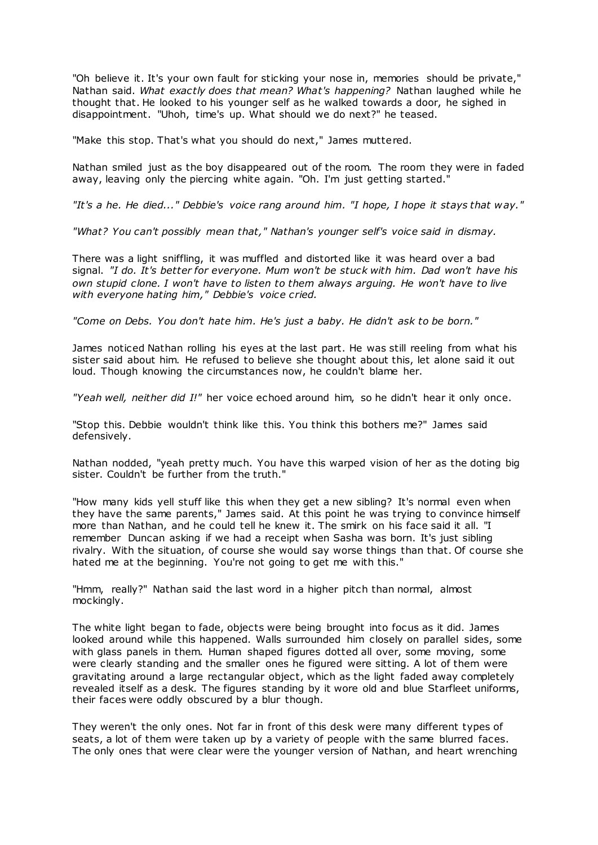"Oh believe it. It's your own fault for sticking your nose in, memories should be private," Nathan said. *What exactly does that mean? What's happening?* Nathan laughed while he thought that. He looked to his younger self as he walked towards a door, he sighed in disappointment. "Uhoh, time's up. What should we do next?" he teased.

"Make this stop. That's what you should do next," James muttered.

Nathan smiled just as the boy disappeared out of the room. The room they were in faded away, leaving only the piercing white again. "Oh. I'm just getting started."

*"It's a he. He died..." Debbie's voice rang around him. "I hope, I hope it stays that w ay."*

*"What? You can't possibly mean that," Nathan's younger self's voice said in dismay.*

There was a light sniffling, it was muffled and distorted like it was heard over a bad signal. *"I do. It's better for everyone. Mum won't be stuck with him. Dad won't have his own stupid clone. I won't have to listen to them always arguing. He won't have to live with everyone hating him," Debbie's voice cried.*

*"Come on Debs. You don't hate him. He's just a baby. He didn't ask to be born."*

James noticed Nathan rolling his eyes at the last part. He was still reeling from what his sister said about him. He refused to believe she thought about this, let alone said it out loud. Though knowing the circumstances now, he couldn't blame her.

*"Yeah well, neither did I!"* her voice echoed around him, so he didn't hear it only once.

"Stop this. Debbie wouldn't think like this. You think this bothers me?" James said defensively.

Nathan nodded, "yeah pretty much. You have this warped vision of her as the doting big sister. Couldn't be further from the truth."

"How many kids yell stuff like this when they get a new sibling? It's normal even when they have the same parents," James said. At this point he was trying to convince himself more than Nathan, and he could tell he knew it. The smirk on his face said it all. "I remember Duncan asking if we had a receipt when Sasha was born. It's just sibling rivalry. With the situation, of course she would say worse things than that. Of course she hated me at the beginning. You're not going to get me with this."

"Hmm, really?" Nathan said the last word in a higher pitch than normal, almost mockingly.

The white light began to fade, objects were being brought into focus as it did. James looked around while this happened. Walls surrounded him closely on parallel sides, some with glass panels in them. Human shaped figures dotted all over, some moving, some were clearly standing and the smaller ones he figured were sitting. A lot of them were gravitating around a large rectangular object, which as the light faded away completely revealed itself as a desk. The figures standing by it wore old and blue Starfleet uniforms, their faces were oddly obscured by a blur though.

They weren't the only ones. Not far in front of this desk were many different types of seats, a lot of them were taken up by a variety of people with the same blurred faces. The only ones that were clear were the younger version of Nathan, and heart wrenching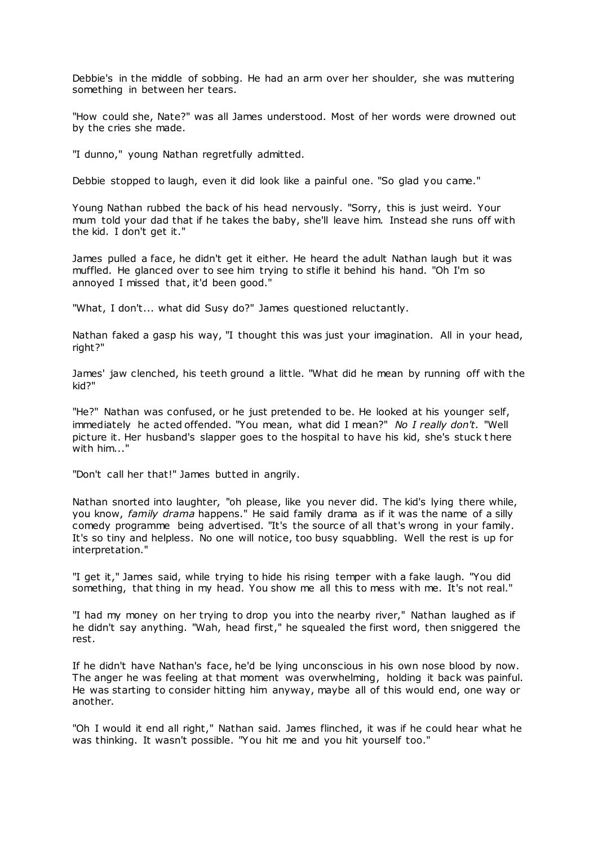Debbie's in the middle of sobbing. He had an arm over her shoulder, she was muttering something in between her tears.

"How could she, Nate?" was all James understood. Most of her words were drowned out by the cries she made.

"I dunno," young Nathan regretfully admitted.

Debbie stopped to laugh, even it did look like a painful one. "So glad you came."

Young Nathan rubbed the back of his head nervously. "Sorry, this is just weird. Your mum told your dad that if he takes the baby, she'll leave him. Instead she runs off with the kid. I don't get it."

James pulled a face, he didn't get it either. He heard the adult Nathan laugh but it was muffled. He glanced over to see him trying to stifle it behind his hand. "Oh I'm so annoyed I missed that, it'd been good."

"What, I don't... what did Susy do?" James questioned reluctantly.

Nathan faked a gasp his way, "I thought this was just your imagination. All in your head, right?"

James' jaw clenched, his teeth ground a little. "What did he mean by running off with the kid?"

"He?" Nathan was confused, or he just pretended to be. He looked at his younger self, immediately he acted offended. "You mean, what did I mean?" *No I really don't.* "Well picture it. Her husband's slapper goes to the hospital to have his kid, she's stuck t here with him..."

"Don't call her that!" James butted in angrily.

Nathan snorted into laughter, "oh please, like you never did. The kid's lying there while, you know, *family drama* happens." He said family drama as if it was the name of a silly comedy programme being advertised. "It's the source of all that's wrong in your family. It's so tiny and helpless. No one will notice, too busy squabbling. Well the rest is up for interpretation."

"I get it," James said, while trying to hide his rising temper with a fake laugh. "You did something, that thing in my head. You show me all this to mess with me. It's not real."

"I had my money on her trying to drop you into the nearby river," Nathan laughed as if he didn't say anything. "Wah, head first," he squealed the first word, then sniggered the rest.

If he didn't have Nathan's face, he'd be lying unconscious in his own nose blood by now. The anger he was feeling at that moment was overwhelming, holding it back was painful. He was starting to consider hitting him anyway, maybe all of this would end, one way or another.

"Oh I would it end all right," Nathan said. James flinched, it was if he could hear what he was thinking. It wasn't possible. "You hit me and you hit yourself too."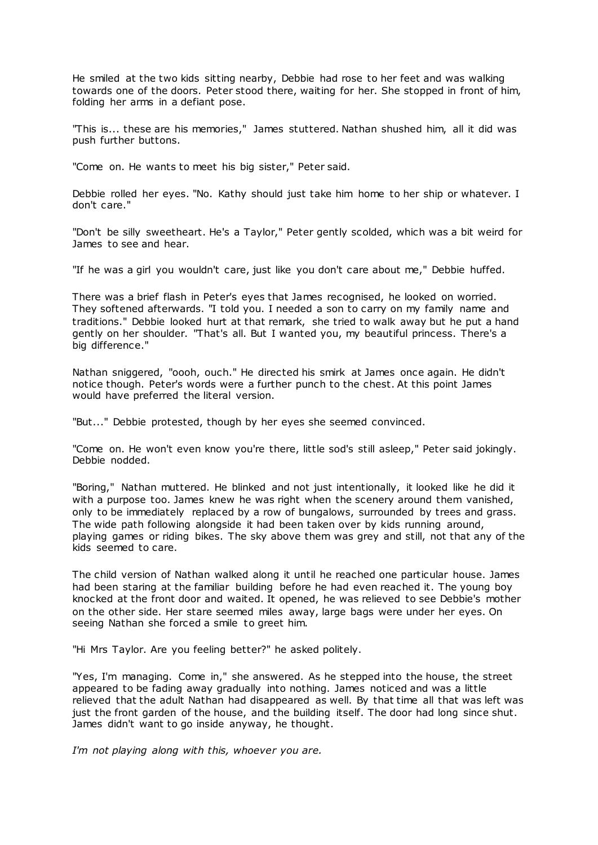He smiled at the two kids sitting nearby, Debbie had rose to her feet and was walking towards one of the doors. Peter stood there, waiting for her. She stopped in front of him, folding her arms in a defiant pose.

"This is... these are his memories," James stuttered. Nathan shushed him, all it did was push further buttons.

"Come on. He wants to meet his big sister," Peter said.

Debbie rolled her eyes. "No. Kathy should just take him home to her ship or whatever. I don't care."

"Don't be silly sweetheart. He's a Taylor," Peter gently scolded, which was a bit weird for James to see and hear.

"If he was a girl you wouldn't care, just like you don't care about me," Debbie huffed.

There was a brief flash in Peter's eyes that James recognised, he looked on worried. They softened afterwards. "I told you. I needed a son to carry on my family name and traditions." Debbie looked hurt at that remark, she tried to walk away but he put a hand gently on her shoulder. "That's all. But I wanted you, my beautiful princess. There's a big difference."

Nathan sniggered, "oooh, ouch." He directed his smirk at James once again. He didn't notice though. Peter's words were a further punch to the chest. At this point James would have preferred the literal version.

"But..." Debbie protested, though by her eyes she seemed convinced.

"Come on. He won't even know you're there, little sod's still asleep," Peter said jokingly. Debbie nodded.

"Boring," Nathan muttered. He blinked and not just intentionally, it looked like he did it with a purpose too. James knew he was right when the scenery around them vanished, only to be immediately replaced by a row of bungalows, surrounded by trees and grass. The wide path following alongside it had been taken over by kids running around, playing games or riding bikes. The sky above them was grey and still, not that any of the kids seemed to care.

The child version of Nathan walked along it until he reached one particular house. James had been staring at the familiar building before he had even reached it. The young boy knocked at the front door and waited. It opened, he was relieved to see Debbie's mother on the other side. Her stare seemed miles away, large bags were under her eyes. On seeing Nathan she forced a smile to greet him.

"Hi Mrs Taylor. Are you feeling better?" he asked politely.

"Yes, I'm managing. Come in," she answered. As he stepped into the house, the street appeared to be fading away gradually into nothing. James noticed and was a little relieved that the adult Nathan had disappeared as well. By that time all that was left was just the front garden of the house, and the building itself. The door had long since shut. James didn't want to go inside anyway, he thought.

*I'm not playing along with this, whoever you are.*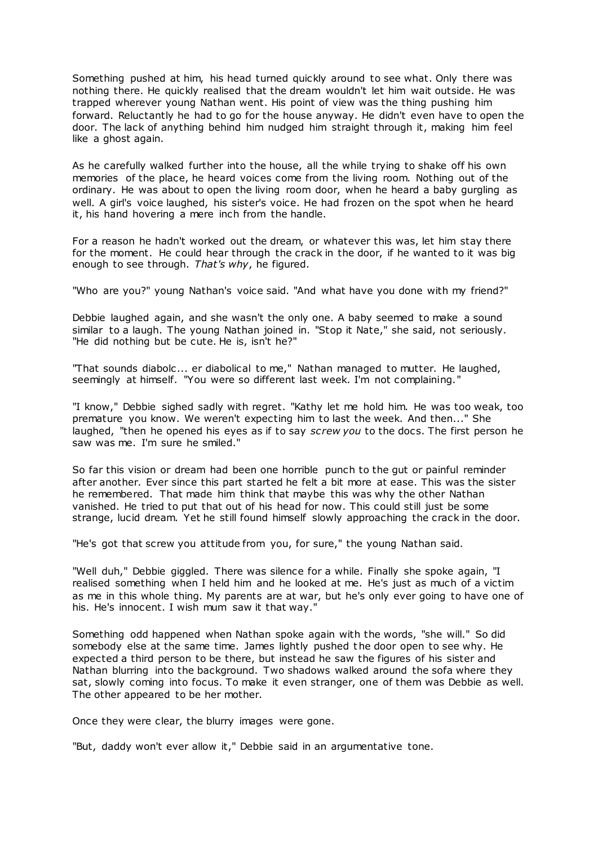Something pushed at him, his head turned quickly around to see what. Only there was nothing there. He quickly realised that the dream wouldn't let him wait outside. He was trapped wherever young Nathan went. His point of view was the thing pushing him forward. Reluctantly he had to go for the house anyway. He didn't even have to open the door. The lack of anything behind him nudged him straight through it, making him feel like a ghost again.

As he carefully walked further into the house, all the while trying to shake off his own memories of the place, he heard voices come from the living room. Nothing out of the ordinary. He was about to open the living room door, when he heard a baby gurgling as well. A girl's voice laughed, his sister's voice. He had frozen on the spot when he heard it, his hand hovering a mere inch from the handle.

For a reason he hadn't worked out the dream, or whatever this was, let him stay there for the moment. He could hear through the crack in the door, if he wanted to it was big enough to see through. *That's why*, he figured.

"Who are you?" young Nathan's voice said. "And what have you done with my friend?"

Debbie laughed again, and she wasn't the only one. A baby seemed to make a sound similar to a laugh. The young Nathan joined in. "Stop it Nate," she said, not seriously. "He did nothing but be cute. He is, isn't he?"

"That sounds diabolc ... er diabolical to me," Nathan managed to mutter. He laughed, seemingly at himself. "You were so different last week. I'm not complaining."

"I know," Debbie sighed sadly with regret. "Kathy let me hold him. He was too weak, too premature you know. We weren't expecting him to last the week. And then..." She laughed, "then he opened his eyes as if to say *screw you* to the docs. The first person he saw was me. I'm sure he smiled."

So far this vision or dream had been one horrible punch to the gut or painful reminder after another. Ever since this part started he felt a bit more at ease. This was the sister he remembered. That made him think that maybe this was why the other Nathan vanished. He tried to put that out of his head for now. This could still just be some strange, lucid dream. Yet he still found himself slowly approaching the crack in the door.

"He's got that screw you attitude from you, for sure," the young Nathan said.

"Well duh," Debbie giggled. There was silence for a while. Finally she spoke again, "I realised something when I held him and he looked at me. He's just as much of a victim as me in this whole thing. My parents are at war, but he's only ever going to have one of his. He's innocent. I wish mum saw it that way."

Something odd happened when Nathan spoke again with the words, "she will." So did somebody else at the same time. James lightly pushed the door open to see why. He expected a third person to be there, but instead he saw the figures of his sister and Nathan blurring into the background. Two shadows walked around the sofa where they sat, slowly coming into focus. To make it even stranger, one of them was Debbie as well. The other appeared to be her mother.

Once they were clear, the blurry images were gone.

"But, daddy won't ever allow it," Debbie said in an argumentative tone.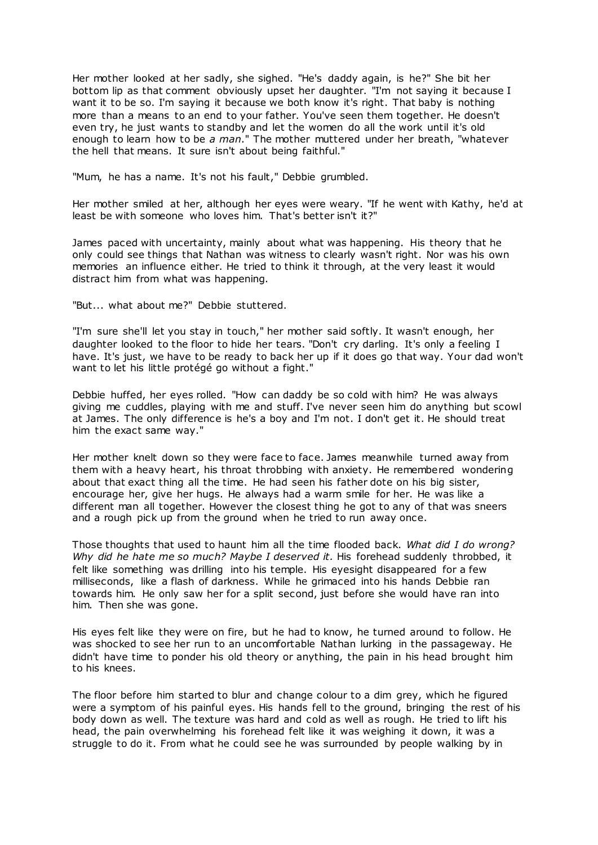Her mother looked at her sadly, she sighed. "He's daddy again, is he?" She bit her bottom lip as that comment obviously upset her daughter. "I'm not saying it because I want it to be so. I'm saying it because we both know it's right. That baby is nothing more than a means to an end to your father. You've seen them together. He doesn't even try, he just wants to standby and let the women do all the work until it's old enough to learn how to be *a man*." The mother muttered under her breath, "whatever the hell that means. It sure isn't about being faithful."

"Mum, he has a name. It's not his fault," Debbie grumbled.

Her mother smiled at her, although her eyes were weary. "If he went with Kathy, he'd at least be with someone who loves him. That's better isn't it?"

James paced with uncertainty, mainly about what was happening. His theory that he only could see things that Nathan was witness to clearly wasn't right. Nor was his own memories an influence either. He tried to think it through, at the very least it would distract him from what was happening.

"But... what about me?" Debbie stuttered.

"I'm sure she'll let you stay in touch," her mother said softly. It wasn't enough, her daughter looked to the floor to hide her tears. "Don't cry darling. It's only a feeling I have. It's just, we have to be ready to back her up if it does go that way. Your dad won't want to let his little protégé go without a fight."

Debbie huffed, her eyes rolled. "How can daddy be so cold with him? He was always giving me cuddles, playing with me and stuff. I've never seen him do anything but scowl at James. The only difference is he's a boy and I'm not. I don't get it. He should treat him the exact same way."

Her mother knelt down so they were face to face. James meanwhile turned away from them with a heavy heart, his throat throbbing with anxiety. He remembered wondering about that exact thing all the time. He had seen his father dote on his big sister, encourage her, give her hugs. He always had a warm smile for her. He was like a different man all together. However the closest thing he got to any of that was sneers and a rough pick up from the ground when he tried to run away once.

Those thoughts that used to haunt him all the time flooded back. *What did I do wrong? Why did he hate me so much? Maybe I deserved it.* His forehead suddenly throbbed, it felt like something was drilling into his temple. His eyesight disappeared for a few milliseconds, like a flash of darkness. While he grimaced into his hands Debbie ran towards him. He only saw her for a split second, just before she would have ran into him. Then she was gone.

His eyes felt like they were on fire, but he had to know, he turned around to follow. He was shocked to see her run to an uncomfortable Nathan lurking in the passageway. He didn't have time to ponder his old theory or anything, the pain in his head brought him to his knees.

The floor before him started to blur and change colour to a dim grey, which he figured were a symptom of his painful eyes. His hands fell to the ground, bringing the rest of his body down as well. The texture was hard and cold as well as rough. He tried to lift his head, the pain overwhelming his forehead felt like it was weighing it down, it was a struggle to do it. From what he could see he was surrounded by people walking by in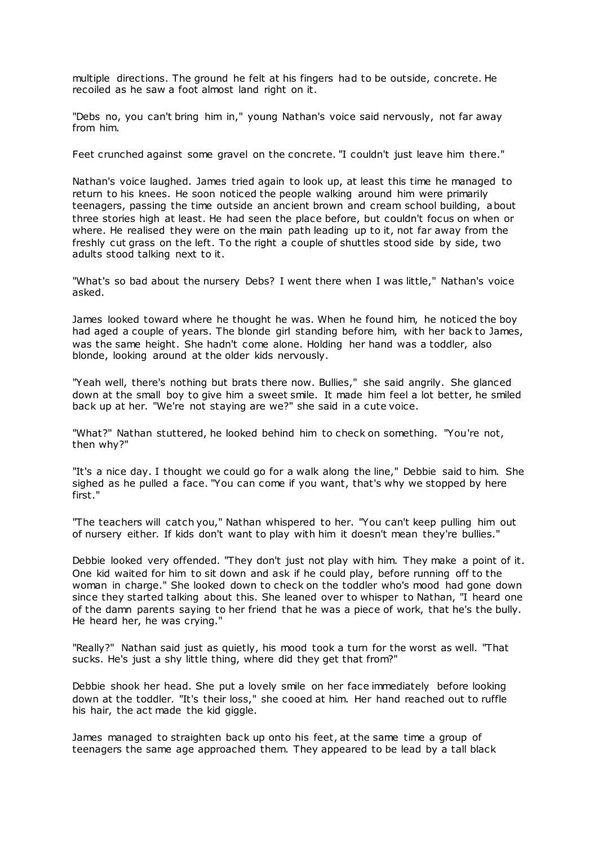multiple directions. The ground he felt at his fingers had to be outside, concrete. He recoiled as he saw a foot almost land right on it.

"Debs no, you can't bring him in," young Nathan's voice said nervously, not far away from him.

Feet crunched against some gravel on the concrete. "I couldn't just leave him there."

Nathan's voice laughed. James tried again to look up, at least this time he managed to return to his knees. He soon noticed the people walking around him were primarily teenagers, passing the time outside an ancient brown and cream school building, about three stories high at least. He had seen the place before, but couldn't focus on when or where. He realised they were on the main path leading up to it, not far away from the freshly cut grass on the left. To the right a couple of shuttles stood side by side, two adults stood talking next to it.

"What's so bad about the nursery Debs? I went there when I was little," Nathan's voice asked.

James looked toward where he thought he was. When he found him, he noticed the boy had aged a couple of years. The blonde girl standing before him, with her back to James, was the same height. She hadn't come alone. Holding her hand was a toddler, also blonde, looking around at the older kids nervously.

"Yeah well, there's nothing but brats there now. Bullies," she said angrily. She glanced down at the small boy to give him a sweet smile. It made him feel a lot better, he smiled back up at her. "We're not staying are we?" she said in a cute voice.

"What?" Nathan stuttered, he looked behind him to check on something. "You're not, then why?"

"It's a nice day. I thought we could go for a walk along the line," Debbie said to him. She sighed as he pulled a face. "You can come if you want, that's why we stopped by here first."

"The teachers will catch you," Nathan whispered to her. "You can't keep pulling him out of nursery either. If kids don't want to play with him it doesn't mean they're bullies."

Debbie looked very offended. "They don't just not play with him. They make a point of it. One kid waited for him to sit down and ask if he could play, before running off to the woman in charge." She looked down to check on the toddler who's mood had gone down since they started talking about this. She leaned over to whisper to Nathan, "I heard one of the damn parents saying to her friend that he was a piece of work, that he's the bully. He heard her, he was crying."

"Really?" Nathan said just as quietly, his mood took a turn for the worst as well. "That sucks. He's just a shy little thing, where did they get that from?"

Debbie shook her head. She put a lovely smile on her face immediately before looking down at the toddler. "It's their loss," she cooed at him. Her hand reached out to ruffle his hair, the act made the kid giggle.

James managed to straighten back up onto his feet, at the same time a group of teenagers the same age approached them. They appeared to be lead by a tall black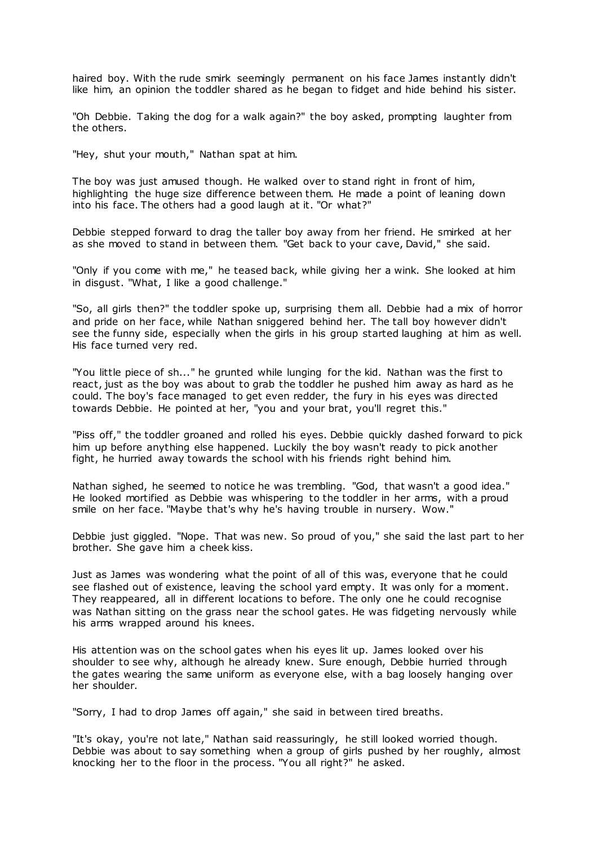haired boy. With the rude smirk seemingly permanent on his face James instantly didn't like him, an opinion the toddler shared as he began to fidget and hide behind his sister.

"Oh Debbie. Taking the dog for a walk again?" the boy asked, prompting laughter from the others.

"Hey, shut your mouth," Nathan spat at him.

The boy was just amused though. He walked over to stand right in front of him, highlighting the huge size difference between them. He made a point of leaning down into his face. The others had a good laugh at it. "Or what?"

Debbie stepped forward to drag the taller boy away from her friend. He smirked at her as she moved to stand in between them. "Get back to your cave, David," she said.

"Only if you come with me," he teased back, while giving her a wink. She looked at him in disgust. "What, I like a good challenge."

"So, all girls then?" the toddler spoke up, surprising them all. Debbie had a mix of horror and pride on her face, while Nathan sniggered behind her. The tall boy however didn't see the funny side, especially when the girls in his group started laughing at him as well. His face turned very red.

"You little piece of sh..." he grunted while lunging for the kid. Nathan was the first to react, just as the boy was about to grab the toddler he pushed him away as hard as he could. The boy's face managed to get even redder, the fury in his eyes was directed towards Debbie. He pointed at her, "you and your brat, you'll regret this."

"Piss off," the toddler groaned and rolled his eyes. Debbie quickly dashed forward to pick him up before anything else happened. Luckily the boy wasn't ready to pick another fight, he hurried away towards the school with his friends right behind him.

Nathan sighed, he seemed to notice he was trembling. "God, that wasn't a good idea." He looked mortified as Debbie was whispering to the toddler in her arms, with a proud smile on her face. "Maybe that's why he's having trouble in nursery. Wow."

Debbie just giggled. "Nope. That was new. So proud of you," she said the last part to her brother. She gave him a cheek kiss.

Just as James was wondering what the point of all of this was, everyone that he could see flashed out of existence, leaving the school yard empty. It was only for a moment. They reappeared, all in different locations to before. The only one he could recognise was Nathan sitting on the grass near the school gates. He was fidgeting nervously while his arms wrapped around his knees.

His attention was on the school gates when his eyes lit up. James looked over his shoulder to see why, although he already knew. Sure enough, Debbie hurried through the gates wearing the same uniform as everyone else, with a bag loosely hanging over her shoulder.

"Sorry, I had to drop James off again," she said in between tired breaths.

"It's okay, you're not late," Nathan said reassuringly, he still looked worried though. Debbie was about to say something when a group of girls pushed by her roughly, almost knocking her to the floor in the process. "You all right?" he asked.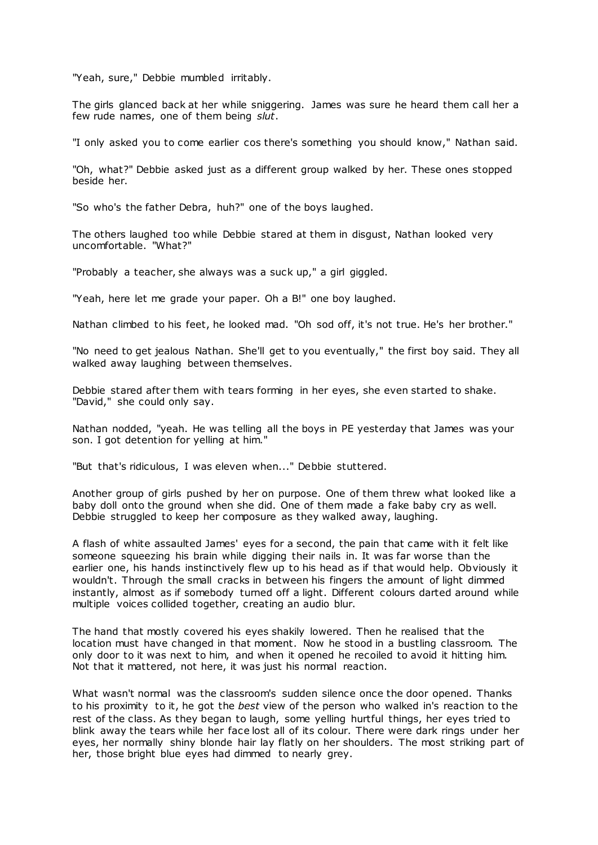"Yeah, sure," Debbie mumbled irritably.

The girls glanced back at her while sniggering. James was sure he heard them call her a few rude names, one of them being *slut*.

"I only asked you to come earlier cos there's something you should know," Nathan said.

"Oh, what?" Debbie asked just as a different group walked by her. These ones stopped beside her.

"So who's the father Debra, huh?" one of the boys laughed.

The others laughed too while Debbie stared at them in disgust, Nathan looked very uncomfortable. "What?"

"Probably a teacher, she always was a suck up," a girl giggled.

"Yeah, here let me grade your paper. Oh a B!" one boy laughed.

Nathan climbed to his feet, he looked mad. "Oh sod off, it's not true. He's her brother."

"No need to get jealous Nathan. She'll get to you eventually," the first boy said. They all walked away laughing between themselves.

Debbie stared after them with tears forming in her eyes, she even started to shake. "David," she could only say.

Nathan nodded, "yeah. He was telling all the boys in PE yesterday that James was your son. I got detention for yelling at him."

"But that's ridiculous, I was eleven when..." Debbie stuttered.

Another group of girls pushed by her on purpose. One of them threw what looked like a baby doll onto the ground when she did. One of them made a fake baby cry as well. Debbie struggled to keep her composure as they walked away, laughing.

A flash of white assaulted James' eyes for a second, the pain that came with it felt like someone squeezing his brain while digging their nails in. It was far worse than the earlier one, his hands instinctively flew up to his head as if that would help. Obviously it wouldn't. Through the small cracks in between his fingers the amount of light dimmed instantly, almost as if somebody turned off a light. Different colours darted around while multiple voices collided together, creating an audio blur.

The hand that mostly covered his eyes shakily lowered. Then he realised that the location must have changed in that moment. Now he stood in a bustling classroom. The only door to it was next to him, and when it opened he recoiled to avoid it hitting him. Not that it mattered, not here, it was just his normal reaction.

What wasn't normal was the classroom's sudden silence once the door opened. Thanks to his proximity to it, he got the *best* view of the person who walked in's reaction to the rest of the class. As they began to laugh, some yelling hurtful things, her eyes tried to blink away the tears while her face lost all of its colour. There were dark rings under her eyes, her normally shiny blonde hair lay flatly on her shoulders. The most striking part of her, those bright blue eyes had dimmed to nearly grey.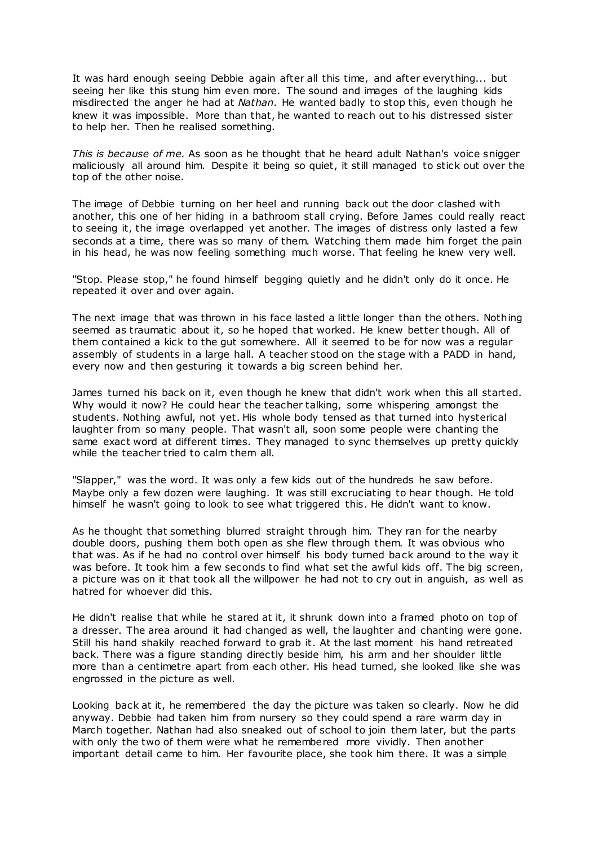It was hard enough seeing Debbie again after all this time, and after everything... but seeing her like this stung him even more. The sound and images of the laughing kids misdirected the anger he had at *Nathan*. He wanted badly to stop this, even though he knew it was impossible. More than that, he wanted to reach out to his distressed sister to help her. Then he realised something.

*This is because of me.* As soon as he thought that he heard adult Nathan's voice snigger maliciously all around him. Despite it being so quiet, it still managed to stick out over the top of the other noise.

The image of Debbie turning on her heel and running back out the door clashed with another, this one of her hiding in a bathroom stall crying. Before James could really react to seeing it, the image overlapped yet another. The images of distress only lasted a few seconds at a time, there was so many of them. Watching them made him forget the pain in his head, he was now feeling something much worse. That feeling he knew very well.

"Stop. Please stop," he found himself begging quietly and he didn't only do it once. He repeated it over and over again.

The next image that was thrown in his face lasted a little longer than the others. Nothing seemed as traumatic about it, so he hoped that worked. He knew better though. All of them contained a kick to the gut somewhere. All it seemed to be for now was a regular assembly of students in a large hall. A teacher stood on the stage with a PADD in hand, every now and then gesturing it towards a big screen behind her.

James turned his back on it, even though he knew that didn't work when this all started. Why would it now? He could hear the teacher talking, some whispering amongst the students. Nothing awful, not yet. His whole body tensed as that turned into hysterical laughter from so many people. That wasn't all, soon some people were chanting the same exact word at different times. They managed to sync themselves up pretty quickly while the teacher tried to calm them all.

"Slapper," was the word. It was only a few kids out of the hundreds he saw before. Maybe only a few dozen were laughing. It was still excruciating to hear though. He told himself he wasn't going to look to see what triggered this. He didn't want to know.

As he thought that something blurred straight through him. They ran for the nearby double doors, pushing them both open as she flew through them. It was obvious who that was. As if he had no control over himself his body turned back around to the way it was before. It took him a few seconds to find what set the awful kids off. The big screen, a picture was on it that took all the willpower he had not to cry out in anguish, as well as hatred for whoever did this.

He didn't realise that while he stared at it, it shrunk down into a framed photo on top of a dresser. The area around it had changed as well, the laughter and chanting were gone. Still his hand shakily reached forward to grab it. At the last moment his hand retreated back. There was a figure standing directly beside him, his arm and her shoulder little more than a centimetre apart from each other. His head turned, she looked like she was engrossed in the picture as well.

Looking back at it, he remembered the day the picture was taken so clearly. Now he did anyway. Debbie had taken him from nursery so they could spend a rare warm day in March together. Nathan had also sneaked out of school to join them later, but the parts with only the two of them were what he remembered more vividly. Then another important detail came to him. Her favourite place, she took him there. It was a simple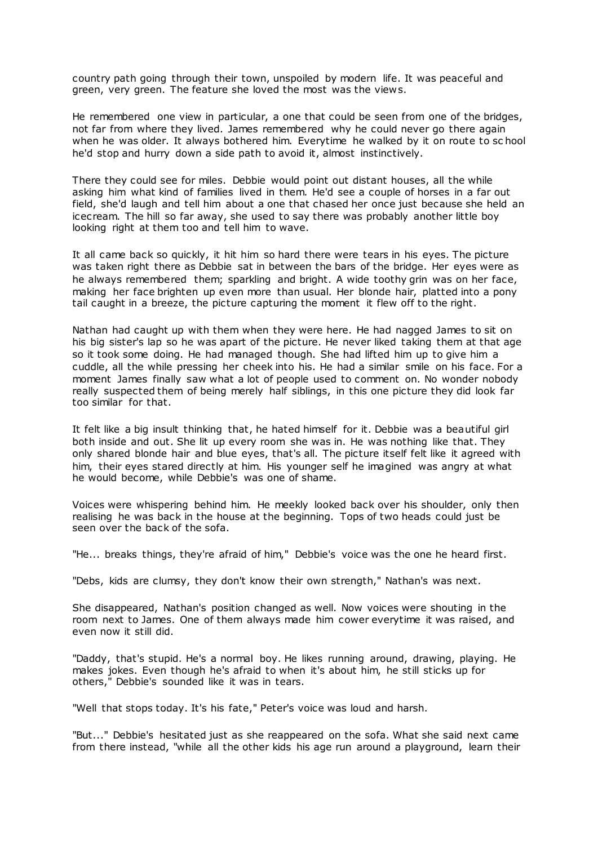country path going through their town, unspoiled by modern life. It was peaceful and green, very green. The feature she loved the most was the views.

He remembered one view in particular, a one that could be seen from one of the bridges, not far from where they lived. James remembered why he could never go there again when he was older. It always bothered him. Everytime he walked by it on route to sc hool he'd stop and hurry down a side path to avoid it, almost instinctively.

There they could see for miles. Debbie would point out distant houses, all the while asking him what kind of families lived in them. He'd see a couple of horses in a far out field, she'd laugh and tell him about a one that chased her once just because she held an icecream. The hill so far away, she used to say there was probably another little boy looking right at them too and tell him to wave.

It all came back so quickly, it hit him so hard there were tears in his eyes. The picture was taken right there as Debbie sat in between the bars of the bridge. Her eyes were as he always remembered them; sparkling and bright. A wide toothy grin was on her face, making her face brighten up even more than usual. Her blonde hair, platted into a pony tail caught in a breeze, the picture capturing the moment it flew off to the right.

Nathan had caught up with them when they were here. He had nagged James to sit on his big sister's lap so he was apart of the picture. He never liked taking them at that age so it took some doing. He had managed though. She had lifted him up to give him a cuddle, all the while pressing her cheek into his. He had a similar smile on his face. For a moment James finally saw what a lot of people used to comment on. No wonder nobody really suspected them of being merely half siblings, in this one picture they did look far too similar for that.

It felt like a big insult thinking that, he hated himself for it. Debbie was a beautiful girl both inside and out. She lit up every room she was in. He was nothing like that. They only shared blonde hair and blue eyes, that's all. The picture itself felt like it agreed with him, their eyes stared directly at him. His younger self he imagined was angry at what he would become, while Debbie's was one of shame.

Voices were whispering behind him. He meekly looked back over his shoulder, only then realising he was back in the house at the beginning. Tops of two heads could just be seen over the back of the sofa.

"He... breaks things, they're afraid of him," Debbie's voice was the one he heard first.

"Debs, kids are clumsy, they don't know their own strength," Nathan's was next.

She disappeared, Nathan's position changed as well. Now voices were shouting in the room next to James. One of them always made him cower everytime it was raised, and even now it still did.

"Daddy, that's stupid. He's a normal boy. He likes running around, drawing, playing. He makes jokes. Even though he's afraid to when it's about him, he still sticks up for others," Debbie's sounded like it was in tears.

"Well that stops today. It's his fate," Peter's voice was loud and harsh.

"But..." Debbie's hesitated just as she reappeared on the sofa. What she said next came from there instead, "while all the other kids his age run around a playground, learn their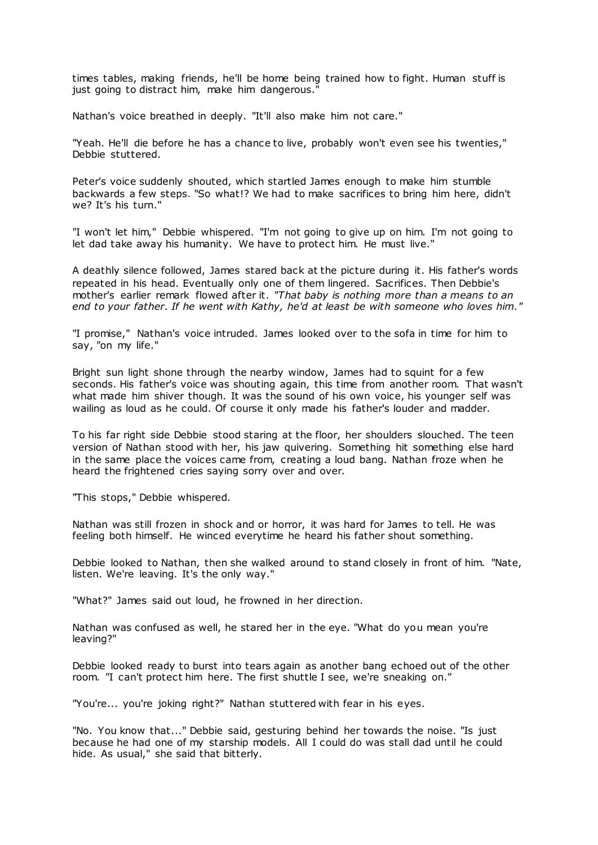times tables, making friends, he'll be home being trained how to fight. Human stuff is just going to distract him, make him dangerous.'

Nathan's voice breathed in deeply. "It'll also make him not care."

"Yeah. He'll die before he has a chance to live, probably won't even see his twenties," Debbie stuttered.

Peter's voice suddenly shouted, which startled James enough to make him stumble backwards a few steps. "So what!? We had to make sacrifices to bring him here, didn't we? It's his turn."

"I won't let him," Debbie whispered. "I'm not going to give up on him. I'm not going to let dad take away his humanity. We have to protect him. He must live."

A deathly silence followed, James stared back at the picture during it. His father's words repeated in his head. Eventually only one of them lingered. Sacrifices. Then Debbie's mother's earlier remark flowed after it. *"That baby is nothing more than a means to an end to your father. If he went with Kathy, he'd at least be with someone who loves him."*

"I promise," Nathan's voice intruded. James looked over to the sofa in time for him to say, "on my life."

Bright sun light shone through the nearby window, James had to squint for a few seconds. His father's voice was shouting again, this time from another room. That wasn't what made him shiver though. It was the sound of his own voice, his younger self was wailing as loud as he could. Of course it only made his father's louder and madder.

To his far right side Debbie stood staring at the floor, her shoulders slouched. The teen version of Nathan stood with her, his jaw quivering. Something hit something else hard in the same place the voices came from, creating a loud bang. Nathan froze when he heard the frightened cries saying sorry over and over.

"This stops," Debbie whispered.

Nathan was still frozen in shock and or horror, it was hard for James to tell. He was feeling both himself. He winced everytime he heard his father shout something.

Debbie looked to Nathan, then she walked around to stand closely in front of him. "Nate, listen. We're leaving. It's the only way."

"What?" James said out loud, he frowned in her direction.

Nathan was confused as well, he stared her in the eye. "What do you mean you're leaving?"

Debbie looked ready to burst into tears again as another bang echoed out of the other room. "I can't protect him here. The first shuttle I see, we're sneaking on."

"You're... you're joking right?" Nathan stuttered with fear in his eyes.

"No. You know that..." Debbie said, gesturing behind her towards the noise. "Is just because he had one of my starship models. All I could do was stall dad until he could hide. As usual," she said that bitterly.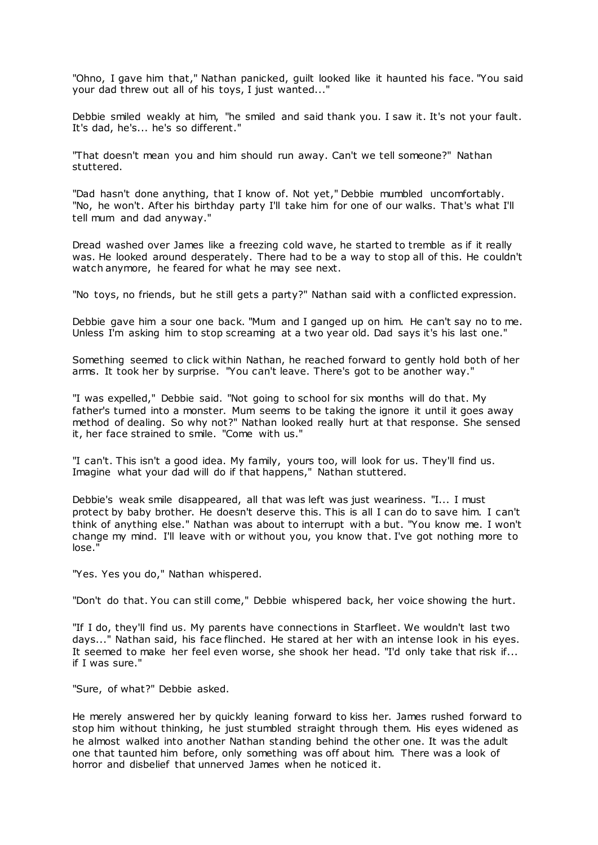"Ohno, I gave him that," Nathan panicked, guilt looked like it haunted his face. "You said your dad threw out all of his toys, I just wanted..."

Debbie smiled weakly at him, "he smiled and said thank you. I saw it. It's not your fault. It's dad, he's... he's so different."

"That doesn't mean you and him should run away. Can't we tell someone?" Nathan stuttered.

"Dad hasn't done anything, that I know of. Not yet," Debbie mumbled uncomfortably. "No, he won't. After his birthday party I'll take him for one of our walks. That's what I'll tell mum and dad anyway."

Dread washed over James like a freezing cold wave, he started to tremble as if it really was. He looked around desperately. There had to be a way to stop all of this. He couldn't watch anymore, he feared for what he may see next.

"No toys, no friends, but he still gets a party?" Nathan said with a conflicted expression.

Debbie gave him a sour one back. "Mum and I ganged up on him. He can't say no to me. Unless I'm asking him to stop screaming at a two year old. Dad says it's his last one."

Something seemed to click within Nathan, he reached forward to gently hold both of her arms. It took her by surprise. "You can't leave. There's got to be another way."

"I was expelled," Debbie said. "Not going to school for six months will do that. My father's turned into a monster. Mum seems to be taking the ignore it until it goes away method of dealing. So why not?" Nathan looked really hurt at that response. She sensed it, her face strained to smile. "Come with us."

"I can't. This isn't a good idea. My family, yours too, will look for us. They'll find us. Imagine what your dad will do if that happens," Nathan stuttered.

Debbie's weak smile disappeared, all that was left was just weariness. "I... I must protect by baby brother. He doesn't deserve this. This is all I can do to save him. I can't think of anything else." Nathan was about to interrupt with a but. "You know me. I won't change my mind. I'll leave with or without you, you know that. I've got nothing more to lose."

"Yes. Yes you do," Nathan whispered.

"Don't do that. You can still come," Debbie whispered back, her voice showing the hurt.

"If I do, they'll find us. My parents have connections in Starfleet. We wouldn't last two days..." Nathan said, his face flinched. He stared at her with an intense look in his eyes. It seemed to make her feel even worse, she shook her head. "I'd only take that risk if... if I was sure."

"Sure, of what?" Debbie asked.

He merely answered her by quickly leaning forward to kiss her. James rushed forward to stop him without thinking, he just stumbled straight through them. His eyes widened as he almost walked into another Nathan standing behind the other one. It was the adult one that taunted him before, only something was off about him. There was a look of horror and disbelief that unnerved James when he noticed it.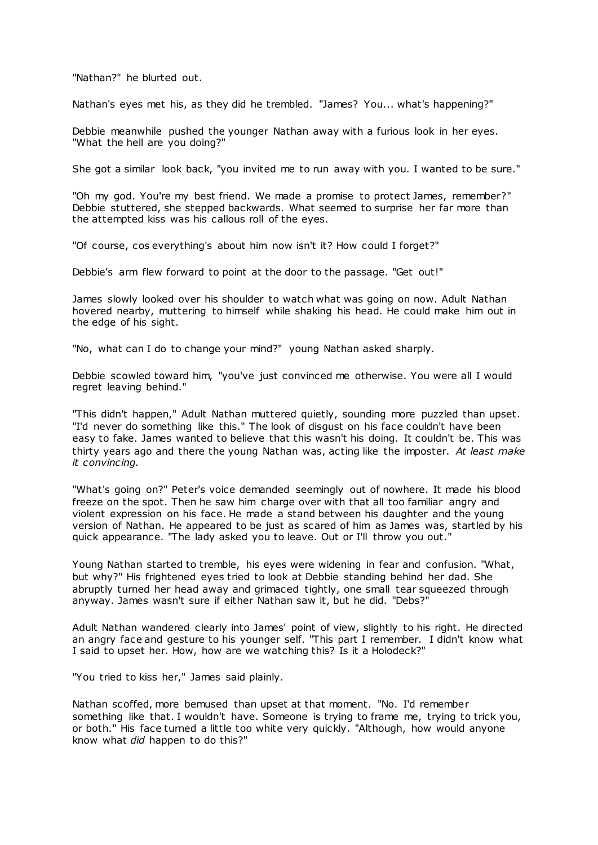"Nathan?" he blurted out.

Nathan's eyes met his, as they did he trembled. "James? You... what's happening?"

Debbie meanwhile pushed the younger Nathan away with a furious look in her eyes. "What the hell are you doing?"

She got a similar look back, "you invited me to run away with you. I wanted to be sure."

"Oh my god. You're my best friend. We made a promise to protect James, remember?" Debbie stuttered, she stepped backwards. What seemed to surprise her far more than the attempted kiss was his callous roll of the eyes.

"Of course, cos everything's about him now isn't it? How could I foraet?"

Debbie's arm flew forward to point at the door to the passage. "Get out!"

James slowly looked over his shoulder to watch what was going on now. Adult Nathan hovered nearby, muttering to himself while shaking his head. He could make him out in the edge of his sight.

"No, what can I do to change your mind?" young Nathan asked sharply.

Debbie scowled toward him, "you've just convinced me otherwise. You were all I would regret leaving behind."

"This didn't happen," Adult Nathan muttered quietly, sounding more puzzled than upset. "I'd never do something like this." The look of disgust on his face couldn't have been easy to fake. James wanted to believe that this wasn't his doing. It couldn't be. This was thirty years ago and there the young Nathan was, acting like the imposter. *At least make it convincing.*

"What's going on?" Peter's voice demanded seemingly out of nowhere. It made his blood freeze on the spot. Then he saw him charge over with that all too familiar angry and violent expression on his face. He made a stand between his daughter and the young version of Nathan. He appeared to be just as scared of him as James was, startled by his quick appearance. "The lady asked you to leave. Out or I'll throw you out."

Young Nathan started to tremble, his eyes were widening in fear and confusion. "What, but why?" His frightened eyes tried to look at Debbie standing behind her dad. She abruptly turned her head away and grimaced tightly, one small tear squeezed through anyway. James wasn't sure if either Nathan saw it, but he did. "Debs?"

Adult Nathan wandered clearly into James' point of view, slightly to his right. He directed an angry face and gesture to his younger self. "This part I remember. I didn't know what I said to upset her. How, how are we watching this? Is it a Holodeck?"

"You tried to kiss her," James said plainly.

Nathan scoffed, more bemused than upset at that moment. "No. I'd remember something like that. I wouldn't have. Someone is trying to frame me, trying to trick you, or both." His face turned a little too white very quickly. "Although, how would anyone know what *did* happen to do this?"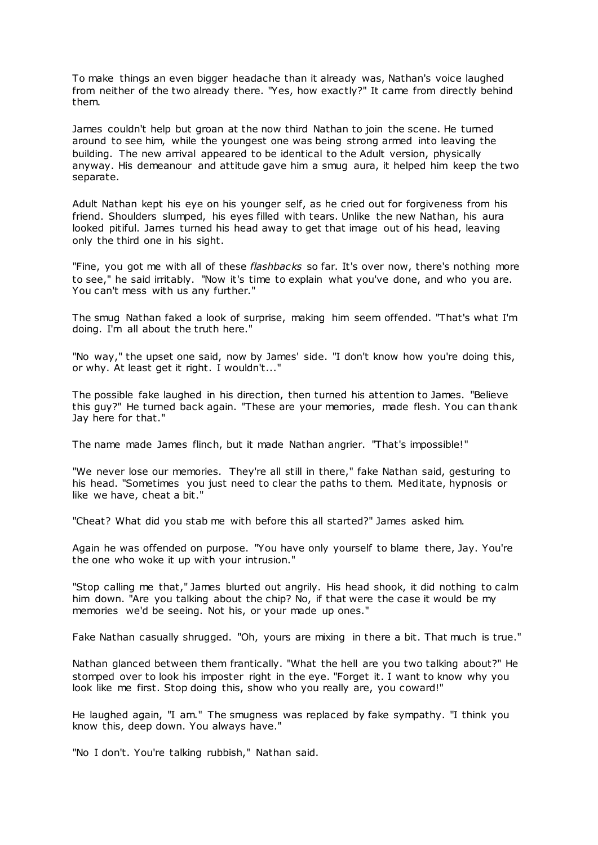To make things an even bigger headache than it already was, Nathan's voice laughed from neither of the two already there. "Yes, how exactly?" It came from directly behind them.

James couldn't help but groan at the now third Nathan to join the scene. He turned around to see him, while the youngest one was being strong armed into leaving the building. The new arrival appeared to be identical to the Adult version, physically anyway. His demeanour and attitude gave him a smug aura, it helped him keep the two separate.

Adult Nathan kept his eye on his younger self, as he cried out for forgiveness from his friend. Shoulders slumped, his eyes filled with tears. Unlike the new Nathan, his aura looked pitiful. James turned his head away to get that image out of his head, leaving only the third one in his sight.

"Fine, you got me with all of these *flashbacks* so far. It's over now, there's nothing more to see," he said irritably. "Now it's time to explain what you've done, and who you are. You can't mess with us any further."

The smug Nathan faked a look of surprise, making him seem offended. "That's what I'm doing. I'm all about the truth here."

"No way," the upset one said, now by James' side. "I don't know how you're doing this, or why. At least get it right. I wouldn't..."

The possible fake laughed in his direction, then turned his attention to James. "Believe this guy?" He turned back again. "These are your memories, made flesh. You can thank Jay here for that."

The name made James flinch, but it made Nathan angrier. "That's impossible!"

"We never lose our memories. They're all still in there," fake Nathan said, gesturing to his head. "Sometimes you just need to clear the paths to them. Meditate, hypnosis or like we have, cheat a bit."

"Cheat? What did you stab me with before this all started?" James asked him.

Again he was offended on purpose. "You have only yourself to blame there, Jay. You're the one who woke it up with your intrusion."

"Stop calling me that," James blurted out angrily. His head shook, it did nothing to calm him down. "Are you talking about the chip? No, if that were the case it would be my memories we'd be seeing. Not his, or your made up ones."

Fake Nathan casually shrugged. "Oh, yours are mixing in there a bit. That much is true."

Nathan glanced between them frantically. "What the hell are you two talking about?" He stomped over to look his imposter right in the eye. "Forget it. I want to know why you look like me first. Stop doing this, show who you really are, you coward!"

He laughed again, "I am." The smugness was replaced by fake sympathy. "I think you know this, deep down. You always have."

"No I don't. You're talking rubbish," Nathan said.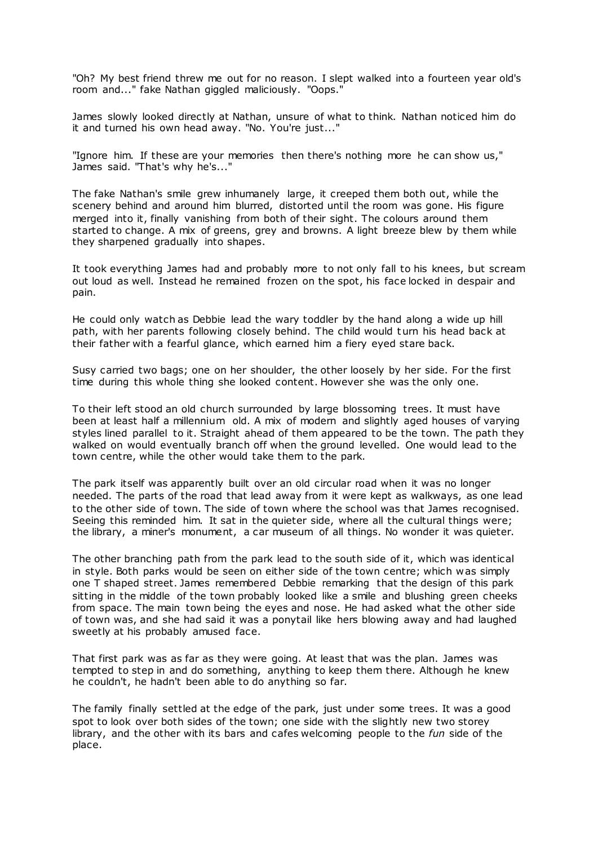"Oh? My best friend threw me out for no reason. I slept walked into a fourteen year old's room and..." fake Nathan giggled maliciously. "Oops."

James slowly looked directly at Nathan, unsure of what to think. Nathan noticed him do it and turned his own head away. "No. You're just..."

"Ignore him. If these are your memories then there's nothing more he can show us," James said. "That's why he's..."

The fake Nathan's smile grew inhumanely large, it creeped them both out, while the scenery behind and around him blurred, distorted until the room was gone. His figure merged into it, finally vanishing from both of their sight. The colours around them started to change. A mix of greens, grey and browns. A light breeze blew by them while they sharpened gradually into shapes.

It took everything James had and probably more to not only fall to his knees, but scream out loud as well. Instead he remained frozen on the spot, his face locked in despair and pain.

He could only watch as Debbie lead the wary toddler by the hand along a wide up hill path, with her parents following closely behind. The child would turn his head back at their father with a fearful glance, which earned him a fiery eyed stare back.

Susy carried two bags; one on her shoulder, the other loosely by her side. For the first time during this whole thing she looked content. However she was the only one.

To their left stood an old church surrounded by large blossoming trees. It must have been at least half a millennium old. A mix of modern and slightly aged houses of varying styles lined parallel to it. Straight ahead of them appeared to be the town. The path they walked on would eventually branch off when the ground levelled. One would lead to the town centre, while the other would take them to the park.

The park itself was apparently built over an old circular road when it was no longer needed. The parts of the road that lead away from it were kept as walkways, as one lead to the other side of town. The side of town where the school was that James recognised. Seeing this reminded him. It sat in the quieter side, where all the cultural things were; the library, a miner's monument, a car museum of all things. No wonder it was quieter.

The other branching path from the park lead to the south side of it, which was identical in style. Both parks would be seen on either side of the town centre; which was simply one T shaped street. James remembered Debbie remarking that the design of this park sitting in the middle of the town probably looked like a smile and blushing green cheeks from space. The main town being the eyes and nose. He had asked what the other side of town was, and she had said it was a ponytail like hers blowing away and had laughed sweetly at his probably amused face.

That first park was as far as they were going. At least that was the plan. James was tempted to step in and do something, anything to keep them there. Although he knew he couldn't, he hadn't been able to do anything so far.

The family finally settled at the edge of the park, just under some trees. It was a good spot to look over both sides of the town; one side with the slightly new two storey library, and the other with its bars and cafes welcoming people to the *fun* side of the place.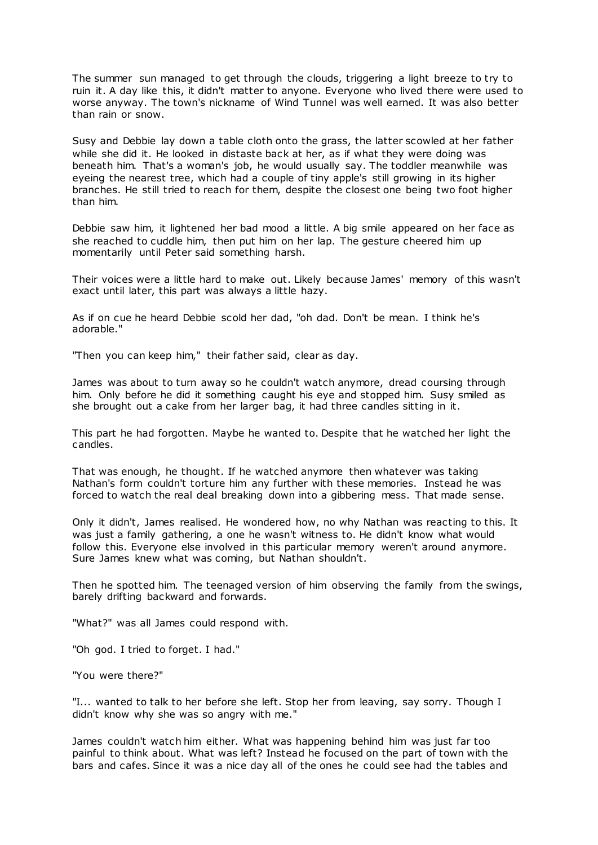The summer sun managed to get through the clouds, triggering a light breeze to try to ruin it. A day like this, it didn't matter to anyone. Everyone who lived there were used to worse anyway. The town's nickname of Wind Tunnel was well earned. It was also better than rain or snow.

Susy and Debbie lay down a table cloth onto the grass, the latter scowled at her father while she did it. He looked in distaste back at her, as if what they were doing was beneath him. That's a woman's job, he would usually say. The toddler meanwhile was eyeing the nearest tree, which had a couple of tiny apple's still growing in its higher branches. He still tried to reach for them, despite the closest one being two foot higher than him.

Debbie saw him, it lightened her bad mood a little. A big smile appeared on her face as she reached to cuddle him, then put him on her lap. The gesture cheered him up momentarily until Peter said something harsh.

Their voices were a little hard to make out. Likely because James' memory of this wasn't exact until later, this part was always a little hazy.

As if on cue he heard Debbie scold her dad, "oh dad. Don't be mean. I think he's adorable."

"Then you can keep him," their father said, clear as day.

James was about to turn away so he couldn't watch anymore, dread coursing through him. Only before he did it something caught his eye and stopped him. Susy smiled as she brought out a cake from her larger bag, it had three candles sitting in it.

This part he had forgotten. Maybe he wanted to. Despite that he watched her light the candles.

That was enough, he thought. If he watched anymore then whatever was taking Nathan's form couldn't torture him any further with these memories. Instead he was forced to watch the real deal breaking down into a gibbering mess. That made sense.

Only it didn't, James realised. He wondered how, no why Nathan was reacting to this. It was just a family gathering, a one he wasn't witness to. He didn't know what would follow this. Everyone else involved in this particular memory weren't around anymore. Sure James knew what was coming, but Nathan shouldn't.

Then he spotted him. The teenaged version of him observing the family from the swings, barely drifting backward and forwards.

"What?" was all James could respond with.

"Oh god. I tried to forget. I had."

"You were there?"

"I... wanted to talk to her before she left. Stop her from leaving, say sorry. Though I didn't know why she was so angry with me."

James couldn't watch him either. What was happening behind him was just far too painful to think about. What was left? Instead he focused on the part of town with the bars and cafes. Since it was a nice day all of the ones he could see had the tables and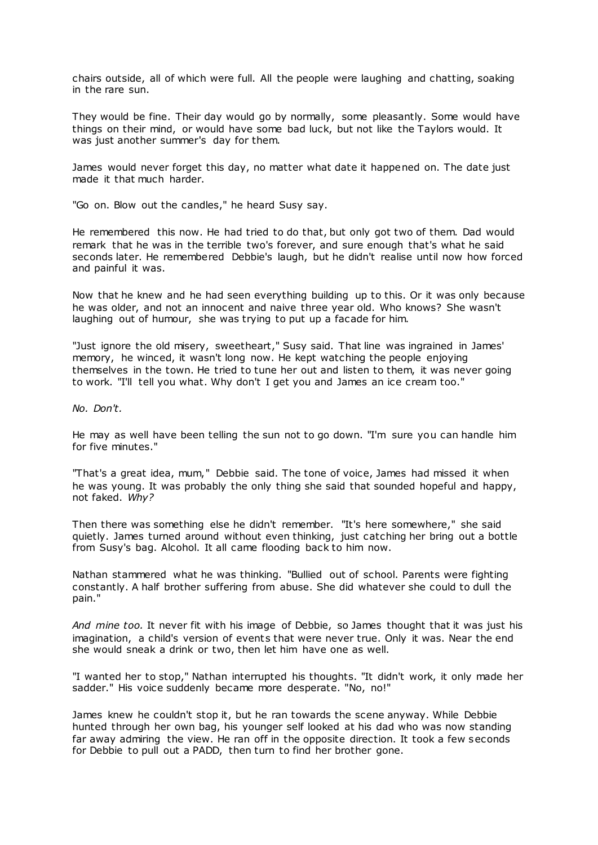chairs outside, all of which were full. All the people were laughing and chatting, soaking in the rare sun.

They would be fine. Their day would go by normally, some pleasantly. Some would have things on their mind, or would have some bad luck, but not like the Taylors would. It was just another summer's day for them.

James would never forget this day, no matter what date it happened on. The date just made it that much harder.

"Go on. Blow out the candles," he heard Susy say.

He remembered this now. He had tried to do that, but only got two of them. Dad would remark that he was in the terrible two's forever, and sure enough that's what he said seconds later. He remembered Debbie's laugh, but he didn't realise until now how forced and painful it was.

Now that he knew and he had seen everything building up to this. Or it was only because he was older, and not an innocent and naive three year old. Who knows? She wasn't laughing out of humour, she was trying to put up a facade for him.

"Just ignore the old misery, sweetheart," Susy said. That line was ingrained in James' memory, he winced, it wasn't long now. He kept watching the people enjoying themselves in the town. He tried to tune her out and listen to them, it was never going to work. "I'll tell you what. Why don't I get you and James an ice cream too."

*No. Don't.*

He may as well have been telling the sun not to go down. "I'm sure you can handle him for five minutes."

"That's a great idea, mum," Debbie said. The tone of voice, James had missed it when he was young. It was probably the only thing she said that sounded hopeful and happy, not faked. *Why?*

Then there was something else he didn't remember. "It's here somewhere," she said quietly. James turned around without even thinking, just catching her bring out a bottle from Susy's bag. Alcohol. It all came flooding back to him now.

Nathan stammered what he was thinking. "Bullied out of school. Parents were fighting constantly. A half brother suffering from abuse. She did whatever she could to dull the pain."

*And mine too.* It never fit with his image of Debbie, so James thought that it was just his imagination, a child's version of events that were never true. Only it was. Near the end she would sneak a drink or two, then let him have one as well.

"I wanted her to stop," Nathan interrupted his thoughts. "It didn't work, it only made her sadder." His voice suddenly became more desperate. "No, no!"

James knew he couldn't stop it, but he ran towards the scene anyway. While Debbie hunted through her own bag, his younger self looked at his dad who was now standing far away admiring the view. He ran off in the opposite direction. It took a few seconds for Debbie to pull out a PADD, then turn to find her brother gone.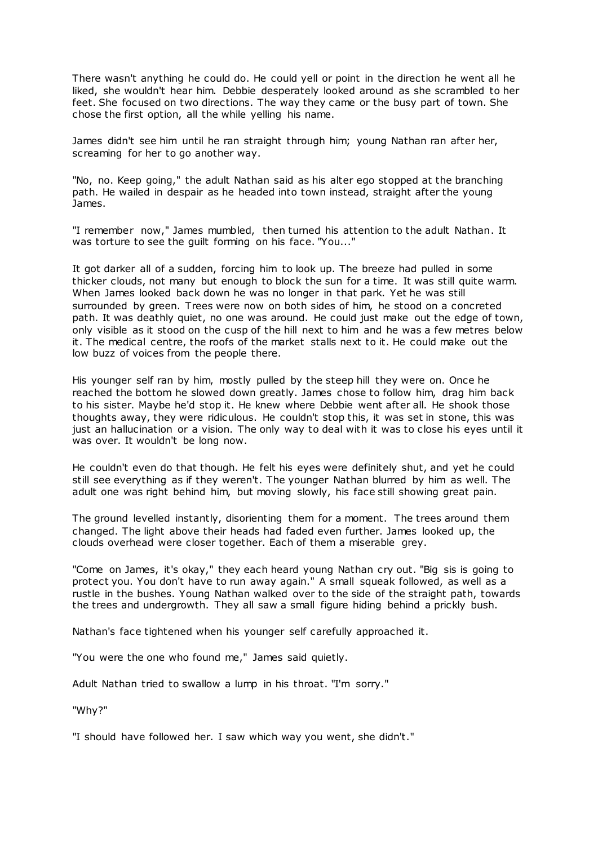There wasn't anything he could do. He could yell or point in the direction he went all he liked, she wouldn't hear him. Debbie desperately looked around as she scrambled to her feet. She focused on two directions. The way they came or the busy part of town. She chose the first option, all the while yelling his name.

James didn't see him until he ran straight through him; young Nathan ran after her, screaming for her to go another way.

"No, no. Keep going," the adult Nathan said as his alter ego stopped at the branching path. He wailed in despair as he headed into town instead, straight after the young James.

"I remember now," James mumbled, then turned his attention to the adult Nathan. It was torture to see the guilt forming on his face. "You..."

It got darker all of a sudden, forcing him to look up. The breeze had pulled in some thicker clouds, not many but enough to block the sun for a time. It was still quite warm. When James looked back down he was no longer in that park. Yet he was still surrounded by green. Trees were now on both sides of him, he stood on a concreted path. It was deathly quiet, no one was around. He could just make out the edge of town, only visible as it stood on the cusp of the hill next to him and he was a few metres below it. The medical centre, the roofs of the market stalls next to it. He could make out the low buzz of voices from the people there.

His younger self ran by him, mostly pulled by the steep hill they were on. Once he reached the bottom he slowed down greatly. James chose to follow him, drag him back to his sister. Maybe he'd stop it. He knew where Debbie went after all. He shook those thoughts away, they were ridiculous. He couldn't stop this, it was set in stone, this was just an hallucination or a vision. The only way to deal with it was to close his eyes until it was over. It wouldn't be long now.

He couldn't even do that though. He felt his eyes were definitely shut, and yet he could still see everything as if they weren't. The younger Nathan blurred by him as well. The adult one was right behind him, but moving slowly, his face still showing great pain.

The ground levelled instantly, disorienting them for a moment. The trees around them changed. The light above their heads had faded even further. James looked up, the clouds overhead were closer together. Each of them a miserable grey.

"Come on James, it's okay," they each heard young Nathan cry out. "Big sis is going to protect you. You don't have to run away again." A small squeak followed, as well as a rustle in the bushes. Young Nathan walked over to the side of the straight path, towards the trees and undergrowth. They all saw a small figure hiding behind a prickly bush.

Nathan's face tightened when his younger self carefully approached it.

"You were the one who found me," James said quietly.

Adult Nathan tried to swallow a lump in his throat. "I'm sorry."

"Why?"

"I should have followed her. I saw which way you went, she didn't."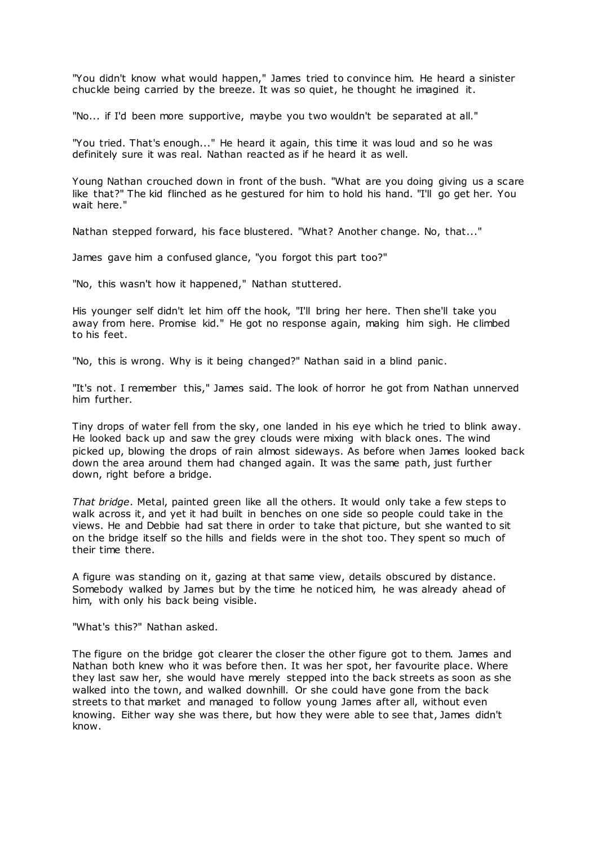"You didn't know what would happen," James tried to convince him. He heard a sinister chuckle being carried by the breeze. It was so quiet, he thought he imagined it.

"No... if I'd been more supportive, maybe you two wouldn't be separated at all."

"You tried. That's enough..." He heard it again, this time it was loud and so he was definitely sure it was real. Nathan reacted as if he heard it as well.

Young Nathan crouched down in front of the bush. "What are you doing giving us a scare like that?" The kid flinched as he gestured for him to hold his hand. "I'll go get her. You wait here."

Nathan stepped forward, his face blustered. "What? Another change. No, that..."

James gave him a confused glance, "you forgot this part too?"

"No, this wasn't how it happened," Nathan stuttered.

His younger self didn't let him off the hook, "I'll bring her here. Then she'll take you away from here. Promise kid." He got no response again, making him sigh. He climbed to his feet.

"No, this is wrong. Why is it being changed?" Nathan said in a blind panic .

"It's not. I remember this," James said. The look of horror he got from Nathan unnerved him further.

Tiny drops of water fell from the sky, one landed in his eye which he tried to blink away. He looked back up and saw the grey clouds were mixing with black ones. The wind picked up, blowing the drops of rain almost sideways. As before when James looked back down the area around them had changed again. It was the same path, just further down, right before a bridge.

*That bridge*. Metal, painted green like all the others. It would only take a few steps to walk across it, and yet it had built in benches on one side so people could take in the views. He and Debbie had sat there in order to take that picture, but she wanted to sit on the bridge itself so the hills and fields were in the shot too. They spent so much of their time there.

A figure was standing on it, gazing at that same view, details obscured by distance. Somebody walked by James but by the time he noticed him, he was already ahead of him, with only his back being visible.

"What's this?" Nathan asked.

The figure on the bridge got clearer the closer the other figure got to them. James and Nathan both knew who it was before then. It was her spot, her favourite place. Where they last saw her, she would have merely stepped into the back streets as soon as she walked into the town, and walked downhill. Or she could have gone from the back streets to that market and managed to follow young James after all, without even knowing. Either way she was there, but how they were able to see that, James didn't know.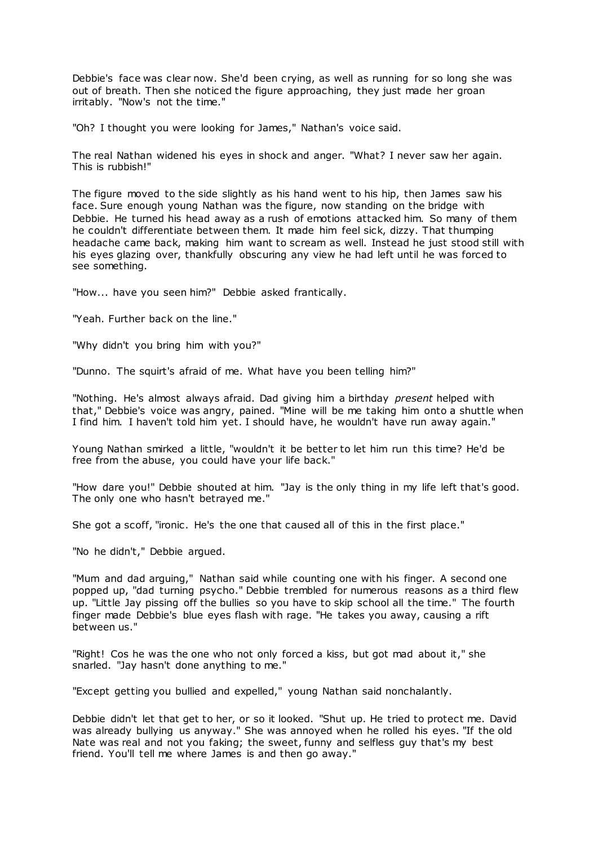Debbie's face was clear now. She'd been crying, as well as running for so long she was out of breath. Then she noticed the figure approaching, they just made her groan irritably. "Now's not the time."

"Oh? I thought you were looking for James," Nathan's voice said.

The real Nathan widened his eyes in shock and anger. "What? I never saw her again. This is rubbish!"

The figure moved to the side slightly as his hand went to his hip, then James saw his face. Sure enough young Nathan was the figure, now standing on the bridge with Debbie. He turned his head away as a rush of emotions attacked him. So many of them he couldn't differentiate between them. It made him feel sick, dizzy. That thumping headache came back, making him want to scream as well. Instead he just stood still with his eyes glazing over, thankfully obscuring any view he had left until he was forced to see something.

"How... have you seen him?" Debbie asked frantically.

"Yeah. Further back on the line."

"Why didn't you bring him with you?"

"Dunno. The squirt's afraid of me. What have you been telling him?"

"Nothing. He's almost always afraid. Dad giving him a birthday *present* helped with that," Debbie's voice was angry, pained. "Mine will be me taking him onto a shuttle when I find him. I haven't told him yet. I should have, he wouldn't have run away again."

Young Nathan smirked a little, "wouldn't it be better to let him run this time? He'd be free from the abuse, you could have your life back."

"How dare you!" Debbie shouted at him. "Jay is the only thing in my life left that's good. The only one who hasn't betrayed me."

She got a scoff, "ironic. He's the one that caused all of this in the first place."

"No he didn't," Debbie argued.

"Mum and dad arguing," Nathan said while counting one with his finger. A second one popped up, "dad turning psycho." Debbie trembled for numerous reasons as a third flew up. "Little Jay pissing off the bullies so you have to skip school all the time." The fourth finger made Debbie's blue eyes flash with rage. "He takes you away, causing a rift between us."

"Right! Cos he was the one who not only forced a kiss, but got mad about it," she snarled. "Jay hasn't done anything to me."

"Except getting you bullied and expelled," young Nathan said nonchalantly.

Debbie didn't let that get to her, or so it looked. "Shut up. He tried to protect me. David was already bullying us anyway." She was annoyed when he rolled his eyes. "If the old Nate was real and not you faking; the sweet, funny and selfless guy that's my best friend. You'll tell me where James is and then go away."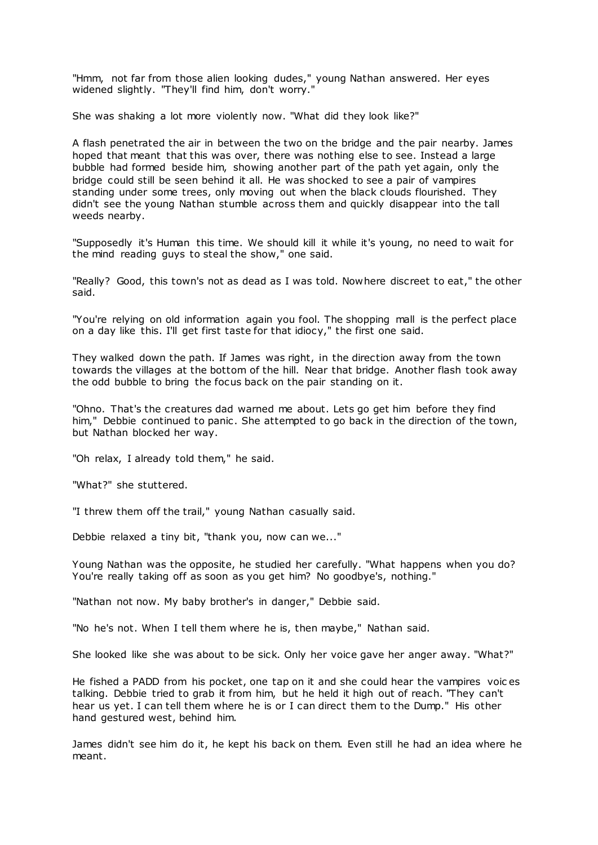"Hmm, not far from those alien looking dudes," young Nathan answered. Her eyes widened slightly. "They'll find him, don't worry."

She was shaking a lot more violently now. "What did they look like?"

A flash penetrated the air in between the two on the bridge and the pair nearby. James hoped that meant that this was over, there was nothing else to see. Instead a large bubble had formed beside him, showing another part of the path yet again, only the bridge could still be seen behind it all. He was shocked to see a pair of vampires standing under some trees, only moving out when the black clouds flourished. They didn't see the young Nathan stumble across them and quickly disappear into the tall weeds nearby.

"Supposedly it's Human this time. We should kill it while it's young, no need to wait for the mind reading guys to steal the show," one said.

"Really? Good, this town's not as dead as I was told. Nowhere discreet to eat," the other said.

"You're relying on old information again you fool. The shopping mall is the perfect place on a day like this. I'll get first taste for that idiocy," the first one said.

They walked down the path. If James was right, in the direction away from the town towards the villages at the bottom of the hill. Near that bridge. Another flash took away the odd bubble to bring the focus back on the pair standing on it.

"Ohno. That's the creatures dad warned me about. Lets go get him before they find him," Debbie continued to panic. She attempted to go back in the direction of the town, but Nathan blocked her way.

"Oh relax, I already told them," he said.

"What?" she stuttered.

"I threw them off the trail," young Nathan casually said.

Debbie relaxed a tiny bit, "thank you, now can we..."

Young Nathan was the opposite, he studied her carefully. "What happens when you do? You're really taking off as soon as you get him? No goodbye's, nothing."

"Nathan not now. My baby brother's in danger," Debbie said.

"No he's not. When I tell them where he is, then maybe," Nathan said.

She looked like she was about to be sick. Only her voice gave her anger away. "What?"

He fished a PADD from his pocket, one tap on it and she could hear the vampires voic es talking. Debbie tried to grab it from him, but he held it high out of reach. "They can't hear us yet. I can tell them where he is or I can direct them to the Dump." His other hand gestured west, behind him.

James didn't see him do it, he kept his back on them. Even still he had an idea where he meant.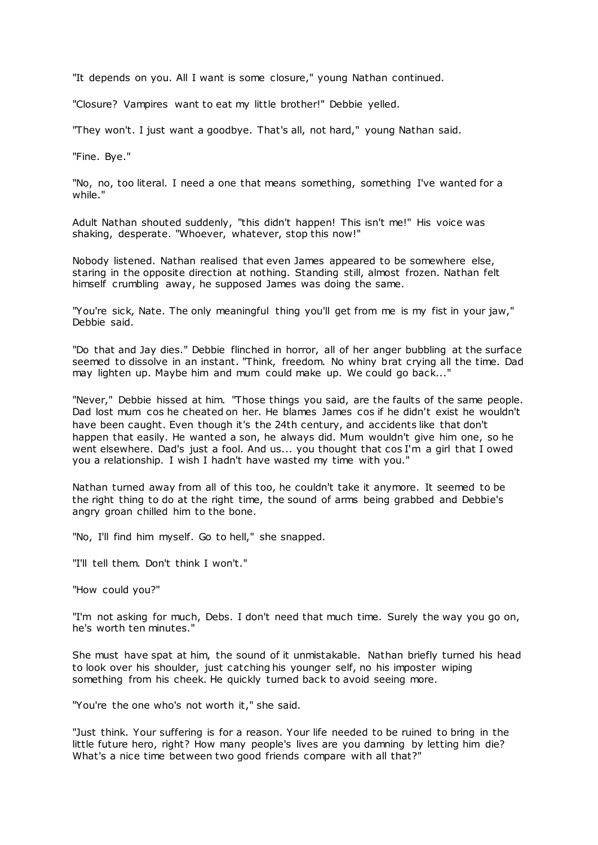"It depends on you. All I want is some closure," young Nathan continued.

"Closure? Vampires want to eat my little brother!" Debbie yelled.

"They won't. I just want a goodbye. That's all, not hard," young Nathan said.

"Fine. Bye."

"No, no, too literal. I need a one that means something, something I've wanted for a while."

Adult Nathan shouted suddenly, "this didn't happen! This isn't me!" His voice was shaking, desperate. "Whoever, whatever, stop this now!"

Nobody listened. Nathan realised that even James appeared to be somewhere else, staring in the opposite direction at nothing. Standing still, almost frozen. Nathan felt himself crumbling away, he supposed James was doing the same.

"You're sick, Nate. The only meaningful thing you'll get from me is my fist in your jaw," Debbie said.

"Do that and Jay dies." Debbie flinched in horror, all of her anger bubbling at the surface seemed to dissolve in an instant. "Think, freedom. No whiny brat crying all the time. Dad may lighten up. Maybe him and mum could make up. We could go back..."

"Never," Debbie hissed at him. "Those things you said, are the faults of the same people. Dad lost mum cos he cheated on her. He blames James cos if he didn't exist he wouldn't have been caught. Even though it's the 24th century, and accidents like that don't happen that easily. He wanted a son, he always did. Mum wouldn't give him one, so he went elsewhere. Dad's just a fool. And us... you thought that cos I'm a girl that I owed you a relationship. I wish I hadn't have wasted my time with you."

Nathan turned away from all of this too, he couldn't take it anymore. It seemed to be the right thing to do at the right time, the sound of arms being grabbed and Debbie's angry groan chilled him to the bone.

"No, I'll find him myself. Go to hell," she snapped.

"I'll tell them. Don't think I won't."

"How could you?"

"I'm not asking for much, Debs. I don't need that much time. Surely the way you go on, he's worth ten minutes."

She must have spat at him, the sound of it unmistakable. Nathan briefly turned his head to look over his shoulder, just catching his younger self, no his imposter wiping something from his cheek. He quickly turned back to avoid seeing more.

"You're the one who's not worth it," she said.

"Just think. Your suffering is for a reason. Your life needed to be ruined to bring in the little future hero, right? How many people's lives are you damning by letting him die? What's a nice time between two good friends compare with all that?"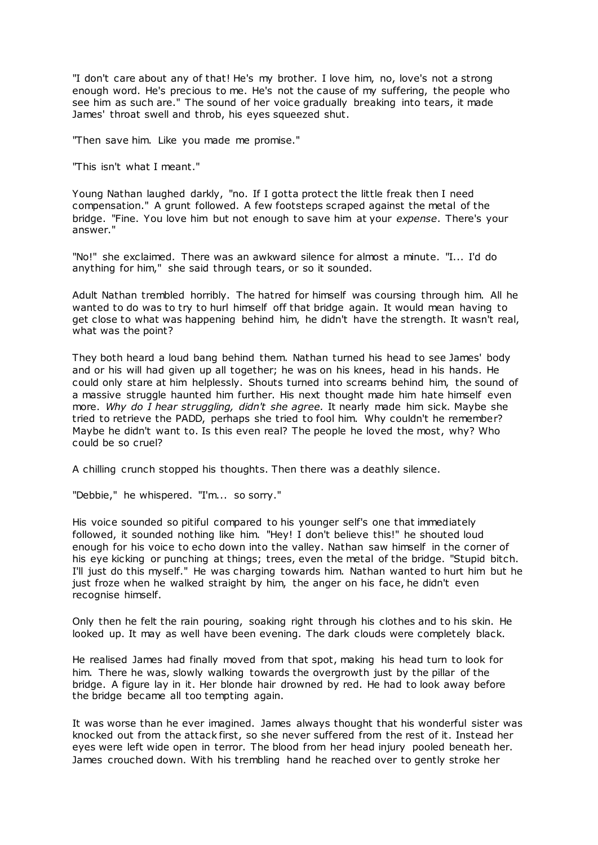"I don't care about any of that! He's my brother. I love him, no, love's not a strong enough word. He's precious to me. He's not the cause of my suffering, the people who see him as such are." The sound of her voice gradually breaking into tears, it made James' throat swell and throb, his eyes squeezed shut.

"Then save him. Like you made me promise."

"This isn't what I meant."

Young Nathan laughed darkly, "no. If I gotta protect the little freak then I need compensation." A grunt followed. A few footsteps scraped against the metal of the bridge. "Fine. You love him but not enough to save him at your *expense*. There's your answer."

"No!" she exclaimed. There was an awkward silence for almost a minute. "I... I'd do anything for him," she said through tears, or so it sounded.

Adult Nathan trembled horribly. The hatred for himself was coursing through him. All he wanted to do was to try to hurl himself off that bridge again. It would mean having to get close to what was happening behind him, he didn't have the strength. It wasn't real, what was the point?

They both heard a loud bang behind them. Nathan turned his head to see James' body and or his will had given up all together; he was on his knees, head in his hands. He could only stare at him helplessly. Shouts turned into screams behind him, the sound of a massive struggle haunted him further. His next thought made him hate himself even more. *Why do I hear struggling, didn't she agree.* It nearly made him sick. Maybe she tried to retrieve the PADD, perhaps she tried to fool him. Why couldn't he remember? Maybe he didn't want to. Is this even real? The people he loved the most, why? Who could be so cruel?

A chilling crunch stopped his thoughts. Then there was a deathly silence.

"Debbie," he whispered. "I'm... so sorry."

His voice sounded so pitiful compared to his younger self's one that immediately followed, it sounded nothing like him. "Hey! I don't believe this!" he shouted loud enough for his voice to echo down into the valley. Nathan saw himself in the corner of his eye kicking or punching at things; trees, even the metal of the bridge. "Stupid bitch. I'll just do this myself." He was charging towards him. Nathan wanted to hurt him but he just froze when he walked straight by him, the anger on his face, he didn't even recognise himself.

Only then he felt the rain pouring, soaking right through his clothes and to his skin. He looked up. It may as well have been evening. The dark clouds were completely black.

He realised James had finally moved from that spot, making his head turn to look for him. There he was, slowly walking towards the overgrowth just by the pillar of the bridge. A figure lay in it. Her blonde hair drowned by red. He had to look away before the bridge became all too tempting again.

It was worse than he ever imagined. James always thought that his wonderful sister was knocked out from the attack first, so she never suffered from the rest of it. Instead her eyes were left wide open in terror. The blood from her head injury pooled beneath her. James crouched down. With his trembling hand he reached over to gently stroke her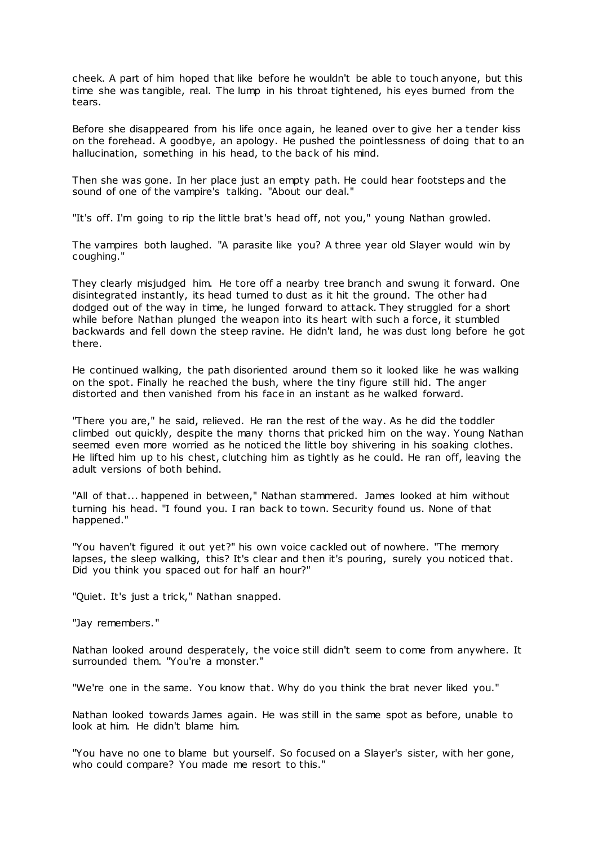cheek. A part of him hoped that like before he wouldn't be able to touch anyone, but this time she was tangible, real. The lump in his throat tightened, his eyes burned from the tears.

Before she disappeared from his life once again, he leaned over to give her a tender kiss on the forehead. A goodbye, an apology. He pushed the pointlessness of doing that to an hallucination, something in his head, to the back of his mind.

Then she was gone. In her place just an empty path. He could hear footsteps and the sound of one of the vampire's talking. "About our deal."

"It's off. I'm going to rip the little brat's head off, not you," young Nathan growled.

The vampires both laughed. "A parasite like you? A three year old Slayer would win by coughing."

They clearly misjudged him. He tore off a nearby tree branch and swung it forward. One disintegrated instantly, its head turned to dust as it hit the ground. The other had dodged out of the way in time, he lunged forward to attack. They struggled for a short while before Nathan plunged the weapon into its heart with such a force, it stumbled backwards and fell down the steep ravine. He didn't land, he was dust long before he got there.

He continued walking, the path disoriented around them so it looked like he was walking on the spot. Finally he reached the bush, where the tiny figure still hid. The anger distorted and then vanished from his face in an instant as he walked forward.

"There you are," he said, relieved. He ran the rest of the way. As he did the toddler climbed out quickly, despite the many thorns that pricked him on the way. Young Nathan seemed even more worried as he noticed the little boy shivering in his soaking clothes. He lifted him up to his chest, clutching him as tightly as he could. He ran off, leaving the adult versions of both behind.

"All of that... happened in between," Nathan stammered. James looked at him without turning his head. "I found you. I ran back to town. Security found us. None of that happened."

"You haven't figured it out yet?" his own voice cackled out of nowhere. "The memory lapses, the sleep walking, this? It's clear and then it's pouring, surely you noticed that. Did you think you spaced out for half an hour?"

"Quiet. It's just a trick," Nathan snapped.

"Jay remembers."

Nathan looked around desperately, the voice still didn't seem to come from anywhere. It surrounded them. "You're a monster."

"We're one in the same. You know that. Why do you think the brat never liked you."

Nathan looked towards James again. He was still in the same spot as before, unable to look at him. He didn't blame him.

"You have no one to blame but yourself. So focused on a Slayer's sister, with her gone, who could compare? You made me resort to this."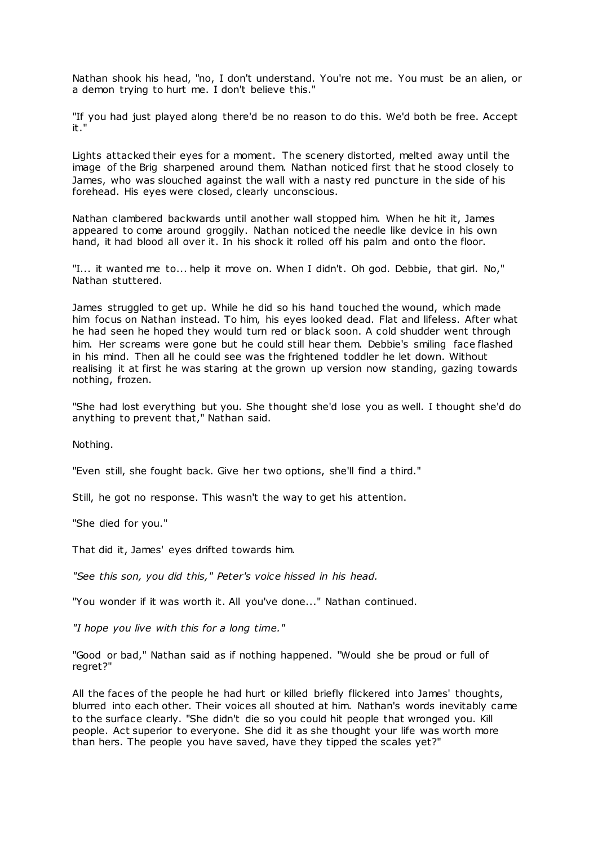Nathan shook his head, "no, I don't understand. You're not me. You must be an alien, or a demon trying to hurt me. I don't believe this."

"If you had just played along there'd be no reason to do this. We'd both be free. Accept it."

Lights attacked their eyes for a moment. The scenery distorted, melted away until the image of the Brig sharpened around them. Nathan noticed first that he stood closely to James, who was slouched against the wall with a nasty red puncture in the side of his forehead. His eyes were closed, clearly unconscious.

Nathan clambered backwards until another wall stopped him. When he hit it, James appeared to come around groggily. Nathan noticed the needle like device in his own hand, it had blood all over it. In his shock it rolled off his palm and onto the floor.

"I... it wanted me to... help it move on. When I didn't. Oh god. Debbie, that girl. No," Nathan stuttered.

James struggled to get up. While he did so his hand touched the wound, which made him focus on Nathan instead. To him, his eyes looked dead. Flat and lifeless. After what he had seen he hoped they would turn red or black soon. A cold shudder went through him. Her screams were gone but he could still hear them. Debbie's smiling face flashed in his mind. Then all he could see was the frightened toddler he let down. Without realising it at first he was staring at the grown up version now standing, gazing towards nothing, frozen.

"She had lost everything but you. She thought she'd lose you as well. I thought she'd do anything to prevent that," Nathan said.

Nothing.

"Even still, she fought back. Give her two options, she'll find a third."

Still, he got no response. This wasn't the way to get his attention.

"She died for you."

That did it, James' eyes drifted towards him.

*"See this son, you did this," Peter's voice hissed in his head.*

"You wonder if it was worth it. All you've done..." Nathan continued.

*"I hope you live with this for a long time."*

"Good or bad," Nathan said as if nothing happened. "Would she be proud or full of regret?"

All the faces of the people he had hurt or killed briefly flickered into James' thoughts, blurred into each other. Their voices all shouted at him. Nathan's words inevitably came to the surface clearly. "She didn't die so you could hit people that wronged you. Kill people. Act superior to everyone. She did it as she thought your life was worth more than hers. The people you have saved, have they tipped the scales yet?"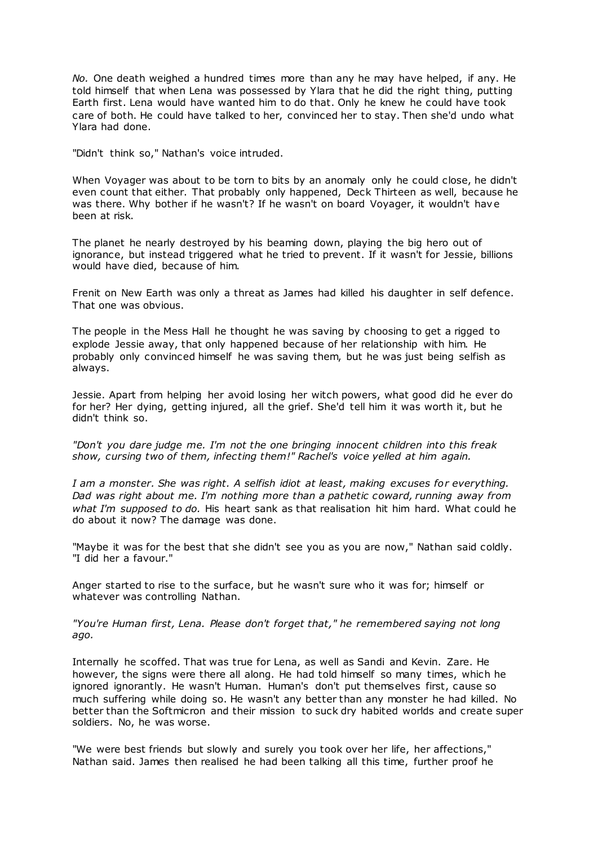*No.* One death weighed a hundred times more than any he may have helped, if any. He told himself that when Lena was possessed by Ylara that he did the right thing, putting Earth first. Lena would have wanted him to do that. Only he knew he could have took care of both. He could have talked to her, convinced her to stay. Then she'd undo what Ylara had done.

"Didn't think so," Nathan's voice intruded.

When Voyager was about to be torn to bits by an anomaly only he could close, he didn't even count that either. That probably only happened, Deck Thirteen as well, because he was there. Why bother if he wasn't? If he wasn't on board Voyager, it wouldn't have been at risk.

The planet he nearly destroyed by his beaming down, playing the big hero out of ignorance, but instead triggered what he tried to prevent. If it wasn't for Jessie, billions would have died, because of him.

Frenit on New Earth was only a threat as James had killed his daughter in self defence. That one was obvious.

The people in the Mess Hall he thought he was saving by choosing to get a rigged to explode Jessie away, that only happened because of her relationship with him. He probably only convinced himself he was saving them, but he was just being selfish as always.

Jessie. Apart from helping her avoid losing her witch powers, what good did he ever do for her? Her dying, getting injured, all the grief. She'd tell him it was worth it, but he didn't think so.

*"Don't you dare judge me. I'm not the one bringing innocent children into this freak show, cursing two of them, infecting them!" Rachel's voice yelled at him again.*

*I am a monster. She was right. A selfish idiot at least, making excuses for everything. Dad was right about me. I'm nothing more than a pathetic coward, running away from what I'm supposed to do.* His heart sank as that realisation hit him hard. What could he do about it now? The damage was done.

"Maybe it was for the best that she didn't see you as you are now," Nathan said coldly. "I did her a favour."

Anger started to rise to the surface, but he wasn't sure who it was for; himself or whatever was controlling Nathan.

*"You're Human first, Lena. Please don't forget that," he remembered saying not long ago.*

Internally he scoffed. That was true for Lena, as well as Sandi and Kevin. Zare. He however, the signs were there all along. He had told himself so many times, which he ignored ignorantly. He wasn't Human. Human's don't put themselves first, cause so much suffering while doing so. He wasn't any better than any monster he had killed. No better than the Softmicron and their mission to suck dry habited worlds and create super soldiers. No, he was worse.

"We were best friends but slowly and surely you took over her life, her affections," Nathan said. James then realised he had been talking all this time, further proof he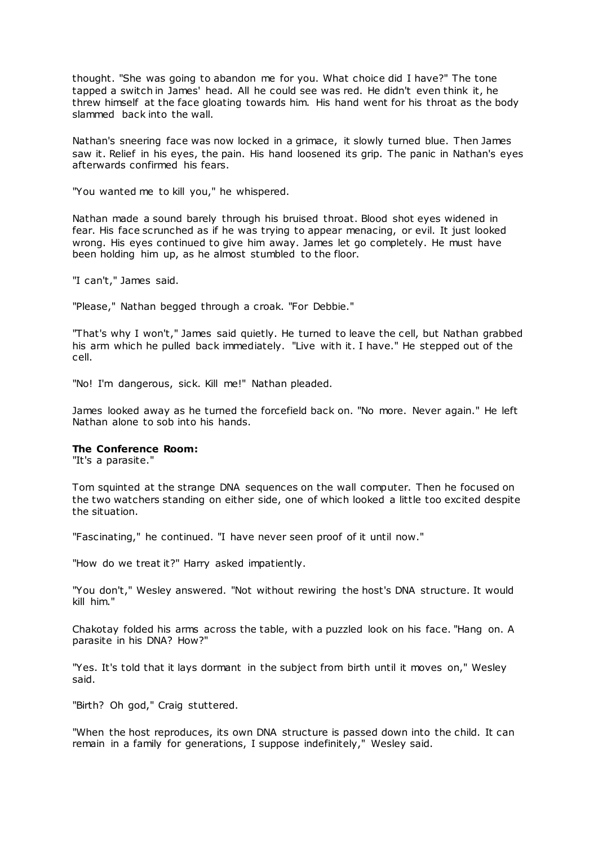thought. "She was going to abandon me for you. What choice did I have?" The tone tapped a switch in James' head. All he could see was red. He didn't even think it, he threw himself at the face gloating towards him. His hand went for his throat as the body slammed back into the wall.

Nathan's sneering face was now locked in a grimace, it slowly turned blue. Then James saw it. Relief in his eyes, the pain. His hand loosened its grip. The panic in Nathan's eyes afterwards confirmed his fears.

"You wanted me to kill you," he whispered.

Nathan made a sound barely through his bruised throat. Blood shot eyes widened in fear. His face scrunched as if he was trying to appear menacing, or evil. It just looked wrong. His eyes continued to give him away. James let go completely. He must have been holding him up, as he almost stumbled to the floor.

"I can't," James said.

"Please," Nathan begged through a croak. "For Debbie."

"That's why I won't," James said quietly. He turned to leave the cell, but Nathan grabbed his arm which he pulled back immediately. "Live with it. I have." He stepped out of the cell.

"No! I'm dangerous, sick. Kill me!" Nathan pleaded.

James looked away as he turned the forcefield back on. "No more. Never again." He left Nathan alone to sob into his hands.

## **The Conference Room:**

"It's a parasite."

Tom squinted at the strange DNA sequences on the wall computer. Then he focused on the two watchers standing on either side, one of which looked a little too excited despite the situation.

"Fascinating," he continued. "I have never seen proof of it until now."

"How do we treat it?" Harry asked impatiently.

"You don't," Wesley answered. "Not without rewiring the host's DNA structure. It would kill him."

Chakotay folded his arms across the table, with a puzzled look on his face. "Hang on. A parasite in his DNA? How?"

"Yes. It's told that it lays dormant in the subject from birth until it moves on," Wesley said.

"Birth? Oh god," Craig stuttered.

"When the host reproduces, its own DNA structure is passed down into the child. It can remain in a family for generations, I suppose indefinitely," Wesley said.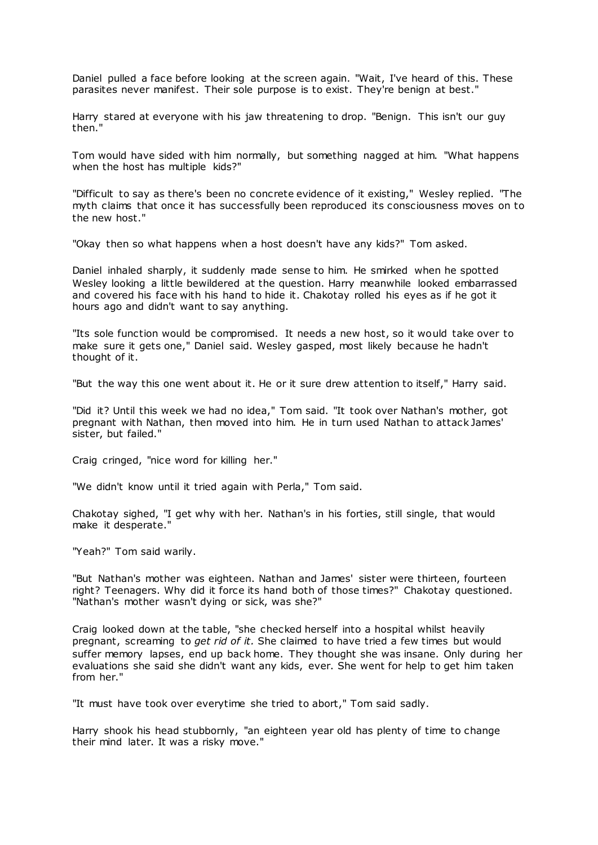Daniel pulled a face before looking at the screen again. "Wait, I've heard of this. These parasites never manifest. Their sole purpose is to exist. They're benign at best."

Harry stared at everyone with his jaw threatening to drop. "Benign. This isn't our guy then."

Tom would have sided with him normally, but something nagged at him. "What happens when the host has multiple kids?"

"Difficult to say as there's been no concrete evidence of it existing," Wesley replied. "The myth claims that once it has successfully been reproduced its consciousness moves on to the new host."

"Okay then so what happens when a host doesn't have any kids?" Tom asked.

Daniel inhaled sharply, it suddenly made sense to him. He smirked when he spotted Wesley looking a little bewildered at the question. Harry meanwhile looked embarrassed and covered his face with his hand to hide it. Chakotay rolled his eyes as if he got it hours ago and didn't want to say anything.

"Its sole function would be compromised. It needs a new host, so it would take over to make sure it gets one," Daniel said. Wesley gasped, most likely because he hadn't thought of it.

"But the way this one went about it. He or it sure drew attention to itself," Harry said.

"Did it? Until this week we had no idea," Tom said. "It took over Nathan's mother, got pregnant with Nathan, then moved into him. He in turn used Nathan to attack James' sister, but failed."

Craig cringed, "nice word for killing her."

"We didn't know until it tried again with Perla," Tom said.

Chakotay sighed, "I get why with her. Nathan's in his forties, still single, that would make it desperate."

"Yeah?" Tom said warily.

"But Nathan's mother was eighteen. Nathan and James' sister were thirteen, fourteen right? Teenagers. Why did it force its hand both of those times?" Chakotay questioned. "Nathan's mother wasn't dying or sick, was she?"

Craig looked down at the table, "she checked herself into a hospital whilst heavily pregnant, screaming to *get rid of it.* She claimed to have tried a few times but would suffer memory lapses, end up back home. They thought she was insane. Only during her evaluations she said she didn't want any kids, ever. She went for help to get him taken from her."

"It must have took over everytime she tried to abort," Tom said sadly.

Harry shook his head stubbornly, "an eighteen year old has plenty of time to change their mind later. It was a risky move."